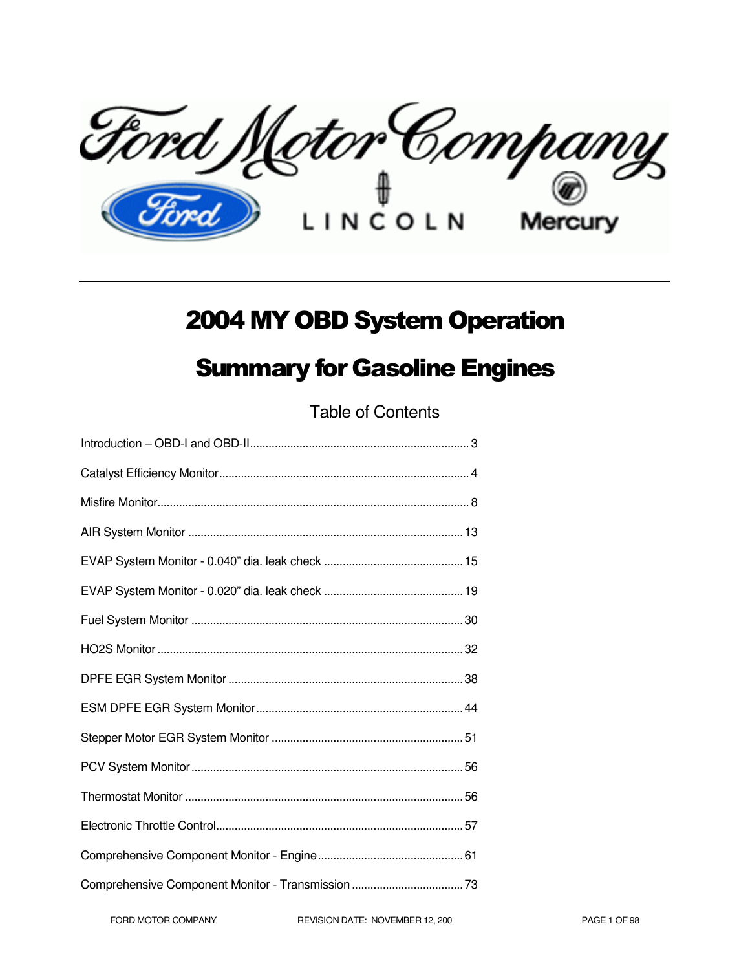Ford Motor Company

# 2004 MY OBD System Operation

# Summary for Gasoline Engines

Table of Contents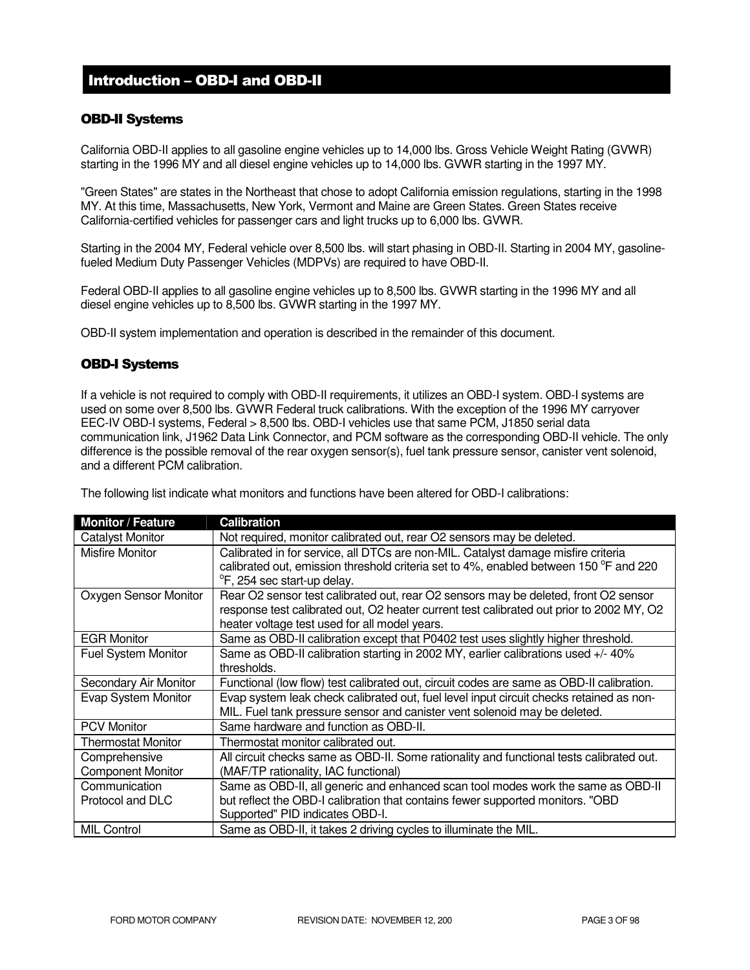# Introduction – OBD-I and OBD-II

# OBD-II Systems

California OBD-II applies to all gasoline engine vehicles up to 14,000 lbs. Gross Vehicle Weight Rating (GVWR) starting in the 1996 MY and all diesel engine vehicles up to 14,000 lbs. GVWR starting in the 1997 MY.

"Green States" are states in the Northeast that chose to adopt California emission regulations, starting in the 1998 MY. At this time, Massachusetts, New York, Vermont and Maine are Green States. Green States receive California-certified vehicles for passenger cars and light trucks up to 6,000 lbs. GVWR.

Starting in the 2004 MY, Federal vehicle over 8,500 lbs. will start phasing in OBD-II. Starting in 2004 MY, gasolinefueled Medium Duty Passenger Vehicles (MDPVs) are required to have OBD-II.

Federal OBD-II applies to all gasoline engine vehicles up to 8,500 lbs. GVWR starting in the 1996 MY and all diesel engine vehicles up to 8,500 lbs. GVWR starting in the 1997 MY.

OBD-II system implementation and operation is described in the remainder of this document.

# OBD-I Systems

If a vehicle is not required to comply with OBD-II requirements, it utilizes an OBD-I system. OBD-I systems are used on some over 8,500 lbs. GVWR Federal truck calibrations. With the exception of the 1996 MY carryover EEC-IV OBD-I systems, Federal > 8,500 lbs. OBD-I vehicles use that same PCM, J1850 serial data communication link, J1962 Data Link Connector, and PCM software as the corresponding OBD-II vehicle. The only difference is the possible removal of the rear oxygen sensor(s), fuel tank pressure sensor, canister vent solenoid, and a different PCM calibration.

The following list indicate what monitors and functions have been altered for OBD-I calibrations:

| <b>Monitor / Feature</b>   | <b>Calibration</b>                                                                                |  |
|----------------------------|---------------------------------------------------------------------------------------------------|--|
| <b>Catalyst Monitor</b>    | Not required, monitor calibrated out, rear O2 sensors may be deleted.                             |  |
| <b>Misfire Monitor</b>     | Calibrated in for service, all DTCs are non-MIL. Catalyst damage misfire criteria                 |  |
|                            | calibrated out, emission threshold criteria set to 4%, enabled between 150 <sup>o</sup> F and 220 |  |
|                            | <sup>o</sup> F, 254 sec start-up delay.                                                           |  |
| Oxygen Sensor Monitor      | Rear O2 sensor test calibrated out, rear O2 sensors may be deleted, front O2 sensor               |  |
|                            | response test calibrated out, O2 heater current test calibrated out prior to 2002 MY, O2          |  |
|                            | heater voltage test used for all model years.                                                     |  |
| <b>EGR Monitor</b>         | Same as OBD-II calibration except that P0402 test uses slightly higher threshold.                 |  |
| <b>Fuel System Monitor</b> | Same as OBD-II calibration starting in 2002 MY, earlier calibrations used +/- 40%                 |  |
|                            | thresholds.                                                                                       |  |
| Secondary Air Monitor      | Functional (low flow) test calibrated out, circuit codes are same as OBD-II calibration.          |  |
| Evap System Monitor        | Evap system leak check calibrated out, fuel level input circuit checks retained as non-           |  |
|                            | MIL. Fuel tank pressure sensor and canister vent solenoid may be deleted.                         |  |
| <b>PCV Monitor</b>         | Same hardware and function as OBD-II.                                                             |  |
| <b>Thermostat Monitor</b>  | Thermostat monitor calibrated out.                                                                |  |
| Comprehensive              | All circuit checks same as OBD-II. Some rationality and functional tests calibrated out.          |  |
| <b>Component Monitor</b>   | (MAF/TP rationality, IAC functional)                                                              |  |
| Communication              | Same as OBD-II, all generic and enhanced scan tool modes work the same as OBD-II                  |  |
| Protocol and DLC           | but reflect the OBD-I calibration that contains fewer supported monitors. "OBD                    |  |
|                            | Supported" PID indicates OBD-I.                                                                   |  |
| <b>MIL Control</b>         | Same as OBD-II, it takes 2 driving cycles to illuminate the MIL.                                  |  |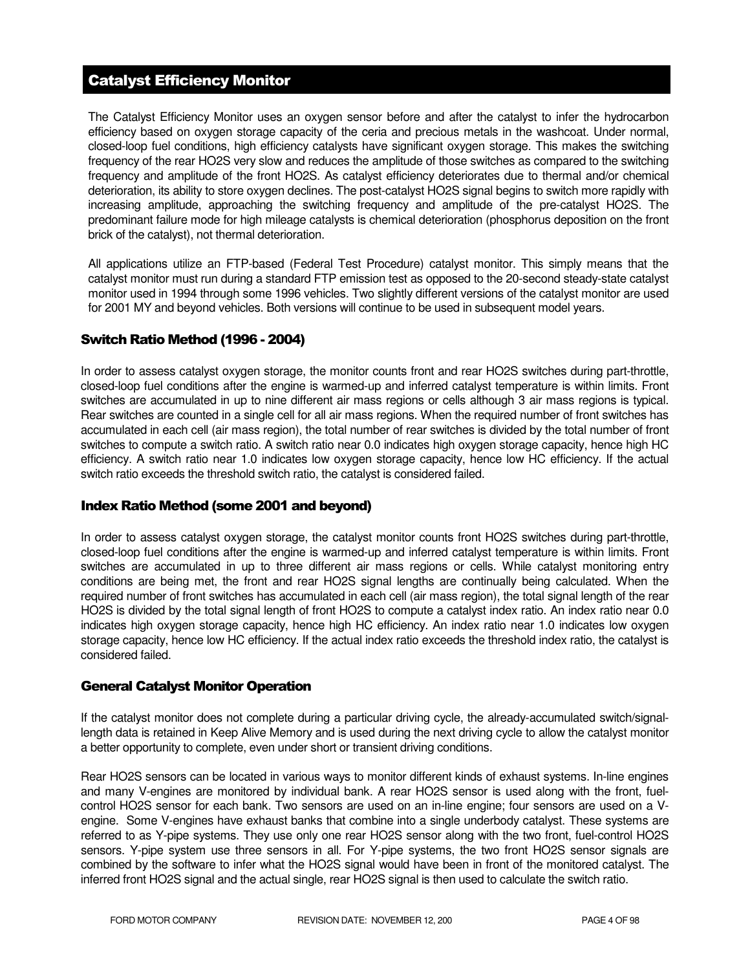# Catalyst Efficiency Monitor

The Catalyst Efficiency Monitor uses an oxygen sensor before and after the catalyst to infer the hydrocarbon efficiency based on oxygen storage capacity of the ceria and precious metals in the washcoat. Under normal, closed-loop fuel conditions, high efficiency catalysts have significant oxygen storage. This makes the switching frequency of the rear HO2S very slow and reduces the amplitude of those switches as compared to the switching frequency and amplitude of the front HO2S. As catalyst efficiency deteriorates due to thermal and/or chemical deterioration, its ability to store oxygen declines. The post-catalyst HO2S signal begins to switch more rapidly with increasing amplitude, approaching the switching frequency and amplitude of the pre-catalyst HO2S. The predominant failure mode for high mileage catalysts is chemical deterioration (phosphorus deposition on the front brick of the catalyst), not thermal deterioration.

All applications utilize an FTP-based (Federal Test Procedure) catalyst monitor. This simply means that the catalyst monitor must run during a standard FTP emission test as opposed to the 20-second steady-state catalyst monitor used in 1994 through some 1996 vehicles. Two slightly different versions of the catalyst monitor are used for 2001 MY and beyond vehicles. Both versions will continue to be used in subsequent model years.

# Switch Ratio Method (1996 - 2004)

In order to assess catalyst oxygen storage, the monitor counts front and rear HO2S switches during part-throttle, closed-loop fuel conditions after the engine is warmed-up and inferred catalyst temperature is within limits. Front switches are accumulated in up to nine different air mass regions or cells although 3 air mass regions is typical. Rear switches are counted in a single cell for all air mass regions. When the required number of front switches has accumulated in each cell (air mass region), the total number of rear switches is divided by the total number of front switches to compute a switch ratio. A switch ratio near 0.0 indicates high oxygen storage capacity, hence high HC efficiency. A switch ratio near 1.0 indicates low oxygen storage capacity, hence low HC efficiency. If the actual switch ratio exceeds the threshold switch ratio, the catalyst is considered failed.

# Index Ratio Method (some 2001 and beyond)

In order to assess catalyst oxygen storage, the catalyst monitor counts front HO2S switches during part-throttle, closed-loop fuel conditions after the engine is warmed-up and inferred catalyst temperature is within limits. Front switches are accumulated in up to three different air mass regions or cells. While catalyst monitoring entry conditions are being met, the front and rear HO2S signal lengths are continually being calculated. When the required number of front switches has accumulated in each cell (air mass region), the total signal length of the rear HO2S is divided by the total signal length of front HO2S to compute a catalyst index ratio. An index ratio near 0.0 indicates high oxygen storage capacity, hence high HC efficiency. An index ratio near 1.0 indicates low oxygen storage capacity, hence low HC efficiency. If the actual index ratio exceeds the threshold index ratio, the catalyst is considered failed.

# General Catalyst Monitor Operation

If the catalyst monitor does not complete during a particular driving cycle, the already-accumulated switch/signallength data is retained in Keep Alive Memory and is used during the next driving cycle to allow the catalyst monitor a better opportunity to complete, even under short or transient driving conditions.

Rear HO2S sensors can be located in various ways to monitor different kinds of exhaust systems. In-line engines and many V-engines are monitored by individual bank. A rear HO2S sensor is used along with the front, fuelcontrol HO2S sensor for each bank. Two sensors are used on an in-line engine; four sensors are used on a Vengine. Some V-engines have exhaust banks that combine into a single underbody catalyst. These systems are referred to as Y-pipe systems. They use only one rear HO2S sensor along with the two front, fuel-control HO2S sensors. Y-pipe system use three sensors in all. For Y-pipe systems, the two front HO2S sensor signals are combined by the software to infer what the HO2S signal would have been in front of the monitored catalyst. The inferred front HO2S signal and the actual single, rear HO2S signal is then used to calculate the switch ratio.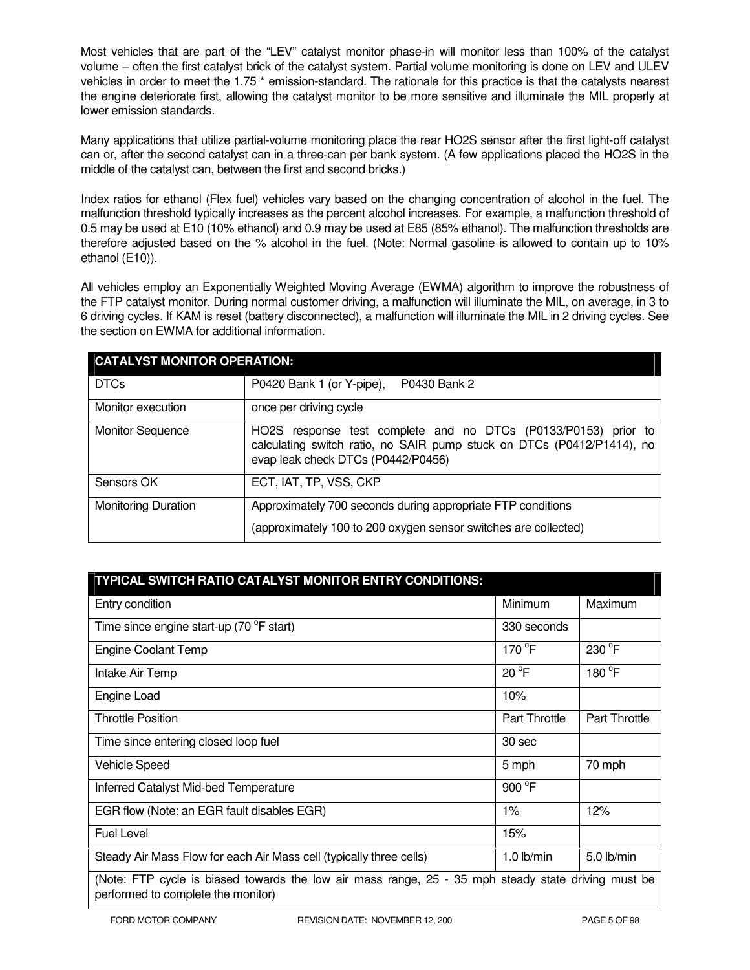Most vehicles that are part of the "LEV" catalyst monitor phase-in will monitor less than 100% of the catalyst volume – often the first catalyst brick of the catalyst system. Partial volume monitoring is done on LEV and ULEV vehicles in order to meet the 1.75<sup>\*</sup> emission-standard. The rationale for this practice is that the catalysts nearest the engine deteriorate first, allowing the catalyst monitor to be more sensitive and illuminate the MIL properly at lower emission standards.

Many applications that utilize partial-volume monitoring place the rear HO2S sensor after the first light-off catalyst can or, after the second catalyst can in a three-can per bank system. (A few applications placed the HO2S in the middle of the catalyst can, between the first and second bricks.)

Index ratios for ethanol (Flex fuel) vehicles vary based on the changing concentration of alcohol in the fuel. The malfunction threshold typically increases as the percent alcohol increases. For example, a malfunction threshold of 0.5 may be used at E10 (10% ethanol) and 0.9 may be used at E85 (85% ethanol). The malfunction thresholds are therefore adjusted based on the % alcohol in the fuel. (Note: Normal gasoline is allowed to contain up to 10% ethanol (E10)).

All vehicles employ an Exponentially Weighted Moving Average (EWMA) algorithm to improve the robustness of the FTP catalyst monitor. During normal customer driving, a malfunction will illuminate the MIL, on average, in 3 to 6 driving cycles. If KAM is reset (battery disconnected), a malfunction will illuminate the MIL in 2 driving cycles. See the section on EWMA for additional information.

| <b>CATALYST MONITOR OPERATION:</b> |                                                                                                                                                                                |  |  |
|------------------------------------|--------------------------------------------------------------------------------------------------------------------------------------------------------------------------------|--|--|
| <b>DTCs</b>                        | P0430 Bank 2<br>P0420 Bank 1 (or Y-pipe),                                                                                                                                      |  |  |
| Monitor execution                  | once per driving cycle                                                                                                                                                         |  |  |
| <b>Monitor Sequence</b>            | HO2S response test complete and no DTCs (P0133/P0153) prior to<br>calculating switch ratio, no SAIR pump stuck on DTCs (P0412/P1414), no<br>evap leak check DTCs (P0442/P0456) |  |  |
| Sensors OK                         | ECT, IAT, TP, VSS, CKP                                                                                                                                                         |  |  |
| <b>Monitoring Duration</b>         | Approximately 700 seconds during appropriate FTP conditions<br>(approximately 100 to 200 oxygen sensor switches are collected)                                                 |  |  |

| TYPICAL SWITCH RATIO CATALYST MONITOR ENTRY CONDITIONS:                                                                                   |                      |                      |  |
|-------------------------------------------------------------------------------------------------------------------------------------------|----------------------|----------------------|--|
| Entry condition                                                                                                                           | Minimum              | Maximum              |  |
| Time since engine start-up (70 °F start)                                                                                                  | 330 seconds          |                      |  |
| <b>Engine Coolant Temp</b>                                                                                                                | 170 °F               | 230 °F               |  |
| Intake Air Temp                                                                                                                           | $20^{\circ}F$        | 180 °F               |  |
| Engine Load                                                                                                                               | 10%                  |                      |  |
| <b>Throttle Position</b>                                                                                                                  | <b>Part Throttle</b> | <b>Part Throttle</b> |  |
| Time since entering closed loop fuel                                                                                                      | 30 sec               |                      |  |
| <b>Vehicle Speed</b>                                                                                                                      | 5 mph                | 70 mph               |  |
| Inferred Catalyst Mid-bed Temperature                                                                                                     | 900 °F               |                      |  |
| EGR flow (Note: an EGR fault disables EGR)                                                                                                | $1\%$                | 12%                  |  |
| <b>Fuel Level</b>                                                                                                                         | 15%                  |                      |  |
| Steady Air Mass Flow for each Air Mass cell (typically three cells)                                                                       | 1.0 $lb/min$         | 5.0 lb/min           |  |
| (Note: FTP cycle is biased towards the low air mass range, 25 - 35 mph steady state driving must be<br>performed to complete the monitor) |                      |                      |  |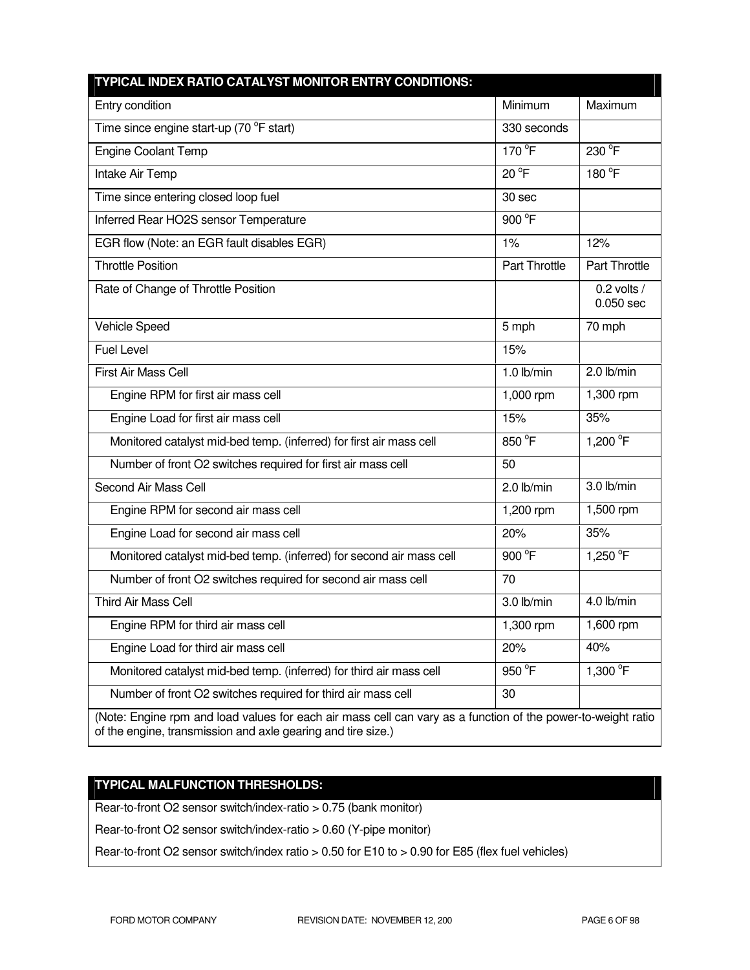| TYPICAL INDEX RATIO CATALYST MONITOR ENTRY CONDITIONS:                                                                                                                       |                |                              |
|------------------------------------------------------------------------------------------------------------------------------------------------------------------------------|----------------|------------------------------|
| Entry condition                                                                                                                                                              | Minimum        | Maximum                      |
| Time since engine start-up (70 °F start)                                                                                                                                     | 330 seconds    |                              |
| <b>Engine Coolant Temp</b>                                                                                                                                                   | 170 °F         | 230 °F                       |
| Intake Air Temp                                                                                                                                                              | $20^{\circ}$ F | 180 °F                       |
| Time since entering closed loop fuel                                                                                                                                         | 30 sec         |                              |
| Inferred Rear HO2S sensor Temperature                                                                                                                                        | 900 °F         |                              |
| EGR flow (Note: an EGR fault disables EGR)                                                                                                                                   | 1%             | 12%                          |
| <b>Throttle Position</b>                                                                                                                                                     | Part Throttle  | Part Throttle                |
| Rate of Change of Throttle Position                                                                                                                                          |                | 0.2 volts $/$<br>$0.050$ sec |
| Vehicle Speed                                                                                                                                                                | 5 mph          | 70 mph                       |
| <b>Fuel Level</b>                                                                                                                                                            | 15%            |                              |
| <b>First Air Mass Cell</b>                                                                                                                                                   | $1.0$ lb/min   | 2.0 lb/min                   |
| Engine RPM for first air mass cell                                                                                                                                           | 1,000 rpm      | 1,300 rpm                    |
| Engine Load for first air mass cell                                                                                                                                          | 15%            | 35%                          |
| Monitored catalyst mid-bed temp. (inferred) for first air mass cell                                                                                                          | 850 °F         | 1,200 °F                     |
| Number of front O2 switches required for first air mass cell                                                                                                                 | 50             |                              |
| Second Air Mass Cell                                                                                                                                                         | $2.0$ lb/min   | 3.0 lb/min                   |
| Engine RPM for second air mass cell                                                                                                                                          | 1,200 rpm      | 1,500 rpm                    |
| Engine Load for second air mass cell                                                                                                                                         | 20%            | 35%                          |
| Monitored catalyst mid-bed temp. (inferred) for second air mass cell                                                                                                         | 900 °F         | 1,250 °F                     |
| Number of front O2 switches required for second air mass cell                                                                                                                | 70             |                              |
| <b>Third Air Mass Cell</b>                                                                                                                                                   | 3.0 lb/min     | 4.0 lb/min                   |
| Engine RPM for third air mass cell                                                                                                                                           | 1,300 rpm      | 1,600 rpm                    |
| Engine Load for third air mass cell                                                                                                                                          | 20%            | 40%                          |
| Monitored catalyst mid-bed temp. (inferred) for third air mass cell                                                                                                          | 950 °F         | 1,300 °F                     |
| Number of front O2 switches required for third air mass cell                                                                                                                 | 30             |                              |
| (Note: Engine rpm and load values for each air mass cell can vary as a function of the power-to-weight ratio<br>of the engine, transmission and axle gearing and tire size.) |                |                              |

# **TYPICAL MALFUNCTION THRESHOLDS:**

Rear-to-front O2 sensor switch/index-ratio > 0.75 (bank monitor)

Rear-to-front O2 sensor switch/index-ratio > 0.60 (Y-pipe monitor)

Rear-to-front O2 sensor switch/index ratio > 0.50 for E10 to > 0.90 for E85 (flex fuel vehicles)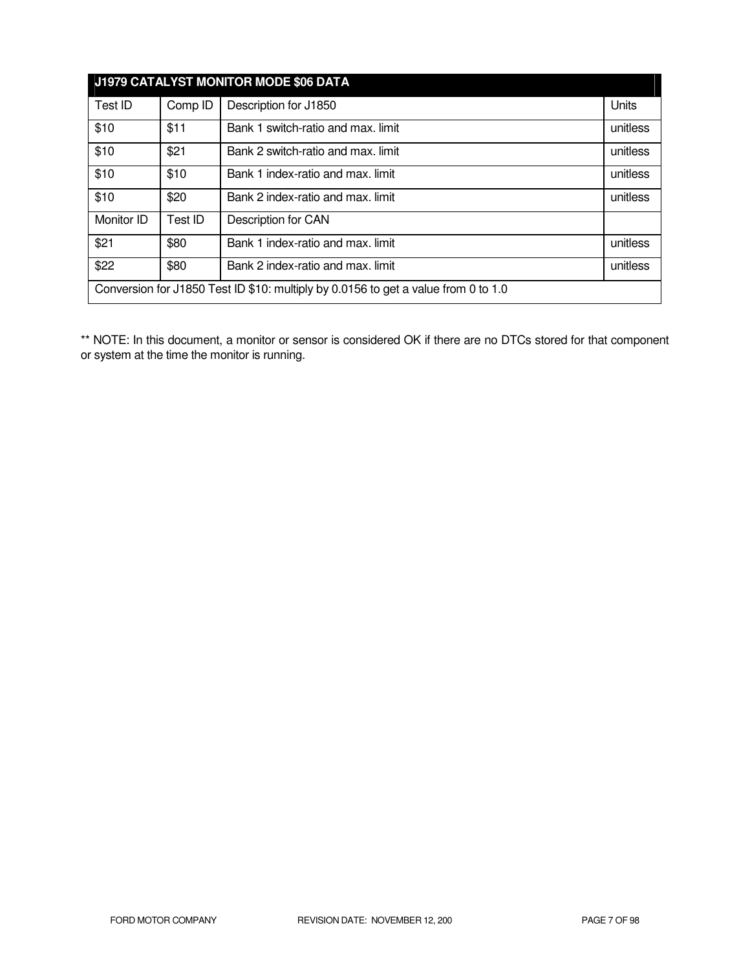| J1979 CATALYST MONITOR MODE \$06 DATA                                              |         |                                    |          |
|------------------------------------------------------------------------------------|---------|------------------------------------|----------|
| Test ID                                                                            | Comp ID | Description for J1850              | Units    |
| \$10                                                                               | \$11    | Bank 1 switch-ratio and max. limit | unitless |
| \$10                                                                               | \$21    | Bank 2 switch-ratio and max. limit | unitless |
| \$10                                                                               | \$10    | Bank 1 index-ratio and max. limit  | unitless |
| \$10                                                                               | \$20    | Bank 2 index-ratio and max. limit  | unitless |
| Monitor ID                                                                         | Test ID | Description for CAN                |          |
| \$21                                                                               | \$80    | Bank 1 index-ratio and max. limit  | unitless |
| \$22                                                                               | \$80    | Bank 2 index-ratio and max. limit  | unitless |
| Conversion for J1850 Test ID \$10: multiply by 0.0156 to get a value from 0 to 1.0 |         |                                    |          |

\*\* NOTE: In this document, a monitor or sensor is considered OK if there are no DTCs stored for that component or system at the time the monitor is running.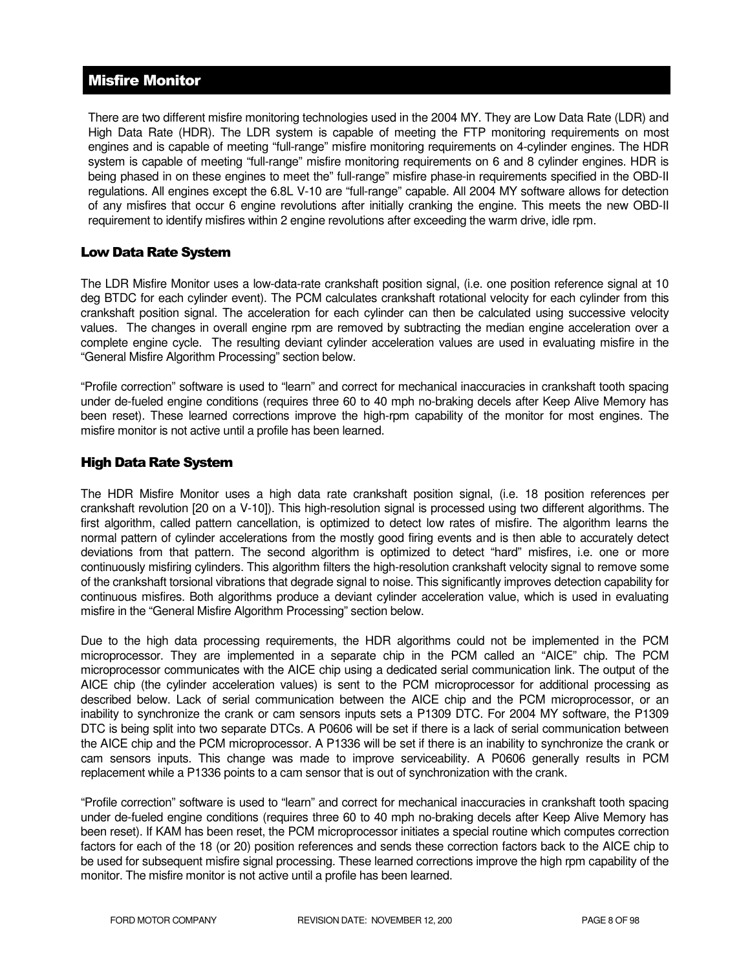# Misfire Monitor

There are two different misfire monitoring technologies used in the 2004 MY. They are Low Data Rate (LDR) and High Data Rate (HDR). The LDR system is capable of meeting the FTP monitoring requirements on most engines and is capable of meeting "full-range" misfire monitoring requirements on 4-cylinder engines. The HDR system is capable of meeting "full-range" misfire monitoring requirements on 6 and 8 cylinder engines. HDR is being phased in on these engines to meet the" full-range" misfire phase-in requirements specified in the OBD-II regulations. All engines except the 6.8L V-10 are "full-range" capable. All 2004 MY software allows for detection of any misfires that occur 6 engine revolutions after initially cranking the engine. This meets the new OBD-II requirement to identify misfires within 2 engine revolutions after exceeding the warm drive, idle rpm.

# Low Data Rate System

The LDR Misfire Monitor uses a low-data-rate crankshaft position signal, (i.e. one position reference signal at 10 deg BTDC for each cylinder event). The PCM calculates crankshaft rotational velocity for each cylinder from this crankshaft position signal. The acceleration for each cylinder can then be calculated using successive velocity values. The changes in overall engine rpm are removed by subtracting the median engine acceleration over a complete engine cycle. The resulting deviant cylinder acceleration values are used in evaluating misfire in the "General Misfire Algorithm Processing" section below.

"Profile correction" software is used to "learn" and correct for mechanical inaccuracies in crankshaft tooth spacing under de-fueled engine conditions (requires three 60 to 40 mph no-braking decels after Keep Alive Memory has been reset). These learned corrections improve the high-rpm capability of the monitor for most engines. The misfire monitor is not active until a profile has been learned.

# High Data Rate System

The HDR Misfire Monitor uses a high data rate crankshaft position signal, (i.e. 18 position references per crankshaft revolution [20 on a V-10]). This high-resolution signal is processed using two different algorithms. The first algorithm, called pattern cancellation, is optimized to detect low rates of misfire. The algorithm learns the normal pattern of cylinder accelerations from the mostly good firing events and is then able to accurately detect deviations from that pattern. The second algorithm is optimized to detect "hard" misfires, i.e. one or more continuously misfiring cylinders. This algorithm filters the high-resolution crankshaft velocity signal to remove some of the crankshaft torsional vibrations that degrade signal to noise. This significantly improves detection capability for continuous misfires. Both algorithms produce a deviant cylinder acceleration value, which is used in evaluating misfire in the "General Misfire Algorithm Processing" section below.

Due to the high data processing requirements, the HDR algorithms could not be implemented in the PCM microprocessor. They are implemented in a separate chip in the PCM called an "AICE" chip. The PCM microprocessor communicates with the AICE chip using a dedicated serial communication link. The output of the AICE chip (the cylinder acceleration values) is sent to the PCM microprocessor for additional processing as described below. Lack of serial communication between the AICE chip and the PCM microprocessor, or an inability to synchronize the crank or cam sensors inputs sets a P1309 DTC. For 2004 MY software, the P1309 DTC is being split into two separate DTCs. A P0606 will be set if there is a lack of serial communication between the AICE chip and the PCM microprocessor. A P1336 will be set if there is an inability to synchronize the crank or cam sensors inputs. This change was made to improve serviceability. A P0606 generally results in PCM replacement while a P1336 points to a cam sensor that is out of synchronization with the crank.

"Profile correction" software is used to "learn" and correct for mechanical inaccuracies in crankshaft tooth spacing under de-fueled engine conditions (requires three 60 to 40 mph no-braking decels after Keep Alive Memory has been reset). If KAM has been reset, the PCM microprocessor initiates a special routine which computes correction factors for each of the 18 (or 20) position references and sends these correction factors back to the AICE chip to be used for subsequent misfire signal processing. These learned corrections improve the high rpm capability of the monitor. The misfire monitor is not active until a profile has been learned.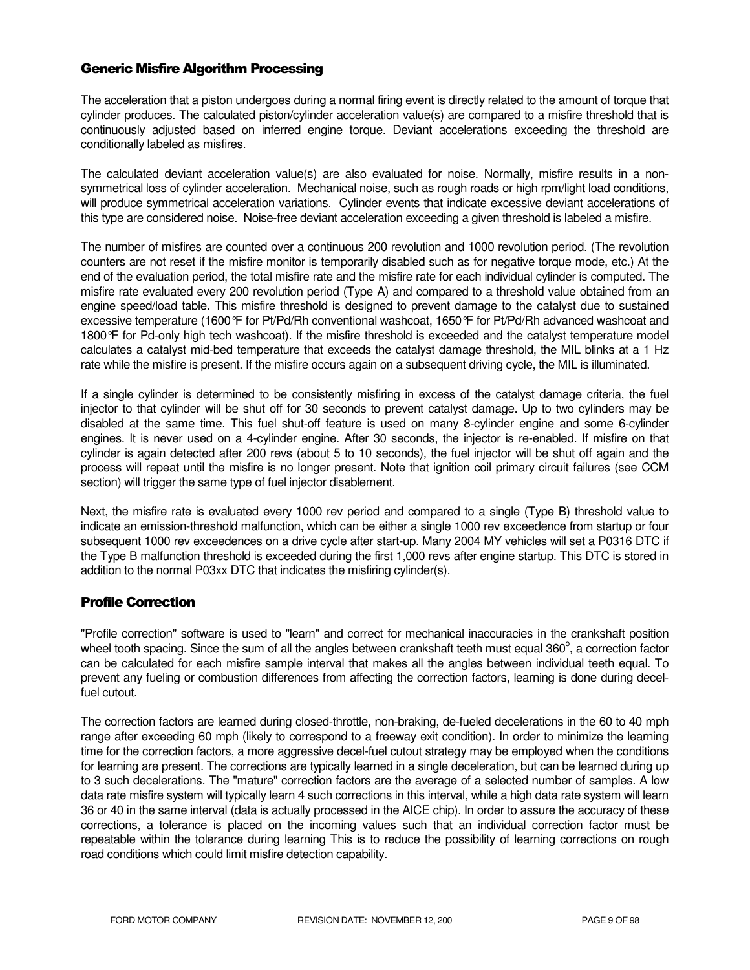# Generic Misfire Algorithm Processing

The acceleration that a piston undergoes during a normal firing event is directly related to the amount of torque that cylinder produces. The calculated piston/cylinder acceleration value(s) are compared to a misfire threshold that is continuously adjusted based on inferred engine torque. Deviant accelerations exceeding the threshold are conditionally labeled as misfires.

The calculated deviant acceleration value(s) are also evaluated for noise. Normally, misfire results in a nonsymmetrical loss of cylinder acceleration. Mechanical noise, such as rough roads or high rpm/light load conditions, will produce symmetrical acceleration variations. Cylinder events that indicate excessive deviant accelerations of this type are considered noise. Noise-free deviant acceleration exceeding a given threshold is labeled a misfire.

The number of misfires are counted over a continuous 200 revolution and 1000 revolution period. (The revolution counters are not reset if the misfire monitor is temporarily disabled such as for negative torque mode, etc.) At the end of the evaluation period, the total misfire rate and the misfire rate for each individual cylinder is computed. The misfire rate evaluated every 200 revolution period (Type A) and compared to a threshold value obtained from an engine speed/load table. This misfire threshold is designed to prevent damage to the catalyst due to sustained excessive temperature (1600°F for Pt/Pd/Rh conventional washcoat, 1650°F for Pt/Pd/Rh advanced washcoat and 1800°F for Pd-only high tech washcoat). If the misfire threshold is exceeded and the catalyst temperature model calculates a catalyst mid-bed temperature that exceeds the catalyst damage threshold, the MIL blinks at a 1 Hz rate while the misfire is present. If the misfire occurs again on a subsequent driving cycle, the MIL is illuminated.

If a single cylinder is determined to be consistently misfiring in excess of the catalyst damage criteria, the fuel injector to that cylinder will be shut off for 30 seconds to prevent catalyst damage. Up to two cylinders may be disabled at the same time. This fuel shut-off feature is used on many 8-cylinder engine and some 6-cylinder engines. It is never used on a 4-cylinder engine. After 30 seconds, the injector is re-enabled. If misfire on that cylinder is again detected after 200 revs (about 5 to 10 seconds), the fuel injector will be shut off again and the process will repeat until the misfire is no longer present. Note that ignition coil primary circuit failures (see CCM section) will trigger the same type of fuel injector disablement.

Next, the misfire rate is evaluated every 1000 rev period and compared to a single (Type B) threshold value to indicate an emission-threshold malfunction, which can be either a single 1000 rev exceedence from startup or four subsequent 1000 rev exceedences on a drive cycle after start-up. Many 2004 MY vehicles will set a P0316 DTC if the Type B malfunction threshold is exceeded during the first 1,000 revs after engine startup. This DTC is stored in addition to the normal P03xx DTC that indicates the misfiring cylinder(s).

# Profile Correction

"Profile correction" software is used to "learn" and correct for mechanical inaccuracies in the crankshaft position wheel tooth spacing. Since the sum of all the angles between crankshaft teeth must equal 360 $^{\circ}$ , a correction factor can be calculated for each misfire sample interval that makes all the angles between individual teeth equal. To prevent any fueling or combustion differences from affecting the correction factors, learning is done during decelfuel cutout.

The correction factors are learned during closed-throttle, non-braking, de-fueled decelerations in the 60 to 40 mph range after exceeding 60 mph (likely to correspond to a freeway exit condition). In order to minimize the learning time for the correction factors, a more aggressive decel-fuel cutout strategy may be employed when the conditions for learning are present. The corrections are typically learned in a single deceleration, but can be learned during up to 3 such decelerations. The "mature" correction factors are the average of a selected number of samples. A low data rate misfire system will typically learn 4 such corrections in this interval, while a high data rate system will learn 36 or 40 in the same interval (data is actually processed in the AICE chip). In order to assure the accuracy of these corrections, a tolerance is placed on the incoming values such that an individual correction factor must be repeatable within the tolerance during learning This is to reduce the possibility of learning corrections on rough road conditions which could limit misfire detection capability.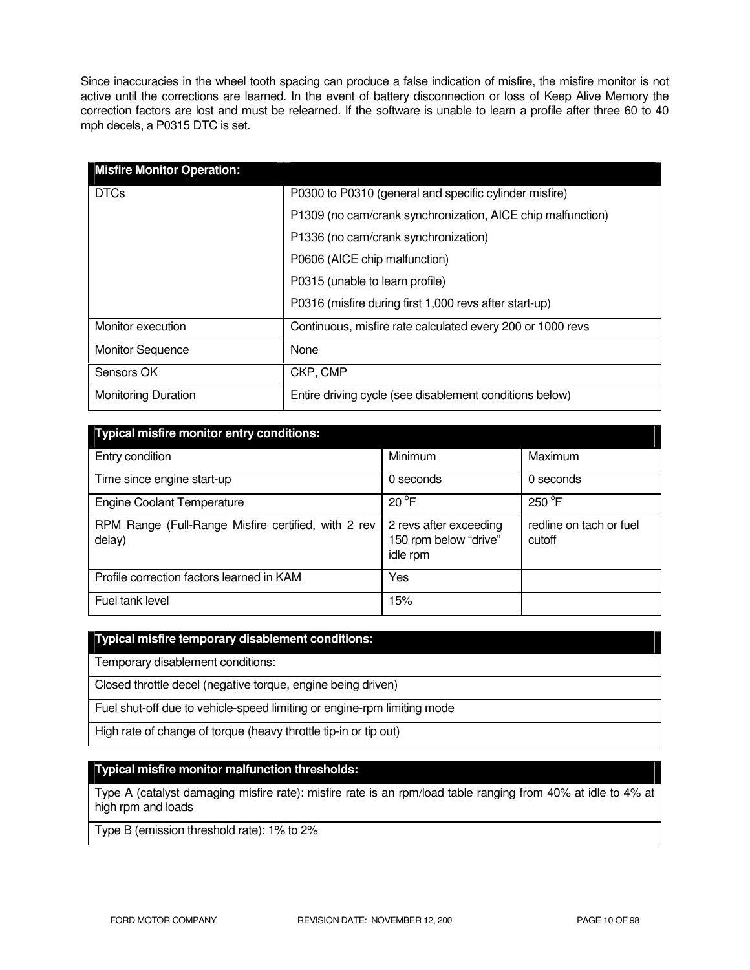Since inaccuracies in the wheel tooth spacing can produce a false indication of misfire, the misfire monitor is not active until the corrections are learned. In the event of battery disconnection or loss of Keep Alive Memory the correction factors are lost and must be relearned. If the software is unable to learn a profile after three 60 to 40 mph decels, a P0315 DTC is set.

| <b>Misfire Monitor Operation:</b> |                                                             |  |
|-----------------------------------|-------------------------------------------------------------|--|
| <b>DTCs</b>                       | P0300 to P0310 (general and specific cylinder misfire)      |  |
|                                   | P1309 (no cam/crank synchronization, AICE chip malfunction) |  |
|                                   | P1336 (no cam/crank synchronization)                        |  |
|                                   | P0606 (AICE chip malfunction)                               |  |
|                                   | P0315 (unable to learn profile)                             |  |
|                                   | P0316 (misfire during first 1,000 revs after start-up)      |  |
| Monitor execution                 | Continuous, misfire rate calculated every 200 or 1000 revs  |  |
| <b>Monitor Sequence</b>           | None                                                        |  |
| Sensors OK                        | CKP, CMP                                                    |  |
| <b>Monitoring Duration</b>        | Entire driving cycle (see disablement conditions below)     |  |

| <b>Typical misfire monitor entry conditions:</b>              |                                                             |                                   |  |  |
|---------------------------------------------------------------|-------------------------------------------------------------|-----------------------------------|--|--|
| Entry condition                                               | Minimum                                                     | Maximum                           |  |  |
| Time since engine start-up                                    | 0 seconds                                                   | 0 seconds                         |  |  |
| <b>Engine Coolant Temperature</b>                             | $20^{\circ}$ F                                              | $250^{\circ}$ F                   |  |  |
| RPM Range (Full-Range Misfire certified, with 2 rev<br>delay) | 2 revs after exceeding<br>150 rpm below "drive"<br>idle rpm | redline on tach or fuel<br>cutoff |  |  |
| Profile correction factors learned in KAM                     | Yes                                                         |                                   |  |  |
| Fuel tank level                                               | 15%                                                         |                                   |  |  |

#### **Typical misfire temporary disablement conditions:**

Temporary disablement conditions:

Closed throttle decel (negative torque, engine being driven)

Fuel shut-off due to vehicle-speed limiting or engine-rpm limiting mode

High rate of change of torque (heavy throttle tip-in or tip out)

# **Typical misfire monitor malfunction thresholds:**

Type A (catalyst damaging misfire rate): misfire rate is an rpm/load table ranging from 40% at idle to 4% at high rpm and loads

Type B (emission threshold rate): 1% to 2%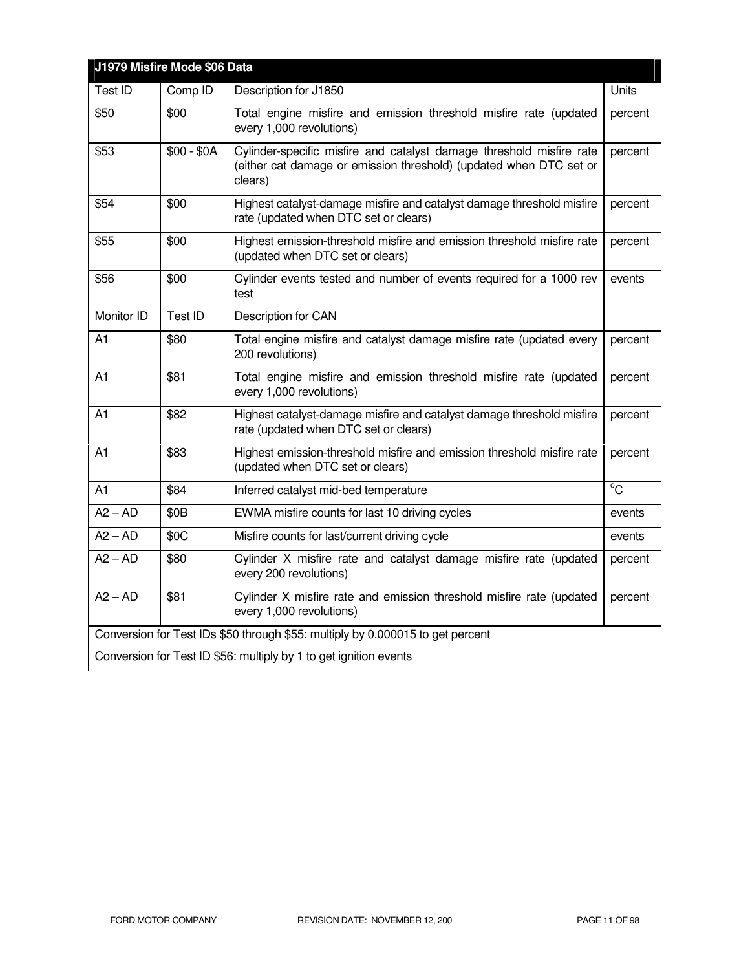| J1979 Misfire Mode \$06 Data                                                   |                  |                                                                                                                                                                  |                |
|--------------------------------------------------------------------------------|------------------|------------------------------------------------------------------------------------------------------------------------------------------------------------------|----------------|
| Test ID                                                                        | Comp ID          | Description for J1850                                                                                                                                            | Units          |
| \$50                                                                           | \$00             | Total engine misfire and emission threshold misfire rate (updated<br>percent<br>every 1,000 revolutions)                                                         |                |
| \$53                                                                           | $$00 - $0A$      | Cylinder-specific misfire and catalyst damage threshold misfire rate<br>percent<br>(either cat damage or emission threshold) (updated when DTC set or<br>clears) |                |
| \$54                                                                           | \$00             | Highest catalyst-damage misfire and catalyst damage threshold misfire<br>rate (updated when DTC set or clears)                                                   | percent        |
| \$55                                                                           | \$00             | Highest emission-threshold misfire and emission threshold misfire rate<br>(updated when DTC set or clears)                                                       | percent        |
| \$56                                                                           | \$00             | Cylinder events tested and number of events required for a 1000 rev<br>test                                                                                      | events         |
| Monitor ID                                                                     | Test ID          | Description for CAN                                                                                                                                              |                |
| A <sub>1</sub>                                                                 | \$80             | Total engine misfire and catalyst damage misfire rate (updated every<br>percent<br>200 revolutions)                                                              |                |
| A1                                                                             | \$81             | Total engine misfire and emission threshold misfire rate (updated<br>every 1,000 revolutions)                                                                    | percent        |
| A1                                                                             | \$82             | Highest catalyst-damage misfire and catalyst damage threshold misfire<br>rate (updated when DTC set or clears)                                                   | percent        |
| A1                                                                             | \$83             | Highest emission-threshold misfire and emission threshold misfire rate<br>(updated when DTC set or clears)                                                       | percent        |
| A1                                                                             | \$84             | Inferred catalyst mid-bed temperature                                                                                                                            | $\overline{C}$ |
| $A2 - AD$                                                                      | \$0 <sub>B</sub> | EWMA misfire counts for last 10 driving cycles                                                                                                                   | events         |
| $A2 - AD$                                                                      | \$0C             | Misfire counts for last/current driving cycle                                                                                                                    | events         |
| $A2 - AD$                                                                      | \$80             | Cylinder X misfire rate and catalyst damage misfire rate (updated<br>every 200 revolutions)                                                                      | percent        |
| $A2 - AD$                                                                      | \$81             | Cylinder X misfire rate and emission threshold misfire rate (updated<br>every 1,000 revolutions)                                                                 | percent        |
| Conversion for Test IDs \$50 through \$55: multiply by 0.000015 to get percent |                  |                                                                                                                                                                  |                |
| Conversion for Test ID \$56: multiply by 1 to get ignition events              |                  |                                                                                                                                                                  |                |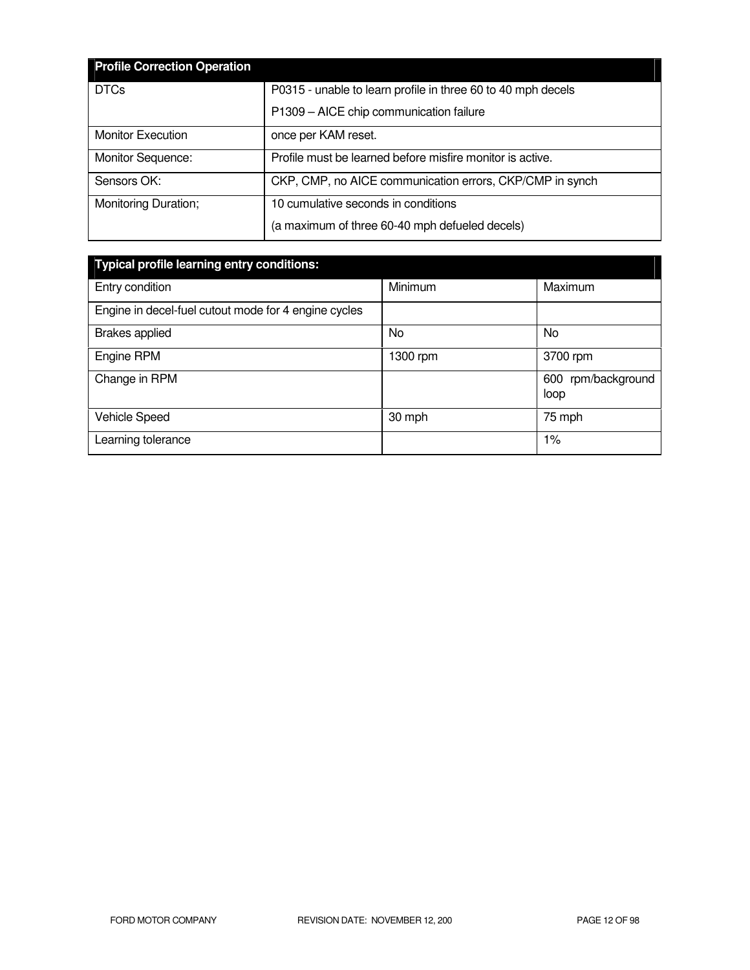| <b>Profile Correction Operation</b> |                                                              |  |  |
|-------------------------------------|--------------------------------------------------------------|--|--|
| <b>DTCs</b>                         | P0315 - unable to learn profile in three 60 to 40 mph decels |  |  |
|                                     | P1309 - AICE chip communication failure                      |  |  |
| <b>Monitor Execution</b>            | once per KAM reset.                                          |  |  |
| Monitor Sequence:                   | Profile must be learned before misfire monitor is active.    |  |  |
| Sensors OK:                         | CKP, CMP, no AICE communication errors, CKP/CMP in synch     |  |  |
| Monitoring Duration;                | 10 cumulative seconds in conditions                          |  |  |
|                                     | (a maximum of three 60-40 mph defueled decels)               |  |  |

| <b>Typical profile learning entry conditions:</b>    |          |                            |  |  |  |
|------------------------------------------------------|----------|----------------------------|--|--|--|
| Entry condition                                      | Minimum  | Maximum                    |  |  |  |
| Engine in decel-fuel cutout mode for 4 engine cycles |          |                            |  |  |  |
| <b>Brakes</b> applied                                | No       | <b>No</b>                  |  |  |  |
| Engine RPM                                           | 1300 rpm | 3700 rpm                   |  |  |  |
| Change in RPM                                        |          | 600 rpm/background<br>loop |  |  |  |
| <b>Vehicle Speed</b>                                 | 30 mph   | 75 mph                     |  |  |  |
| Learning tolerance                                   |          | $1\%$                      |  |  |  |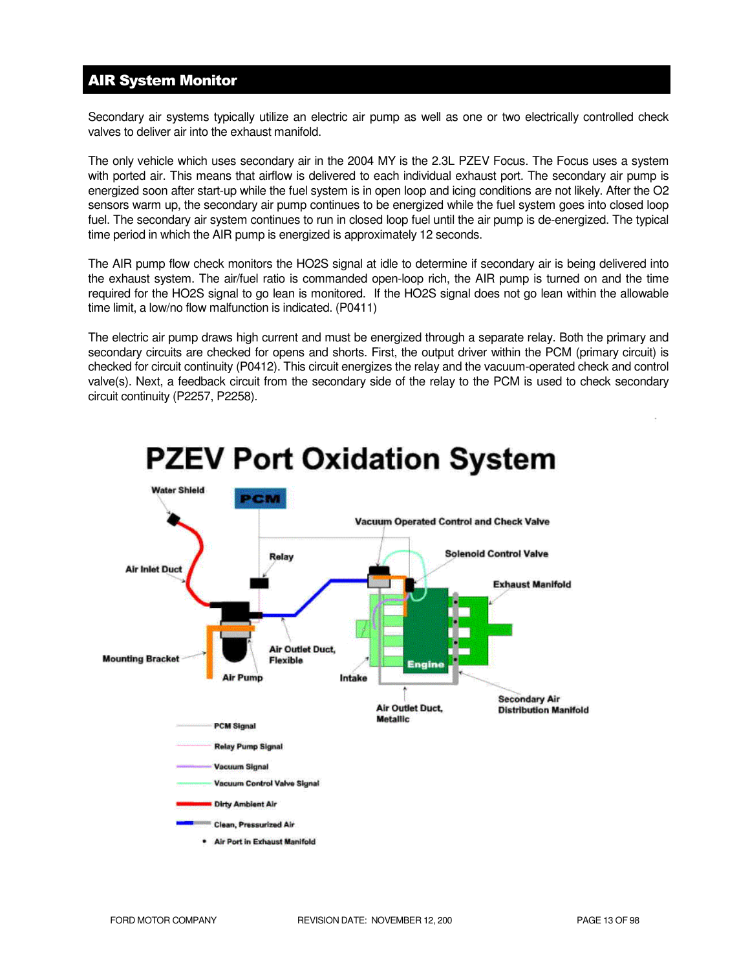# AIR System Monitor

Secondary air systems typically utilize an electric air pump as well as one or two electrically controlled check valves to deliver air into the exhaust manifold.

The only vehicle which uses secondary air in the 2004 MY is the 2.3L PZEV Focus. The Focus uses a system with ported air. This means that airflow is delivered to each individual exhaust port. The secondary air pump is energized soon after start-up while the fuel system is in open loop and icing conditions are not likely. After the O2 sensors warm up, the secondary air pump continues to be energized while the fuel system goes into closed loop fuel. The secondary air system continues to run in closed loop fuel until the air pump is de-energized. The typical time period in which the AIR pump is energized is approximately 12 seconds.

The AIR pump flow check monitors the HO2S signal at idle to determine if secondary air is being delivered into the exhaust system. The air/fuel ratio is commanded open-loop rich, the AIR pump is turned on and the time required for the HO2S signal to go lean is monitored. If the HO2S signal does not go lean within the allowable time limit, a low/no flow malfunction is indicated. (P0411)

The electric air pump draws high current and must be energized through a separate relay. Both the primary and secondary circuits are checked for opens and shorts. First, the output driver within the PCM (primary circuit) is checked for circuit continuity (P0412). This circuit energizes the relay and the vacuum-operated check and control valve(s). Next, a feedback circuit from the secondary side of the relay to the PCM is used to check secondary circuit continuity (P2257, P2258).



# **PZEV Port Oxidation System**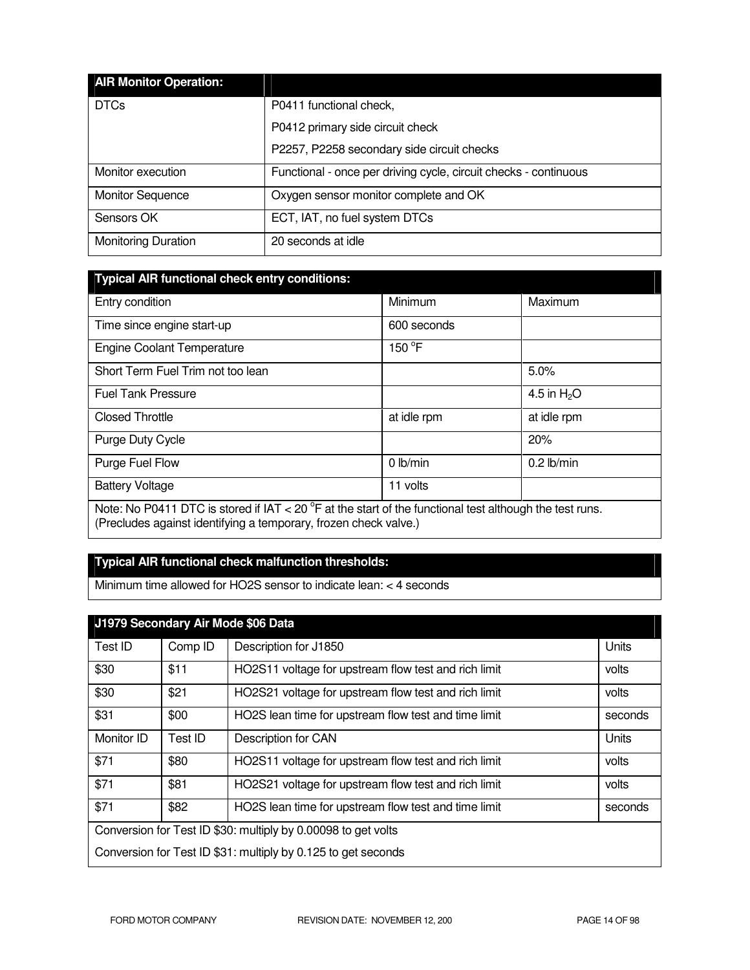| <b>AIR Monitor Operation:</b> |                                                                  |
|-------------------------------|------------------------------------------------------------------|
| <b>DTCs</b>                   | P0411 functional check,                                          |
|                               | P0412 primary side circuit check                                 |
|                               | P2257, P2258 secondary side circuit checks                       |
| Monitor execution             | Functional - once per driving cycle, circuit checks - continuous |
| <b>Monitor Sequence</b>       | Oxygen sensor monitor complete and OK                            |
| Sensors OK                    | ECT, IAT, no fuel system DTCs                                    |
| <b>Monitoring Duration</b>    | 20 seconds at idle                                               |

| Typical AIR functional check entry conditions: |  |
|------------------------------------------------|--|
|                                                |  |
|                                                |  |

| Entry condition                                                                                                                                                                       | Minimum         | Maximum      |
|---------------------------------------------------------------------------------------------------------------------------------------------------------------------------------------|-----------------|--------------|
| Time since engine start-up                                                                                                                                                            | 600 seconds     |              |
| <b>Engine Coolant Temperature</b>                                                                                                                                                     | 150 $\degree$ F |              |
| Short Term Fuel Trim not too lean                                                                                                                                                     |                 | 5.0%         |
| <b>Fuel Tank Pressure</b>                                                                                                                                                             |                 | 4.5 in $H2O$ |
| <b>Closed Throttle</b>                                                                                                                                                                | at idle rpm     | at idle rpm  |
| Purge Duty Cycle                                                                                                                                                                      |                 | 20%          |
| Purge Fuel Flow                                                                                                                                                                       | $0$ lb/min      | $0.2$ lb/min |
| <b>Battery Voltage</b>                                                                                                                                                                | 11 volts        |              |
| Note: No P0411 DTC is stored if IAT < 20 $^{\circ}$ F at the start of the functional test although the test runs.<br>(Precludes against identifying a temporary, frozen check valve.) |                 |              |

# **Typical AIR functional check malfunction thresholds:**

Minimum time allowed for HO2S sensor to indicate lean: < 4 seconds

| J1979 Secondary Air Mode \$06 Data                            |         |                                                      |         |
|---------------------------------------------------------------|---------|------------------------------------------------------|---------|
| Test ID                                                       | Comp ID | Description for J1850                                | Units   |
| \$30                                                          | \$11    | HO2S11 voltage for upstream flow test and rich limit | volts   |
| \$30                                                          | \$21    | HO2S21 voltage for upstream flow test and rich limit | volts   |
| \$31                                                          | \$00    | HO2S lean time for upstream flow test and time limit | seconds |
| Monitor ID                                                    | Test ID | Description for CAN                                  | Units   |
| \$71                                                          | \$80    | HO2S11 voltage for upstream flow test and rich limit | volts   |
| \$71                                                          | \$81    | HO2S21 voltage for upstream flow test and rich limit | volts   |
| \$71                                                          | \$82    | HO2S lean time for upstream flow test and time limit | seconds |
| Conversion for Test ID \$30: multiply by 0.00098 to get volts |         |                                                      |         |
| Conversion for Test ID \$31: multiply by 0.125 to get seconds |         |                                                      |         |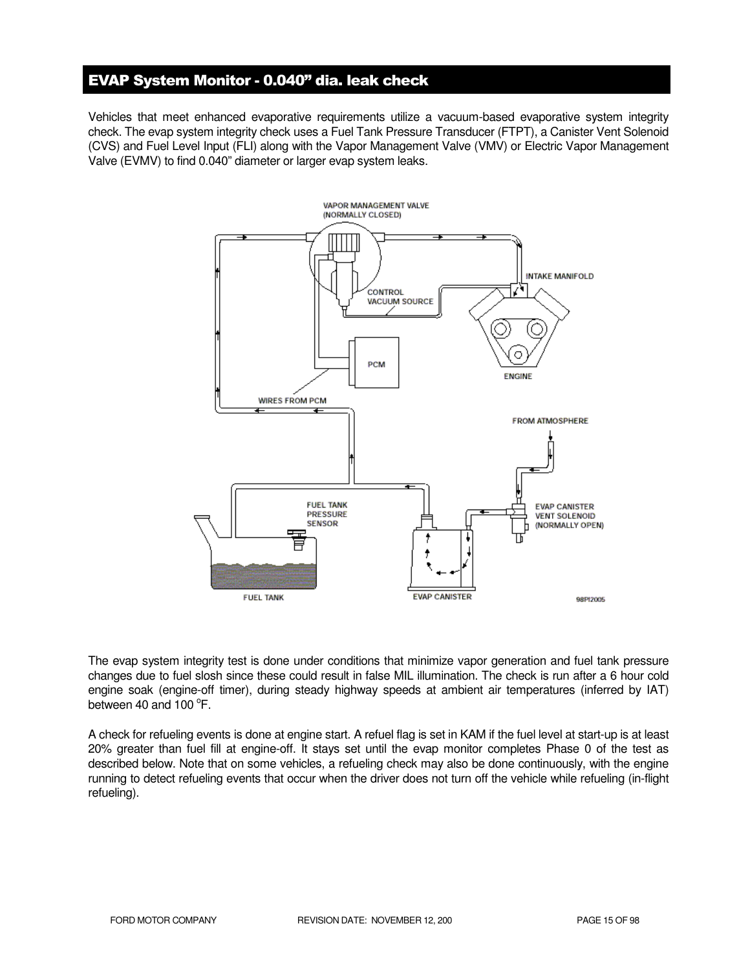# EVAP System Monitor - 0.040" dia. leak check

Vehicles that meet enhanced evaporative requirements utilize a vacuum-based evaporative system integrity check. The evap system integrity check uses a Fuel Tank Pressure Transducer (FTPT), a Canister Vent Solenoid (CVS) and Fuel Level Input (FLI) along with the Vapor Management Valve (VMV) or Electric Vapor Management Valve (EVMV) to find 0.040" diameter or larger evap system leaks.



The evap system integrity test is done under conditions that minimize vapor generation and fuel tank pressure changes due to fuel slosh since these could result in false MIL illumination. The check is run after a 6 hour cold engine soak (engine-off timer), during steady highway speeds at ambient air temperatures (inferred by IAT) between 40 and  $100^{\circ}$ F.

A check for refueling events is done at engine start. A refuel flag is set in KAM if the fuel level at start-up is at least 20% greater than fuel fill at engine-off. It stays set until the evap monitor completes Phase 0 of the test as described below. Note that on some vehicles, a refueling check may also be done continuously, with the engine running to detect refueling events that occur when the driver does not turn off the vehicle while refueling (in-flight refueling).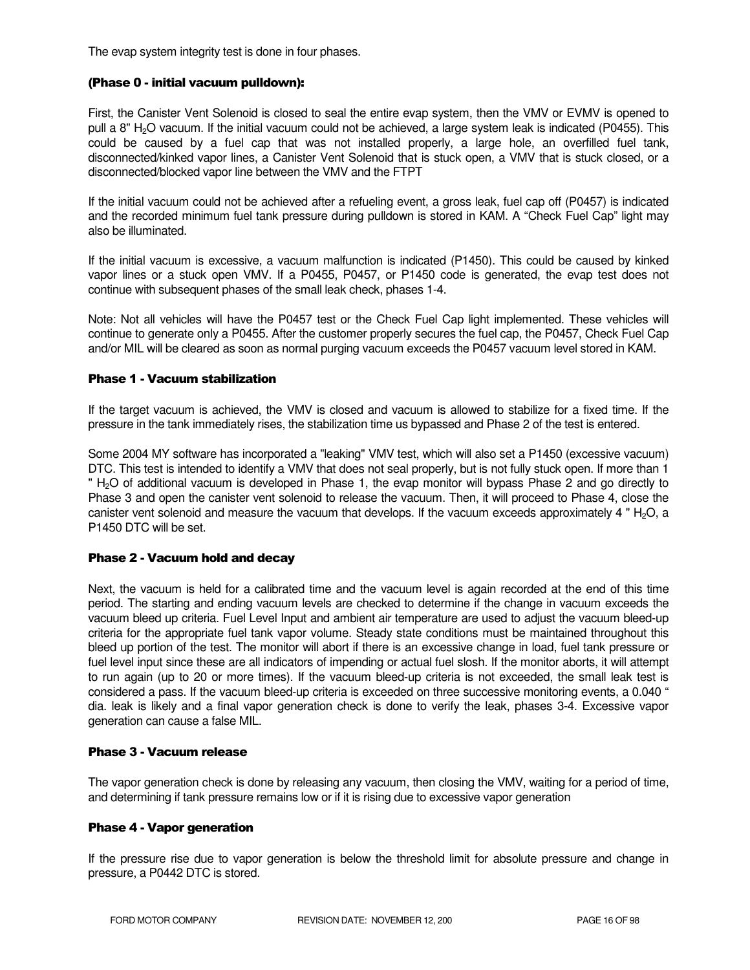The evap system integrity test is done in four phases.

#### (Phase 0 - initial vacuum pulldown):

First, the Canister Vent Solenoid is closed to seal the entire evap system, then the VMV or EVMV is opened to pull a 8" H<sub>2</sub>O vacuum. If the initial vacuum could not be achieved, a large system leak is indicated (P0455). This could be caused by a fuel cap that was not installed properly, a large hole, an overfilled fuel tank, disconnected/kinked vapor lines, a Canister Vent Solenoid that is stuck open, a VMV that is stuck closed, or a disconnected/blocked vapor line between the VMV and the FTPT

If the initial vacuum could not be achieved after a refueling event, a gross leak, fuel cap off (P0457) is indicated and the recorded minimum fuel tank pressure during pulldown is stored in KAM. A "Check Fuel Cap" light may also be illuminated.

If the initial vacuum is excessive, a vacuum malfunction is indicated (P1450). This could be caused by kinked vapor lines or a stuck open VMV. If a P0455, P0457, or P1450 code is generated, the evap test does not continue with subsequent phases of the small leak check, phases 1-4.

Note: Not all vehicles will have the P0457 test or the Check Fuel Cap light implemented. These vehicles will continue to generate only a P0455. After the customer properly secures the fuel cap, the P0457, Check Fuel Cap and/or MIL will be cleared as soon as normal purging vacuum exceeds the P0457 vacuum level stored in KAM.

#### Phase 1 - Vacuum stabilization

If the target vacuum is achieved, the VMV is closed and vacuum is allowed to stabilize for a fixed time. If the pressure in the tank immediately rises, the stabilization time us bypassed and Phase 2 of the test is entered.

Some 2004 MY software has incorporated a "leaking" VMV test, which will also set a P1450 (excessive vacuum) DTC. This test is intended to identify a VMV that does not seal properly, but is not fully stuck open. If more than 1 " H<sub>2</sub>O of additional vacuum is developed in Phase 1, the evap monitor will bypass Phase 2 and go directly to Phase 3 and open the canister vent solenoid to release the vacuum. Then, it will proceed to Phase 4, close the canister vent solenoid and measure the vacuum that develops. If the vacuum exceeds approximately 4 " $H<sub>2</sub>O$ , a P1450 DTC will be set.

#### Phase 2 - Vacuum hold and decay

Next, the vacuum is held for a calibrated time and the vacuum level is again recorded at the end of this time period. The starting and ending vacuum levels are checked to determine if the change in vacuum exceeds the vacuum bleed up criteria. Fuel Level Input and ambient air temperature are used to adjust the vacuum bleed-up criteria for the appropriate fuel tank vapor volume. Steady state conditions must be maintained throughout this bleed up portion of the test. The monitor will abort if there is an excessive change in load, fuel tank pressure or fuel level input since these are all indicators of impending or actual fuel slosh. If the monitor aborts, it will attempt to run again (up to 20 or more times). If the vacuum bleed-up criteria is not exceeded, the small leak test is considered a pass. If the vacuum bleed-up criteria is exceeded on three successive monitoring events, a 0.040 " dia. leak is likely and a final vapor generation check is done to verify the leak, phases 3-4. Excessive vapor generation can cause a false MIL.

#### Phase 3 - Vacuum release

The vapor generation check is done by releasing any vacuum, then closing the VMV, waiting for a period of time, and determining if tank pressure remains low or if it is rising due to excessive vapor generation

#### Phase 4 - Vapor generation

If the pressure rise due to vapor generation is below the threshold limit for absolute pressure and change in pressure, a P0442 DTC is stored.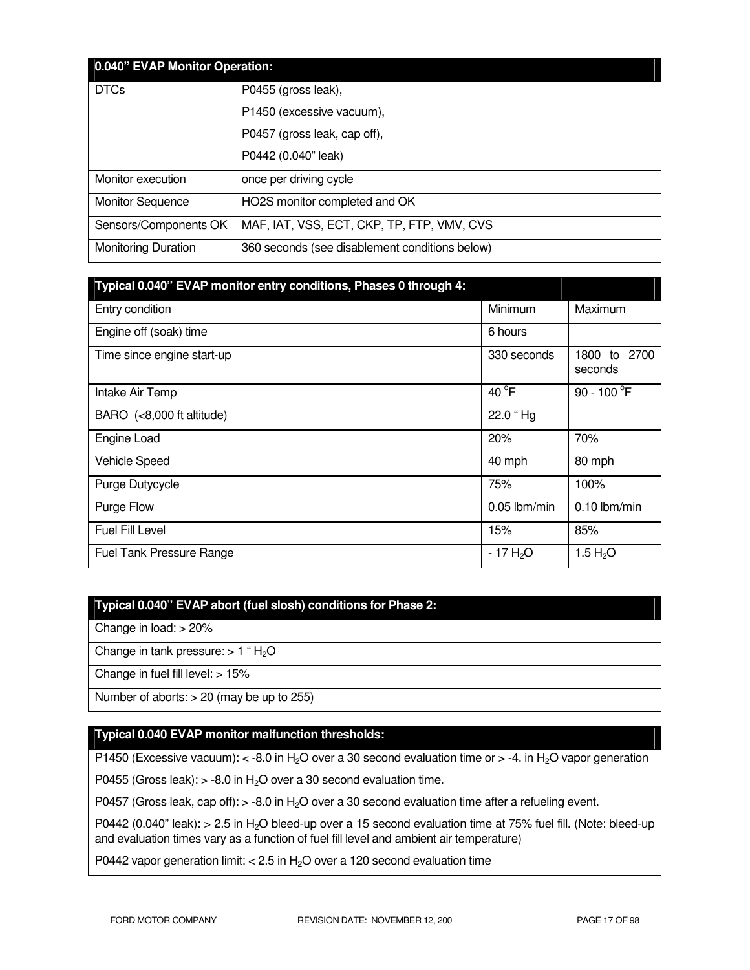|                            | 0.040" EVAP Monitor Operation:                 |  |  |
|----------------------------|------------------------------------------------|--|--|
| <b>DTCs</b>                | P0455 (gross leak),                            |  |  |
|                            | P1450 (excessive vacuum),                      |  |  |
|                            | P0457 (gross leak, cap off),                   |  |  |
|                            | P0442 (0.040" leak)                            |  |  |
| Monitor execution          | once per driving cycle                         |  |  |
| <b>Monitor Sequence</b>    | HO2S monitor completed and OK                  |  |  |
| Sensors/Components OK      | MAF, IAT, VSS, ECT, CKP, TP, FTP, VMV, CVS     |  |  |
| <b>Monitoring Duration</b> | 360 seconds (see disablement conditions below) |  |  |

| Typical 0.040" EVAP monitor entry conditions, Phases 0 through 4: |                       |                               |
|-------------------------------------------------------------------|-----------------------|-------------------------------|
| Entry condition                                                   | Minimum               | Maximum                       |
| Engine off (soak) time                                            | 6 hours               |                               |
| Time since engine start-up                                        | 330 seconds           | 1800<br>2700<br>to<br>seconds |
| Intake Air Temp                                                   | 40 $^{\circ}$ F       | 90 - 100 $^{\circ}$ F         |
| BARO (<8,000 ft altitude)                                         | 22.0 "Hg              |                               |
| Engine Load                                                       | 20%                   | 70%                           |
| Vehicle Speed                                                     | 40 mph                | 80 mph                        |
| Purge Dutycycle                                                   | 75%                   | 100%                          |
| Purge Flow                                                        | $0.05$ lbm/min        | $0.10$ lbm/min                |
| Fuel Fill Level                                                   | 15%                   | 85%                           |
| <b>Fuel Tank Pressure Range</b>                                   | - 17 H <sub>2</sub> O | 1.5 $H_2O$                    |

# **Typical 0.040" EVAP abort (fuel slosh) conditions for Phase 2:**

Change in load: > 20%

Change in tank pressure:  $> 1$  " $H<sub>2</sub>O$ 

Change in fuel fill level: > 15%

Number of aborts: > 20 (may be up to 255)

# **Typical 0.040 EVAP monitor malfunction thresholds:**

P1450 (Excessive vacuum):  $<$  -8.0 in H<sub>2</sub>O over a 30 second evaluation time or  $>$  -4. in H<sub>2</sub>O vapor generation

P0455 (Gross leak):  $>$  -8.0 in H<sub>2</sub>O over a 30 second evaluation time.

P0457 (Gross leak, cap off):  $> -8.0$  in H<sub>2</sub>O over a 30 second evaluation time after a refueling event.

P0442 (0.040" leak): > 2.5 in H<sub>2</sub>O bleed-up over a 15 second evaluation time at 75% fuel fill. (Note: bleed-up and evaluation times vary as a function of fuel fill level and ambient air temperature)

P0442 vapor generation limit:  $< 2.5$  in H<sub>2</sub>O over a 120 second evaluation time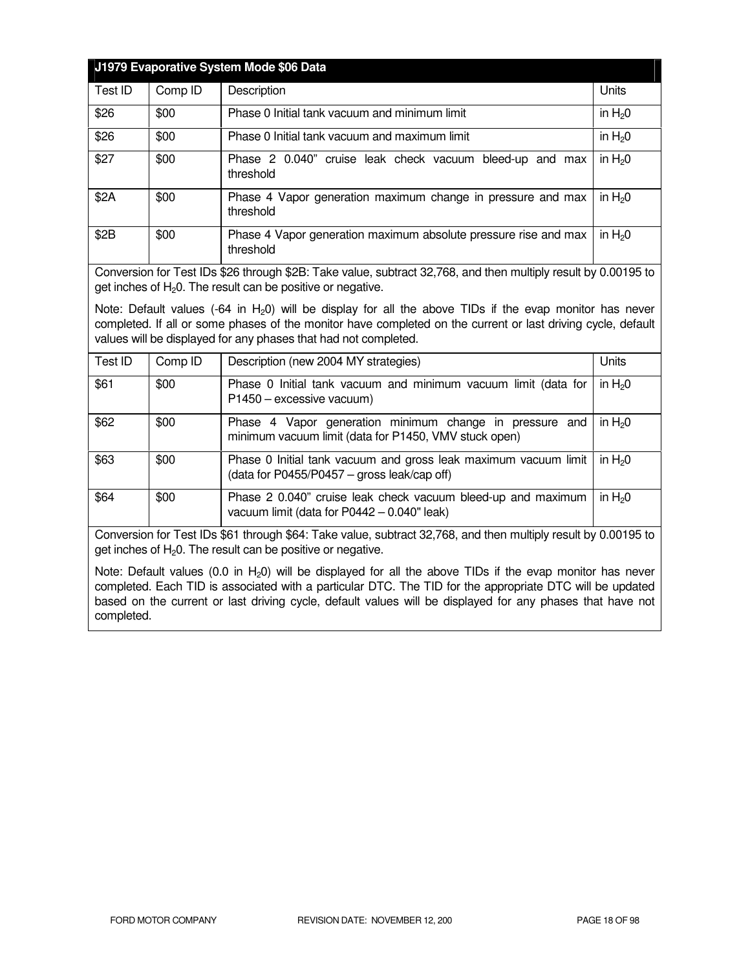|                                                                                                                                                                                                                                                                                               |         | J1979 Evaporative System Mode \$06 Data                                      |          |
|-----------------------------------------------------------------------------------------------------------------------------------------------------------------------------------------------------------------------------------------------------------------------------------------------|---------|------------------------------------------------------------------------------|----------|
| Test ID                                                                                                                                                                                                                                                                                       | Comp ID | Description                                                                  | Units    |
| \$26                                                                                                                                                                                                                                                                                          | \$00    | Phase 0 Initial tank vacuum and minimum limit                                | in $H20$ |
| \$26                                                                                                                                                                                                                                                                                          | \$00    | Phase 0 Initial tank vacuum and maximum limit                                | in $H20$ |
| \$27                                                                                                                                                                                                                                                                                          | \$00    | Phase 2 0.040" cruise leak check vacuum bleed-up and max<br>threshold        | in $H20$ |
| \$2A                                                                                                                                                                                                                                                                                          | \$00    | Phase 4 Vapor generation maximum change in pressure and max<br>threshold     | in $H20$ |
| \$2B                                                                                                                                                                                                                                                                                          | \$00    | Phase 4 Vapor generation maximum absolute pressure rise and max<br>threshold | in $H20$ |
| Conversion for Test IDs \$26 through \$2B: Take value, subtract 32,768, and then multiply result by 0.00195 to<br>get inches of $H_2O$ . The result can be positive or negative.                                                                                                              |         |                                                                              |          |
| Note: Default values (-64 in $H_2$ 0) will be display for all the above TIDs if the evap monitor has never<br>completed. If all or some phases of the monitor have completed on the current or last driving cycle, default<br>values will be displayed for any phases that had not completed. |         |                                                                              |          |

| Test ID | Comp ID | Description (new 2004 MY strategies)                                                                             | Units      |
|---------|---------|------------------------------------------------------------------------------------------------------------------|------------|
| \$61    | \$00    | Phase 0 Initial tank vacuum and minimum vacuum limit (data for<br>P1450 - excessive vacuum)                      | in $H_2$ 0 |
| \$62    | \$00    | Phase 4 Vapor generation minimum change in pressure and<br>minimum vacuum limit (data for P1450, VMV stuck open) | in $H20$   |
| \$63    | \$00    | Phase 0 Initial tank vacuum and gross leak maximum vacuum limit<br>(data for P0455/P0457 – gross leak/cap off)   | in $H_2$ 0 |
| \$64    | \$00    | Phase 2 0.040" cruise leak check vacuum bleed-up and maximum<br>vacuum limit (data for P0442 - 0.040" leak)      | in $H20$   |

Conversion for Test IDs \$61 through \$64: Take value, subtract 32,768, and then multiply result by 0.00195 to get inches of  $H_2O$ . The result can be positive or negative.

Note: Default values (0.0 in  $H_2$ 0) will be displayed for all the above TIDs if the evap monitor has never completed. Each TID is associated with a particular DTC. The TID for the appropriate DTC will be updated based on the current or last driving cycle, default values will be displayed for any phases that have not completed.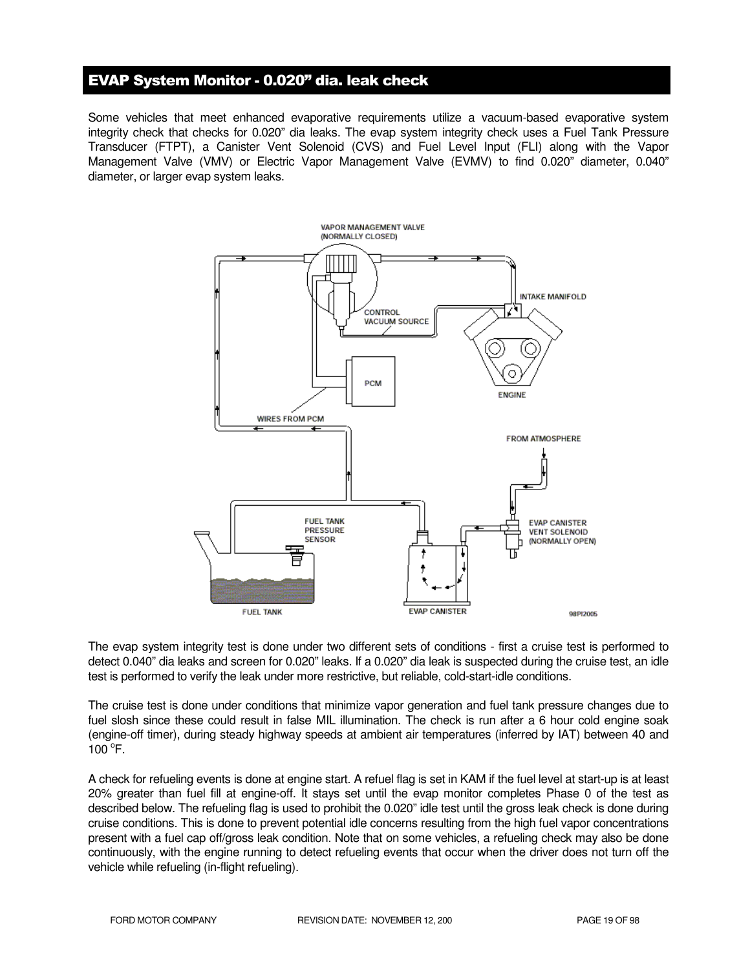# EVAP System Monitor - 0.020" dia. leak check

Some vehicles that meet enhanced evaporative requirements utilize a vacuum-based evaporative system integrity check that checks for 0.020" dia leaks. The evap system integrity check uses a Fuel Tank Pressure Transducer (FTPT), a Canister Vent Solenoid (CVS) and Fuel Level Input (FLI) along with the Vapor Management Valve (VMV) or Electric Vapor Management Valve (EVMV) to find 0.020" diameter, 0.040" diameter, or larger evap system leaks.

![](_page_18_Figure_2.jpeg)

The evap system integrity test is done under two different sets of conditions - first a cruise test is performed to detect 0.040" dia leaks and screen for 0.020" leaks. If a 0.020" dia leak is suspected during the cruise test, an idle test is performed to verify the leak under more restrictive, but reliable, cold-start-idle conditions.

The cruise test is done under conditions that minimize vapor generation and fuel tank pressure changes due to fuel slosh since these could result in false MIL illumination. The check is run after a 6 hour cold engine soak (engine-off timer), during steady highway speeds at ambient air temperatures (inferred by IAT) between 40 and  $100^{\circ}$ F.

A check for refueling events is done at engine start. A refuel flag is set in KAM if the fuel level at start-up is at least 20% greater than fuel fill at engine-off. It stays set until the evap monitor completes Phase 0 of the test as described below. The refueling flag is used to prohibit the 0.020" idle test until the gross leak check is done during cruise conditions. This is done to prevent potential idle concerns resulting from the high fuel vapor concentrations present with a fuel cap off/gross leak condition. Note that on some vehicles, a refueling check may also be done continuously, with the engine running to detect refueling events that occur when the driver does not turn off the vehicle while refueling (in-flight refueling).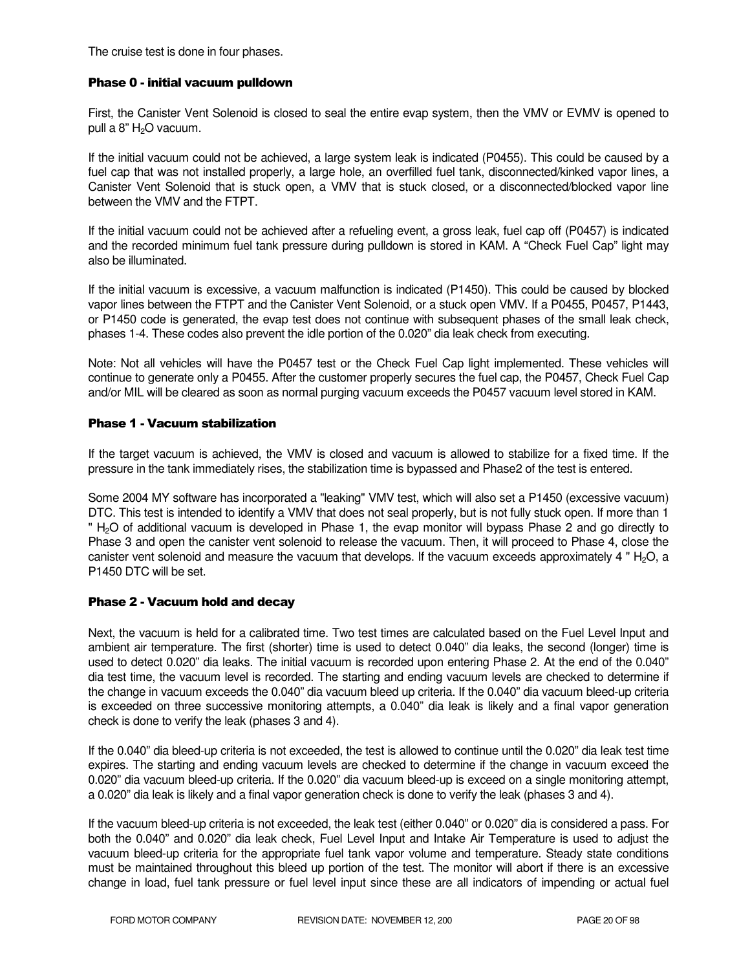The cruise test is done in four phases.

#### Phase 0 - initial vacuum pulldown

First, the Canister Vent Solenoid is closed to seal the entire evap system, then the VMV or EVMV is opened to pull a  $8"$  H<sub>2</sub>O vacuum.

If the initial vacuum could not be achieved, a large system leak is indicated (P0455). This could be caused by a fuel cap that was not installed properly, a large hole, an overfilled fuel tank, disconnected/kinked vapor lines, a Canister Vent Solenoid that is stuck open, a VMV that is stuck closed, or a disconnected/blocked vapor line between the VMV and the FTPT.

If the initial vacuum could not be achieved after a refueling event, a gross leak, fuel cap off (P0457) is indicated and the recorded minimum fuel tank pressure during pulldown is stored in KAM. A "Check Fuel Cap" light may also be illuminated.

If the initial vacuum is excessive, a vacuum malfunction is indicated (P1450). This could be caused by blocked vapor lines between the FTPT and the Canister Vent Solenoid, or a stuck open VMV. If a P0455, P0457, P1443, or P1450 code is generated, the evap test does not continue with subsequent phases of the small leak check, phases 1-4. These codes also prevent the idle portion of the 0.020" dia leak check from executing.

Note: Not all vehicles will have the P0457 test or the Check Fuel Cap light implemented. These vehicles will continue to generate only a P0455. After the customer properly secures the fuel cap, the P0457, Check Fuel Cap and/or MIL will be cleared as soon as normal purging vacuum exceeds the P0457 vacuum level stored in KAM.

#### Phase 1 - Vacuum stabilization

If the target vacuum is achieved, the VMV is closed and vacuum is allowed to stabilize for a fixed time. If the pressure in the tank immediately rises, the stabilization time is bypassed and Phase2 of the test is entered.

Some 2004 MY software has incorporated a "leaking" VMV test, which will also set a P1450 (excessive vacuum) DTC. This test is intended to identify a VMV that does not seal properly, but is not fully stuck open. If more than 1 " H<sub>2</sub>O of additional vacuum is developed in Phase 1, the evap monitor will bypass Phase 2 and go directly to Phase 3 and open the canister vent solenoid to release the vacuum. Then, it will proceed to Phase 4, close the canister vent solenoid and measure the vacuum that develops. If the vacuum exceeds approximately 4 "  $H_2O$ , a P1450 DTC will be set.

#### Phase 2 - Vacuum hold and decay

Next, the vacuum is held for a calibrated time. Two test times are calculated based on the Fuel Level Input and ambient air temperature. The first (shorter) time is used to detect 0.040" dia leaks, the second (longer) time is used to detect 0.020" dia leaks. The initial vacuum is recorded upon entering Phase 2. At the end of the 0.040" dia test time, the vacuum level is recorded. The starting and ending vacuum levels are checked to determine if the change in vacuum exceeds the 0.040" dia vacuum bleed up criteria. If the 0.040" dia vacuum bleed-up criteria is exceeded on three successive monitoring attempts, a 0.040" dia leak is likely and a final vapor generation check is done to verify the leak (phases 3 and 4).

If the 0.040" dia bleed-up criteria is not exceeded, the test is allowed to continue until the 0.020" dia leak test time expires. The starting and ending vacuum levels are checked to determine if the change in vacuum exceed the 0.020" dia vacuum bleed-up criteria. If the 0.020" dia vacuum bleed-up is exceed on a single monitoring attempt, a 0.020" dia leak is likely and a final vapor generation check is done to verify the leak (phases 3 and 4).

If the vacuum bleed-up criteria is not exceeded, the leak test (either 0.040" or 0.020" dia is considered a pass. For both the 0.040" and 0.020" dia leak check, Fuel Level Input and Intake Air Temperature is used to adjust the vacuum bleed-up criteria for the appropriate fuel tank vapor volume and temperature. Steady state conditions must be maintained throughout this bleed up portion of the test. The monitor will abort if there is an excessive change in load, fuel tank pressure or fuel level input since these are all indicators of impending or actual fuel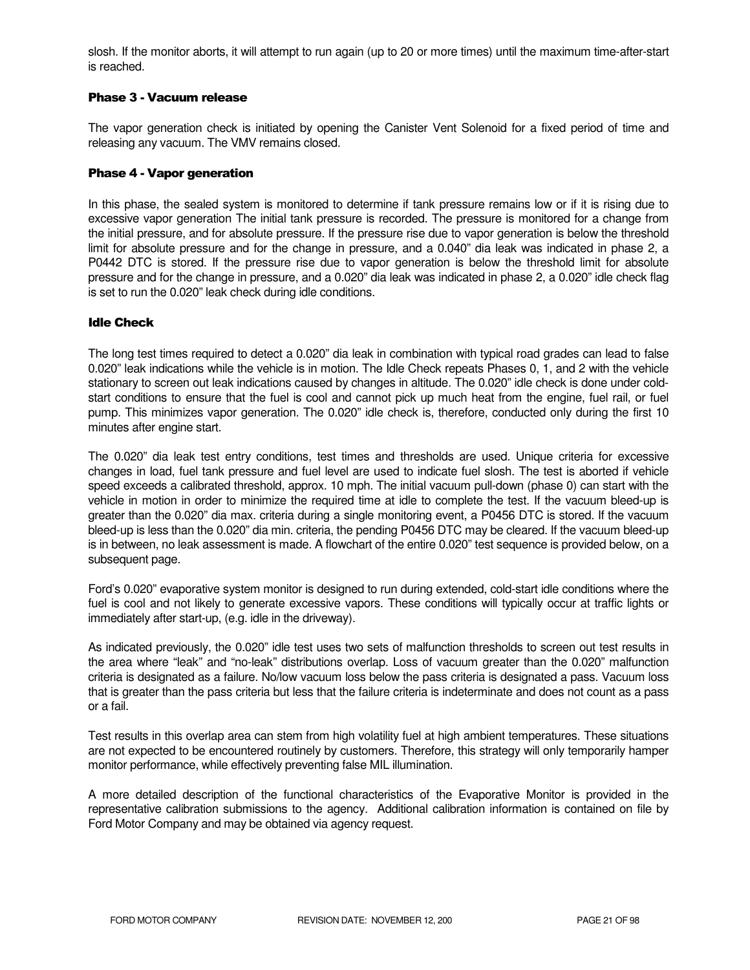slosh. If the monitor aborts, it will attempt to run again (up to 20 or more times) until the maximum time-after-start is reached.

# Phase 3 - Vacuum release

The vapor generation check is initiated by opening the Canister Vent Solenoid for a fixed period of time and releasing any vacuum. The VMV remains closed.

#### Phase 4 - Vapor generation

In this phase, the sealed system is monitored to determine if tank pressure remains low or if it is rising due to excessive vapor generation The initial tank pressure is recorded. The pressure is monitored for a change from the initial pressure, and for absolute pressure. If the pressure rise due to vapor generation is below the threshold limit for absolute pressure and for the change in pressure, and a 0.040" dia leak was indicated in phase 2, a P0442 DTC is stored. If the pressure rise due to vapor generation is below the threshold limit for absolute pressure and for the change in pressure, and a 0.020" dia leak was indicated in phase 2, a 0.020" idle check flag is set to run the 0.020" leak check during idle conditions.

## Idle Check

The long test times required to detect a 0.020" dia leak in combination with typical road grades can lead to false 0.020" leak indications while the vehicle is in motion. The Idle Check repeats Phases 0, 1, and 2 with the vehicle stationary to screen out leak indications caused by changes in altitude. The 0.020" idle check is done under coldstart conditions to ensure that the fuel is cool and cannot pick up much heat from the engine, fuel rail, or fuel pump. This minimizes vapor generation. The 0.020" idle check is, therefore, conducted only during the first 10 minutes after engine start.

The 0.020" dia leak test entry conditions, test times and thresholds are used. Unique criteria for excessive changes in load, fuel tank pressure and fuel level are used to indicate fuel slosh. The test is aborted if vehicle speed exceeds a calibrated threshold, approx. 10 mph. The initial vacuum pull-down (phase 0) can start with the vehicle in motion in order to minimize the required time at idle to complete the test. If the vacuum bleed-up is greater than the 0.020" dia max. criteria during a single monitoring event, a P0456 DTC is stored. If the vacuum bleed-up is less than the 0.020" dia min. criteria, the pending P0456 DTC may be cleared. If the vacuum bleed-up is in between, no leak assessment is made. A flowchart of the entire 0.020" test sequence is provided below, on a subsequent page.

Ford's 0.020" evaporative system monitor is designed to run during extended, cold-start idle conditions where the fuel is cool and not likely to generate excessive vapors. These conditions will typically occur at traffic lights or immediately after start-up, (e.g. idle in the driveway).

As indicated previously, the 0.020" idle test uses two sets of malfunction thresholds to screen out test results in the area where "leak" and "no-leak" distributions overlap. Loss of vacuum greater than the 0.020" malfunction criteria is designated as a failure. No/low vacuum loss below the pass criteria is designated a pass. Vacuum loss that is greater than the pass criteria but less that the failure criteria is indeterminate and does not count as a pass or a fail.

Test results in this overlap area can stem from high volatility fuel at high ambient temperatures. These situations are not expected to be encountered routinely by customers. Therefore, this strategy will only temporarily hamper monitor performance, while effectively preventing false MIL illumination.

A more detailed description of the functional characteristics of the Evaporative Monitor is provided in the representative calibration submissions to the agency. Additional calibration information is contained on file by Ford Motor Company and may be obtained via agency request.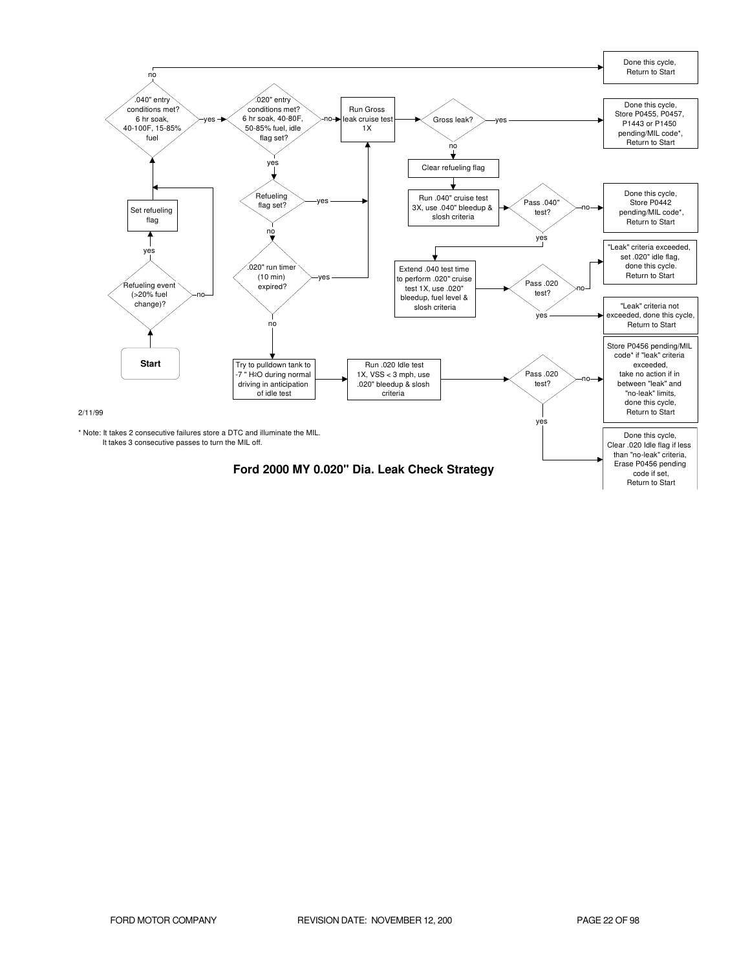![](_page_21_Figure_0.jpeg)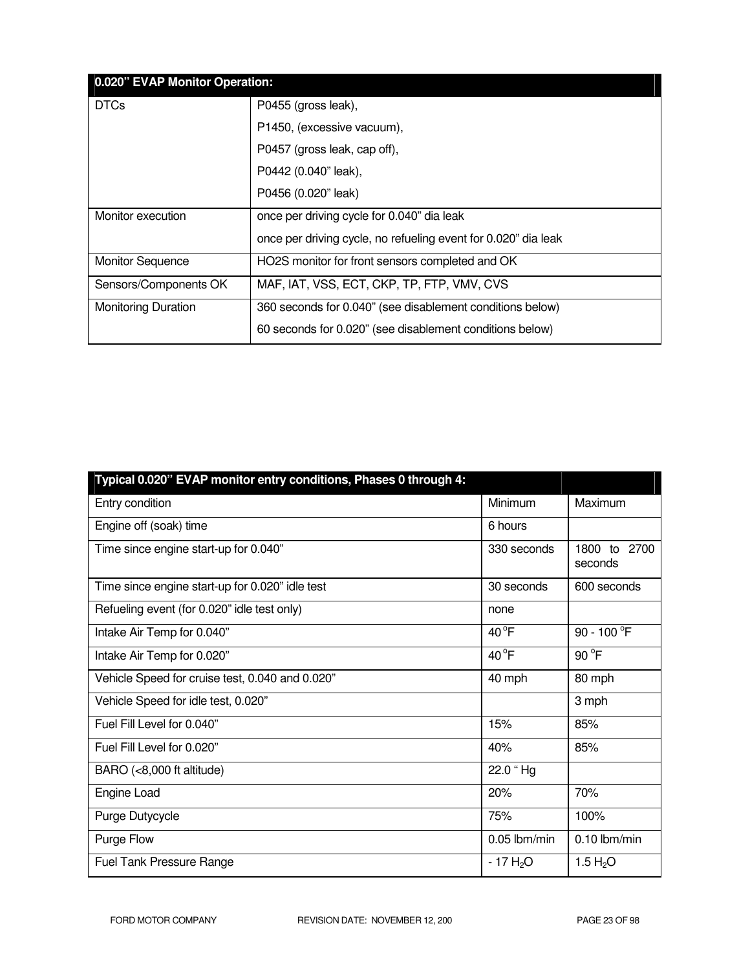|                            | 0.020" EVAP Monitor Operation:                                 |  |  |
|----------------------------|----------------------------------------------------------------|--|--|
| <b>DTCs</b>                | P0455 (gross leak),                                            |  |  |
|                            | P1450, (excessive vacuum),                                     |  |  |
|                            | P0457 (gross leak, cap off),                                   |  |  |
|                            | P0442 (0.040" leak),                                           |  |  |
|                            | P0456 (0.020" leak)                                            |  |  |
| Monitor execution          | once per driving cycle for 0.040" dia leak                     |  |  |
|                            | once per driving cycle, no refueling event for 0.020" dia leak |  |  |
| <b>Monitor Sequence</b>    | HO2S monitor for front sensors completed and OK                |  |  |
| Sensors/Components OK      | MAF, IAT, VSS, ECT, CKP, TP, FTP, VMV, CVS                     |  |  |
| <b>Monitoring Duration</b> | 360 seconds for 0.040" (see disablement conditions below)      |  |  |
|                            | 60 seconds for 0.020" (see disablement conditions below)       |  |  |

| Typical 0.020" EVAP monitor entry conditions, Phases 0 through 4: |                |                         |
|-------------------------------------------------------------------|----------------|-------------------------|
| Entry condition                                                   | Minimum        | Maximum                 |
| Engine off (soak) time                                            | 6 hours        |                         |
| Time since engine start-up for 0.040"                             | 330 seconds    | 1800 to 2700<br>seconds |
| Time since engine start-up for 0.020" idle test                   | 30 seconds     | 600 seconds             |
| Refueling event (for 0.020" idle test only)                       | none           |                         |
| Intake Air Temp for 0.040"                                        | $40^{\circ}$ F | 90 - 100 °F             |
| Intake Air Temp for 0.020"                                        | $40^{\circ}F$  | 90 °F                   |
| Vehicle Speed for cruise test, 0.040 and 0.020"                   | 40 mph         | 80 mph                  |
| Vehicle Speed for idle test, 0.020"                               |                | 3 mph                   |
| Fuel Fill Level for 0.040"                                        | 15%            | 85%                     |
| Fuel Fill Level for 0.020"                                        | 40%            | 85%                     |
| BARO (<8,000 ft altitude)                                         | 22.0 "Hg       |                         |
| Engine Load                                                       | 20%            | 70%                     |
| Purge Dutycycle                                                   | 75%            | 100%                    |
| Purge Flow                                                        | $0.05$ lbm/min | $0.10$ lbm/min          |
| <b>Fuel Tank Pressure Range</b>                                   | $-17 H2O$      | 1.5 $H_2O$              |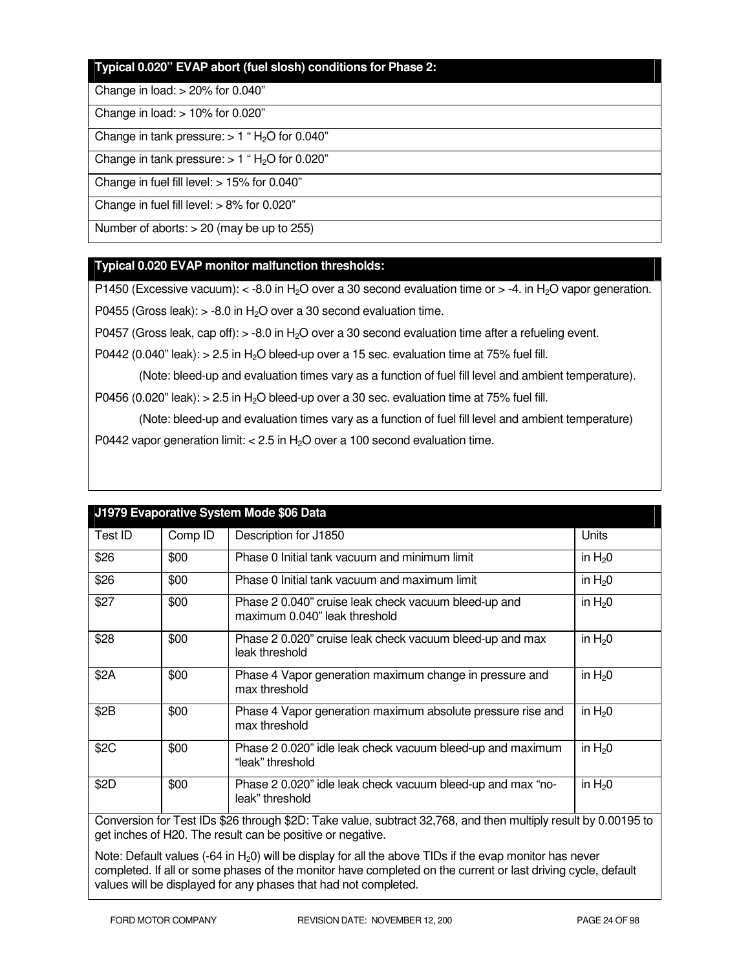# **Typical 0.020" EVAP abort (fuel slosh) conditions for Phase 2:**

#### Change in load: > 20% for 0.040"

#### Change in load: > 10% for 0.020"

Change in tank pressure:  $> 1$  "H<sub>2</sub>O for 0.040"

Change in tank pressure:  $> 1$  "H<sub>2</sub>O for 0.020"

Change in fuel fill level: > 15% for 0.040"

Change in fuel fill level: > 8% for 0.020"

Number of aborts: > 20 (may be up to 255)

# **Typical 0.020 EVAP monitor malfunction thresholds:**

P1450 (Excessive vacuum):  $\lt$  -8.0 in H<sub>2</sub>O over a 30 second evaluation time or  $>$  -4. in H<sub>2</sub>O vapor generation.

P0455 (Gross leak):  $> -8.0$  in H<sub>2</sub>O over a 30 second evaluation time.

P0457 (Gross leak, cap off):  $>$  -8.0 in H<sub>2</sub>O over a 30 second evaluation time after a refueling event.

P0442 (0.040" leak):  $> 2.5$  in H<sub>2</sub>O bleed-up over a 15 sec. evaluation time at 75% fuel fill.

(Note: bleed-up and evaluation times vary as a function of fuel fill level and ambient temperature).

P0456 (0.020" leak):  $> 2.5$  in H<sub>2</sub>O bleed-up over a 30 sec. evaluation time at 75% fuel fill.

 (Note: bleed-up and evaluation times vary as a function of fuel fill level and ambient temperature) P0442 vapor generation limit:  $< 2.5$  in H<sub>2</sub>O over a 100 second evaluation time.

| Test ID                                                                                                     | Comp ID | Description for J1850                                                                 | Units      |
|-------------------------------------------------------------------------------------------------------------|---------|---------------------------------------------------------------------------------------|------------|
| \$26                                                                                                        | \$00    | Phase 0 Initial tank vacuum and minimum limit                                         | in $H20$   |
| \$26                                                                                                        | \$00    | Phase 0 Initial tank vacuum and maximum limit                                         | in $H20$   |
| \$27                                                                                                        | \$00    | Phase 2 0.040" cruise leak check vacuum bleed-up and<br>maximum 0.040" leak threshold | in $H20$   |
| \$28                                                                                                        | \$00    | Phase 2 0.020" cruise leak check vacuum bleed-up and max<br>leak threshold            | in $H20$   |
| \$2A                                                                                                        | \$00    | Phase 4 Vapor generation maximum change in pressure and<br>max threshold              | in $H20$   |
| \$2B                                                                                                        | \$00    | Phase 4 Vapor generation maximum absolute pressure rise and<br>max threshold          | in $H20$   |
| \$2C                                                                                                        | \$00    | Phase 2 0.020" idle leak check vacuum bleed-up and maximum<br>"leak" threshold        | in $H20$   |
| \$2D                                                                                                        | \$00    | Phase 2 0.020" idle leak check vacuum bleed-up and max "no-<br>leak" threshold        | in $H_2$ 0 |
| Compromise for Toot IDs COC through COD: Toke value, outrast 20,760, and then multiply requiting 0,0010E to |         |                                                                                       |            |

# **J1979 Evaporative System Mode \$06 Data**

Conversion for Test IDs \$26 through \$2D: Take value, subtract 32,768, and then multiply result by 0.00195 to get inches of H20. The result can be positive or negative.

Note: Default values  $(-64 \text{ in } H_20)$  will be display for all the above TIDs if the evap monitor has never completed. If all or some phases of the monitor have completed on the current or last driving cycle, default values will be displayed for any phases that had not completed.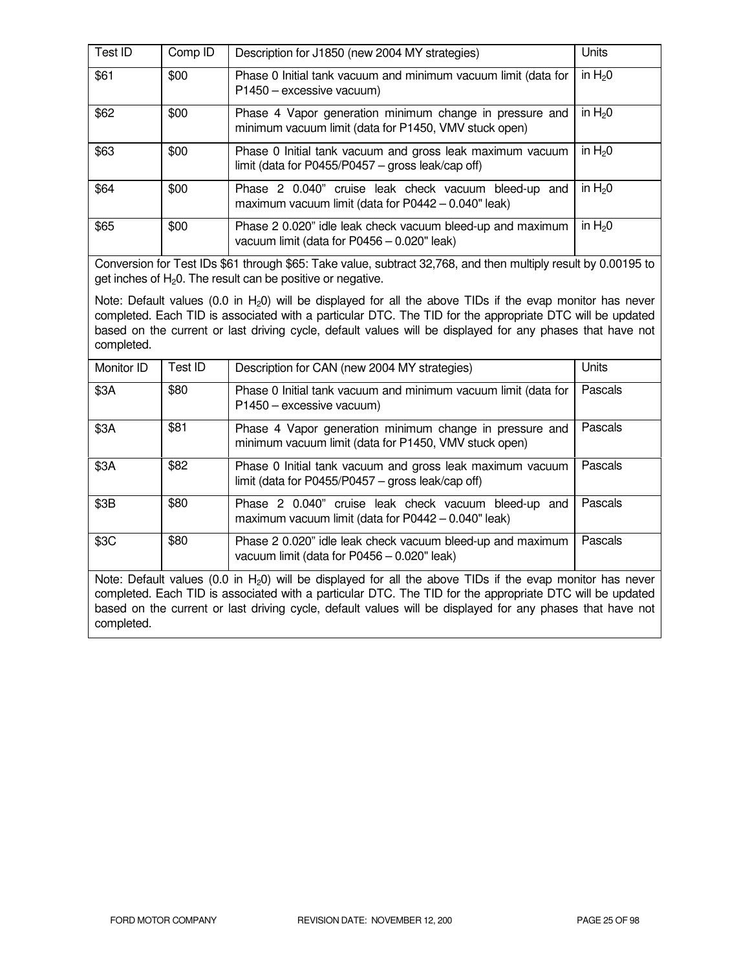| Test ID | Comp ID | Description for J1850 (new 2004 MY strategies)                                                                   | Units    |
|---------|---------|------------------------------------------------------------------------------------------------------------------|----------|
| \$61    | \$00    | Phase 0 Initial tank vacuum and minimum vacuum limit (data for<br>P1450 - excessive vacuum)                      | in $H20$ |
| \$62    | \$00    | Phase 4 Vapor generation minimum change in pressure and<br>minimum vacuum limit (data for P1450, VMV stuck open) | in $H20$ |
| \$63    | \$00    | Phase 0 Initial tank vacuum and gross leak maximum vacuum<br>limit (data for P0455/P0457 – gross leak/cap off)   | in $H20$ |
| \$64    | \$00    | Phase 2 0.040" cruise leak check vacuum bleed-up and<br>maximum vacuum limit (data for P0442 - 0.040" leak)      | in $H20$ |
| \$65    | \$00    | Phase 2 0.020" idle leak check vacuum bleed-up and maximum<br>vacuum limit (data for P0456 - 0.020" leak)        | in $H20$ |

Conversion for Test IDs \$61 through \$65: Take value, subtract 32,768, and then multiply result by 0.00195 to get inches of  $H<sub>2</sub>0$ . The result can be positive or negative.

Note: Default values (0.0 in  $H_2$ 0) will be displayed for all the above TIDs if the evap monitor has never completed. Each TID is associated with a particular DTC. The TID for the appropriate DTC will be updated based on the current or last driving cycle, default values will be displayed for any phases that have not completed.

| Monitor ID                                                                                                                                                                                                                                                                                                                                                                                                                                             | Test ID | Description for CAN (new 2004 MY strategies)                                                                     | Units   |
|--------------------------------------------------------------------------------------------------------------------------------------------------------------------------------------------------------------------------------------------------------------------------------------------------------------------------------------------------------------------------------------------------------------------------------------------------------|---------|------------------------------------------------------------------------------------------------------------------|---------|
| \$3A                                                                                                                                                                                                                                                                                                                                                                                                                                                   | \$80    | Phase 0 Initial tank vacuum and minimum vacuum limit (data for<br>P1450 - excessive vacuum)                      | Pascals |
| \$3A                                                                                                                                                                                                                                                                                                                                                                                                                                                   | \$81    | Phase 4 Vapor generation minimum change in pressure and<br>minimum vacuum limit (data for P1450, VMV stuck open) | Pascals |
| \$3A                                                                                                                                                                                                                                                                                                                                                                                                                                                   | \$82    | Phase 0 Initial tank vacuum and gross leak maximum vacuum<br>limit (data for P0455/P0457 $-$ gross leak/cap off) | Pascals |
| \$3B                                                                                                                                                                                                                                                                                                                                                                                                                                                   | \$80    | Phase 2 0.040" cruise leak check vacuum bleed-up and<br>maximum vacuum limit (data for $P0442 - 0.040$ " leak)   | Pascals |
| \$3C                                                                                                                                                                                                                                                                                                                                                                                                                                                   | \$80    | Phase 2 0.020" idle leak check vacuum bleed-up and maximum<br>vacuum limit (data for $P0456 - 0.020$ " leak)     | Pascals |
| $M = 1$ $\mathbb{R}$ $\mathbb{R}$ $\mathbb{R}$ $\mathbb{R}$ $\mathbb{R}$ $\mathbb{R}$ $\mathbb{R}$ $\mathbb{R}$ $\mathbb{R}$ $\mathbb{R}$ $\mathbb{R}$ $\mathbb{R}$ $\mathbb{R}$ $\mathbb{R}$ $\mathbb{R}$ $\mathbb{R}$ $\mathbb{R}$ $\mathbb{R}$ $\mathbb{R}$ $\mathbb{R}$ $\mathbb{R}$ $\mathbb{R}$ $\mathbb{R}$ $\mathbb{R}$<br>$(0,0,1)$ . If $(0,1,1)$ if the contract of the contract of $\mathbb{R} \setminus \{0,1\}$ is a contract of $(0,1)$ |         |                                                                                                                  |         |

Note: Default values (0.0 in  $H_2$ 0) will be displayed for all the above TIDs if the evap monitor has never completed. Each TID is associated with a particular DTC. The TID for the appropriate DTC will be updated based on the current or last driving cycle, default values will be displayed for any phases that have not completed.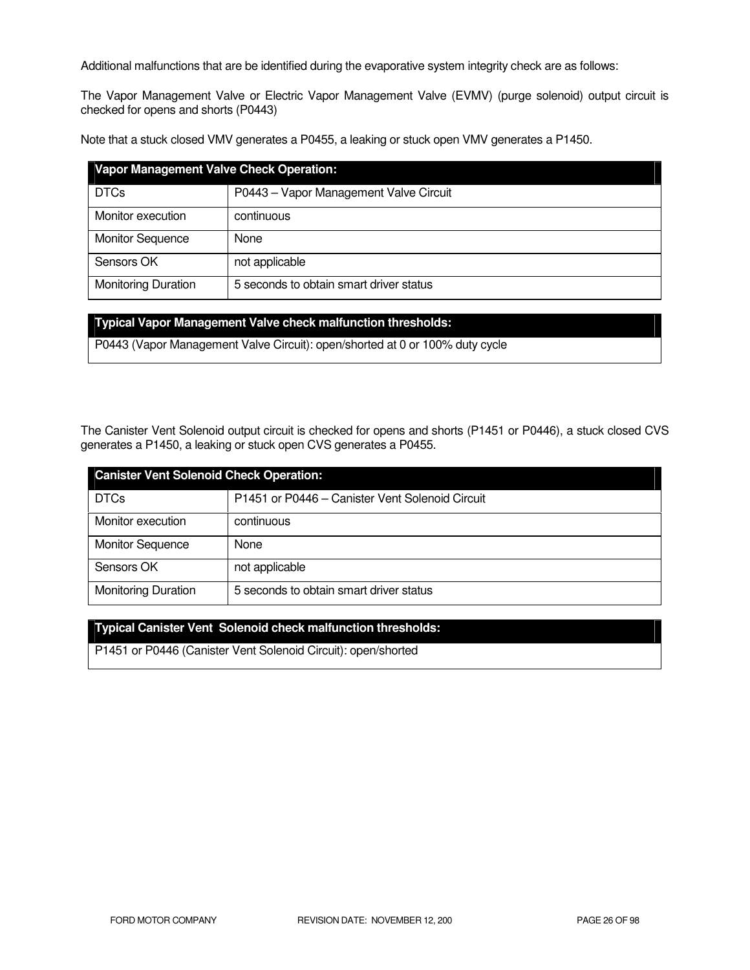Additional malfunctions that are be identified during the evaporative system integrity check are as follows:

The Vapor Management Valve or Electric Vapor Management Valve (EVMV) (purge solenoid) output circuit is checked for opens and shorts (P0443)

Note that a stuck closed VMV generates a P0455, a leaking or stuck open VMV generates a P1450.

| <b>Vapor Management Valve Check Operation:</b> |                                         |  |
|------------------------------------------------|-----------------------------------------|--|
| <b>DTCs</b>                                    | P0443 - Vapor Management Valve Circuit  |  |
| Monitor execution                              | continuous                              |  |
| <b>Monitor Sequence</b>                        | None                                    |  |
| Sensors OK                                     | not applicable                          |  |
| <b>Monitoring Duration</b>                     | 5 seconds to obtain smart driver status |  |

| Typical Vapor Management Valve check malfunction thresholds:                 |
|------------------------------------------------------------------------------|
| P0443 (Vapor Management Valve Circuit): open/shorted at 0 or 100% duty cycle |

The Canister Vent Solenoid output circuit is checked for opens and shorts (P1451 or P0446), a stuck closed CVS generates a P1450, a leaking or stuck open CVS generates a P0455.

| <b>Canister Vent Solenoid Check Operation:</b> |                                                 |  |
|------------------------------------------------|-------------------------------------------------|--|
| <b>DTCs</b>                                    | P1451 or P0446 - Canister Vent Solenoid Circuit |  |
| Monitor execution                              | continuous                                      |  |
| <b>Monitor Sequence</b>                        | None                                            |  |
| Sensors OK                                     | not applicable                                  |  |
| <b>Monitoring Duration</b>                     | 5 seconds to obtain smart driver status         |  |

# **Typical Canister Vent Solenoid check malfunction thresholds:**

P1451 or P0446 (Canister Vent Solenoid Circuit): open/shorted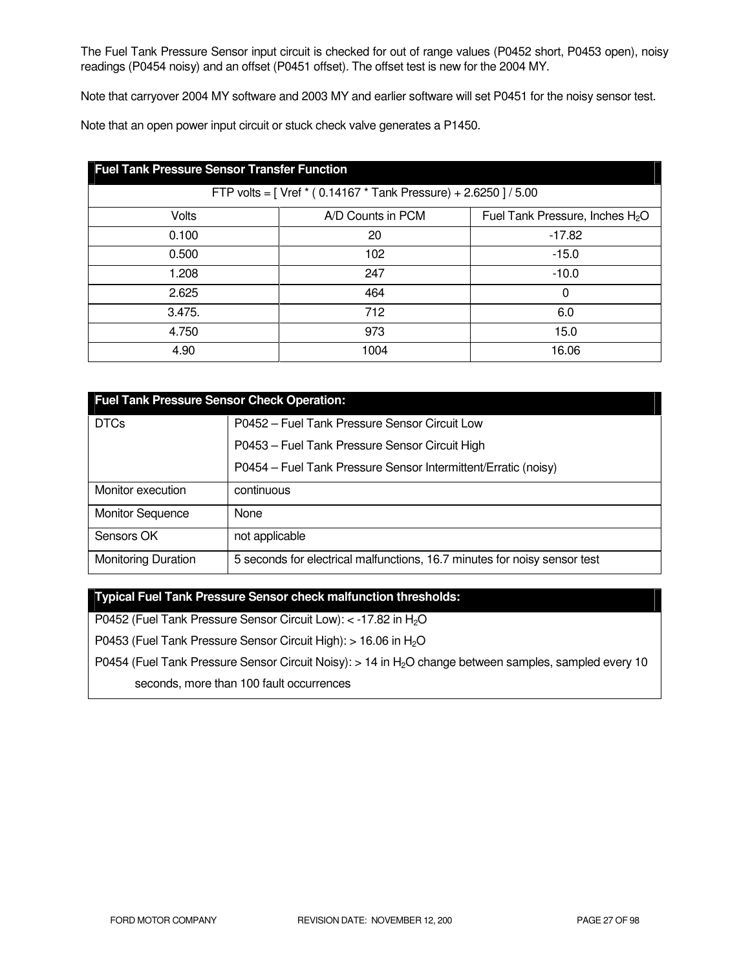The Fuel Tank Pressure Sensor input circuit is checked for out of range values (P0452 short, P0453 open), noisy readings (P0454 noisy) and an offset (P0451 offset). The offset test is new for the 2004 MY.

Note that carryover 2004 MY software and 2003 MY and earlier software will set P0451 for the noisy sensor test.

Note that an open power input circuit or stuck check valve generates a P1450.

| <b>Fuel Tank Pressure Sensor Transfer Function</b>               |                   |                                             |  |  |
|------------------------------------------------------------------|-------------------|---------------------------------------------|--|--|
| FTP volts = [ Vref * (0.14167 * Tank Pressure) + 2.6250 ] / 5.00 |                   |                                             |  |  |
| <b>Volts</b>                                                     | A/D Counts in PCM | Fuel Tank Pressure, Inches H <sub>2</sub> O |  |  |
| 0.100                                                            | 20                | $-17.82$                                    |  |  |
| 0.500                                                            | 102               | $-15.0$                                     |  |  |
| 1.208                                                            | 247               | $-10.0$                                     |  |  |
| 2.625                                                            | 464               | 0                                           |  |  |
| 3.475.                                                           | 712               | 6.0                                         |  |  |
| 4.750                                                            | 973               | 15.0                                        |  |  |
| 4.90                                                             | 1004              | 16.06                                       |  |  |

| <b>Fuel Tank Pressure Sensor Check Operation:</b> |                                                                           |  |  |
|---------------------------------------------------|---------------------------------------------------------------------------|--|--|
| <b>DTCs</b>                                       | P0452 - Fuel Tank Pressure Sensor Circuit Low                             |  |  |
|                                                   | P0453 - Fuel Tank Pressure Sensor Circuit High                            |  |  |
|                                                   | P0454 - Fuel Tank Pressure Sensor Intermittent/Erratic (noisy)            |  |  |
| Monitor execution                                 | continuous                                                                |  |  |
| <b>Monitor Sequence</b>                           | None                                                                      |  |  |
| Sensors OK                                        | not applicable                                                            |  |  |
| <b>Monitoring Duration</b>                        | 5 seconds for electrical malfunctions, 16.7 minutes for noisy sensor test |  |  |

**Typical Fuel Tank Pressure Sensor check malfunction thresholds:** 

P0452 (Fuel Tank Pressure Sensor Circuit Low): < -17.82 in H<sub>2</sub>O

P0453 (Fuel Tank Pressure Sensor Circuit High): > 16.06 in H<sub>2</sub>O

P0454 (Fuel Tank Pressure Sensor Circuit Noisy): > 14 in H<sub>2</sub>O change between samples, sampled every 10

seconds, more than 100 fault occurrences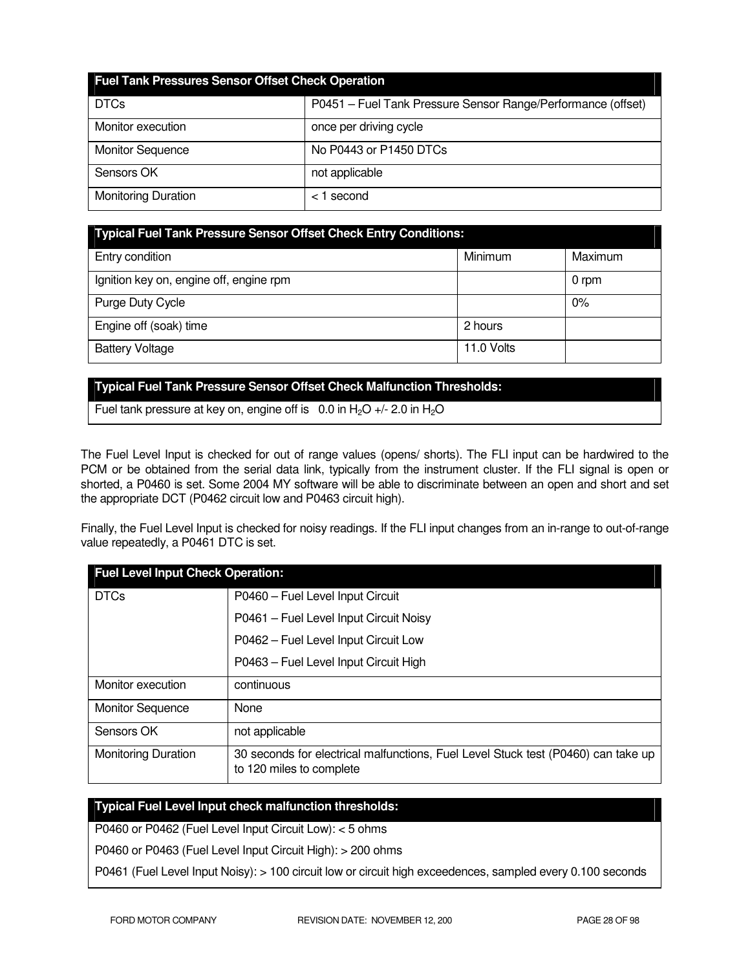| <b>Fuel Tank Pressures Sensor Offset Check Operation</b> |                                                              |  |  |
|----------------------------------------------------------|--------------------------------------------------------------|--|--|
| <b>DTCs</b>                                              | P0451 - Fuel Tank Pressure Sensor Range/Performance (offset) |  |  |
| Monitor execution                                        | once per driving cycle                                       |  |  |
| <b>Monitor Sequence</b>                                  | No P0443 or P1450 DTCs                                       |  |  |
| Sensors OK                                               | not applicable                                               |  |  |
| <b>Monitoring Duration</b>                               | $<$ 1 second                                                 |  |  |

| <b>Typical Fuel Tank Pressure Sensor Offset Check Entry Conditions:</b> |            |         |  |
|-------------------------------------------------------------------------|------------|---------|--|
| Entry condition                                                         | Minimum    | Maximum |  |
| Ignition key on, engine off, engine rpm                                 |            | 0 rpm   |  |
| Purge Duty Cycle                                                        |            | 0%      |  |
| Engine off (soak) time                                                  | 2 hours    |         |  |
| <b>Battery Voltage</b>                                                  | 11.0 Volts |         |  |

# **Typical Fuel Tank Pressure Sensor Offset Check Malfunction Thresholds:**

Fuel tank pressure at key on, engine off is  $0.0$  in H<sub>2</sub>O +/- 2.0 in H<sub>2</sub>O

The Fuel Level Input is checked for out of range values (opens/ shorts). The FLI input can be hardwired to the PCM or be obtained from the serial data link, typically from the instrument cluster. If the FLI signal is open or shorted, a P0460 is set. Some 2004 MY software will be able to discriminate between an open and short and set the appropriate DCT (P0462 circuit low and P0463 circuit high).

Finally, the Fuel Level Input is checked for noisy readings. If the FLI input changes from an in-range to out-of-range value repeatedly, a P0461 DTC is set.

| <b>Fuel Level Input Check Operation:</b> |                                                                                                               |  |  |
|------------------------------------------|---------------------------------------------------------------------------------------------------------------|--|--|
| <b>DTCs</b>                              | P0460 - Fuel Level Input Circuit                                                                              |  |  |
|                                          | P0461 - Fuel Level Input Circuit Noisy                                                                        |  |  |
|                                          | P0462 - Fuel Level Input Circuit Low                                                                          |  |  |
|                                          | P0463 - Fuel Level Input Circuit High                                                                         |  |  |
| Monitor execution                        | continuous                                                                                                    |  |  |
| <b>Monitor Sequence</b>                  | None                                                                                                          |  |  |
| Sensors OK                               | not applicable                                                                                                |  |  |
| <b>Monitoring Duration</b>               | 30 seconds for electrical malfunctions, Fuel Level Stuck test (P0460) can take up<br>to 120 miles to complete |  |  |

# **Typical Fuel Level Input check malfunction thresholds:**

P0460 or P0462 (Fuel Level Input Circuit Low): < 5 ohms

P0460 or P0463 (Fuel Level Input Circuit High): > 200 ohms

P0461 (Fuel Level Input Noisy): > 100 circuit low or circuit high exceedences, sampled every 0.100 seconds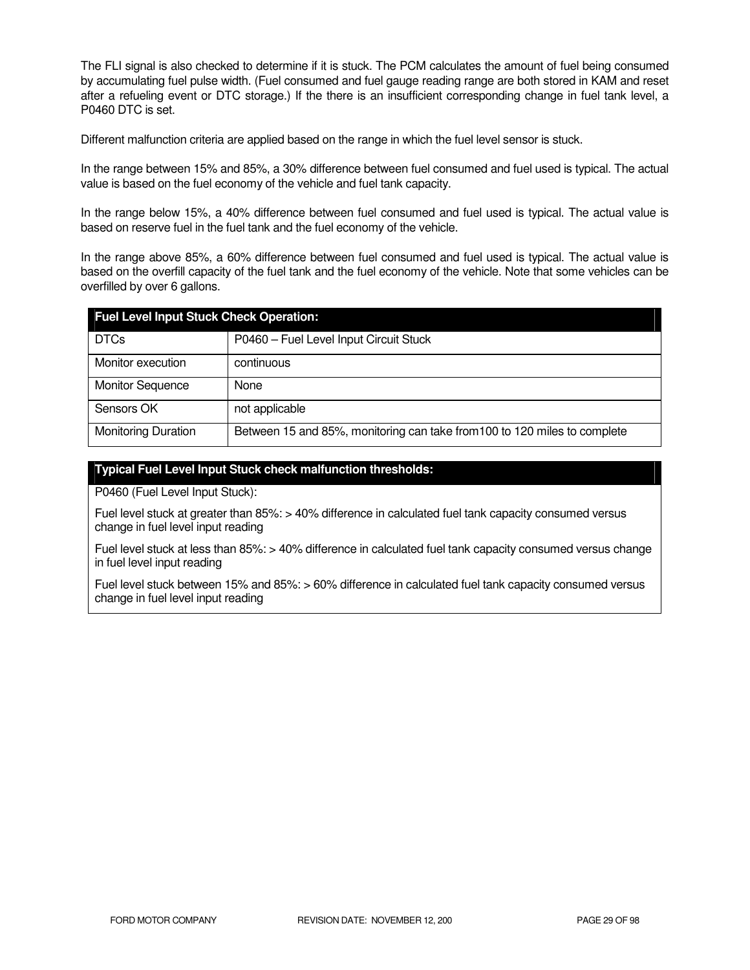The FLI signal is also checked to determine if it is stuck. The PCM calculates the amount of fuel being consumed by accumulating fuel pulse width. (Fuel consumed and fuel gauge reading range are both stored in KAM and reset after a refueling event or DTC storage.) If the there is an insufficient corresponding change in fuel tank level, a P0460 DTC is set.

Different malfunction criteria are applied based on the range in which the fuel level sensor is stuck.

In the range between 15% and 85%, a 30% difference between fuel consumed and fuel used is typical. The actual value is based on the fuel economy of the vehicle and fuel tank capacity.

In the range below 15%, a 40% difference between fuel consumed and fuel used is typical. The actual value is based on reserve fuel in the fuel tank and the fuel economy of the vehicle.

In the range above 85%, a 60% difference between fuel consumed and fuel used is typical. The actual value is based on the overfill capacity of the fuel tank and the fuel economy of the vehicle. Note that some vehicles can be overfilled by over 6 gallons.

| <b>Fuel Level Input Stuck Check Operation:</b> |                                                                           |  |  |
|------------------------------------------------|---------------------------------------------------------------------------|--|--|
| <b>DTCs</b>                                    | P0460 - Fuel Level Input Circuit Stuck                                    |  |  |
| Monitor execution                              | continuous                                                                |  |  |
| <b>Monitor Sequence</b>                        | None                                                                      |  |  |
| Sensors OK                                     | not applicable                                                            |  |  |
| <b>Monitoring Duration</b>                     | Between 15 and 85%, monitoring can take from 100 to 120 miles to complete |  |  |

#### **Typical Fuel Level Input Stuck check malfunction thresholds:**

P0460 (Fuel Level Input Stuck):

Fuel level stuck at greater than 85%: > 40% difference in calculated fuel tank capacity consumed versus change in fuel level input reading

Fuel level stuck at less than 85%: > 40% difference in calculated fuel tank capacity consumed versus change in fuel level input reading

Fuel level stuck between 15% and 85%: > 60% difference in calculated fuel tank capacity consumed versus change in fuel level input reading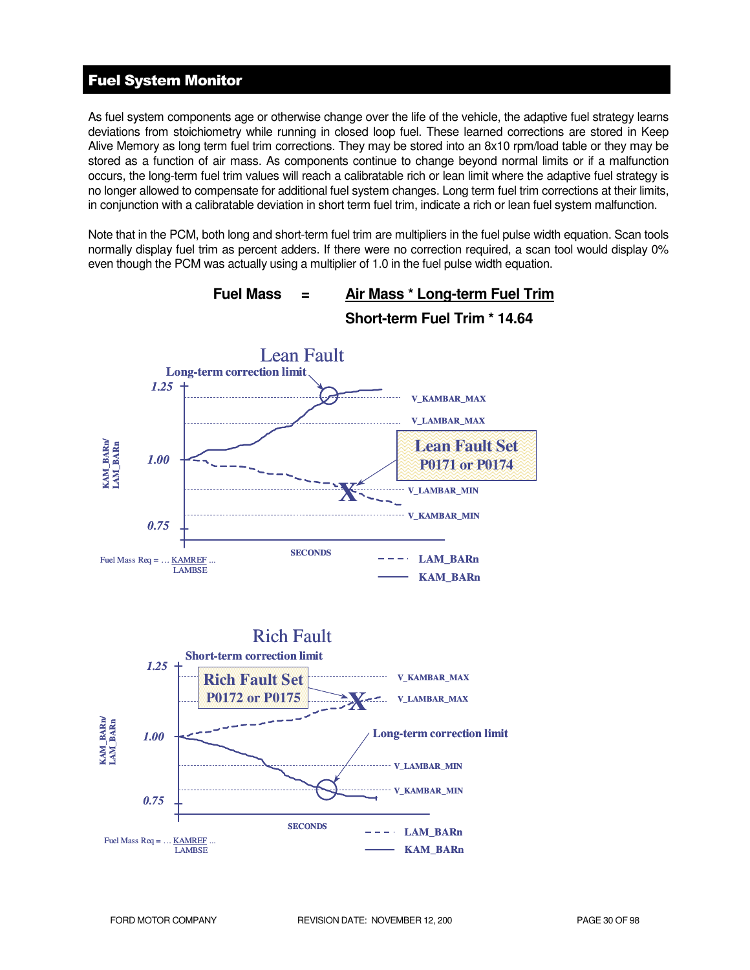# Fuel System Monitor

As fuel system components age or otherwise change over the life of the vehicle, the adaptive fuel strategy learns deviations from stoichiometry while running in closed loop fuel. These learned corrections are stored in Keep Alive Memory as long term fuel trim corrections. They may be stored into an 8x10 rpm/load table or they may be stored as a function of air mass. As components continue to change beyond normal limits or if a malfunction occurs, the long-term fuel trim values will reach a calibratable rich or lean limit where the adaptive fuel strategy is no longer allowed to compensate for additional fuel system changes. Long term fuel trim corrections at their limits, in conjunction with a calibratable deviation in short term fuel trim, indicate a rich or lean fuel system malfunction.

Note that in the PCM, both long and short-term fuel trim are multipliers in the fuel pulse width equation. Scan tools normally display fuel trim as percent adders. If there were no correction required, a scan tool would display 0% even though the PCM was actually using a multiplier of 1.0 in the fuel pulse width equation.

![](_page_29_Figure_3.jpeg)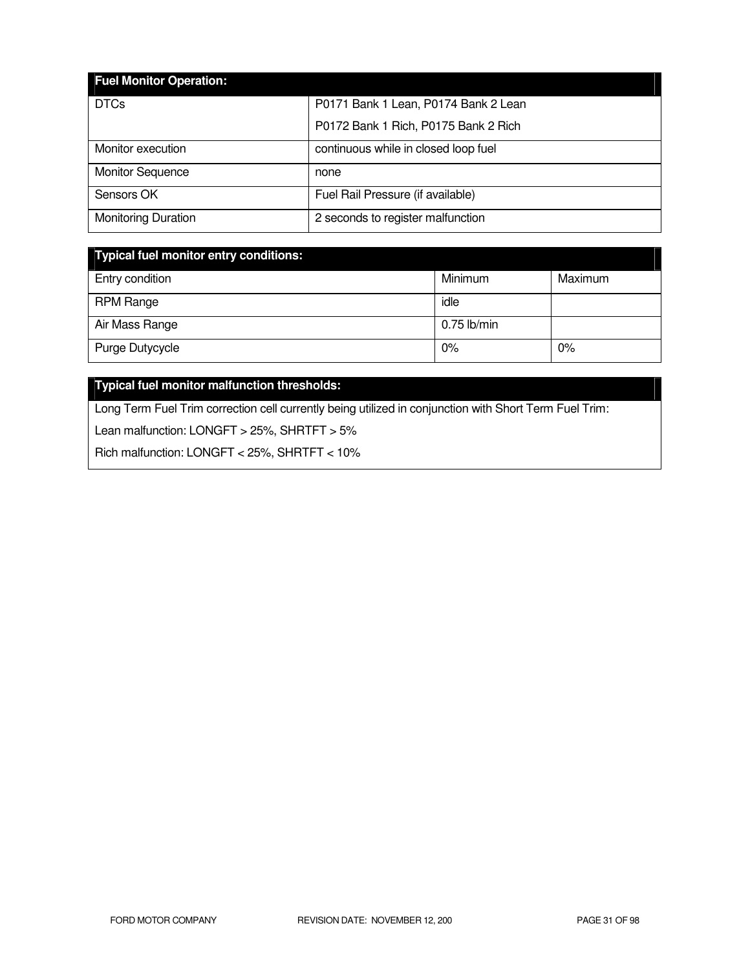| <b>Fuel Monitor Operation:</b> |                                      |
|--------------------------------|--------------------------------------|
| <b>DTCs</b>                    | P0171 Bank 1 Lean, P0174 Bank 2 Lean |
|                                | P0172 Bank 1 Rich, P0175 Bank 2 Rich |
| Monitor execution              | continuous while in closed loop fuel |
| <b>Monitor Sequence</b>        | none                                 |
| Sensors OK                     | Fuel Rail Pressure (if available)    |
| <b>Monitoring Duration</b>     | 2 seconds to register malfunction    |

| Typical fuel monitor entry conditions: |               |         |  |
|----------------------------------------|---------------|---------|--|
| Entry condition                        | Minimum       | Maximum |  |
| <b>RPM Range</b>                       | idle          |         |  |
| Air Mass Range                         | $0.75$ lb/min |         |  |
| Purge Dutycycle                        | 0%            | 0%      |  |

# **Typical fuel monitor malfunction thresholds:**

Long Term Fuel Trim correction cell currently being utilized in conjunction with Short Term Fuel Trim:

Lean malfunction: LONGFT > 25%, SHRTFT > 5%

Rich malfunction: LONGFT < 25%, SHRTFT < 10%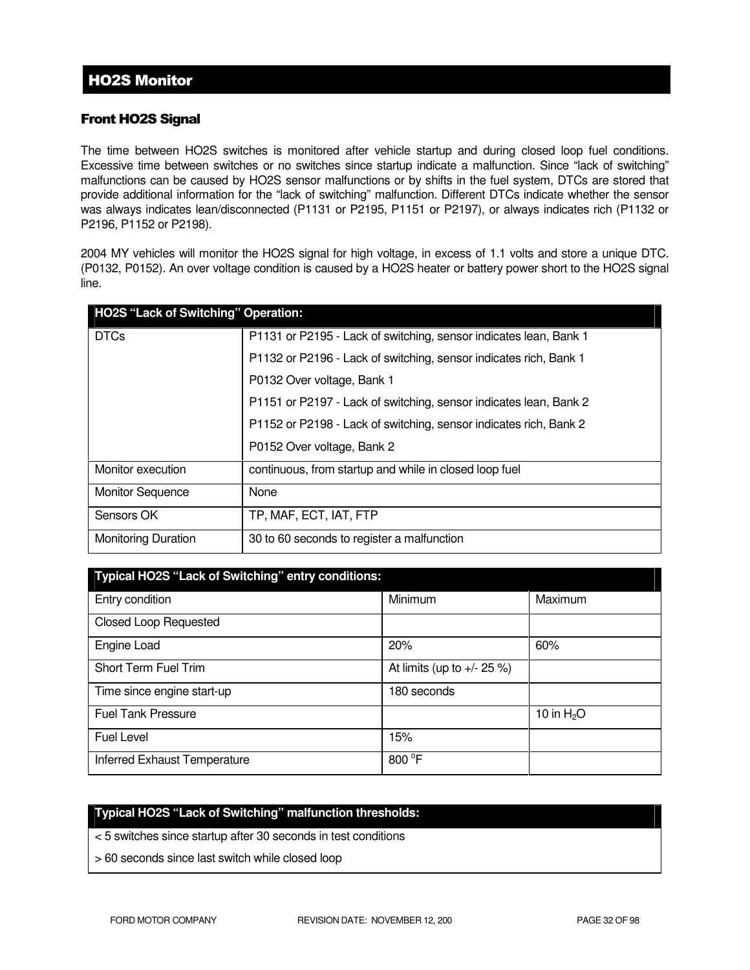# Front HO2S Signal

The time between HO2S switches is monitored after vehicle startup and during closed loop fuel conditions. Excessive time between switches or no switches since startup indicate a malfunction. Since "lack of switching" malfunctions can be caused by HO2S sensor malfunctions or by shifts in the fuel system, DTCs are stored that provide additional information for the "lack of switching" malfunction. Different DTCs indicate whether the sensor was always indicates lean/disconnected (P1131 or P2195, P1151 or P2197), or always indicates rich (P1132 or P2196, P1152 or P2198).

2004 MY vehicles will monitor the HO2S signal for high voltage, in excess of 1.1 volts and store a unique DTC. (P0132, P0152). An over voltage condition is caused by a HO2S heater or battery power short to the HO2S signal line.

| HO2S "Lack of Switching" Operation: |                                                                   |
|-------------------------------------|-------------------------------------------------------------------|
| <b>DTCs</b>                         | P1131 or P2195 - Lack of switching, sensor indicates lean, Bank 1 |
|                                     | P1132 or P2196 - Lack of switching, sensor indicates rich, Bank 1 |
|                                     | P0132 Over voltage, Bank 1                                        |
|                                     | P1151 or P2197 - Lack of switching, sensor indicates lean, Bank 2 |
|                                     | P1152 or P2198 - Lack of switching, sensor indicates rich, Bank 2 |
|                                     | P0152 Over voltage, Bank 2                                        |
| Monitor execution                   | continuous, from startup and while in closed loop fuel            |
| <b>Monitor Sequence</b>             | None                                                              |
| Sensors OK                          | TP, MAF, ECT, IAT, FTP                                            |
| <b>Monitoring Duration</b>          | 30 to 60 seconds to register a malfunction                        |

| Typical HO2S "Lack of Switching" entry conditions: |                               |              |  |
|----------------------------------------------------|-------------------------------|--------------|--|
| Entry condition                                    | Minimum                       | Maximum      |  |
| <b>Closed Loop Requested</b>                       |                               |              |  |
| Engine Load                                        | 20%                           | 60%          |  |
| Short Term Fuel Trim                               | At limits (up to $+/- 25 %$ ) |              |  |
| Time since engine start-up                         | 180 seconds                   |              |  |
| <b>Fuel Tank Pressure</b>                          |                               | 10 in $H_2O$ |  |
| <b>Fuel Level</b>                                  | 15%                           |              |  |
| Inferred Exhaust Temperature                       | 800 °F                        |              |  |

# **Typical HO2S "Lack of Switching" malfunction thresholds:**

- < 5 switches since startup after 30 seconds in test conditions
- > 60 seconds since last switch while closed loop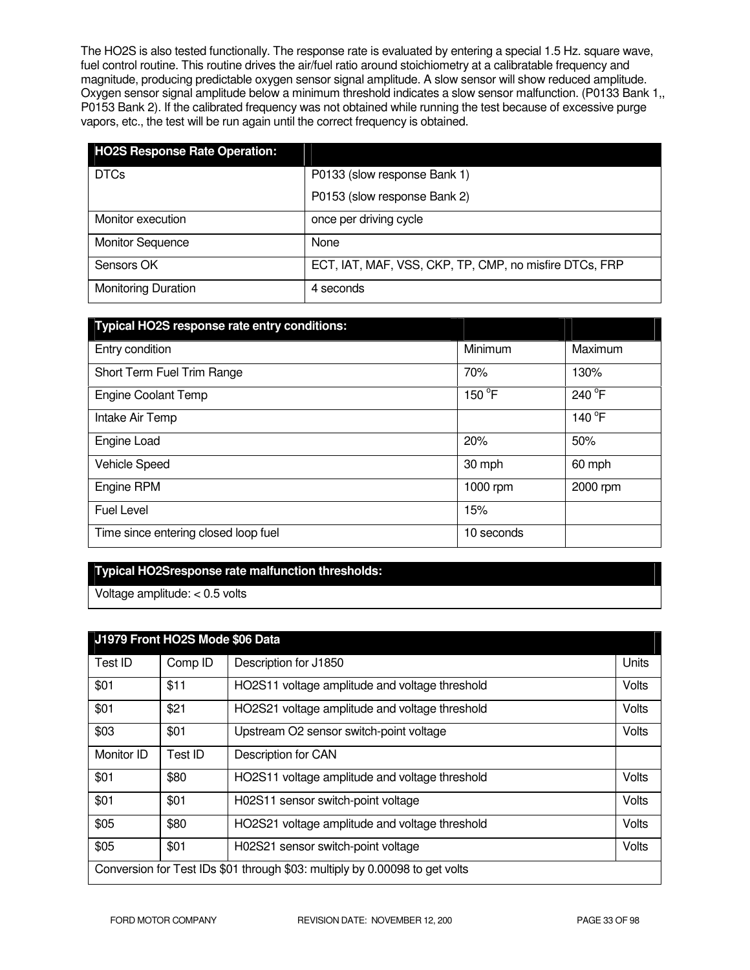The HO2S is also tested functionally. The response rate is evaluated by entering a special 1.5 Hz. square wave, fuel control routine. This routine drives the air/fuel ratio around stoichiometry at a calibratable frequency and magnitude, producing predictable oxygen sensor signal amplitude. A slow sensor will show reduced amplitude. Oxygen sensor signal amplitude below a minimum threshold indicates a slow sensor malfunction. (P0133 Bank 1,, P0153 Bank 2). If the calibrated frequency was not obtained while running the test because of excessive purge vapors, etc., the test will be run again until the correct frequency is obtained.

| <b>HO2S Response Rate Operation:</b> |                                                        |
|--------------------------------------|--------------------------------------------------------|
| <b>DTCs</b>                          | P0133 (slow response Bank 1)                           |
|                                      | P0153 (slow response Bank 2)                           |
| Monitor execution                    | once per driving cycle                                 |
| <b>Monitor Sequence</b>              | None                                                   |
| Sensors OK                           | ECT, IAT, MAF, VSS, CKP, TP, CMP, no misfire DTCs, FRP |
| <b>Monitoring Duration</b>           | 4 seconds                                              |

| Typical HO2S response rate entry conditions: |            |          |
|----------------------------------------------|------------|----------|
| Entry condition                              | Minimum    | Maximum  |
| Short Term Fuel Trim Range                   | 70%        | 130%     |
| <b>Engine Coolant Temp</b>                   | 150 °F     | 240 °F   |
| Intake Air Temp                              |            | 140 °F   |
| Engine Load                                  | 20%        | 50%      |
| Vehicle Speed                                | 30 mph     | 60 mph   |
| Engine RPM                                   | 1000 rpm   | 2000 rpm |
| <b>Fuel Level</b>                            | 15%        |          |
| Time since entering closed loop fuel         | 10 seconds |          |

#### **Typical HO2Sresponse rate malfunction thresholds:**

Voltage amplitude: < 0.5 volts

| J1979 Front HO2S Mode \$06 Data                                             |         |                                                |       |
|-----------------------------------------------------------------------------|---------|------------------------------------------------|-------|
| Test ID                                                                     | Comp ID | Description for J1850                          | Units |
| \$01                                                                        | \$11    | HO2S11 voltage amplitude and voltage threshold | Volts |
| \$01                                                                        | \$21    | HO2S21 voltage amplitude and voltage threshold | Volts |
| \$03                                                                        | \$01    | Upstream O2 sensor switch-point voltage        | Volts |
| Monitor ID                                                                  | Test ID | Description for CAN                            |       |
| \$01                                                                        | \$80    | HO2S11 voltage amplitude and voltage threshold | Volts |
| \$01                                                                        | \$01    | H02S11 sensor switch-point voltage             | Volts |
| \$05                                                                        | \$80    | HO2S21 voltage amplitude and voltage threshold | Volts |
| \$05                                                                        | \$01    | H02S21 sensor switch-point voltage             | Volts |
| Conversion for Test IDs \$01 through \$03: multiply by 0.00098 to get volts |         |                                                |       |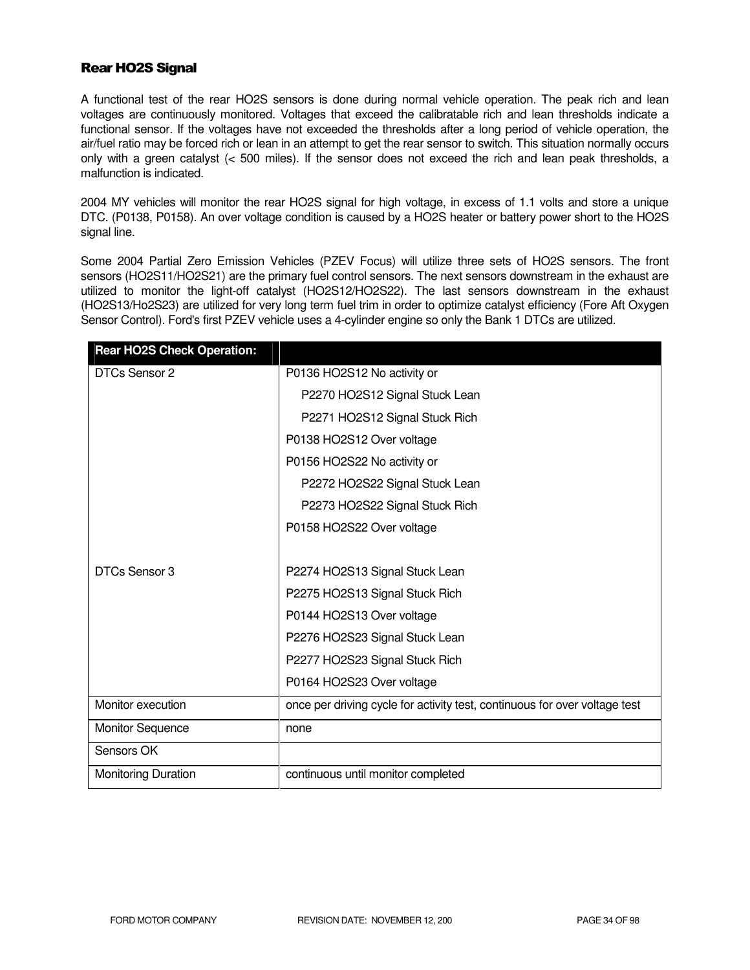# Rear HO2S Signal

A functional test of the rear HO2S sensors is done during normal vehicle operation. The peak rich and lean voltages are continuously monitored. Voltages that exceed the calibratable rich and lean thresholds indicate a functional sensor. If the voltages have not exceeded the thresholds after a long period of vehicle operation, the air/fuel ratio may be forced rich or lean in an attempt to get the rear sensor to switch. This situation normally occurs only with a green catalyst (< 500 miles). If the sensor does not exceed the rich and lean peak thresholds, a malfunction is indicated.

2004 MY vehicles will monitor the rear HO2S signal for high voltage, in excess of 1.1 volts and store a unique DTC. (P0138, P0158). An over voltage condition is caused by a HO2S heater or battery power short to the HO2S signal line.

Some 2004 Partial Zero Emission Vehicles (PZEV Focus) will utilize three sets of HO2S sensors. The front sensors (HO2S11/HO2S21) are the primary fuel control sensors. The next sensors downstream in the exhaust are utilized to monitor the light-off catalyst (HO2S12/HO2S22). The last sensors downstream in the exhaust (HO2S13/Ho2S23) are utilized for very long term fuel trim in order to optimize catalyst efficiency (Fore Aft Oxygen Sensor Control). Ford's first PZEV vehicle uses a 4-cylinder engine so only the Bank 1 DTCs are utilized.

| <b>Rear HO2S Check Operation:</b> |                                                                            |
|-----------------------------------|----------------------------------------------------------------------------|
| DTCs Sensor 2                     | P0136 HO2S12 No activity or                                                |
|                                   | P2270 HO2S12 Signal Stuck Lean                                             |
|                                   | P2271 HO2S12 Signal Stuck Rich                                             |
|                                   | P0138 HO2S12 Over voltage                                                  |
|                                   | P0156 HO2S22 No activity or                                                |
|                                   | P2272 HO2S22 Signal Stuck Lean                                             |
|                                   | P2273 HO2S22 Signal Stuck Rich                                             |
|                                   | P0158 HO2S22 Over voltage                                                  |
|                                   |                                                                            |
| DTCs Sensor 3                     | P2274 HO2S13 Signal Stuck Lean                                             |
|                                   | P2275 HO2S13 Signal Stuck Rich                                             |
|                                   | P0144 HO2S13 Over voltage                                                  |
|                                   | P2276 HO2S23 Signal Stuck Lean                                             |
|                                   | P2277 HO2S23 Signal Stuck Rich                                             |
|                                   | P0164 HO2S23 Over voltage                                                  |
| Monitor execution                 | once per driving cycle for activity test, continuous for over voltage test |
| <b>Monitor Sequence</b>           | none                                                                       |
| Sensors OK                        |                                                                            |
| Monitoring Duration               | continuous until monitor completed                                         |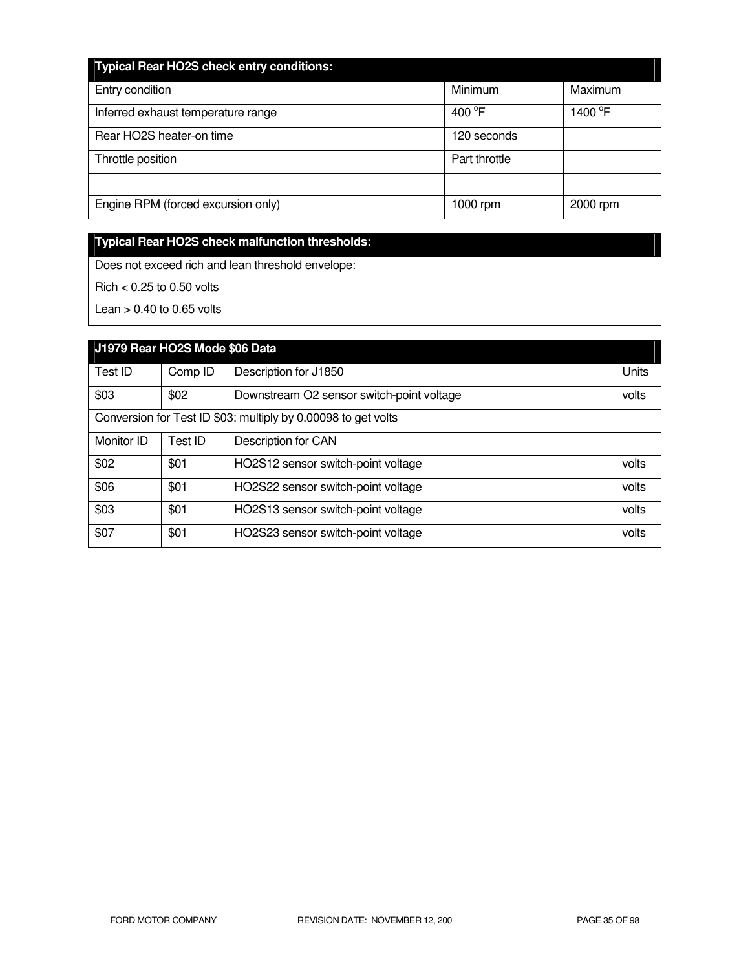| <b>Typical Rear HO2S check entry conditions:</b> |                  |                     |
|--------------------------------------------------|------------------|---------------------|
| Entry condition                                  | Minimum          | Maximum             |
| Inferred exhaust temperature range               | 400 $^{\circ}$ F | 1400 $\overline{P}$ |
| Rear HO2S heater-on time                         | 120 seconds      |                     |
| Throttle position                                | Part throttle    |                     |
|                                                  |                  |                     |
| Engine RPM (forced excursion only)               | 1000 rpm         | 2000 rpm            |

# **Typical Rear HO2S check malfunction thresholds:**

Does not exceed rich and lean threshold envelope:

Rich < 0.25 to 0.50 volts

Lean  $> 0.40$  to 0.65 volts

| J1979 Rear HO2S Mode \$06 Data                                |         |                                           |       |
|---------------------------------------------------------------|---------|-------------------------------------------|-------|
| Test ID                                                       | Comp ID | Description for J1850                     | Units |
| \$03                                                          | \$02    | Downstream O2 sensor switch-point voltage | volts |
| Conversion for Test ID \$03: multiply by 0.00098 to get volts |         |                                           |       |
| Monitor ID                                                    | Test ID | Description for CAN                       |       |
| \$02                                                          | \$01    | HO2S12 sensor switch-point voltage        | volts |
| \$06                                                          | \$01    | HO2S22 sensor switch-point voltage        | volts |
| \$03                                                          | \$01    | HO2S13 sensor switch-point voltage        | volts |
| \$07                                                          | \$01    | HO2S23 sensor switch-point voltage        | volts |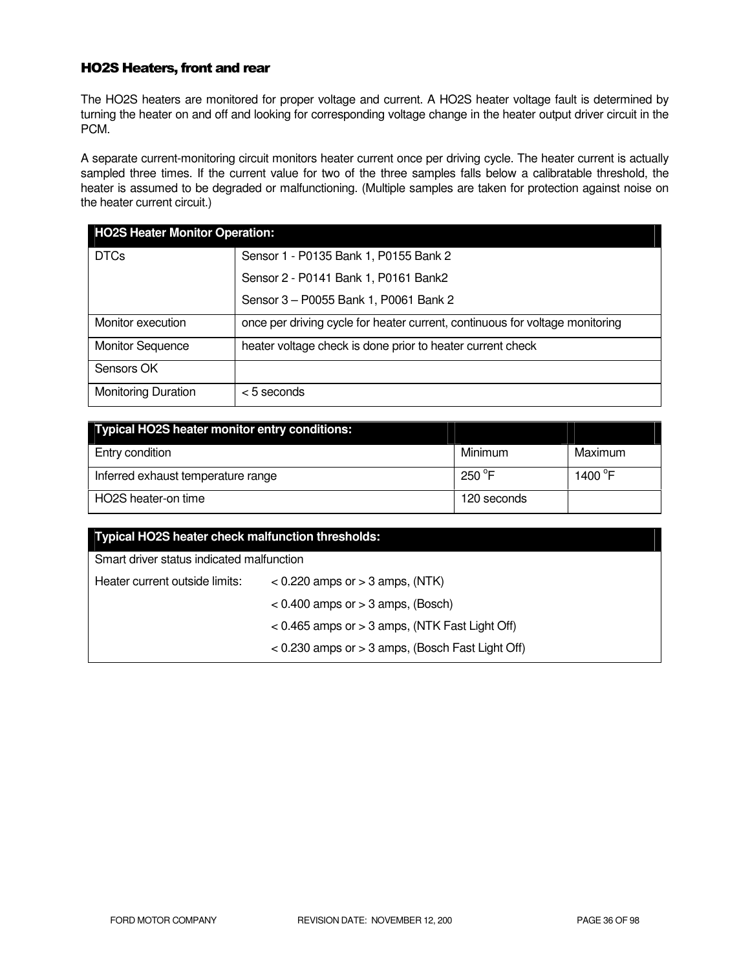# HO2S Heaters, front and rear

The HO2S heaters are monitored for proper voltage and current. A HO2S heater voltage fault is determined by turning the heater on and off and looking for corresponding voltage change in the heater output driver circuit in the PCM.

A separate current-monitoring circuit monitors heater current once per driving cycle. The heater current is actually sampled three times. If the current value for two of the three samples falls below a calibratable threshold, the heater is assumed to be degraded or malfunctioning. (Multiple samples are taken for protection against noise on the heater current circuit.)

| <b>HO2S Heater Monitor Operation:</b>                |                                                                              |  |
|------------------------------------------------------|------------------------------------------------------------------------------|--|
| <b>DTCs</b><br>Sensor 1 - P0135 Bank 1, P0155 Bank 2 |                                                                              |  |
|                                                      | Sensor 2 - P0141 Bank 1, P0161 Bank2                                         |  |
|                                                      | Sensor 3 - P0055 Bank 1, P0061 Bank 2                                        |  |
| Monitor execution                                    | once per driving cycle for heater current, continuous for voltage monitoring |  |
| <b>Monitor Sequence</b>                              | heater voltage check is done prior to heater current check                   |  |
| Sensors OK                                           |                                                                              |  |
| <b>Monitoring Duration</b>                           | $<$ 5 seconds                                                                |  |

| Typical HO2S heater monitor entry conditions: |                 |                  |
|-----------------------------------------------|-----------------|------------------|
| Entry condition                               | Minimum         | Maximum          |
| Inferred exhaust temperature range            | 250 $\degree$ F | 1400 $\degree$ F |
| HO2S heater-on time                           | 120 seconds     |                  |

| Typical HO2S heater check malfunction thresholds: |                                                      |  |
|---------------------------------------------------|------------------------------------------------------|--|
| Smart driver status indicated malfunction         |                                                      |  |
| Heater current outside limits:                    | $<$ 0.220 amps or $>$ 3 amps, (NTK)                  |  |
|                                                   | $< 0.400$ amps or $> 3$ amps, (Bosch)                |  |
|                                                   | $< 0.465$ amps or $> 3$ amps, (NTK Fast Light Off)   |  |
|                                                   | $<$ 0.230 amps or $>$ 3 amps, (Bosch Fast Light Off) |  |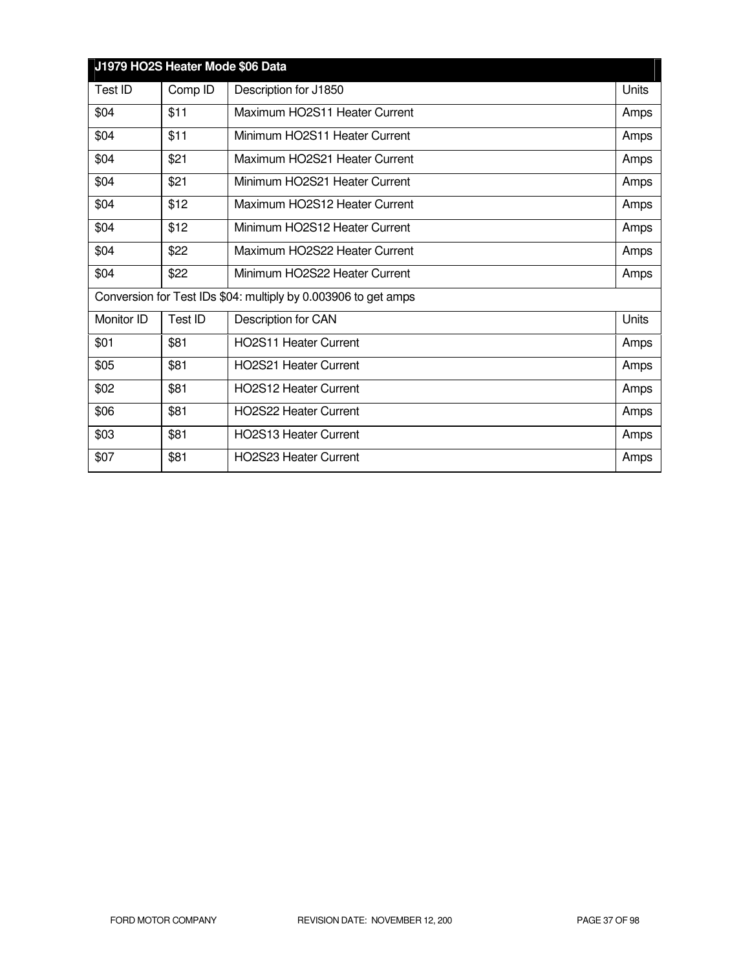| J1979 HO2S Heater Mode \$06 Data |                                                                |                               |       |  |
|----------------------------------|----------------------------------------------------------------|-------------------------------|-------|--|
| Test ID                          | Comp ID                                                        | Description for J1850         | Units |  |
| \$04                             | \$11                                                           | Maximum HO2S11 Heater Current | Amps  |  |
| \$04                             | \$11                                                           | Minimum HO2S11 Heater Current | Amps  |  |
| \$04                             | \$21                                                           | Maximum HO2S21 Heater Current | Amps  |  |
| \$04                             | \$21                                                           | Minimum HO2S21 Heater Current | Amps  |  |
| \$04                             | \$12                                                           | Maximum HO2S12 Heater Current | Amps  |  |
| \$04                             | \$12                                                           | Minimum HO2S12 Heater Current | Amps  |  |
| \$04                             | \$22                                                           | Maximum HO2S22 Heater Current | Amps  |  |
| \$04                             | \$22                                                           | Minimum HO2S22 Heater Current | Amps  |  |
|                                  | Conversion for Test IDs \$04: multiply by 0.003906 to get amps |                               |       |  |
| Monitor ID                       | Test ID                                                        | Description for CAN           | Units |  |
| \$01                             | \$81                                                           | <b>HO2S11 Heater Current</b>  | Amps  |  |
| \$05                             | \$81                                                           | HO2S21 Heater Current         | Amps  |  |
| \$02                             | \$81                                                           | <b>HO2S12 Heater Current</b>  | Amps  |  |
| \$06                             | \$81                                                           | <b>HO2S22 Heater Current</b>  | Amps  |  |
| \$03                             | \$81                                                           | <b>HO2S13 Heater Current</b>  | Amps  |  |
| \$07                             | \$81                                                           | <b>HO2S23 Heater Current</b>  | Amps  |  |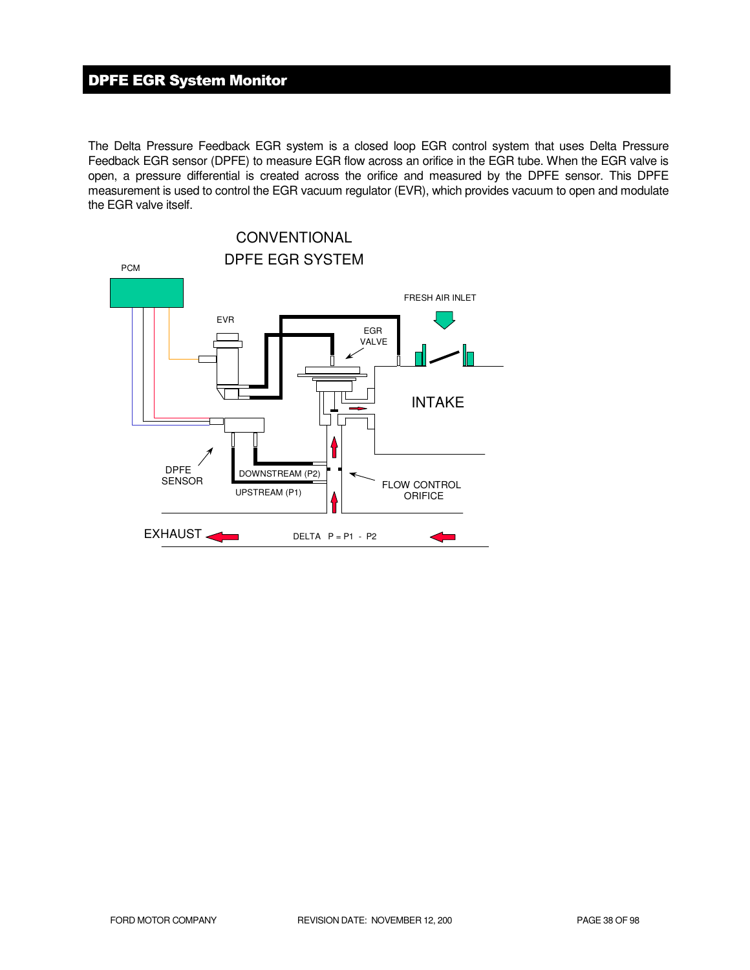# DPFE EGR System Monitor

The Delta Pressure Feedback EGR system is a closed loop EGR control system that uses Delta Pressure Feedback EGR sensor (DPFE) to measure EGR flow across an orifice in the EGR tube. When the EGR valve is open, a pressure differential is created across the orifice and measured by the DPFE sensor. This DPFE measurement is used to control the EGR vacuum regulator (EVR), which provides vacuum to open and modulate the EGR valve itself.

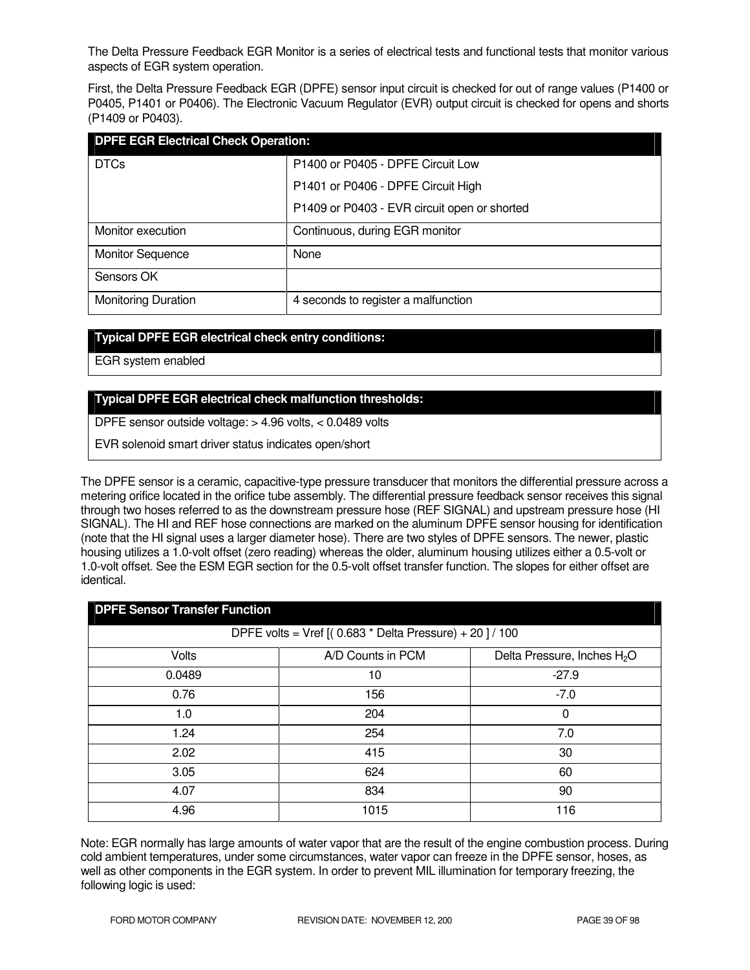The Delta Pressure Feedback EGR Monitor is a series of electrical tests and functional tests that monitor various aspects of EGR system operation.

First, the Delta Pressure Feedback EGR (DPFE) sensor input circuit is checked for out of range values (P1400 or P0405, P1401 or P0406). The Electronic Vacuum Regulator (EVR) output circuit is checked for opens and shorts (P1409 or P0403).

| <b>DPFE EGR Electrical Check Operation:</b> |                                              |  |  |
|---------------------------------------------|----------------------------------------------|--|--|
| <b>DTCs</b>                                 | P1400 or P0405 - DPFE Circuit Low            |  |  |
|                                             | P1401 or P0406 - DPFE Circuit High           |  |  |
|                                             | P1409 or P0403 - EVR circuit open or shorted |  |  |
| Monitor execution                           | Continuous, during EGR monitor               |  |  |
| <b>Monitor Sequence</b>                     | None                                         |  |  |
| Sensors OK                                  |                                              |  |  |
| <b>Monitoring Duration</b>                  | 4 seconds to register a malfunction          |  |  |

### **Typical DPFE EGR electrical check entry conditions:**

EGR system enabled

### **Typical DPFE EGR electrical check malfunction thresholds:**

DPFE sensor outside voltage: > 4.96 volts, < 0.0489 volts

EVR solenoid smart driver status indicates open/short

The DPFE sensor is a ceramic, capacitive-type pressure transducer that monitors the differential pressure across a metering orifice located in the orifice tube assembly. The differential pressure feedback sensor receives this signal through two hoses referred to as the downstream pressure hose (REF SIGNAL) and upstream pressure hose (HI SIGNAL). The HI and REF hose connections are marked on the aluminum DPFE sensor housing for identification (note that the HI signal uses a larger diameter hose). There are two styles of DPFE sensors. The newer, plastic housing utilizes a 1.0-volt offset (zero reading) whereas the older, aluminum housing utilizes either a 0.5-volt or 1.0-volt offset. See the ESM EGR section for the 0.5-volt offset transfer function. The slopes for either offset are identical.

| <b>DPFE Sensor Transfer Function</b>                    |                   |                                         |  |  |
|---------------------------------------------------------|-------------------|-----------------------------------------|--|--|
| DPFE volts = Vref $[(0.683 * Delta Pressure) + 20]/100$ |                   |                                         |  |  |
| Volts                                                   | A/D Counts in PCM | Delta Pressure, Inches H <sub>2</sub> O |  |  |
| 0.0489                                                  | 10                | $-27.9$                                 |  |  |
| 0.76                                                    | 156               | $-7.0$                                  |  |  |
| 1.0                                                     | 204               | 0                                       |  |  |
| 1.24                                                    | 254               | 7.0                                     |  |  |
| 2.02                                                    | 415               | 30                                      |  |  |
| 3.05                                                    | 624               | 60                                      |  |  |
| 4.07                                                    | 834               | 90                                      |  |  |
| 4.96                                                    | 1015              | 116                                     |  |  |

Note: EGR normally has large amounts of water vapor that are the result of the engine combustion process. During cold ambient temperatures, under some circumstances, water vapor can freeze in the DPFE sensor, hoses, as well as other components in the EGR system. In order to prevent MIL illumination for temporary freezing, the following logic is used: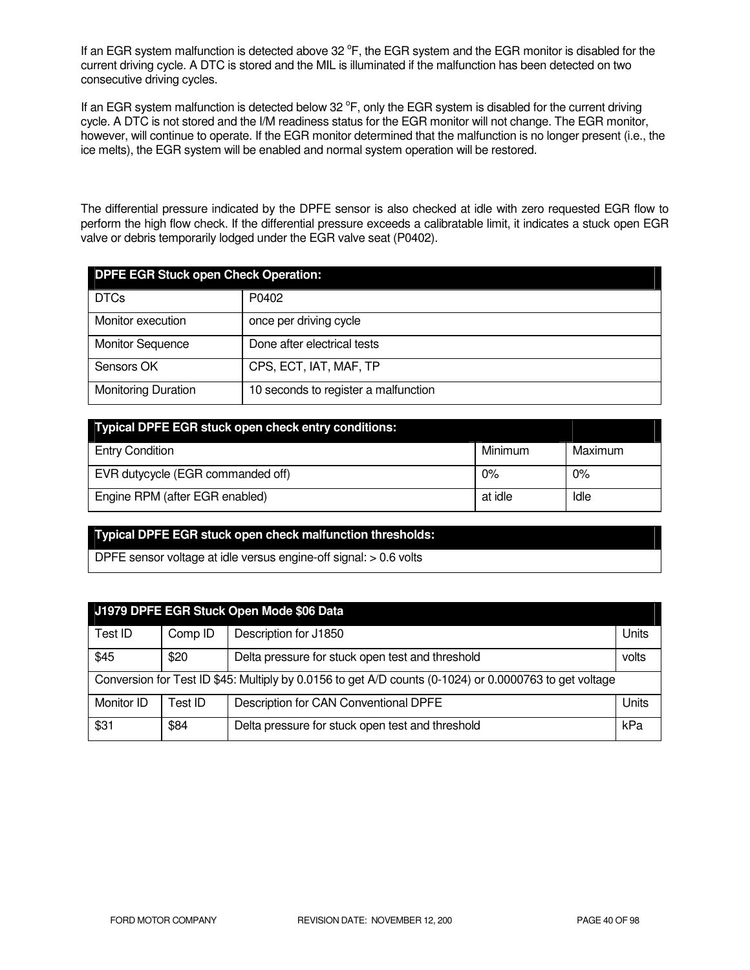If an EGR system malfunction is detected above 32  $\degree$ F, the EGR system and the EGR monitor is disabled for the current driving cycle. A DTC is stored and the MIL is illuminated if the malfunction has been detected on two consecutive driving cycles.

If an EGR system malfunction is detected below 32  $\degree$ F, only the EGR system is disabled for the current driving cycle. A DTC is not stored and the I/M readiness status for the EGR monitor will not change. The EGR monitor, however, will continue to operate. If the EGR monitor determined that the malfunction is no longer present (i.e., the ice melts), the EGR system will be enabled and normal system operation will be restored.

The differential pressure indicated by the DPFE sensor is also checked at idle with zero requested EGR flow to perform the high flow check. If the differential pressure exceeds a calibratable limit, it indicates a stuck open EGR valve or debris temporarily lodged under the EGR valve seat (P0402).

| <b>DPFE EGR Stuck open Check Operation:</b> |                                      |  |  |
|---------------------------------------------|--------------------------------------|--|--|
| <b>DTCs</b>                                 | P0402                                |  |  |
| Monitor execution                           | once per driving cycle               |  |  |
| <b>Monitor Sequence</b>                     | Done after electrical tests          |  |  |
| Sensors OK                                  | CPS, ECT, IAT, MAF, TP               |  |  |
| <b>Monitoring Duration</b>                  | 10 seconds to register a malfunction |  |  |

| Typical DPFE EGR stuck open check entry conditions: |         |         |
|-----------------------------------------------------|---------|---------|
| <b>Entry Condition</b>                              | Minimum | Maximum |
| EVR dutycycle (EGR commanded off)                   | 0%      | $0\%$   |
| Engine RPM (after EGR enabled)                      | at idle | Idle    |

### **Typical DPFE EGR stuck open check malfunction thresholds:**

DPFE sensor voltage at idle versus engine-off signal: > 0.6 volts

| J1979 DPFE EGR Stuck Open Mode \$06 Data                                                               |         |                                                  |       |
|--------------------------------------------------------------------------------------------------------|---------|--------------------------------------------------|-------|
| Test ID                                                                                                | Comp ID | Description for J1850                            | Units |
| \$45                                                                                                   | \$20    | Delta pressure for stuck open test and threshold | volts |
| Conversion for Test ID \$45: Multiply by 0.0156 to get A/D counts (0-1024) or 0.0000763 to get voltage |         |                                                  |       |
| Monitor ID                                                                                             | Test ID | Description for CAN Conventional DPFE            | Units |
| \$31                                                                                                   | \$84    | Delta pressure for stuck open test and threshold | kPa   |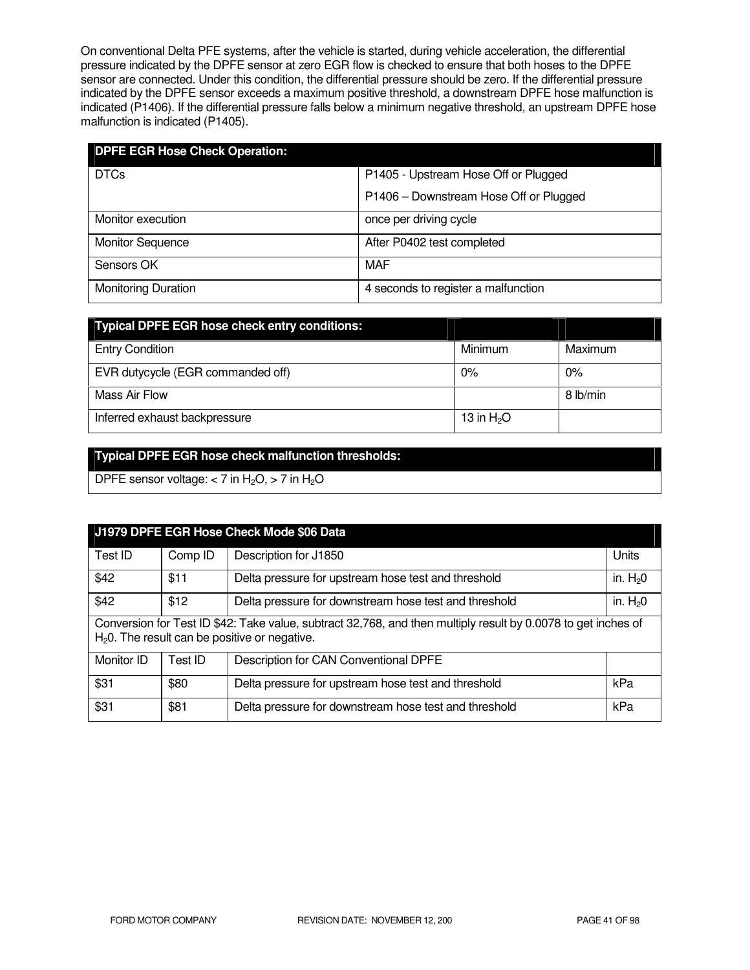On conventional Delta PFE systems, after the vehicle is started, during vehicle acceleration, the differential pressure indicated by the DPFE sensor at zero EGR flow is checked to ensure that both hoses to the DPFE sensor are connected. Under this condition, the differential pressure should be zero. If the differential pressure indicated by the DPFE sensor exceeds a maximum positive threshold, a downstream DPFE hose malfunction is indicated (P1406). If the differential pressure falls below a minimum negative threshold, an upstream DPFE hose malfunction is indicated (P1405).

| <b>DPFE EGR Hose Check Operation:</b> |                                        |
|---------------------------------------|----------------------------------------|
| <b>DTCs</b>                           | P1405 - Upstream Hose Off or Plugged   |
|                                       | P1406 - Downstream Hose Off or Plugged |
| Monitor execution                     | once per driving cycle                 |
| <b>Monitor Sequence</b>               | After P0402 test completed             |
| Sensors OK                            | MAF                                    |
| <b>Monitoring Duration</b>            | 4 seconds to register a malfunction    |

| <b>Typical DPFE EGR hose check entry conditions:</b> |             |          |
|------------------------------------------------------|-------------|----------|
| <b>Entry Condition</b>                               | Minimum     | Maximum  |
| EVR dutycycle (EGR commanded off)                    | $0\%$       | $0\%$    |
| Mass Air Flow                                        |             | 8 lb/min |
| Inferred exhaust backpressure                        | 13 in $H2O$ |          |

# **Typical DPFE EGR hose check malfunction thresholds:**

DPFE sensor voltage:  $<$  7 in H<sub>2</sub>O,  $>$  7 in H<sub>2</sub>O

| J1979 DPFE EGR Hose Check Mode \$06 Data                                                                                                                         |         |                                                       |           |
|------------------------------------------------------------------------------------------------------------------------------------------------------------------|---------|-------------------------------------------------------|-----------|
| Test ID                                                                                                                                                          | Comp ID | Description for J1850                                 | Units     |
| \$42                                                                                                                                                             | \$11    | Delta pressure for upstream hose test and threshold   | in. $H20$ |
| \$42                                                                                                                                                             | \$12    | Delta pressure for downstream hose test and threshold | in. $H20$ |
| Conversion for Test ID \$42: Take value, subtract 32,768, and then multiply result by 0.0078 to get inches of<br>$H20$ . The result can be positive or negative. |         |                                                       |           |
| Monitor ID                                                                                                                                                       | Test ID | Description for CAN Conventional DPFE                 |           |
| \$31                                                                                                                                                             | \$80    | Delta pressure for upstream hose test and threshold   | kPa       |
| \$31                                                                                                                                                             | \$81    | Delta pressure for downstream hose test and threshold | kPa       |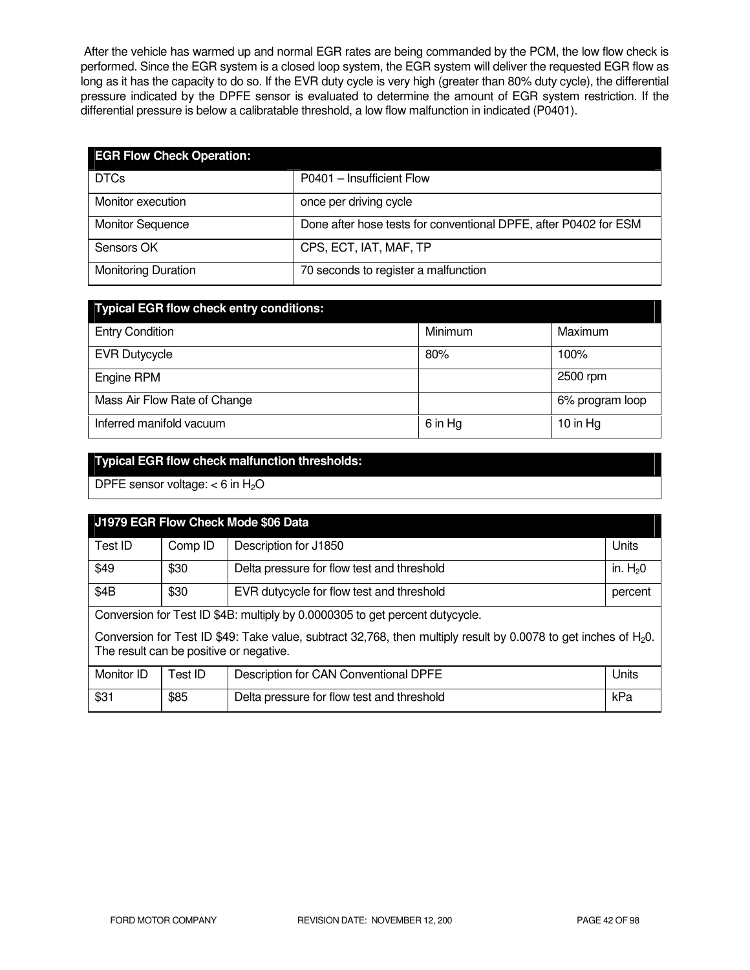After the vehicle has warmed up and normal EGR rates are being commanded by the PCM, the low flow check is performed. Since the EGR system is a closed loop system, the EGR system will deliver the requested EGR flow as long as it has the capacity to do so. If the EVR duty cycle is very high (greater than 80% duty cycle), the differential pressure indicated by the DPFE sensor is evaluated to determine the amount of EGR system restriction. If the differential pressure is below a calibratable threshold, a low flow malfunction in indicated (P0401).

| <b>EGR Flow Check Operation:</b> |                                                                  |
|----------------------------------|------------------------------------------------------------------|
| <b>DTCs</b>                      | P0401 - Insufficient Flow                                        |
| Monitor execution                | once per driving cycle                                           |
| <b>Monitor Sequence</b>          | Done after hose tests for conventional DPFE, after P0402 for ESM |
| Sensors OK                       | CPS, ECT, IAT, MAF, TP                                           |
| <b>Monitoring Duration</b>       | 70 seconds to register a malfunction                             |

| <b>Typical EGR flow check entry conditions:</b> |         |                 |
|-------------------------------------------------|---------|-----------------|
| <b>Entry Condition</b>                          | Minimum | Maximum         |
| <b>EVR Dutycycle</b>                            | 80%     | 100%            |
| Engine RPM                                      |         | 2500 rpm        |
| Mass Air Flow Rate of Change                    |         | 6% program loop |
| Inferred manifold vacuum                        | 6 in Hg | 10 in $Hg$      |

# **Typical EGR flow check malfunction thresholds:**

DPFE sensor voltage:  $<$  6 in H<sub>2</sub>O

| J1979 EGR Flow Check Mode \$06 Data                                                                                                                           |         |                                            |           |  |
|---------------------------------------------------------------------------------------------------------------------------------------------------------------|---------|--------------------------------------------|-----------|--|
| Test ID                                                                                                                                                       | Comp ID | Description for J1850                      | Units     |  |
| \$49                                                                                                                                                          | \$30    | Delta pressure for flow test and threshold | in. $H20$ |  |
| \$4B                                                                                                                                                          | \$30    | EVR dutycycle for flow test and threshold  | percent   |  |
| Conversion for Test ID \$4B: multiply by 0.0000305 to get percent dutycycle.                                                                                  |         |                                            |           |  |
| Conversion for Test ID \$49: Take value, subtract 32,768, then multiply result by 0.0078 to get inches of $H_2O$ .<br>The result can be positive or negative. |         |                                            |           |  |
| Monitor ID                                                                                                                                                    | Test ID | Description for CAN Conventional DPFE      | Units     |  |
| \$31                                                                                                                                                          | \$85    | Delta pressure for flow test and threshold | kPa       |  |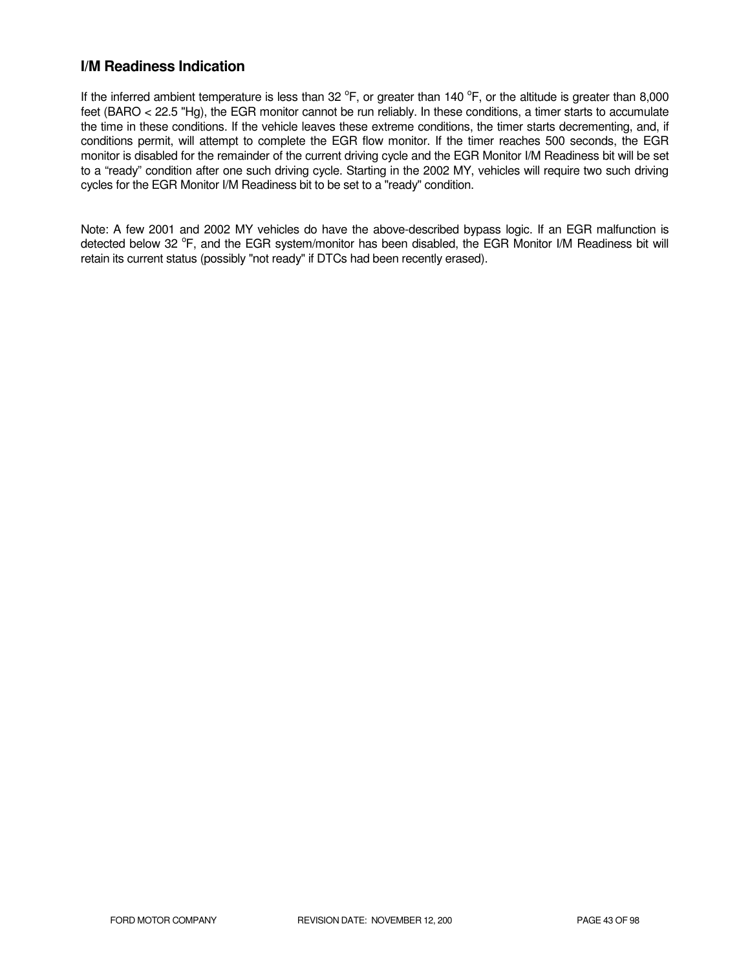# **I/M Readiness Indication**

If the inferred ambient temperature is less than 32  $^{\circ}$ F, or greater than 140  $^{\circ}$ F, or the altitude is greater than 8,000 feet (BARO < 22.5 "Hg), the EGR monitor cannot be run reliably. In these conditions, a timer starts to accumulate the time in these conditions. If the vehicle leaves these extreme conditions, the timer starts decrementing, and, if conditions permit, will attempt to complete the EGR flow monitor. If the timer reaches 500 seconds, the EGR monitor is disabled for the remainder of the current driving cycle and the EGR Monitor I/M Readiness bit will be set to a "ready" condition after one such driving cycle. Starting in the 2002 MY, vehicles will require two such driving cycles for the EGR Monitor I/M Readiness bit to be set to a "ready" condition.

Note: A few 2001 and 2002 MY vehicles do have the above-described bypass logic. If an EGR malfunction is detected below 32 °F, and the EGR system/monitor has been disabled, the EGR Monitor I/M Readiness bit will retain its current status (possibly "not ready" if DTCs had been recently erased).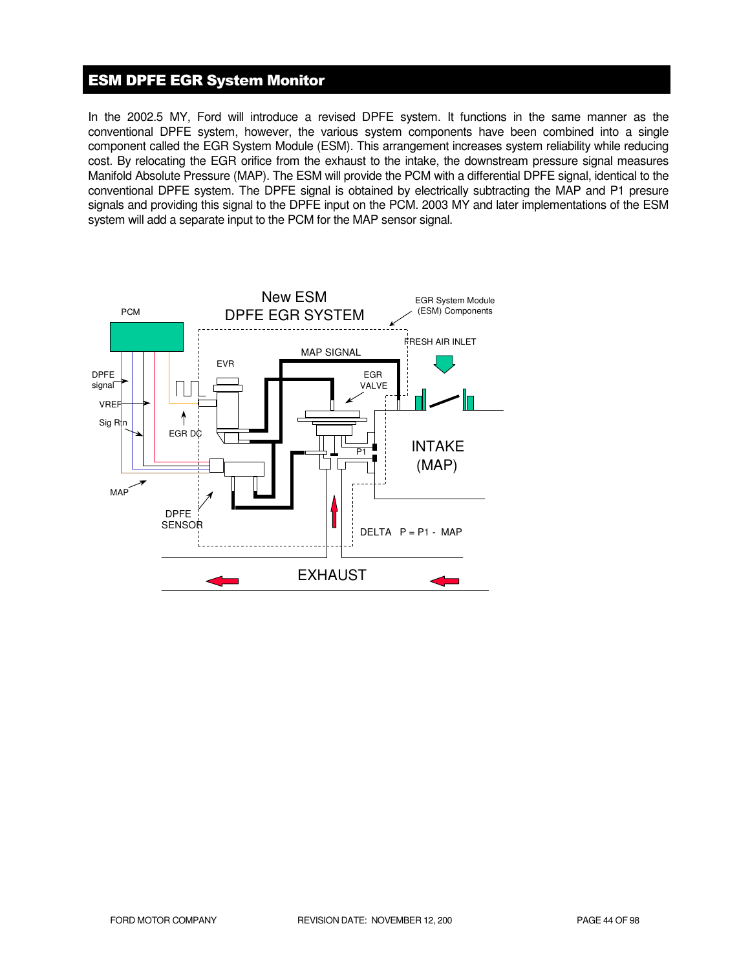# ESM DPFE EGR System Monitor

In the 2002.5 MY, Ford will introduce a revised DPFE system. It functions in the same manner as the conventional DPFE system, however, the various system components have been combined into a single component called the EGR System Module (ESM). This arrangement increases system reliability while reducing cost. By relocating the EGR orifice from the exhaust to the intake, the downstream pressure signal measures Manifold Absolute Pressure (MAP). The ESM will provide the PCM with a differential DPFE signal, identical to the conventional DPFE system. The DPFE signal is obtained by electrically subtracting the MAP and P1 presure signals and providing this signal to the DPFE input on the PCM. 2003 MY and later implementations of the ESM system will add a separate input to the PCM for the MAP sensor signal.

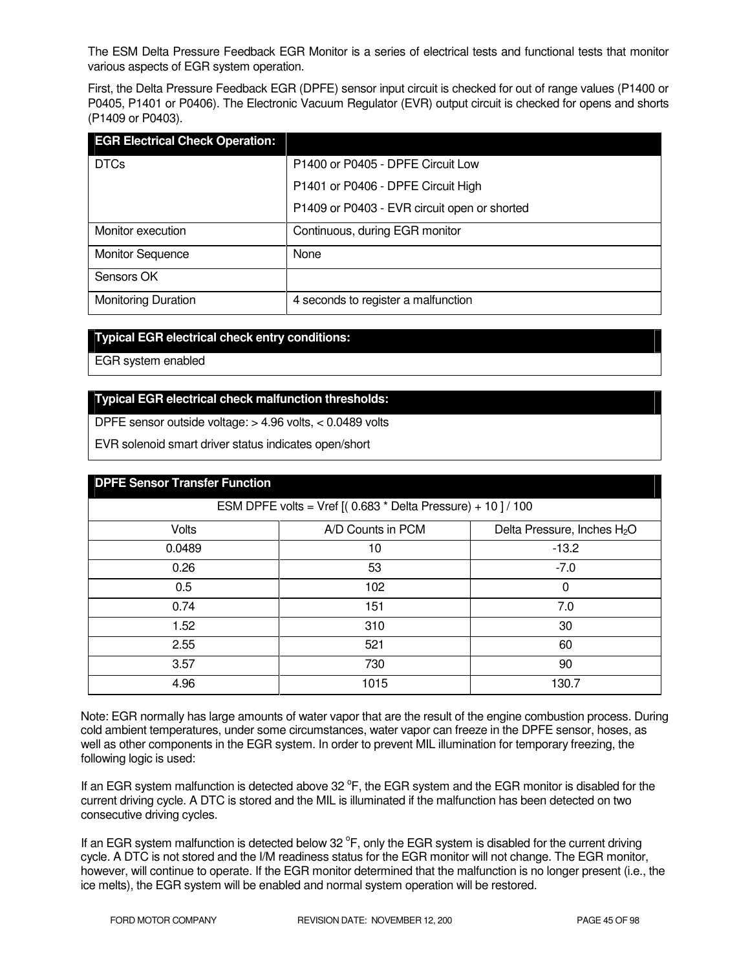The ESM Delta Pressure Feedback EGR Monitor is a series of electrical tests and functional tests that monitor various aspects of EGR system operation.

First, the Delta Pressure Feedback EGR (DPFE) sensor input circuit is checked for out of range values (P1400 or P0405, P1401 or P0406). The Electronic Vacuum Regulator (EVR) output circuit is checked for opens and shorts (P1409 or P0403).

| <b>EGR Electrical Check Operation:</b> |                                              |
|----------------------------------------|----------------------------------------------|
| <b>DTCs</b>                            | P1400 or P0405 - DPFE Circuit Low            |
|                                        | P1401 or P0406 - DPFE Circuit High           |
|                                        | P1409 or P0403 - EVR circuit open or shorted |
| Monitor execution                      | Continuous, during EGR monitor               |
| <b>Monitor Sequence</b>                | None                                         |
| Sensors OK                             |                                              |
| <b>Monitoring Duration</b>             | 4 seconds to register a malfunction          |

#### **Typical EGR electrical check entry conditions:**

EGR system enabled

### **Typical EGR electrical check malfunction thresholds:**

DPFE sensor outside voltage: > 4.96 volts, < 0.0489 volts

EVR solenoid smart driver status indicates open/short

| <b>DPFE Sensor Transfer Function</b>                        |                   |                                         |  |  |
|-------------------------------------------------------------|-------------------|-----------------------------------------|--|--|
| ESM DPFE volts = Vref $[(0.683 * Delta Pressure) + 10]/100$ |                   |                                         |  |  |
| Volts                                                       | A/D Counts in PCM | Delta Pressure, Inches H <sub>2</sub> O |  |  |
| 0.0489                                                      | 10                | $-13.2$                                 |  |  |
| 0.26                                                        | 53                | $-7.0$                                  |  |  |
| 0.5                                                         | 102               | 0                                       |  |  |
| 0.74                                                        | 151               | 7.0                                     |  |  |
| 1.52                                                        | 310               | 30                                      |  |  |
| 2.55                                                        | 521               | 60                                      |  |  |
| 3.57                                                        | 730               | 90                                      |  |  |
| 4.96                                                        | 1015              | 130.7                                   |  |  |

Note: EGR normally has large amounts of water vapor that are the result of the engine combustion process. During cold ambient temperatures, under some circumstances, water vapor can freeze in the DPFE sensor, hoses, as well as other components in the EGR system. In order to prevent MIL illumination for temporary freezing, the following logic is used:

If an EGR system malfunction is detected above 32  $\degree$ F, the EGR system and the EGR monitor is disabled for the current driving cycle. A DTC is stored and the MIL is illuminated if the malfunction has been detected on two consecutive driving cycles.

If an EGR system malfunction is detected below 32  $\degree$ F, only the EGR system is disabled for the current driving cycle. A DTC is not stored and the I/M readiness status for the EGR monitor will not change. The EGR monitor, however, will continue to operate. If the EGR monitor determined that the malfunction is no longer present (i.e., the ice melts), the EGR system will be enabled and normal system operation will be restored.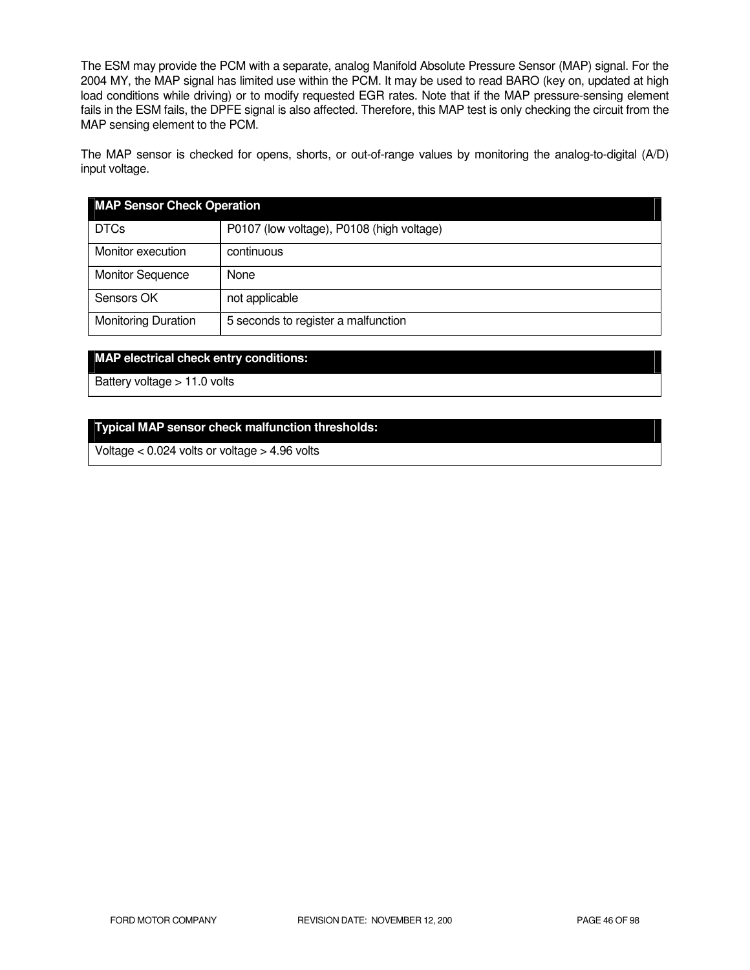The ESM may provide the PCM with a separate, analog Manifold Absolute Pressure Sensor (MAP) signal. For the 2004 MY, the MAP signal has limited use within the PCM. It may be used to read BARO (key on, updated at high load conditions while driving) or to modify requested EGR rates. Note that if the MAP pressure-sensing element fails in the ESM fails, the DPFE signal is also affected. Therefore, this MAP test is only checking the circuit from the MAP sensing element to the PCM.

The MAP sensor is checked for opens, shorts, or out-of-range values by monitoring the analog-to-digital (A/D) input voltage.

| <b>MAP Sensor Check Operation</b> |                                           |  |
|-----------------------------------|-------------------------------------------|--|
| <b>DTCs</b>                       | P0107 (low voltage), P0108 (high voltage) |  |
| Monitor execution                 | continuous                                |  |
| <b>Monitor Sequence</b>           | None                                      |  |
| Sensors OK                        | not applicable                            |  |
| <b>Monitoring Duration</b>        | 5 seconds to register a malfunction       |  |

### **MAP electrical check entry conditions:**

Battery voltage > 11.0 volts

#### **Typical MAP sensor check malfunction thresholds:**

Voltage < 0.024 volts or voltage > 4.96 volts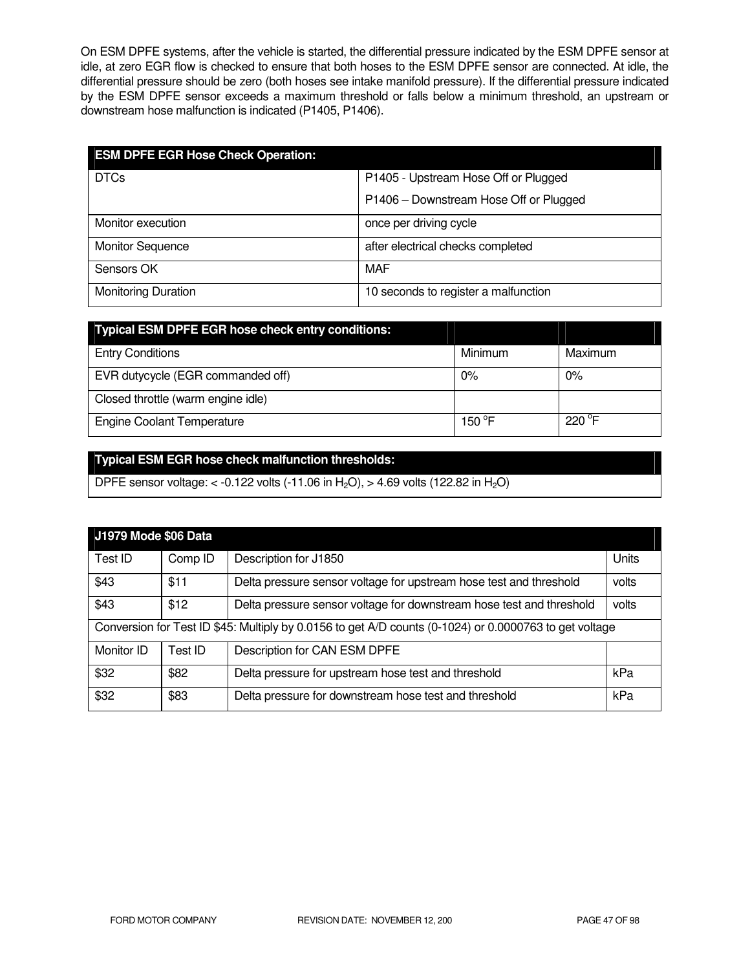On ESM DPFE systems, after the vehicle is started, the differential pressure indicated by the ESM DPFE sensor at idle, at zero EGR flow is checked to ensure that both hoses to the ESM DPFE sensor are connected. At idle, the differential pressure should be zero (both hoses see intake manifold pressure). If the differential pressure indicated by the ESM DPFE sensor exceeds a maximum threshold or falls below a minimum threshold, an upstream or downstream hose malfunction is indicated (P1405, P1406).

| <b>ESM DPFE EGR Hose Check Operation:</b> |                                        |
|-------------------------------------------|----------------------------------------|
| <b>DTCs</b>                               | P1405 - Upstream Hose Off or Plugged   |
|                                           | P1406 - Downstream Hose Off or Plugged |
| Monitor execution                         | once per driving cycle                 |
| <b>Monitor Sequence</b>                   | after electrical checks completed      |
| Sensors OK                                | <b>MAF</b>                             |
| <b>Monitoring Duration</b>                | 10 seconds to register a malfunction   |

| Typical ESM DPFE EGR hose check entry conditions: |                 |                 |
|---------------------------------------------------|-----------------|-----------------|
| <b>Entry Conditions</b>                           | Minimum         | Maximum         |
| EVR dutycycle (EGR commanded off)                 | $0\%$           | 0%              |
| Closed throttle (warm engine idle)                |                 |                 |
| <b>Engine Coolant Temperature</b>                 | 150 $\degree$ F | $220^{\circ}$ F |

# **Typical ESM EGR hose check malfunction thresholds:**

DPFE sensor voltage: < -0.122 volts (-11.06 in H<sub>2</sub>O), > 4.69 volts (122.82 in H<sub>2</sub>O)

| J1979 Mode \$06 Data                                                                                   |         |                                                                      |       |
|--------------------------------------------------------------------------------------------------------|---------|----------------------------------------------------------------------|-------|
| Test ID                                                                                                | Comp ID | Description for J1850                                                | Units |
| \$43                                                                                                   | \$11    | Delta pressure sensor voltage for upstream hose test and threshold   | volts |
| \$43                                                                                                   | \$12    | Delta pressure sensor voltage for downstream hose test and threshold | volts |
| Conversion for Test ID \$45: Multiply by 0.0156 to get A/D counts (0-1024) or 0.0000763 to get voltage |         |                                                                      |       |
| Monitor ID                                                                                             | Test ID | Description for CAN ESM DPFE                                         |       |
| \$32                                                                                                   | \$82    | Delta pressure for upstream hose test and threshold                  | kPa   |
| \$32                                                                                                   | \$83    | Delta pressure for downstream hose test and threshold                | kPa   |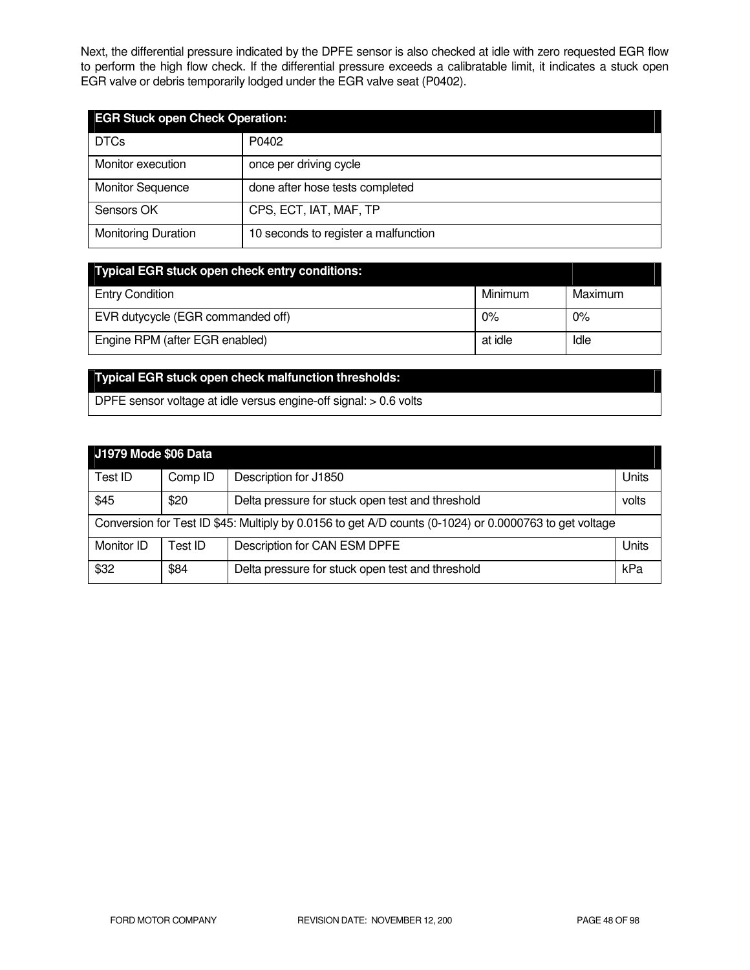Next, the differential pressure indicated by the DPFE sensor is also checked at idle with zero requested EGR flow to perform the high flow check. If the differential pressure exceeds a calibratable limit, it indicates a stuck open EGR valve or debris temporarily lodged under the EGR valve seat (P0402).

| <b>EGR Stuck open Check Operation:</b> |                                      |  |
|----------------------------------------|--------------------------------------|--|
| <b>DTCs</b>                            | P0402                                |  |
| Monitor execution                      | once per driving cycle               |  |
| <b>Monitor Sequence</b>                | done after hose tests completed      |  |
| Sensors OK                             | CPS, ECT, IAT, MAF, TP               |  |
| <b>Monitoring Duration</b>             | 10 seconds to register a malfunction |  |

| <b>Typical EGR stuck open check entry conditions:</b> |         |         |
|-------------------------------------------------------|---------|---------|
| <b>Entry Condition</b>                                | Minimum | Maximum |
| EVR dutycycle (EGR commanded off)                     | 0%      | 0%      |
| Engine RPM (after EGR enabled)                        | at idle | Idle    |

# **Typical EGR stuck open check malfunction thresholds:**

DPFE sensor voltage at idle versus engine-off signal: > 0.6 volts

| J1979 Mode \$06 Data                                                                                   |         |                                                  |       |
|--------------------------------------------------------------------------------------------------------|---------|--------------------------------------------------|-------|
| Test ID                                                                                                | Comp ID | Description for J1850                            | Units |
| \$45                                                                                                   | \$20    | Delta pressure for stuck open test and threshold | volts |
| Conversion for Test ID \$45: Multiply by 0.0156 to get A/D counts (0-1024) or 0.0000763 to get voltage |         |                                                  |       |
| Monitor ID                                                                                             | Test ID | Description for CAN ESM DPFE                     | Units |
| \$32                                                                                                   | \$84    | Delta pressure for stuck open test and threshold | kPa   |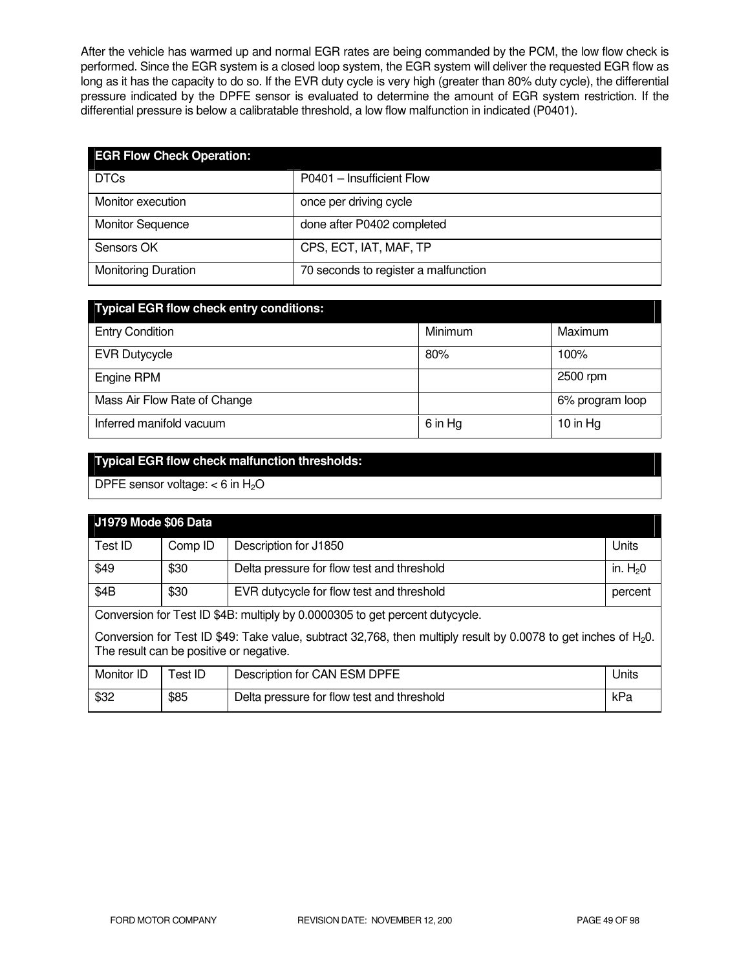After the vehicle has warmed up and normal EGR rates are being commanded by the PCM, the low flow check is performed. Since the EGR system is a closed loop system, the EGR system will deliver the requested EGR flow as long as it has the capacity to do so. If the EVR duty cycle is very high (greater than 80% duty cycle), the differential pressure indicated by the DPFE sensor is evaluated to determine the amount of EGR system restriction. If the differential pressure is below a calibratable threshold, a low flow malfunction in indicated (P0401).

| <b>EGR Flow Check Operation:</b> |                                      |
|----------------------------------|--------------------------------------|
| <b>DTCs</b>                      | P0401 - Insufficient Flow            |
| Monitor execution                | once per driving cycle               |
| <b>Monitor Sequence</b>          | done after P0402 completed           |
| Sensors OK                       | CPS, ECT, IAT, MAF, TP               |
| <b>Monitoring Duration</b>       | 70 seconds to register a malfunction |

| <b>Typical EGR flow check entry conditions:</b> |         |                 |  |  |
|-------------------------------------------------|---------|-----------------|--|--|
| <b>Entry Condition</b>                          | Minimum | Maximum         |  |  |
| <b>EVR Dutycycle</b>                            | 80%     | 100%            |  |  |
| Engine RPM                                      |         | 2500 rpm        |  |  |
| Mass Air Flow Rate of Change                    |         | 6% program loop |  |  |
| Inferred manifold vacuum                        | 6 in Hg | 10 in $Hg$      |  |  |

# **Typical EGR flow check malfunction thresholds:**

DPFE sensor voltage:  $<$  6 in H<sub>2</sub>O

| J1979 Mode \$06 Data                                                                                                                                          |         |                                            |           |
|---------------------------------------------------------------------------------------------------------------------------------------------------------------|---------|--------------------------------------------|-----------|
| Test ID                                                                                                                                                       | Comp ID | Description for J1850                      | Units     |
| \$49                                                                                                                                                          | \$30    | Delta pressure for flow test and threshold | in. $H20$ |
| \$4B                                                                                                                                                          | \$30    | EVR dutycycle for flow test and threshold  | percent   |
| Conversion for Test ID \$4B: multiply by 0.0000305 to get percent dutycycle.                                                                                  |         |                                            |           |
| Conversion for Test ID \$49: Take value, subtract 32,768, then multiply result by 0.0078 to get inches of $H_2O$ .<br>The result can be positive or negative. |         |                                            |           |
| Monitor ID                                                                                                                                                    | Test ID | Description for CAN ESM DPFE               | Units     |
| \$32                                                                                                                                                          | \$85    | Delta pressure for flow test and threshold | kPa       |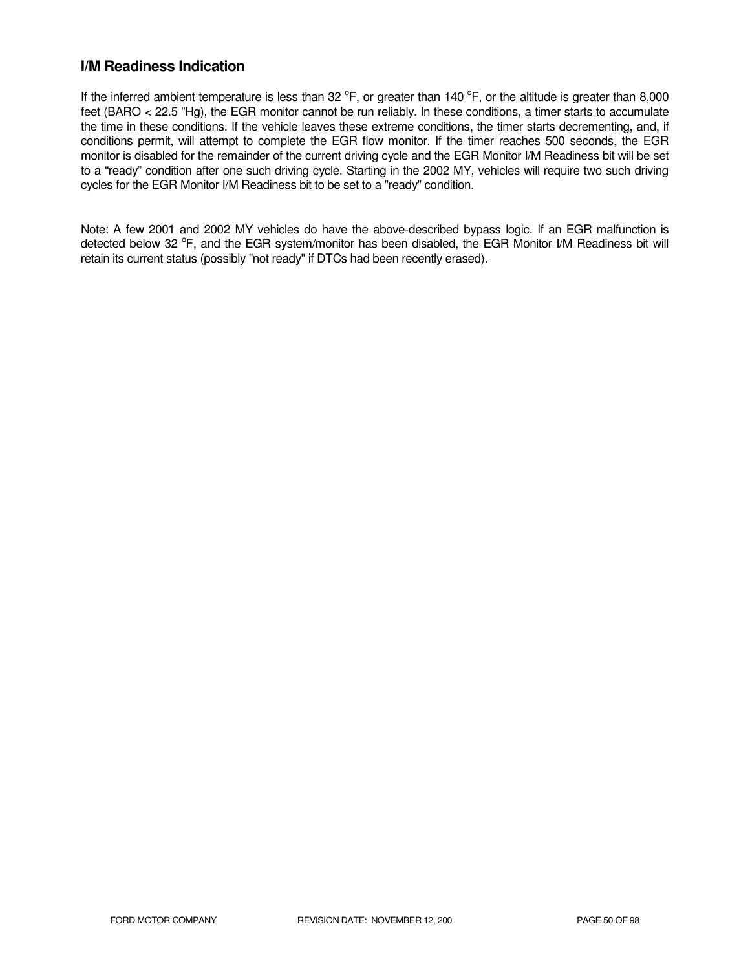# **I/M Readiness Indication**

If the inferred ambient temperature is less than 32  $^{\circ}$ F, or greater than 140  $^{\circ}$ F, or the altitude is greater than 8,000 feet (BARO < 22.5 "Hg), the EGR monitor cannot be run reliably. In these conditions, a timer starts to accumulate the time in these conditions. If the vehicle leaves these extreme conditions, the timer starts decrementing, and, if conditions permit, will attempt to complete the EGR flow monitor. If the timer reaches 500 seconds, the EGR monitor is disabled for the remainder of the current driving cycle and the EGR Monitor I/M Readiness bit will be set to a "ready" condition after one such driving cycle. Starting in the 2002 MY, vehicles will require two such driving cycles for the EGR Monitor I/M Readiness bit to be set to a "ready" condition.

Note: A few 2001 and 2002 MY vehicles do have the above-described bypass logic. If an EGR malfunction is detected below 32 °F, and the EGR system/monitor has been disabled, the EGR Monitor I/M Readiness bit will retain its current status (possibly "not ready" if DTCs had been recently erased).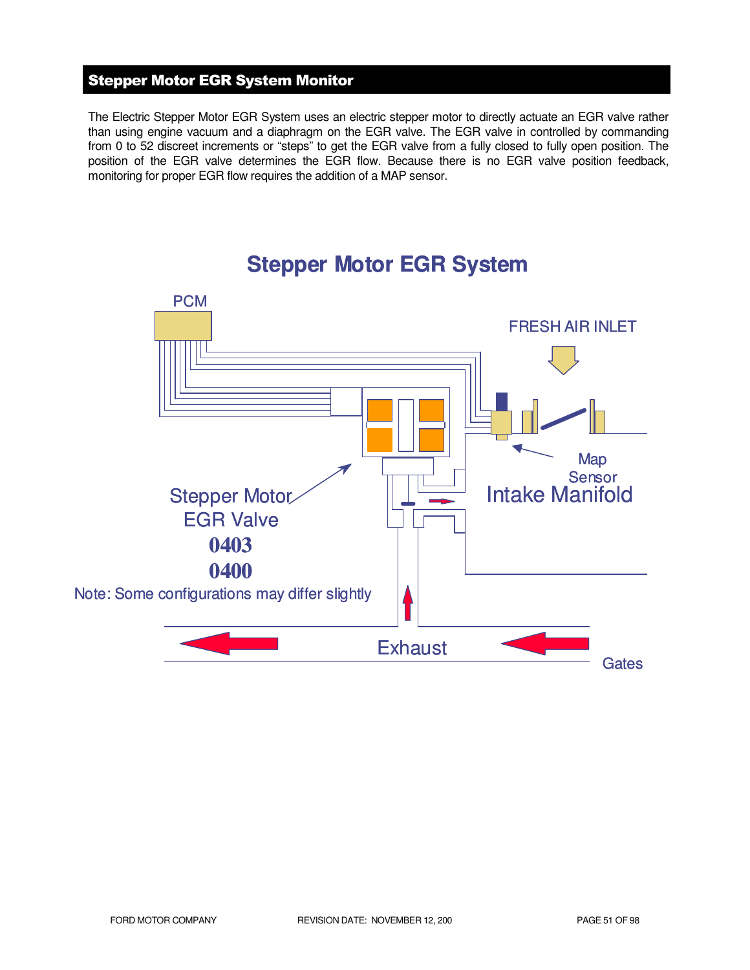# Stepper Motor EGR System Monitor

The Electric Stepper Motor EGR System uses an electric stepper motor to directly actuate an EGR valve rather than using engine vacuum and a diaphragm on the EGR valve. The EGR valve in controlled by commanding from 0 to 52 discreet increments or "steps" to get the EGR valve from a fully closed to fully open position. The position of the EGR valve determines the EGR flow. Because there is no EGR valve position feedback, monitoring for proper EGR flow requires the addition of a MAP sensor.



# **Stepper Motor EGR System**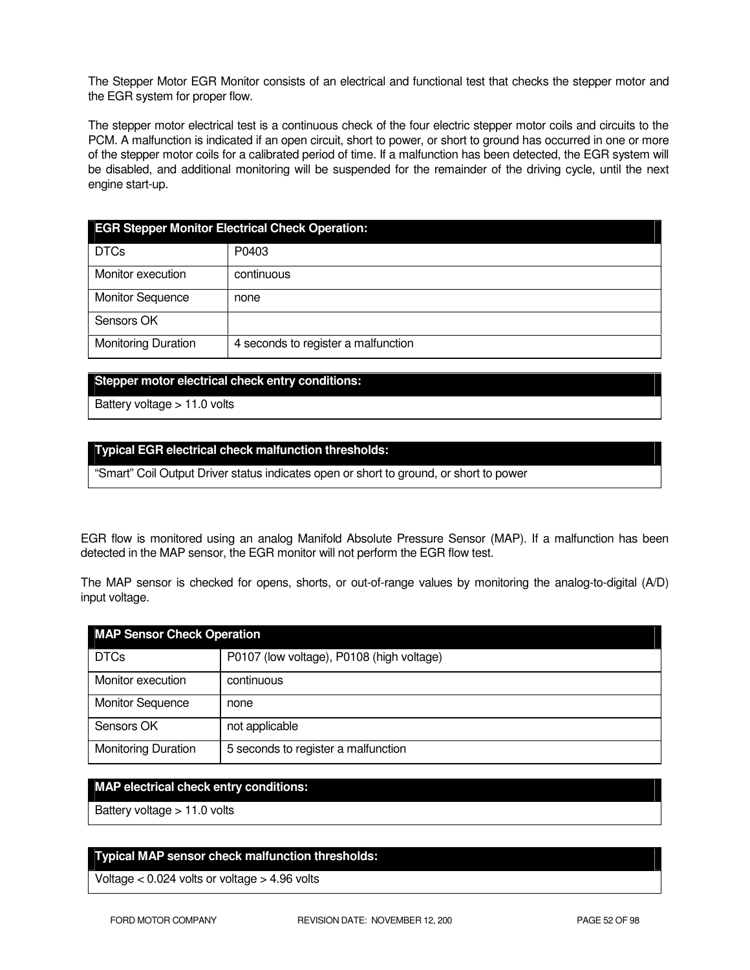The Stepper Motor EGR Monitor consists of an electrical and functional test that checks the stepper motor and the EGR system for proper flow.

The stepper motor electrical test is a continuous check of the four electric stepper motor coils and circuits to the PCM. A malfunction is indicated if an open circuit, short to power, or short to ground has occurred in one or more of the stepper motor coils for a calibrated period of time. If a malfunction has been detected, the EGR system will be disabled, and additional monitoring will be suspended for the remainder of the driving cycle, until the next engine start-up.

| <b>EGR Stepper Monitor Electrical Check Operation:</b> |                                     |  |
|--------------------------------------------------------|-------------------------------------|--|
| <b>DTCs</b>                                            | P0403                               |  |
| Monitor execution                                      | continuous                          |  |
| <b>Monitor Sequence</b>                                | none                                |  |
| Sensors OK                                             |                                     |  |
| <b>Monitoring Duration</b>                             | 4 seconds to register a malfunction |  |

#### **Stepper motor electrical check entry conditions:**

Battery voltage > 11.0 volts

#### **Typical EGR electrical check malfunction thresholds:**

"Smart" Coil Output Driver status indicates open or short to ground, or short to power

EGR flow is monitored using an analog Manifold Absolute Pressure Sensor (MAP). If a malfunction has been detected in the MAP sensor, the EGR monitor will not perform the EGR flow test.

The MAP sensor is checked for opens, shorts, or out-of-range values by monitoring the analog-to-digital (A/D) input voltage.

| <b>MAP Sensor Check Operation</b> |                                           |  |
|-----------------------------------|-------------------------------------------|--|
| <b>DTCs</b>                       | P0107 (low voltage), P0108 (high voltage) |  |
| Monitor execution                 | continuous                                |  |
| <b>Monitor Sequence</b>           | none                                      |  |
| Sensors OK                        | not applicable                            |  |
| <b>Monitoring Duration</b>        | 5 seconds to register a malfunction       |  |

#### **MAP electrical check entry conditions:**

Battery voltage > 11.0 volts

#### **Typical MAP sensor check malfunction thresholds:**

Voltage < 0.024 volts or voltage > 4.96 volts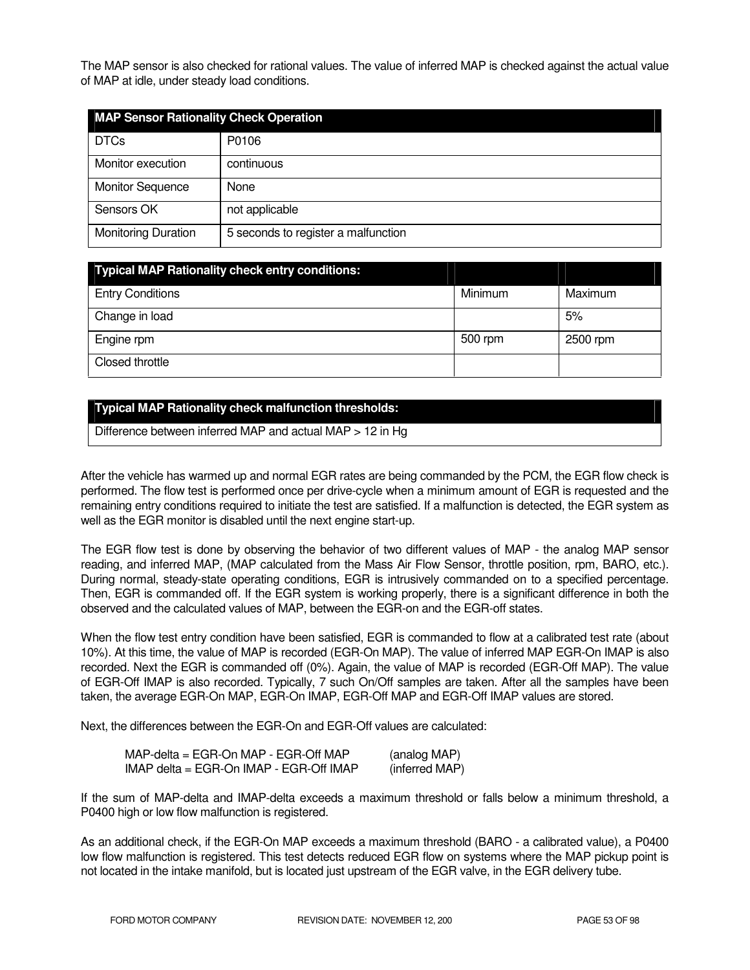The MAP sensor is also checked for rational values. The value of inferred MAP is checked against the actual value of MAP at idle, under steady load conditions.

| <b>MAP Sensor Rationality Check Operation</b> |                                     |  |
|-----------------------------------------------|-------------------------------------|--|
| <b>DTCs</b>                                   | P0106                               |  |
| Monitor execution                             | continuous                          |  |
| <b>Monitor Sequence</b>                       | None                                |  |
| Sensors OK                                    | not applicable                      |  |
| <b>Monitoring Duration</b>                    | 5 seconds to register a malfunction |  |

| <b>Typical MAP Rationality check entry conditions:</b> |         |          |
|--------------------------------------------------------|---------|----------|
| <b>Entry Conditions</b>                                | Minimum | Maximum  |
| Change in load                                         |         | 5%       |
| Engine rpm                                             | 500 rpm | 2500 rpm |
| Closed throttle                                        |         |          |

### **Typical MAP Rationality check malfunction thresholds:**

Difference between inferred MAP and actual MAP > 12 in Hg

After the vehicle has warmed up and normal EGR rates are being commanded by the PCM, the EGR flow check is performed. The flow test is performed once per drive-cycle when a minimum amount of EGR is requested and the remaining entry conditions required to initiate the test are satisfied. If a malfunction is detected, the EGR system as well as the EGR monitor is disabled until the next engine start-up.

The EGR flow test is done by observing the behavior of two different values of MAP - the analog MAP sensor reading, and inferred MAP, (MAP calculated from the Mass Air Flow Sensor, throttle position, rpm, BARO, etc.). During normal, steady-state operating conditions, EGR is intrusively commanded on to a specified percentage. Then, EGR is commanded off. If the EGR system is working properly, there is a significant difference in both the observed and the calculated values of MAP, between the EGR-on and the EGR-off states.

When the flow test entry condition have been satisfied, EGR is commanded to flow at a calibrated test rate (about 10%). At this time, the value of MAP is recorded (EGR-On MAP). The value of inferred MAP EGR-On IMAP is also recorded. Next the EGR is commanded off (0%). Again, the value of MAP is recorded (EGR-Off MAP). The value of EGR-Off IMAP is also recorded. Typically, 7 such On/Off samples are taken. After all the samples have been taken, the average EGR-On MAP, EGR-On IMAP, EGR-Off MAP and EGR-Off IMAP values are stored.

Next, the differences between the EGR-On and EGR-Off values are calculated:

| $MAP$ -delta = EGR-On MAP - EGR-Off MAP       | (analog MAP)   |
|-----------------------------------------------|----------------|
| $IMAP$ delta = EGR-On $IMAP$ - EGR-Off $IMAP$ | (inferred MAP) |

If the sum of MAP-delta and IMAP-delta exceeds a maximum threshold or falls below a minimum threshold, a P0400 high or low flow malfunction is registered.

As an additional check, if the EGR-On MAP exceeds a maximum threshold (BARO - a calibrated value), a P0400 low flow malfunction is registered. This test detects reduced EGR flow on systems where the MAP pickup point is not located in the intake manifold, but is located just upstream of the EGR valve, in the EGR delivery tube.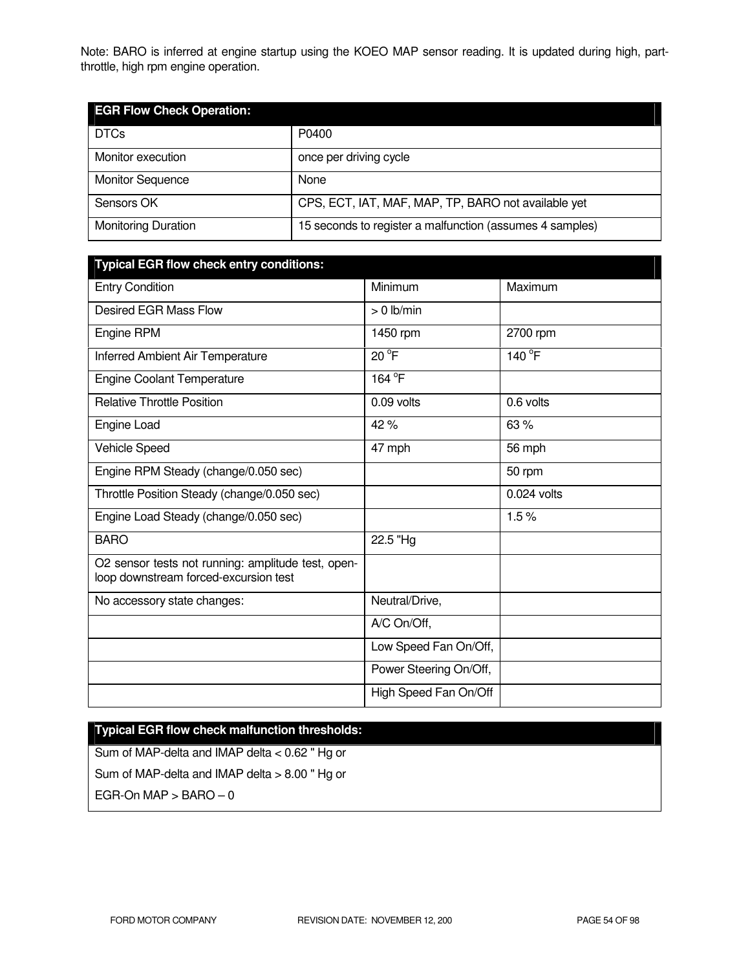Note: BARO is inferred at engine startup using the KOEO MAP sensor reading. It is updated during high, partthrottle, high rpm engine operation.

| <b>EGR Flow Check Operation:</b> |                                                          |
|----------------------------------|----------------------------------------------------------|
| <b>DTCs</b>                      | P0400                                                    |
| Monitor execution                | once per driving cycle                                   |
| <b>Monitor Sequence</b>          | None                                                     |
| Sensors OK                       | CPS, ECT, IAT, MAF, MAP, TP, BARO not available yet      |
| <b>Monitoring Duration</b>       | 15 seconds to register a malfunction (assumes 4 samples) |

| <b>Typical EGR flow check entry conditions:</b>                                             |                        |               |
|---------------------------------------------------------------------------------------------|------------------------|---------------|
| <b>Entry Condition</b>                                                                      | Minimum                | Maximum       |
| <b>Desired EGR Mass Flow</b>                                                                | $> 0$ lb/min           |               |
| Engine RPM                                                                                  | 1450 rpm               | 2700 rpm      |
| Inferred Ambient Air Temperature                                                            | $20^{\circ}$ F         | 140 °F        |
| <b>Engine Coolant Temperature</b>                                                           | 164 <sup>°</sup> F     |               |
| <b>Relative Throttle Position</b>                                                           | 0.09 volts             | 0.6 volts     |
| Engine Load                                                                                 | 42%                    | 63%           |
| Vehicle Speed                                                                               | 47 mph                 | 56 mph        |
| Engine RPM Steady (change/0.050 sec)                                                        |                        | 50 rpm        |
| Throttle Position Steady (change/0.050 sec)                                                 |                        | $0.024$ volts |
| Engine Load Steady (change/0.050 sec)                                                       |                        | 1.5%          |
| <b>BARO</b>                                                                                 | 22.5 "Hg               |               |
| O2 sensor tests not running: amplitude test, open-<br>loop downstream forced-excursion test |                        |               |
| No accessory state changes:                                                                 | Neutral/Drive,         |               |
|                                                                                             | A/C On/Off,            |               |
|                                                                                             | Low Speed Fan On/Off,  |               |
|                                                                                             | Power Steering On/Off, |               |
|                                                                                             | High Speed Fan On/Off  |               |

# **Typical EGR flow check malfunction thresholds:**

Sum of MAP-delta and IMAP delta < 0.62 " Hg or Sum of MAP-delta and IMAP delta > 8.00 " Hg or EGR-On  $MAP > BARO - O$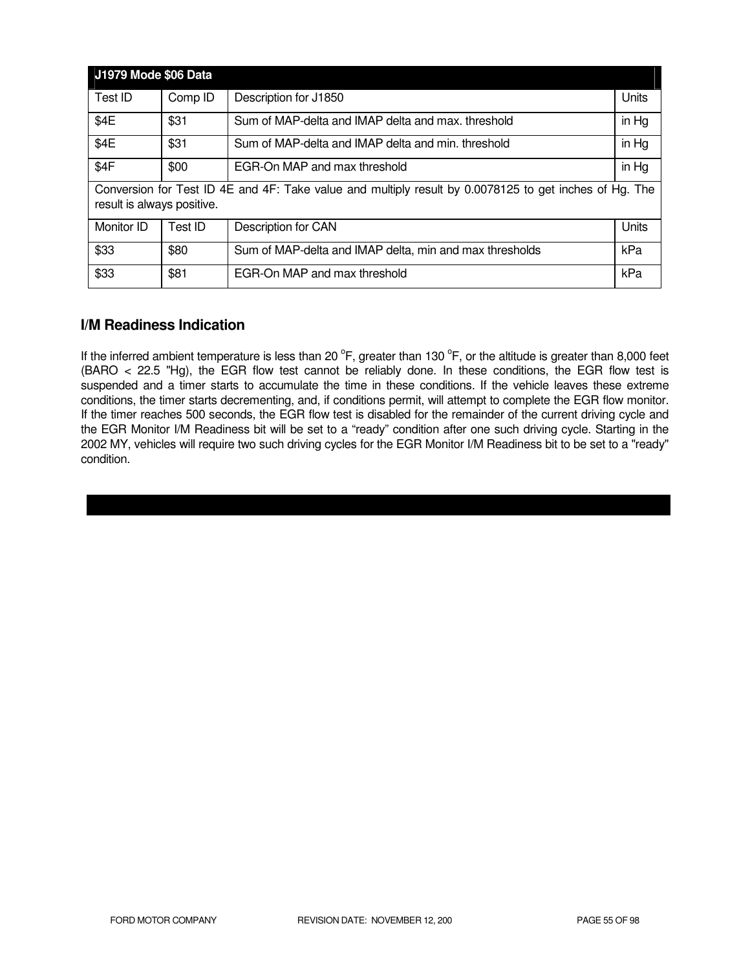| <b>J1979 Mode \$06 Data</b>                                                                                                          |         |                                                         |       |
|--------------------------------------------------------------------------------------------------------------------------------------|---------|---------------------------------------------------------|-------|
| Test ID                                                                                                                              | Comp ID | Description for J1850                                   | Units |
| \$4E                                                                                                                                 | \$31    | Sum of MAP-delta and IMAP delta and max. threshold      | in Hg |
| \$4E                                                                                                                                 | \$31    | Sum of MAP-delta and IMAP delta and min. threshold      | in Hg |
| \$4F                                                                                                                                 | \$00    | EGR-On MAP and max threshold                            | in Hg |
| Conversion for Test ID 4E and 4F: Take value and multiply result by 0.0078125 to get inches of Hg. The<br>result is always positive. |         |                                                         |       |
| Monitor ID                                                                                                                           | Test ID | Description for CAN                                     | Units |
| \$33                                                                                                                                 | \$80    | Sum of MAP-delta and IMAP delta, min and max thresholds | kPa   |
| \$33                                                                                                                                 | \$81    | EGR-On MAP and max threshold                            | kPa   |

# **I/M Readiness Indication**

If the inferred ambient temperature is less than 20  $^{\circ}$ F, greater than 130  $^{\circ}$ F, or the altitude is greater than 8,000 feet (BARO < 22.5 "Hg), the EGR flow test cannot be reliably done. In these conditions, the EGR flow test is suspended and a timer starts to accumulate the time in these conditions. If the vehicle leaves these extreme conditions, the timer starts decrementing, and, if conditions permit, will attempt to complete the EGR flow monitor. If the timer reaches 500 seconds, the EGR flow test is disabled for the remainder of the current driving cycle and the EGR Monitor I/M Readiness bit will be set to a "ready" condition after one such driving cycle. Starting in the 2002 MY, vehicles will require two such driving cycles for the EGR Monitor I/M Readiness bit to be set to a "ready" condition.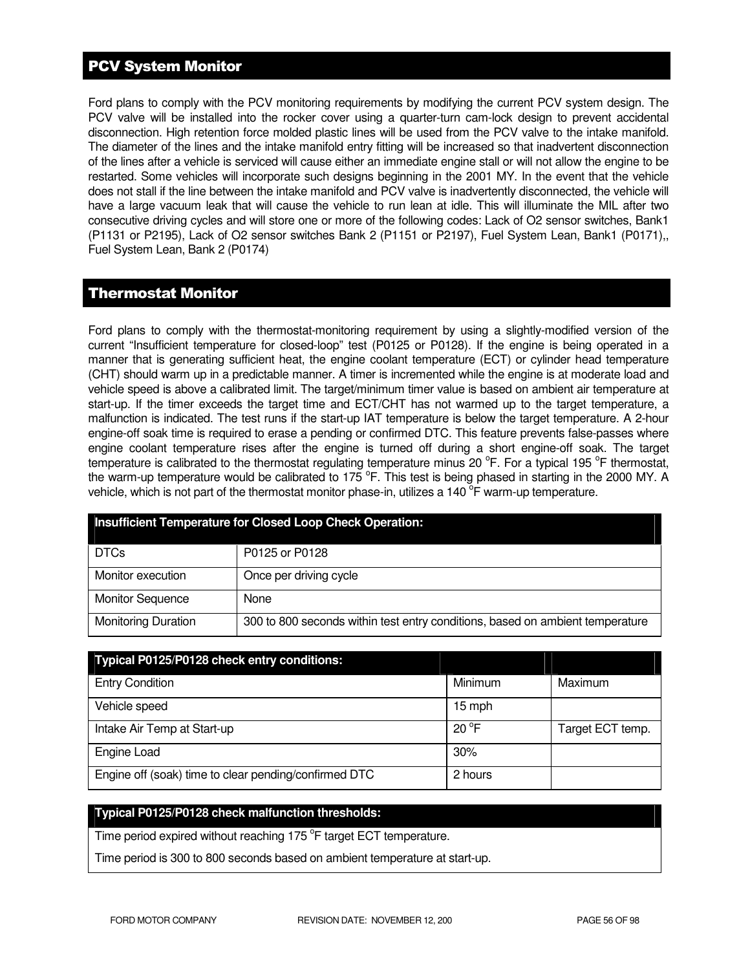# PCV System Monitor

Ford plans to comply with the PCV monitoring requirements by modifying the current PCV system design. The PCV valve will be installed into the rocker cover using a quarter-turn cam-lock design to prevent accidental disconnection. High retention force molded plastic lines will be used from the PCV valve to the intake manifold. The diameter of the lines and the intake manifold entry fitting will be increased so that inadvertent disconnection of the lines after a vehicle is serviced will cause either an immediate engine stall or will not allow the engine to be restarted. Some vehicles will incorporate such designs beginning in the 2001 MY. In the event that the vehicle does not stall if the line between the intake manifold and PCV valve is inadvertently disconnected, the vehicle will have a large vacuum leak that will cause the vehicle to run lean at idle. This will illuminate the MIL after two consecutive driving cycles and will store one or more of the following codes: Lack of O2 sensor switches, Bank1 (P1131 or P2195), Lack of O2 sensor switches Bank 2 (P1151 or P2197), Fuel System Lean, Bank1 (P0171),, Fuel System Lean, Bank 2 (P0174)

## Thermostat Monitor

Ford plans to comply with the thermostat-monitoring requirement by using a slightly-modified version of the current "Insufficient temperature for closed-loop" test (P0125 or P0128). If the engine is being operated in a manner that is generating sufficient heat, the engine coolant temperature (ECT) or cylinder head temperature (CHT) should warm up in a predictable manner. A timer is incremented while the engine is at moderate load and vehicle speed is above a calibrated limit. The target/minimum timer value is based on ambient air temperature at start-up. If the timer exceeds the target time and ECT/CHT has not warmed up to the target temperature, a malfunction is indicated. The test runs if the start-up IAT temperature is below the target temperature. A 2-hour engine-off soak time is required to erase a pending or confirmed DTC. This feature prevents false-passes where engine coolant temperature rises after the engine is turned off during a short engine-off soak. The target temperature is calibrated to the thermostat regulating temperature minus 20 °F. For a typical 195 °F thermostat, the warm-up temperature would be calibrated to 175  $\degree$ F. This test is being phased in starting in the 2000 MY. A vehicle, which is not part of the thermostat monitor phase-in, utilizes a 140  $\overline{P}$  warm-up temperature.

| <b>Insufficient Temperature for Closed Loop Check Operation:</b> |                                                                               |  |
|------------------------------------------------------------------|-------------------------------------------------------------------------------|--|
| <b>DTCs</b>                                                      | P0125 or P0128                                                                |  |
| Monitor execution                                                | Once per driving cycle                                                        |  |
| <b>Monitor Sequence</b>                                          | None                                                                          |  |
| <b>Monitoring Duration</b>                                       | 300 to 800 seconds within test entry conditions, based on ambient temperature |  |

| Typical P0125/P0128 check entry conditions:           |                |                  |
|-------------------------------------------------------|----------------|------------------|
| <b>Entry Condition</b>                                | Minimum        | Maximum          |
| Vehicle speed                                         | 15 mph         |                  |
| Intake Air Temp at Start-up                           | $20^{\circ}$ F | Target ECT temp. |
| Engine Load                                           | 30%            |                  |
| Engine off (soak) time to clear pending/confirmed DTC | 2 hours        |                  |

### **Typical P0125/P0128 check malfunction thresholds:**

Time period expired without reaching 175 °F target ECT temperature.

Time period is 300 to 800 seconds based on ambient temperature at start-up.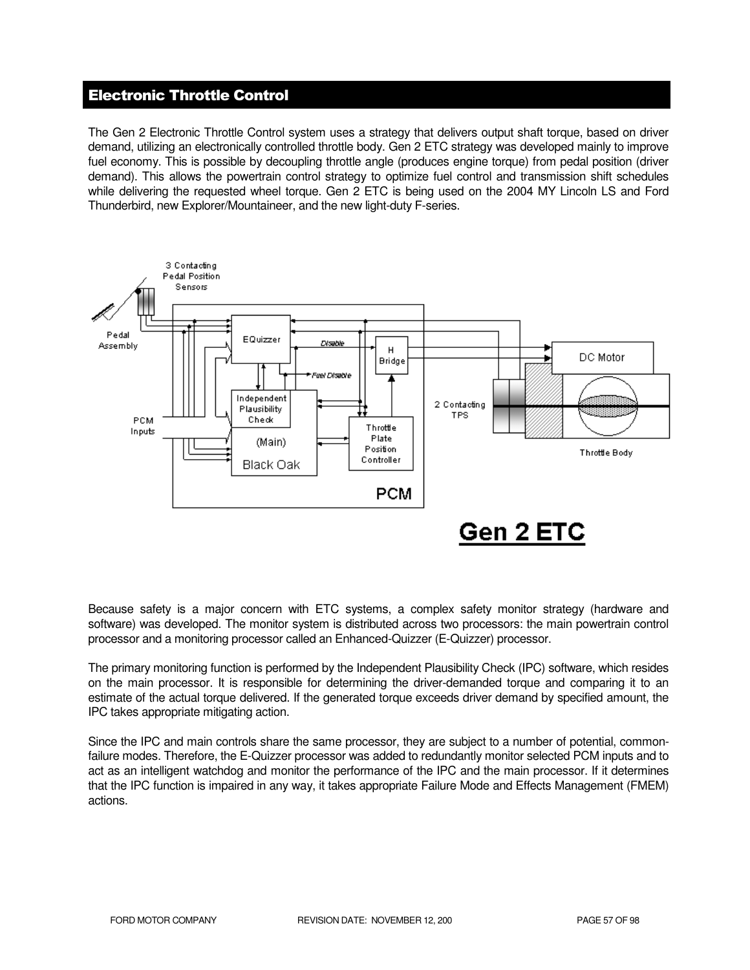# Electronic Throttle Control

The Gen 2 Electronic Throttle Control system uses a strategy that delivers output shaft torque, based on driver demand, utilizing an electronically controlled throttle body. Gen 2 ETC strategy was developed mainly to improve fuel economy. This is possible by decoupling throttle angle (produces engine torque) from pedal position (driver demand). This allows the powertrain control strategy to optimize fuel control and transmission shift schedules while delivering the requested wheel torque. Gen 2 ETC is being used on the 2004 MY Lincoln LS and Ford Thunderbird, new Explorer/Mountaineer, and the new light-duty F-series.



Because safety is a major concern with ETC systems, a complex safety monitor strategy (hardware and software) was developed. The monitor system is distributed across two processors: the main powertrain control processor and a monitoring processor called an Enhanced-Quizzer (E-Quizzer) processor.

The primary monitoring function is performed by the Independent Plausibility Check (IPC) software, which resides on the main processor. It is responsible for determining the driver-demanded torque and comparing it to an estimate of the actual torque delivered. If the generated torque exceeds driver demand by specified amount, the IPC takes appropriate mitigating action.

Since the IPC and main controls share the same processor, they are subject to a number of potential, commonfailure modes. Therefore, the E-Quizzer processor was added to redundantly monitor selected PCM inputs and to act as an intelligent watchdog and monitor the performance of the IPC and the main processor. If it determines that the IPC function is impaired in any way, it takes appropriate Failure Mode and Effects Management (FMEM) actions.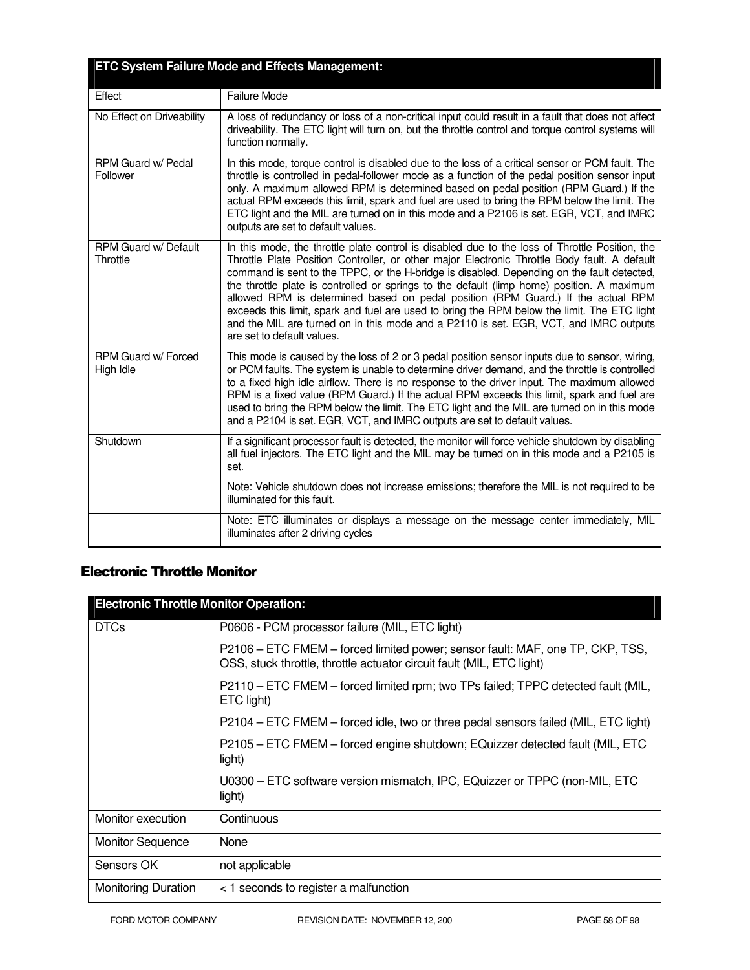|                                  | <b>ETC System Failure Mode and Effects Management:</b>                                                                                                                                                                                                                                                                                                                                                                                                                                                                                                                                                                                                                                               |
|----------------------------------|------------------------------------------------------------------------------------------------------------------------------------------------------------------------------------------------------------------------------------------------------------------------------------------------------------------------------------------------------------------------------------------------------------------------------------------------------------------------------------------------------------------------------------------------------------------------------------------------------------------------------------------------------------------------------------------------------|
| Effect                           | <b>Failure Mode</b>                                                                                                                                                                                                                                                                                                                                                                                                                                                                                                                                                                                                                                                                                  |
| No Effect on Driveability        | A loss of redundancy or loss of a non-critical input could result in a fault that does not affect<br>driveability. The ETC light will turn on, but the throttle control and torque control systems will<br>function normally.                                                                                                                                                                                                                                                                                                                                                                                                                                                                        |
| RPM Guard w/ Pedal<br>Follower   | In this mode, torque control is disabled due to the loss of a critical sensor or PCM fault. The<br>throttle is controlled in pedal-follower mode as a function of the pedal position sensor input<br>only. A maximum allowed RPM is determined based on pedal position (RPM Guard.) If the<br>actual RPM exceeds this limit, spark and fuel are used to bring the RPM below the limit. The<br>ETC light and the MIL are turned on in this mode and a P2106 is set. EGR, VCT, and IMRC<br>outputs are set to default values.                                                                                                                                                                          |
| RPM Guard w/ Default<br>Throttle | In this mode, the throttle plate control is disabled due to the loss of Throttle Position, the<br>Throttle Plate Position Controller, or other major Electronic Throttle Body fault. A default<br>command is sent to the TPPC, or the H-bridge is disabled. Depending on the fault detected,<br>the throttle plate is controlled or springs to the default (limp home) position. A maximum<br>allowed RPM is determined based on pedal position (RPM Guard.) If the actual RPM<br>exceeds this limit, spark and fuel are used to bring the RPM below the limit. The ETC light<br>and the MIL are turned on in this mode and a P2110 is set. EGR, VCT, and IMRC outputs<br>are set to default values. |
| RPM Guard w/ Forced<br>High Idle | This mode is caused by the loss of 2 or 3 pedal position sensor inputs due to sensor, wiring,<br>or PCM faults. The system is unable to determine driver demand, and the throttle is controlled<br>to a fixed high idle airflow. There is no response to the driver input. The maximum allowed<br>RPM is a fixed value (RPM Guard.) If the actual RPM exceeds this limit, spark and fuel are<br>used to bring the RPM below the limit. The ETC light and the MIL are turned on in this mode<br>and a P2104 is set. EGR, VCT, and IMRC outputs are set to default values.                                                                                                                             |
| Shutdown                         | If a significant processor fault is detected, the monitor will force vehicle shutdown by disabling<br>all fuel injectors. The ETC light and the MIL may be turned on in this mode and a P2105 is<br>set.                                                                                                                                                                                                                                                                                                                                                                                                                                                                                             |
|                                  | Note: Vehicle shutdown does not increase emissions; therefore the MIL is not required to be<br>illuminated for this fault.                                                                                                                                                                                                                                                                                                                                                                                                                                                                                                                                                                           |
|                                  | Note: ETC illuminates or displays a message on the message center immediately, MIL<br>illuminates after 2 driving cycles                                                                                                                                                                                                                                                                                                                                                                                                                                                                                                                                                                             |

# Electronic Throttle Monitor

| <b>Electronic Throttle Monitor Operation:</b> |                                                                                                                                                        |  |
|-----------------------------------------------|--------------------------------------------------------------------------------------------------------------------------------------------------------|--|
| <b>DTCs</b>                                   | P0606 - PCM processor failure (MIL, ETC light)                                                                                                         |  |
|                                               | P2106 – ETC FMEM – forced limited power; sensor fault: MAF, one TP, CKP, TSS,<br>OSS, stuck throttle, throttle actuator circuit fault (MIL, ETC light) |  |
|                                               | P2110 – ETC FMEM – forced limited rpm; two TPs failed; TPPC detected fault (MIL,<br>ETC light)                                                         |  |
|                                               | P2104 – ETC FMEM – forced idle, two or three pedal sensors failed (MIL, ETC light)                                                                     |  |
|                                               | P2105 – ETC FMEM – forced engine shutdown; EQuizzer detected fault (MIL, ETC<br>light)                                                                 |  |
|                                               | U0300 – ETC software version mismatch, IPC, EQuizzer or TPPC (non-MIL, ETC<br>light)                                                                   |  |
| Monitor execution                             | Continuous                                                                                                                                             |  |
| <b>Monitor Sequence</b>                       | None                                                                                                                                                   |  |
| Sensors OK                                    | not applicable                                                                                                                                         |  |
| <b>Monitoring Duration</b>                    | < 1 seconds to register a malfunction                                                                                                                  |  |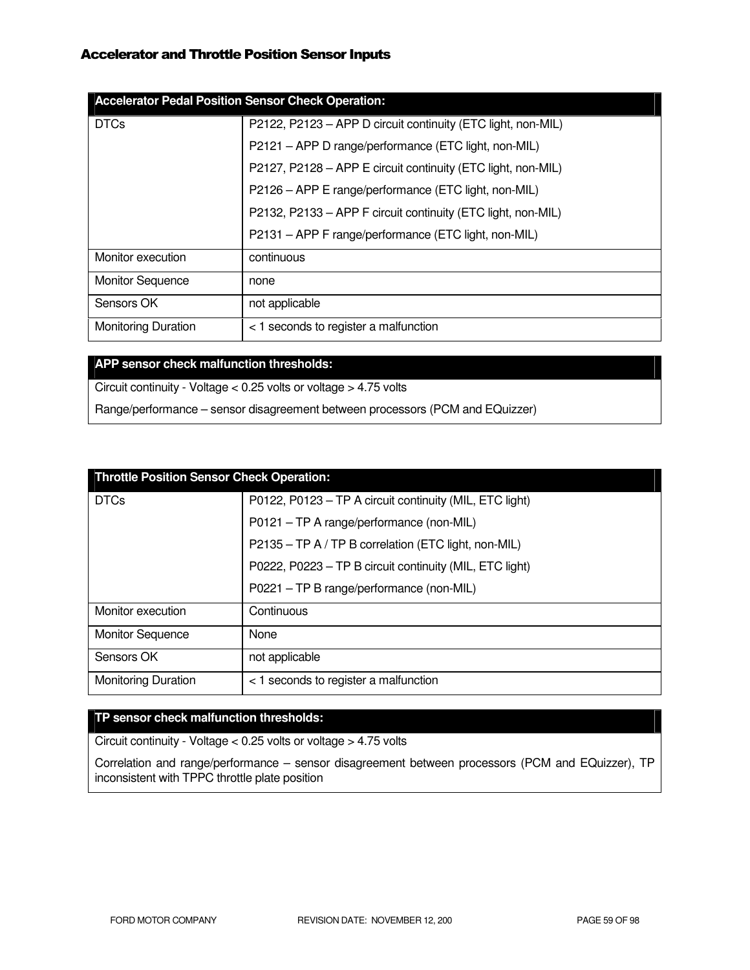## Accelerator and Throttle Position Sensor Inputs

| <b>Accelerator Pedal Position Sensor Check Operation:</b> |                                                              |  |  |  |
|-----------------------------------------------------------|--------------------------------------------------------------|--|--|--|
| <b>DTCs</b>                                               | P2122, P2123 - APP D circuit continuity (ETC light, non-MIL) |  |  |  |
|                                                           | P2121 - APP D range/performance (ETC light, non-MIL)         |  |  |  |
|                                                           | P2127, P2128 - APP E circuit continuity (ETC light, non-MIL) |  |  |  |
|                                                           | P2126 - APP E range/performance (ETC light, non-MIL)         |  |  |  |
|                                                           | P2132, P2133 - APP F circuit continuity (ETC light, non-MIL) |  |  |  |
|                                                           | P2131 - APP F range/performance (ETC light, non-MIL)         |  |  |  |
| Monitor execution                                         | continuous                                                   |  |  |  |
| <b>Monitor Sequence</b>                                   | none                                                         |  |  |  |
| Sensors OK                                                | not applicable                                               |  |  |  |
| <b>Monitoring Duration</b>                                | < 1 seconds to register a malfunction                        |  |  |  |

### **APP sensor check malfunction thresholds:**

Circuit continuity - Voltage < 0.25 volts or voltage > 4.75 volts

Range/performance – sensor disagreement between processors (PCM and EQuizzer)

| <b>Throttle Position Sensor Check Operation:</b> |                                                         |  |  |
|--------------------------------------------------|---------------------------------------------------------|--|--|
| <b>DTCs</b>                                      | P0122, P0123 - TP A circuit continuity (MIL, ETC light) |  |  |
|                                                  | P0121 - TP A range/performance (non-MIL)                |  |  |
|                                                  | P2135 - TP A / TP B correlation (ETC light, non-MIL)    |  |  |
|                                                  | P0222, P0223 - TP B circuit continuity (MIL, ETC light) |  |  |
|                                                  | P0221 - TP B range/performance (non-MIL)                |  |  |
| Monitor execution                                | Continuous                                              |  |  |
| <b>Monitor Sequence</b>                          | None                                                    |  |  |
| Sensors OK                                       | not applicable                                          |  |  |
| <b>Monitoring Duration</b>                       | < 1 seconds to register a malfunction                   |  |  |

#### **TP sensor check malfunction thresholds:**

Circuit continuity - Voltage < 0.25 volts or voltage > 4.75 volts

Correlation and range/performance – sensor disagreement between processors (PCM and EQuizzer), TP inconsistent with TPPC throttle plate position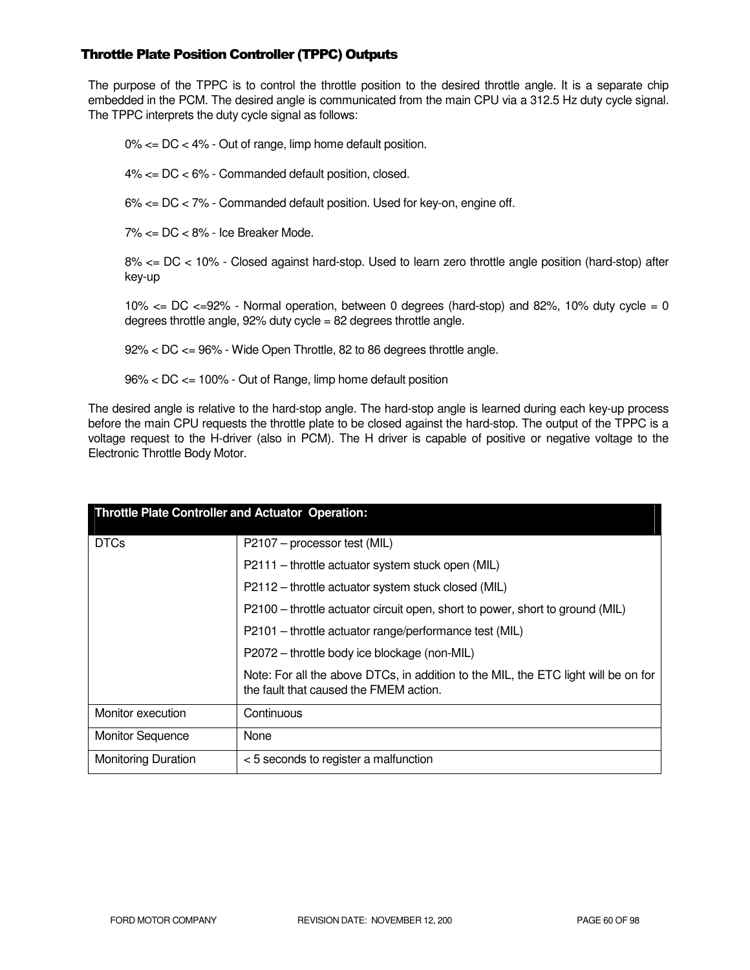### Throttle Plate Position Controller (TPPC) Outputs

The purpose of the TPPC is to control the throttle position to the desired throttle angle. It is a separate chip embedded in the PCM. The desired angle is communicated from the main CPU via a 312.5 Hz duty cycle signal. The TPPC interprets the duty cycle signal as follows:

0% <= DC < 4% - Out of range, limp home default position.

4% <= DC < 6% - Commanded default position, closed.

6% <= DC < 7% - Commanded default position. Used for key-on, engine off.

7% <= DC < 8% - Ice Breaker Mode.

8% <= DC < 10% - Closed against hard-stop. Used to learn zero throttle angle position (hard-stop) after key-up

10%  $\lt$  DC  $\lt$  =92% - Normal operation, between 0 degrees (hard-stop) and 82%, 10% duty cycle = 0 degrees throttle angle, 92% duty cycle = 82 degrees throttle angle.

92% < DC <= 96% - Wide Open Throttle, 82 to 86 degrees throttle angle.

96% < DC <= 100% - Out of Range, limp home default position

The desired angle is relative to the hard-stop angle. The hard-stop angle is learned during each key-up process before the main CPU requests the throttle plate to be closed against the hard-stop. The output of the TPPC is a voltage request to the H-driver (also in PCM). The H driver is capable of positive or negative voltage to the Electronic Throttle Body Motor.

| <b>Throttle Plate Controller and Actuator Operation:</b> |                                                                                                                              |  |  |
|----------------------------------------------------------|------------------------------------------------------------------------------------------------------------------------------|--|--|
| <b>DTCs</b>                                              | P2107 – processor test (MIL)                                                                                                 |  |  |
|                                                          | P2111 - throttle actuator system stuck open (MIL)                                                                            |  |  |
|                                                          | P2112 – throttle actuator system stuck closed (MIL)                                                                          |  |  |
|                                                          | P2100 - throttle actuator circuit open, short to power, short to ground (MIL)                                                |  |  |
|                                                          | P2101 - throttle actuator range/performance test (MIL)                                                                       |  |  |
|                                                          | P2072 - throttle body ice blockage (non-MIL)                                                                                 |  |  |
|                                                          | Note: For all the above DTCs, in addition to the MIL, the ETC light will be on for<br>the fault that caused the FMEM action. |  |  |
| Monitor execution                                        | Continuous                                                                                                                   |  |  |
| <b>Monitor Sequence</b>                                  | None                                                                                                                         |  |  |
| <b>Monitoring Duration</b>                               | <5 seconds to register a malfunction                                                                                         |  |  |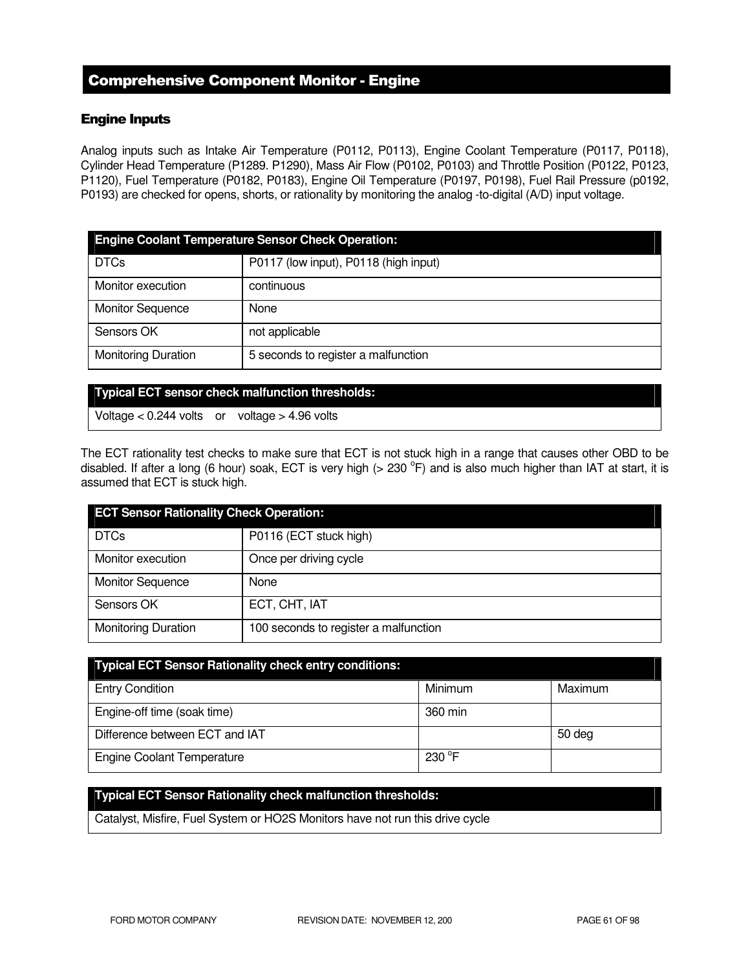# Comprehensive Component Monitor - Engine

### Engine Inputs

Analog inputs such as Intake Air Temperature (P0112, P0113), Engine Coolant Temperature (P0117, P0118), Cylinder Head Temperature (P1289. P1290), Mass Air Flow (P0102, P0103) and Throttle Position (P0122, P0123, P1120), Fuel Temperature (P0182, P0183), Engine Oil Temperature (P0197, P0198), Fuel Rail Pressure (p0192, P0193) are checked for opens, shorts, or rationality by monitoring the analog -to-digital (A/D) input voltage.

| <b>Engine Coolant Temperature Sensor Check Operation:</b> |                                       |  |
|-----------------------------------------------------------|---------------------------------------|--|
| <b>DTCs</b>                                               | P0117 (low input), P0118 (high input) |  |
| Monitor execution                                         | continuous                            |  |
| <b>Monitor Sequence</b>                                   | None                                  |  |
| Sensors OK                                                | not applicable                        |  |
| <b>Monitoring Duration</b>                                | 5 seconds to register a malfunction   |  |

|  |  | <b>Typical ECT sensor check malfunction thresholds:</b> |
|--|--|---------------------------------------------------------|
|  |  |                                                         |
|  |  |                                                         |
|  |  |                                                         |

Voltage < 0.244 volts or voltage > 4.96 volts

The ECT rationality test checks to make sure that ECT is not stuck high in a range that causes other OBD to be disabled. If after a long (6 hour) soak, ECT is very high (> 230  $^{\circ}$ F) and is also much higher than IAT at start, it is assumed that ECT is stuck high.

| <b>ECT Sensor Rationality Check Operation:</b> |                                       |  |
|------------------------------------------------|---------------------------------------|--|
| <b>DTCs</b>                                    | P0116 (ECT stuck high)                |  |
| Monitor execution                              | Once per driving cycle                |  |
| <b>Monitor Sequence</b>                        | None                                  |  |
| Sensors OK                                     | ECT, CHT, IAT                         |  |
| <b>Monitoring Duration</b>                     | 100 seconds to register a malfunction |  |

| <b>Typical ECT Sensor Rationality check entry conditions:</b> |                 |         |
|---------------------------------------------------------------|-----------------|---------|
| <b>Entry Condition</b>                                        | Minimum         | Maximum |
| Engine-off time (soak time)                                   | 360 min         |         |
| Difference between ECT and IAT                                |                 | 50 deg  |
| <b>Engine Coolant Temperature</b>                             | $230^{\circ}$ F |         |

#### **Typical ECT Sensor Rationality check malfunction thresholds:**

Catalyst, Misfire, Fuel System or HO2S Monitors have not run this drive cycle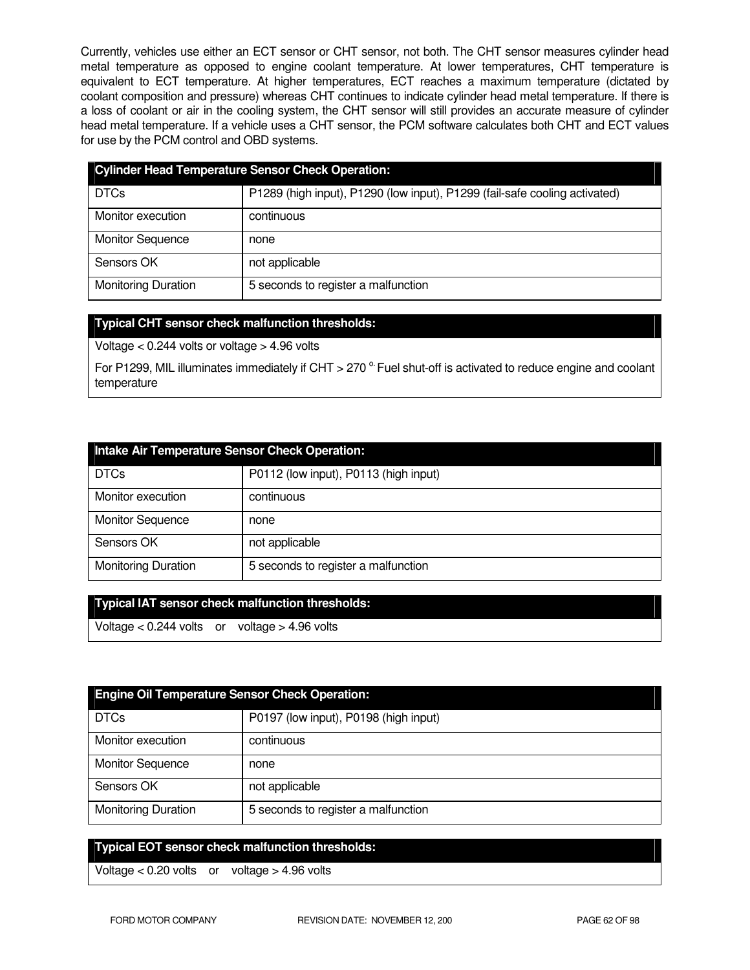Currently, vehicles use either an ECT sensor or CHT sensor, not both. The CHT sensor measures cylinder head metal temperature as opposed to engine coolant temperature. At lower temperatures, CHT temperature is equivalent to ECT temperature. At higher temperatures, ECT reaches a maximum temperature (dictated by coolant composition and pressure) whereas CHT continues to indicate cylinder head metal temperature. If there is a loss of coolant or air in the cooling system, the CHT sensor will still provides an accurate measure of cylinder head metal temperature. If a vehicle uses a CHT sensor, the PCM software calculates both CHT and ECT values for use by the PCM control and OBD systems.

| <b>Cylinder Head Temperature Sensor Check Operation:</b> |                                                                            |  |
|----------------------------------------------------------|----------------------------------------------------------------------------|--|
| <b>DTCs</b>                                              | P1289 (high input), P1290 (low input), P1299 (fail-safe cooling activated) |  |
| Monitor execution                                        | continuous                                                                 |  |
| <b>Monitor Sequence</b>                                  | none                                                                       |  |
| Sensors OK                                               | not applicable                                                             |  |
| <b>Monitoring Duration</b>                               | 5 seconds to register a malfunction                                        |  |

### **Typical CHT sensor check malfunction thresholds:**

Voltage < 0.244 volts or voltage > 4.96 volts

For P1299, MIL illuminates immediately if CHT > 270  $^{\circ}$  Fuel shut-off is activated to reduce engine and coolant temperature

| Intake Air Temperature Sensor Check Operation: |                                       |  |
|------------------------------------------------|---------------------------------------|--|
| <b>DTCs</b>                                    | P0112 (low input), P0113 (high input) |  |
| Monitor execution                              | continuous                            |  |
| <b>Monitor Sequence</b>                        | none                                  |  |
| Sensors OK                                     | not applicable                        |  |
| <b>Monitoring Duration</b>                     | 5 seconds to register a malfunction   |  |

| Typical IAT sensor check malfunction thresholds: |  |
|--------------------------------------------------|--|
|                                                  |  |

Voltage < 0.244 volts or voltage > 4.96 volts

| <b>Engine Oil Temperature Sensor Check Operation:</b> |                                       |  |
|-------------------------------------------------------|---------------------------------------|--|
| <b>DTCs</b>                                           | P0197 (low input), P0198 (high input) |  |
| Monitor execution                                     | continuous                            |  |
| <b>Monitor Sequence</b>                               | none                                  |  |
| Sensors OK                                            | not applicable                        |  |
| <b>Monitoring Duration</b>                            | 5 seconds to register a malfunction   |  |

### **Typical EOT sensor check malfunction thresholds:**

Voltage < 0.20 volts or voltage > 4.96 volts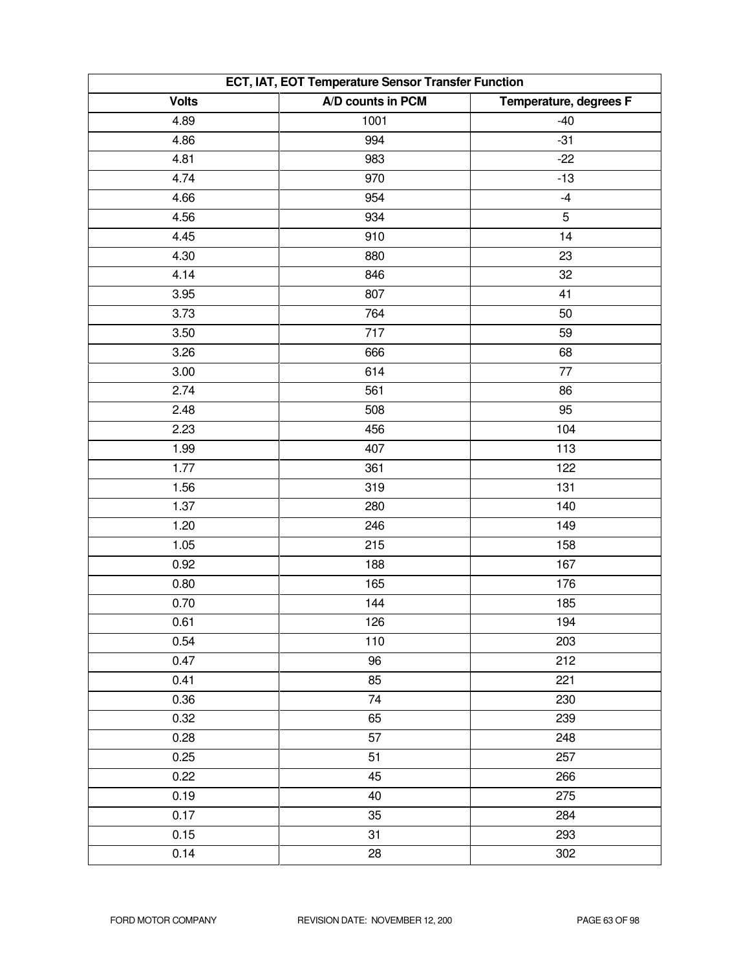| ECT, IAT, EOT Temperature Sensor Transfer Function |                   |                        |  |
|----------------------------------------------------|-------------------|------------------------|--|
| <b>Volts</b>                                       | A/D counts in PCM | Temperature, degrees F |  |
| 4.89                                               | 1001              | $-40$                  |  |
| 4.86                                               | 994               | $-31$                  |  |
| 4.81                                               | 983               | $-22$                  |  |
| 4.74                                               | 970               | $-13$                  |  |
| 4.66                                               | 954               | $-4$                   |  |
| 4.56                                               | 934               | 5                      |  |
| 4.45                                               | 910               | 14                     |  |
| 4.30                                               | 880               | 23                     |  |
| 4.14                                               | 846               | 32                     |  |
| 3.95                                               | 807               | 41                     |  |
| 3.73                                               | 764               | 50                     |  |
| 3.50                                               | 717               | 59                     |  |
| 3.26                                               | 666               | 68                     |  |
| 3.00                                               | 614               | 77                     |  |
| 2.74                                               | 561               | 86                     |  |
| 2.48                                               | 508               | 95                     |  |
| 2.23                                               | 456               | 104                    |  |
| 1.99                                               | 407               | 113                    |  |
| 1.77                                               | 361               | 122                    |  |
| 1.56                                               | 319               | 131                    |  |
| 1.37                                               | 280               | 140                    |  |
| 1.20                                               | 246               | 149                    |  |
| 1.05                                               | 215               | 158                    |  |
| 0.92                                               | 188               | 167                    |  |
| 0.80                                               | 165               | 176                    |  |
| 0.70                                               | 144               | 185                    |  |
| 0.61                                               | 126               | 194                    |  |
| 0.54                                               | 110               | 203                    |  |
| 0.47                                               | 96                | 212                    |  |
| 0.41                                               | 85                | 221                    |  |
| 0.36                                               | 74                | 230                    |  |
| 0.32                                               | 65                | 239                    |  |
| 0.28                                               | 57                | 248                    |  |
| 0.25                                               | 51                | 257                    |  |
| 0.22                                               | 45                | 266                    |  |
| 0.19                                               | 40                | 275                    |  |
| 0.17                                               | 35                | 284                    |  |
| 0.15                                               | 31                | 293                    |  |
| 0.14                                               | 28                | 302                    |  |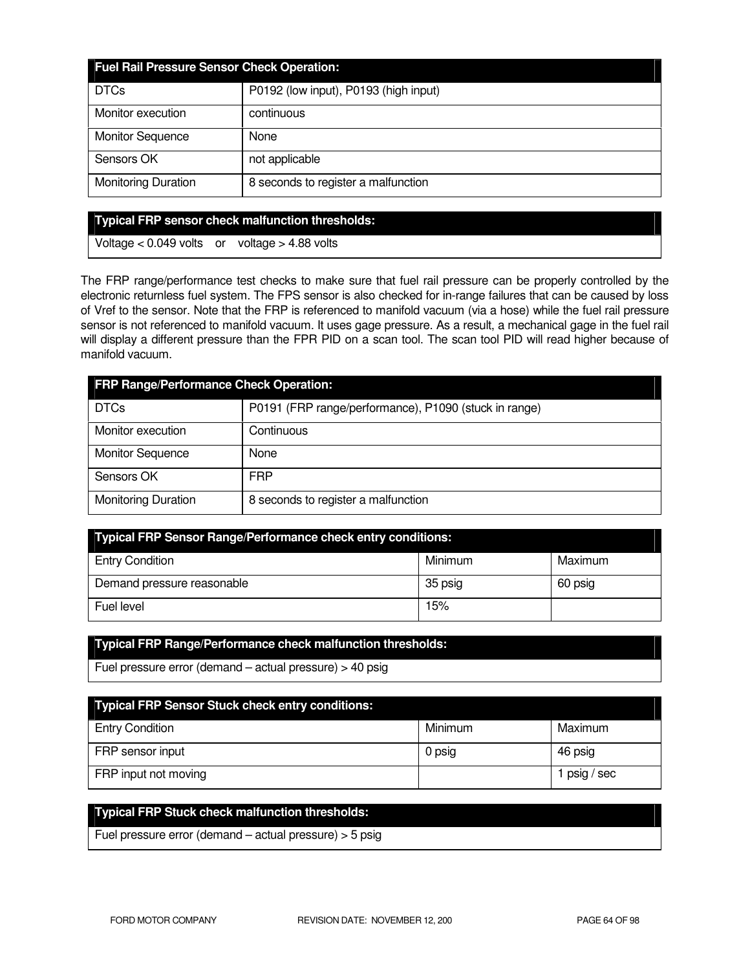| <b>Fuel Rail Pressure Sensor Check Operation:</b> |                                       |  |
|---------------------------------------------------|---------------------------------------|--|
| <b>DTCs</b>                                       | P0192 (low input), P0193 (high input) |  |
| Monitor execution                                 | continuous                            |  |
| <b>Monitor Sequence</b>                           | None                                  |  |
| Sensors OK                                        | not applicable                        |  |
| <b>Monitoring Duration</b>                        | 8 seconds to register a malfunction   |  |

#### **Typical FRP sensor check malfunction thresholds:**

Voltage < 0.049 volts or voltage > 4.88 volts

The FRP range/performance test checks to make sure that fuel rail pressure can be properly controlled by the electronic returnless fuel system. The FPS sensor is also checked for in-range failures that can be caused by loss of Vref to the sensor. Note that the FRP is referenced to manifold vacuum (via a hose) while the fuel rail pressure sensor is not referenced to manifold vacuum. It uses gage pressure. As a result, a mechanical gage in the fuel rail will display a different pressure than the FPR PID on a scan tool. The scan tool PID will read higher because of manifold vacuum.

| <b>FRP Range/Performance Check Operation:</b> |                                                       |  |
|-----------------------------------------------|-------------------------------------------------------|--|
| <b>DTCs</b>                                   | P0191 (FRP range/performance), P1090 (stuck in range) |  |
| Monitor execution                             | Continuous                                            |  |
| <b>Monitor Sequence</b>                       | None                                                  |  |
| Sensors OK                                    | <b>FRP</b>                                            |  |
| <b>Monitoring Duration</b>                    | 8 seconds to register a malfunction                   |  |

| Typical FRP Sensor Range/Performance check entry conditions: |         |         |  |
|--------------------------------------------------------------|---------|---------|--|
| <b>Entry Condition</b>                                       | Minimum | Maximum |  |
| Demand pressure reasonable                                   | 35 psig | 60 psig |  |
| Fuel level                                                   | 15%     |         |  |

# **Typical FRP Range/Performance check malfunction thresholds:**

Fuel pressure error (demand – actual pressure) > 40 psig

| <b>Typical FRP Sensor Stuck check entry conditions:</b> |         |            |
|---------------------------------------------------------|---------|------------|
| <b>Entry Condition</b>                                  | Minimum | Maximum    |
| FRP sensor input                                        | 0 psig  | 46 psig    |
| FRP input not moving                                    |         | psig / sec |

# **Typical FRP Stuck check malfunction thresholds:**

Fuel pressure error (demand – actual pressure) > 5 psig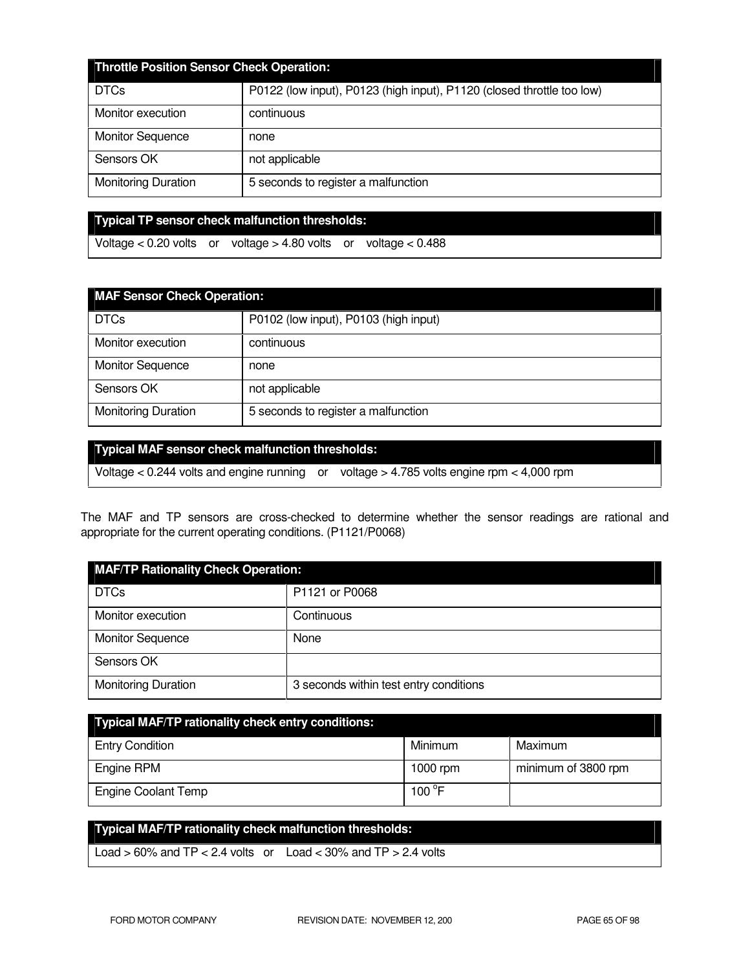| <b>Throttle Position Sensor Check Operation:</b> |                                                                        |  |
|--------------------------------------------------|------------------------------------------------------------------------|--|
| <b>DTCs</b>                                      | P0122 (low input), P0123 (high input), P1120 (closed throttle too low) |  |
| Monitor execution                                | continuous                                                             |  |
| <b>Monitor Sequence</b>                          | none                                                                   |  |
| Sensors OK                                       | not applicable                                                         |  |
| <b>Monitoring Duration</b>                       | 5 seconds to register a malfunction                                    |  |

**Typical TP sensor check malfunction thresholds:** 

Voltage < 0.20 volts or voltage > 4.80 volts or voltage < 0.488

| <b>MAF Sensor Check Operation:</b> |                                       |  |
|------------------------------------|---------------------------------------|--|
| <b>DTCs</b>                        | P0102 (low input), P0103 (high input) |  |
| Monitor execution                  | continuous                            |  |
| <b>Monitor Sequence</b>            | none                                  |  |
| Sensors OK                         | not applicable                        |  |
| <b>Monitoring Duration</b>         | 5 seconds to register a malfunction   |  |

### **Typical MAF sensor check malfunction thresholds:**

Voltage < 0.244 volts and engine running or voltage > 4.785 volts engine rpm < 4,000 rpm

The MAF and TP sensors are cross-checked to determine whether the sensor readings are rational and appropriate for the current operating conditions. (P1121/P0068)

| <b>MAF/TP Rationality Check Operation:</b> |                                        |  |
|--------------------------------------------|----------------------------------------|--|
| <b>DTCs</b>                                | P1121 or P0068                         |  |
| Monitor execution                          | Continuous                             |  |
| <b>Monitor Sequence</b>                    | None                                   |  |
| Sensors OK                                 |                                        |  |
| <b>Monitoring Duration</b>                 | 3 seconds within test entry conditions |  |

| <b>Typical MAF/TP rationality check entry conditions:</b> |                 |                     |  |
|-----------------------------------------------------------|-----------------|---------------------|--|
| <b>Entry Condition</b>                                    | Minimum         | Maximum             |  |
| Engine RPM                                                | 1000 rpm        | minimum of 3800 rpm |  |
| <b>Engine Coolant Temp</b>                                | 100 $\degree$ F |                     |  |

# **Typical MAF/TP rationality check malfunction thresholds:**  Load  $> 60\%$  and TP  $< 2.4$  volts or Load  $< 30\%$  and TP  $> 2.4$  volts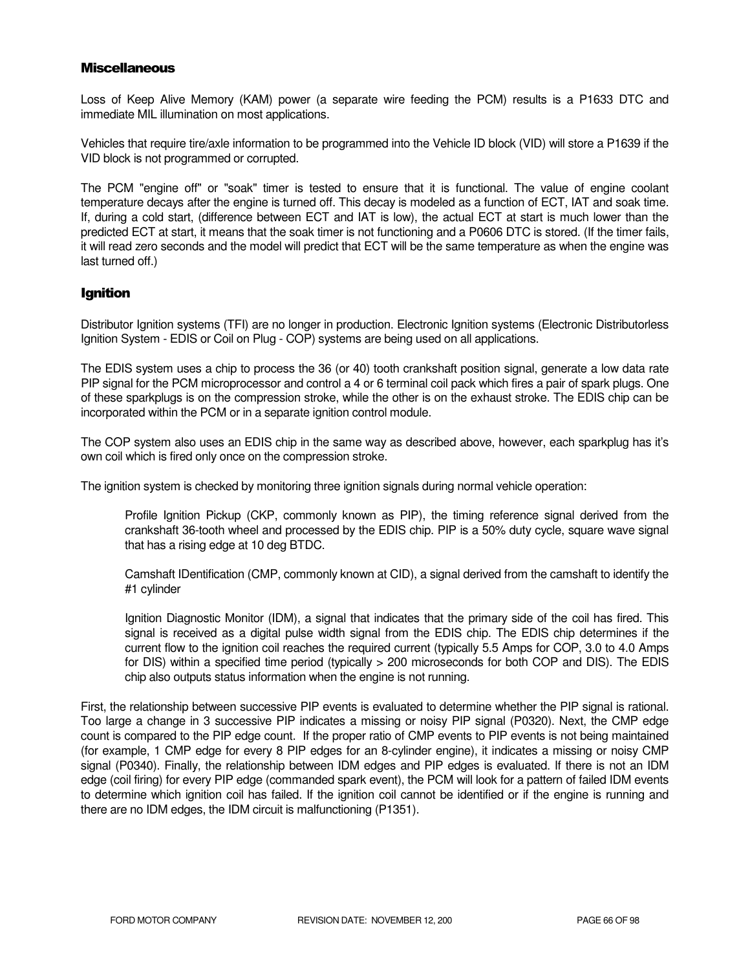#### **Miscellaneous**

Loss of Keep Alive Memory (KAM) power (a separate wire feeding the PCM) results is a P1633 DTC and immediate MIL illumination on most applications.

Vehicles that require tire/axle information to be programmed into the Vehicle ID block (VID) will store a P1639 if the VID block is not programmed or corrupted.

The PCM "engine off" or "soak" timer is tested to ensure that it is functional. The value of engine coolant temperature decays after the engine is turned off. This decay is modeled as a function of ECT, IAT and soak time. If, during a cold start, (difference between ECT and IAT is low), the actual ECT at start is much lower than the predicted ECT at start, it means that the soak timer is not functioning and a P0606 DTC is stored. (If the timer fails, it will read zero seconds and the model will predict that ECT will be the same temperature as when the engine was last turned off.)

### Ignition

Distributor Ignition systems (TFI) are no longer in production. Electronic Ignition systems (Electronic Distributorless Ignition System - EDIS or Coil on Plug - COP) systems are being used on all applications.

The EDIS system uses a chip to process the 36 (or 40) tooth crankshaft position signal, generate a low data rate PIP signal for the PCM microprocessor and control a 4 or 6 terminal coil pack which fires a pair of spark plugs. One of these sparkplugs is on the compression stroke, while the other is on the exhaust stroke. The EDIS chip can be incorporated within the PCM or in a separate ignition control module.

The COP system also uses an EDIS chip in the same way as described above, however, each sparkplug has it's own coil which is fired only once on the compression stroke.

The ignition system is checked by monitoring three ignition signals during normal vehicle operation:

Profile Ignition Pickup (CKP, commonly known as PIP), the timing reference signal derived from the crankshaft 36-tooth wheel and processed by the EDIS chip. PIP is a 50% duty cycle, square wave signal that has a rising edge at 10 deg BTDC.

Camshaft IDentification (CMP, commonly known at CID), a signal derived from the camshaft to identify the #1 cylinder

Ignition Diagnostic Monitor (IDM), a signal that indicates that the primary side of the coil has fired. This signal is received as a digital pulse width signal from the EDIS chip. The EDIS chip determines if the current flow to the ignition coil reaches the required current (typically 5.5 Amps for COP, 3.0 to 4.0 Amps for DIS) within a specified time period (typically > 200 microseconds for both COP and DIS). The EDIS chip also outputs status information when the engine is not running.

First, the relationship between successive PIP events is evaluated to determine whether the PIP signal is rational. Too large a change in 3 successive PIP indicates a missing or noisy PIP signal (P0320). Next, the CMP edge count is compared to the PIP edge count. If the proper ratio of CMP events to PIP events is not being maintained (for example, 1 CMP edge for every 8 PIP edges for an 8-cylinder engine), it indicates a missing or noisy CMP signal (P0340). Finally, the relationship between IDM edges and PIP edges is evaluated. If there is not an IDM edge (coil firing) for every PIP edge (commanded spark event), the PCM will look for a pattern of failed IDM events to determine which ignition coil has failed. If the ignition coil cannot be identified or if the engine is running and there are no IDM edges, the IDM circuit is malfunctioning (P1351).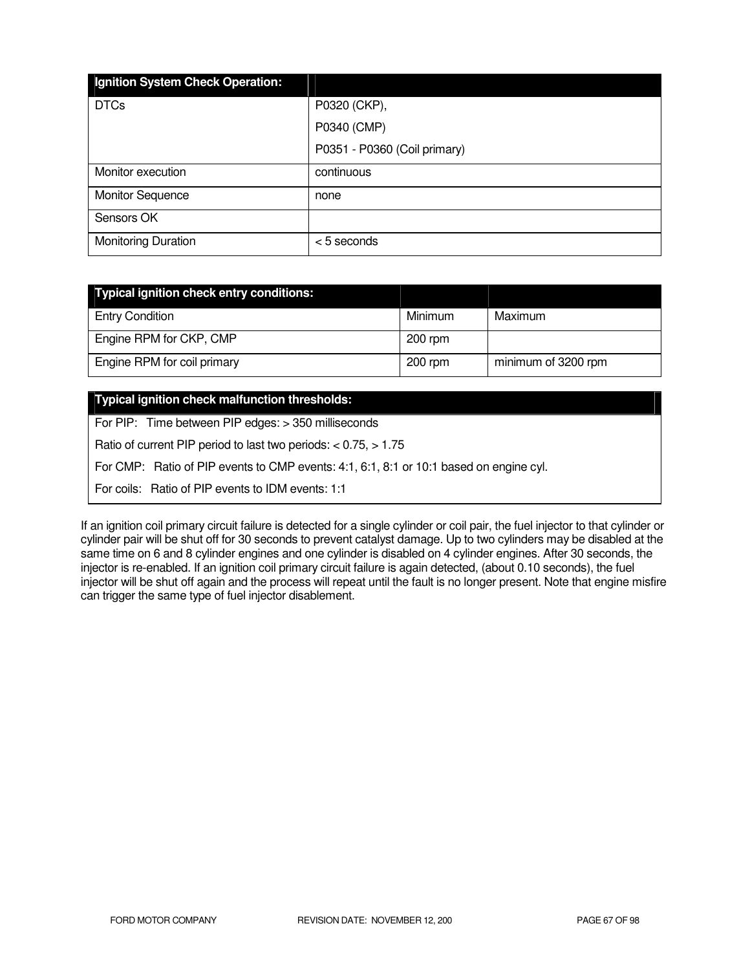| Ignition System Check Operation: |                              |
|----------------------------------|------------------------------|
| <b>DTCs</b>                      | P0320 (CKP),                 |
|                                  | P0340 (CMP)                  |
|                                  | P0351 - P0360 (Coil primary) |
| Monitor execution                | continuous                   |
| <b>Monitor Sequence</b>          | none                         |
| Sensors OK                       |                              |
| <b>Monitoring Duration</b>       | <5 seconds                   |

| Typical ignition check entry conditions: |           |                     |
|------------------------------------------|-----------|---------------------|
| <b>Entry Condition</b>                   | Minimum   | Maximum             |
| Engine RPM for CKP, CMP                  | $200$ rpm |                     |
| Engine RPM for coil primary              | $200$ rpm | minimum of 3200 rpm |

### **Typical ignition check malfunction thresholds:**

For PIP: Time between PIP edges: > 350 milliseconds

Ratio of current PIP period to last two periods: < 0.75, > 1.75

For CMP: Ratio of PIP events to CMP events: 4:1, 6:1, 8:1 or 10:1 based on engine cyl.

For coils: Ratio of PIP events to IDM events: 1:1

If an ignition coil primary circuit failure is detected for a single cylinder or coil pair, the fuel injector to that cylinder or cylinder pair will be shut off for 30 seconds to prevent catalyst damage. Up to two cylinders may be disabled at the same time on 6 and 8 cylinder engines and one cylinder is disabled on 4 cylinder engines. After 30 seconds, the injector is re-enabled. If an ignition coil primary circuit failure is again detected, (about 0.10 seconds), the fuel injector will be shut off again and the process will repeat until the fault is no longer present. Note that engine misfire can trigger the same type of fuel injector disablement.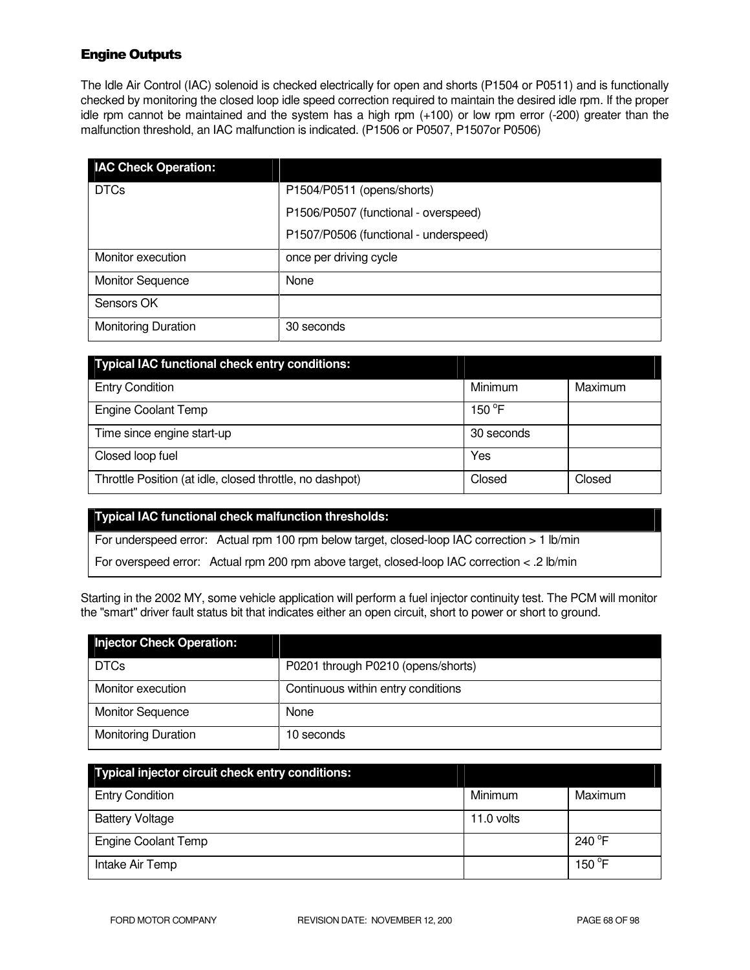# Engine Outputs

The Idle Air Control (IAC) solenoid is checked electrically for open and shorts (P1504 or P0511) and is functionally checked by monitoring the closed loop idle speed correction required to maintain the desired idle rpm. If the proper idle rpm cannot be maintained and the system has a high rpm (+100) or low rpm error (-200) greater than the malfunction threshold, an IAC malfunction is indicated. (P1506 or P0507, P1507or P0506)

| <b>IAC Check Operation:</b> |                                       |
|-----------------------------|---------------------------------------|
| <b>DTCs</b>                 | P1504/P0511 (opens/shorts)            |
|                             | P1506/P0507 (functional - overspeed)  |
|                             | P1507/P0506 (functional - underspeed) |
| Monitor execution           | once per driving cycle                |
| <b>Monitor Sequence</b>     | None                                  |
| Sensors OK                  |                                       |
| <b>Monitoring Duration</b>  | 30 seconds                            |

| <b>Typical IAC functional check entry conditions:</b>    |            |         |
|----------------------------------------------------------|------------|---------|
| <b>Entry Condition</b>                                   | Minimum    | Maximum |
| <b>Engine Coolant Temp</b>                               | 150 °F     |         |
| Time since engine start-up                               | 30 seconds |         |
| Closed loop fuel                                         | Yes        |         |
| Throttle Position (at idle, closed throttle, no dashpot) | Closed     | Closed  |

#### **Typical IAC functional check malfunction thresholds:**

For underspeed error: Actual rpm 100 rpm below target, closed-loop IAC correction > 1 lb/min

For overspeed error: Actual rpm 200 rpm above target, closed-loop IAC correction < .2 lb/min

Starting in the 2002 MY, some vehicle application will perform a fuel injector continuity test. The PCM will monitor the "smart" driver fault status bit that indicates either an open circuit, short to power or short to ground.

| <b>Injector Check Operation:</b> |                                    |
|----------------------------------|------------------------------------|
| <b>DTCs</b>                      | P0201 through P0210 (opens/shorts) |
| Monitor execution                | Continuous within entry conditions |
| <b>Monitor Sequence</b>          | None                               |
| <b>Monitoring Duration</b>       | 10 seconds                         |

| Typical injector circuit check entry conditions: |            |                  |
|--------------------------------------------------|------------|------------------|
| <b>Entry Condition</b>                           | Minimum    | Maximum          |
| <b>Battery Voltage</b>                           | 11.0 volts |                  |
| <b>Engine Coolant Temp</b>                       |            | 240 $^{\circ}$ F |
| Intake Air Temp                                  |            | 150 $\degree$ F  |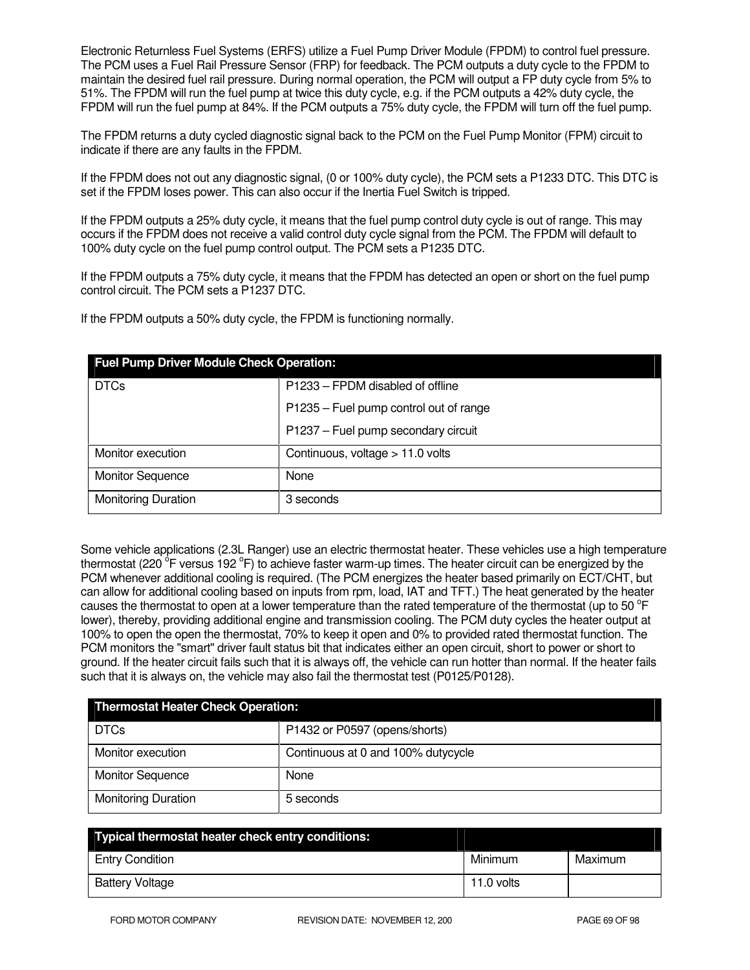Electronic Returnless Fuel Systems (ERFS) utilize a Fuel Pump Driver Module (FPDM) to control fuel pressure. The PCM uses a Fuel Rail Pressure Sensor (FRP) for feedback. The PCM outputs a duty cycle to the FPDM to maintain the desired fuel rail pressure. During normal operation, the PCM will output a FP duty cycle from 5% to 51%. The FPDM will run the fuel pump at twice this duty cycle, e.g. if the PCM outputs a 42% duty cycle, the FPDM will run the fuel pump at 84%. If the PCM outputs a 75% duty cycle, the FPDM will turn off the fuel pump.

The FPDM returns a duty cycled diagnostic signal back to the PCM on the Fuel Pump Monitor (FPM) circuit to indicate if there are any faults in the FPDM.

If the FPDM does not out any diagnostic signal, (0 or 100% duty cycle), the PCM sets a P1233 DTC. This DTC is set if the FPDM loses power. This can also occur if the Inertia Fuel Switch is tripped.

If the FPDM outputs a 25% duty cycle, it means that the fuel pump control duty cycle is out of range. This may occurs if the FPDM does not receive a valid control duty cycle signal from the PCM. The FPDM will default to 100% duty cycle on the fuel pump control output. The PCM sets a P1235 DTC.

If the FPDM outputs a 75% duty cycle, it means that the FPDM has detected an open or short on the fuel pump control circuit. The PCM sets a P1237 DTC.

If the FPDM outputs a 50% duty cycle, the FPDM is functioning normally.

| <b>Fuel Pump Driver Module Check Operation:</b> |                                        |
|-------------------------------------------------|----------------------------------------|
| <b>DTCs</b>                                     | P1233 – FPDM disabled of offline       |
|                                                 | P1235 - Fuel pump control out of range |
|                                                 | P1237 - Fuel pump secondary circuit    |
| Monitor execution                               | Continuous, voltage $> 11.0$ volts     |
| <b>Monitor Sequence</b>                         | None                                   |
| <b>Monitoring Duration</b>                      | 3 seconds                              |

Some vehicle applications (2.3L Ranger) use an electric thermostat heater. These vehicles use a high temperature thermostat (220 <sup>o</sup>F versus 192 °F) to achieve faster warm-up times. The heater circuit can be energized by the PCM whenever additional cooling is required. (The PCM energizes the heater based primarily on ECT/CHT, but can allow for additional cooling based on inputs from rpm, load, IAT and TFT.) The heat generated by the heater causes the thermostat to open at a lower temperature than the rated temperature of the thermostat (up to 50  $\degree$ F lower), thereby, providing additional engine and transmission cooling. The PCM duty cycles the heater output at 100% to open the open the thermostat, 70% to keep it open and 0% to provided rated thermostat function. The PCM monitors the "smart" driver fault status bit that indicates either an open circuit, short to power or short to ground. If the heater circuit fails such that it is always off, the vehicle can run hotter than normal. If the heater fails such that it is always on, the vehicle may also fail the thermostat test (P0125/P0128).

| <b>Thermostat Heater Check Operation:</b> |                                    |
|-------------------------------------------|------------------------------------|
| <b>DTCs</b>                               | P1432 or P0597 (opens/shorts)      |
| Monitor execution                         | Continuous at 0 and 100% dutycycle |
| <b>Monitor Sequence</b>                   | None                               |
| <b>Monitoring Duration</b>                | 5 seconds                          |

| Typical thermostat heater check entry conditions: |            |         |
|---------------------------------------------------|------------|---------|
| <b>Entry Condition</b>                            | Minimum    | Maximum |
| <b>Battery Voltage</b>                            | 11.0 volts |         |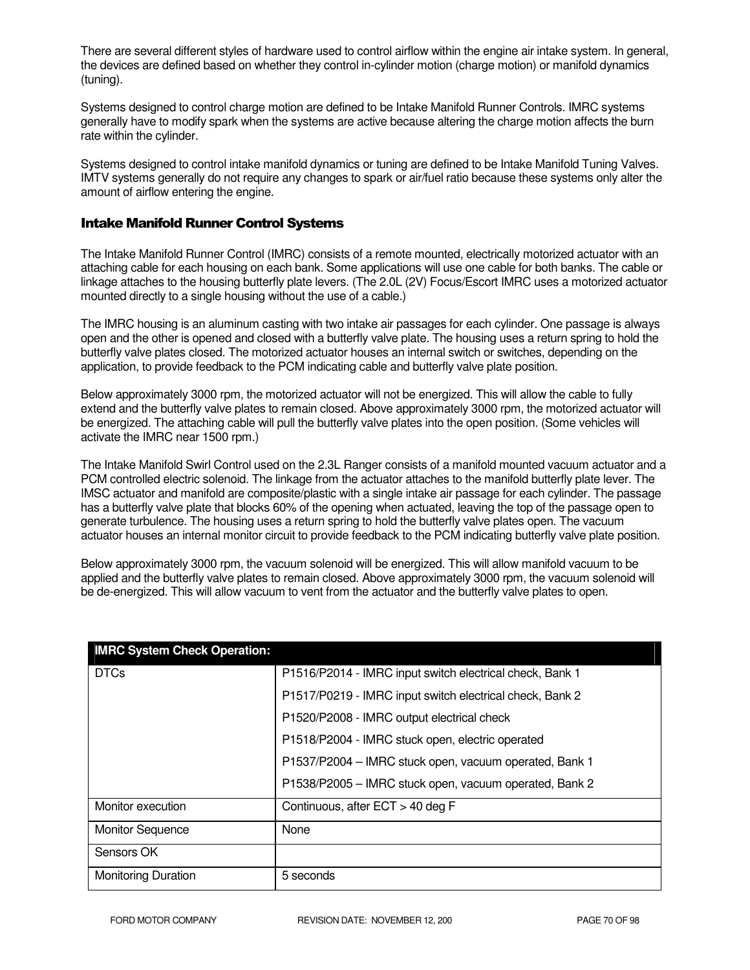There are several different styles of hardware used to control airflow within the engine air intake system. In general, the devices are defined based on whether they control in-cylinder motion (charge motion) or manifold dynamics (tuning).

Systems designed to control charge motion are defined to be Intake Manifold Runner Controls. IMRC systems generally have to modify spark when the systems are active because altering the charge motion affects the burn rate within the cylinder.

Systems designed to control intake manifold dynamics or tuning are defined to be Intake Manifold Tuning Valves. IMTV systems generally do not require any changes to spark or air/fuel ratio because these systems only alter the amount of airflow entering the engine.

### Intake Manifold Runner Control Systems

The Intake Manifold Runner Control (IMRC) consists of a remote mounted, electrically motorized actuator with an attaching cable for each housing on each bank. Some applications will use one cable for both banks. The cable or linkage attaches to the housing butterfly plate levers. (The 2.0L (2V) Focus/Escort IMRC uses a motorized actuator mounted directly to a single housing without the use of a cable.)

The IMRC housing is an aluminum casting with two intake air passages for each cylinder. One passage is always open and the other is opened and closed with a butterfly valve plate. The housing uses a return spring to hold the butterfly valve plates closed. The motorized actuator houses an internal switch or switches, depending on the application, to provide feedback to the PCM indicating cable and butterfly valve plate position.

Below approximately 3000 rpm, the motorized actuator will not be energized. This will allow the cable to fully extend and the butterfly valve plates to remain closed. Above approximately 3000 rpm, the motorized actuator will be energized. The attaching cable will pull the butterfly valve plates into the open position. (Some vehicles will activate the IMRC near 1500 rpm.)

The Intake Manifold Swirl Control used on the 2.3L Ranger consists of a manifold mounted vacuum actuator and a PCM controlled electric solenoid. The linkage from the actuator attaches to the manifold butterfly plate lever. The IMSC actuator and manifold are composite/plastic with a single intake air passage for each cylinder. The passage has a butterfly valve plate that blocks 60% of the opening when actuated, leaving the top of the passage open to generate turbulence. The housing uses a return spring to hold the butterfly valve plates open. The vacuum actuator houses an internal monitor circuit to provide feedback to the PCM indicating butterfly valve plate position.

Below approximately 3000 rpm, the vacuum solenoid will be energized. This will allow manifold vacuum to be applied and the butterfly valve plates to remain closed. Above approximately 3000 rpm, the vacuum solenoid will be de-energized. This will allow vacuum to vent from the actuator and the butterfly valve plates to open.

| <b>IMRC System Check Operation:</b> |                                                          |
|-------------------------------------|----------------------------------------------------------|
| <b>DTCs</b>                         | P1516/P2014 - IMRC input switch electrical check, Bank 1 |
|                                     | P1517/P0219 - IMRC input switch electrical check, Bank 2 |
|                                     | P1520/P2008 - IMRC output electrical check               |
|                                     | P1518/P2004 - IMRC stuck open, electric operated         |
|                                     | P1537/P2004 - IMRC stuck open, vacuum operated, Bank 1   |
|                                     | P1538/P2005 - IMRC stuck open, vacuum operated, Bank 2   |
| Monitor execution                   | Continuous, after ECT > 40 deg F                         |
| <b>Monitor Sequence</b>             | None                                                     |
| Sensors OK                          |                                                          |
| <b>Monitoring Duration</b>          | 5 seconds                                                |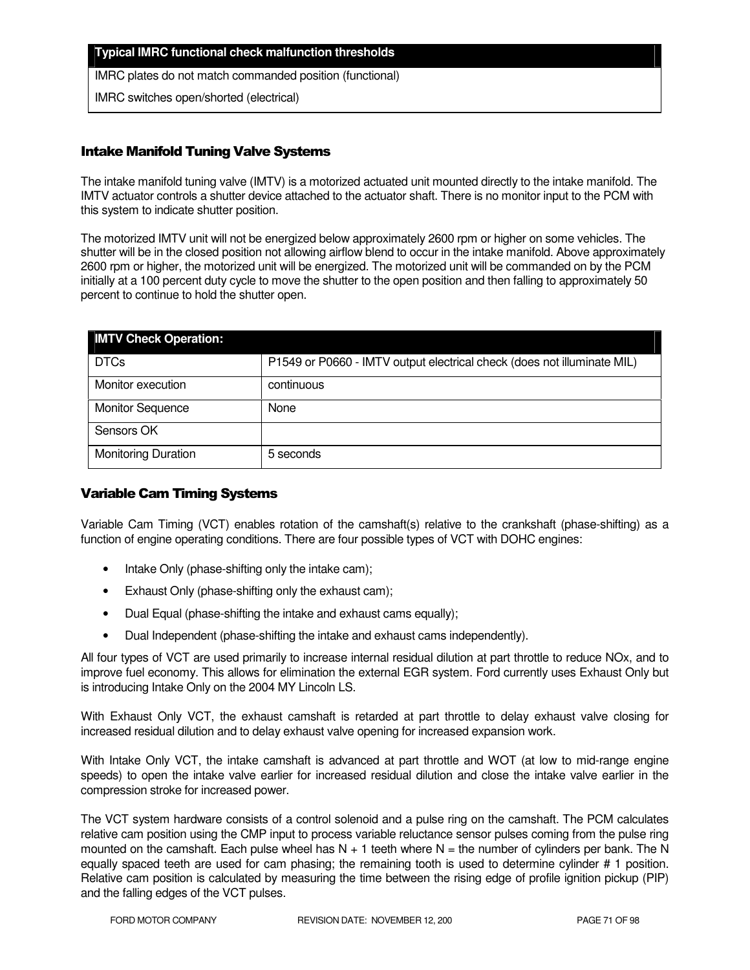#### **Typical IMRC functional check malfunction thresholds**

IMRC plates do not match commanded position (functional)

IMRC switches open/shorted (electrical)

### Intake Manifold Tuning Valve Systems

The intake manifold tuning valve (IMTV) is a motorized actuated unit mounted directly to the intake manifold. The IMTV actuator controls a shutter device attached to the actuator shaft. There is no monitor input to the PCM with this system to indicate shutter position.

The motorized IMTV unit will not be energized below approximately 2600 rpm or higher on some vehicles. The shutter will be in the closed position not allowing airflow blend to occur in the intake manifold. Above approximately 2600 rpm or higher, the motorized unit will be energized. The motorized unit will be commanded on by the PCM initially at a 100 percent duty cycle to move the shutter to the open position and then falling to approximately 50 percent to continue to hold the shutter open.

| <b>IMTV Check Operation:</b> |                                                                         |
|------------------------------|-------------------------------------------------------------------------|
| <b>DTCs</b>                  | P1549 or P0660 - IMTV output electrical check (does not illuminate MIL) |
| Monitor execution            | continuous                                                              |
| <b>Monitor Sequence</b>      | None                                                                    |
| Sensors OK                   |                                                                         |
| <b>Monitoring Duration</b>   | 5 seconds                                                               |

### Variable Cam Timing Systems

Variable Cam Timing (VCT) enables rotation of the camshaft(s) relative to the crankshaft (phase-shifting) as a function of engine operating conditions. There are four possible types of VCT with DOHC engines:

- Intake Only (phase-shifting only the intake cam);
- Exhaust Only (phase-shifting only the exhaust cam);
- Dual Equal (phase-shifting the intake and exhaust cams equally);
- Dual Independent (phase-shifting the intake and exhaust cams independently).

All four types of VCT are used primarily to increase internal residual dilution at part throttle to reduce NOx, and to improve fuel economy. This allows for elimination the external EGR system. Ford currently uses Exhaust Only but is introducing Intake Only on the 2004 MY Lincoln LS.

With Exhaust Only VCT, the exhaust camshaft is retarded at part throttle to delay exhaust valve closing for increased residual dilution and to delay exhaust valve opening for increased expansion work.

With Intake Only VCT, the intake camshaft is advanced at part throttle and WOT (at low to mid-range engine speeds) to open the intake valve earlier for increased residual dilution and close the intake valve earlier in the compression stroke for increased power.

The VCT system hardware consists of a control solenoid and a pulse ring on the camshaft. The PCM calculates relative cam position using the CMP input to process variable reluctance sensor pulses coming from the pulse ring mounted on the camshaft. Each pulse wheel has  $N + 1$  teeth where  $N =$  the number of cylinders per bank. The N equally spaced teeth are used for cam phasing; the remaining tooth is used to determine cylinder # 1 position. Relative cam position is calculated by measuring the time between the rising edge of profile ignition pickup (PIP) and the falling edges of the VCT pulses.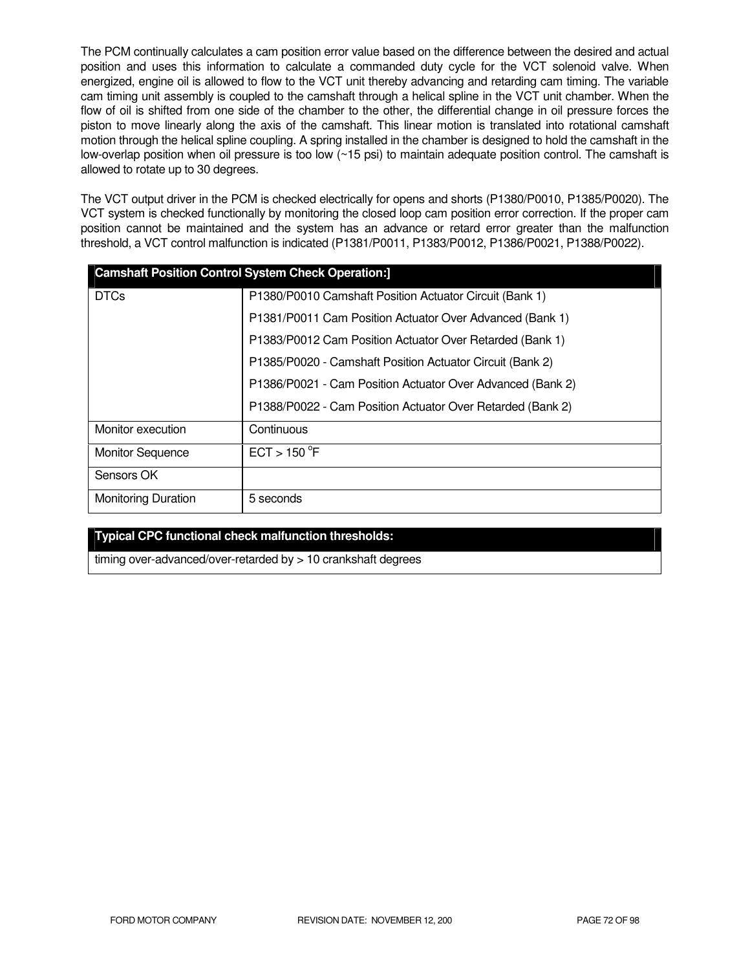The PCM continually calculates a cam position error value based on the difference between the desired and actual position and uses this information to calculate a commanded duty cycle for the VCT solenoid valve. When energized, engine oil is allowed to flow to the VCT unit thereby advancing and retarding cam timing. The variable cam timing unit assembly is coupled to the camshaft through a helical spline in the VCT unit chamber. When the flow of oil is shifted from one side of the chamber to the other, the differential change in oil pressure forces the piston to move linearly along the axis of the camshaft. This linear motion is translated into rotational camshaft motion through the helical spline coupling. A spring installed in the chamber is designed to hold the camshaft in the low-overlap position when oil pressure is too low (~15 psi) to maintain adequate position control. The camshaft is allowed to rotate up to 30 degrees.

The VCT output driver in the PCM is checked electrically for opens and shorts (P1380/P0010, P1385/P0020). The VCT system is checked functionally by monitoring the closed loop cam position error correction. If the proper cam position cannot be maintained and the system has an advance or retard error greater than the malfunction threshold, a VCT control malfunction is indicated (P1381/P0011, P1383/P0012, P1386/P0021, P1388/P0022).

| <b>Camshaft Position Control System Check Operation:]</b> |                                                            |
|-----------------------------------------------------------|------------------------------------------------------------|
| <b>DTCs</b>                                               | P1380/P0010 Camshaft Position Actuator Circuit (Bank 1)    |
|                                                           | P1381/P0011 Cam Position Actuator Over Advanced (Bank 1)   |
|                                                           | P1383/P0012 Cam Position Actuator Over Retarded (Bank 1)   |
|                                                           | P1385/P0020 - Camshaft Position Actuator Circuit (Bank 2)  |
|                                                           | P1386/P0021 - Cam Position Actuator Over Advanced (Bank 2) |
|                                                           | P1388/P0022 - Cam Position Actuator Over Retarded (Bank 2) |
| Monitor execution                                         | Continuous                                                 |
| <b>Monitor Sequence</b>                                   | ECT > 150 °F                                               |
| Sensors OK                                                |                                                            |
| <b>Monitoring Duration</b>                                | 5 seconds                                                  |

### **Typical CPC functional check malfunction thresholds:**

timing over-advanced/over-retarded by > 10 crankshaft degrees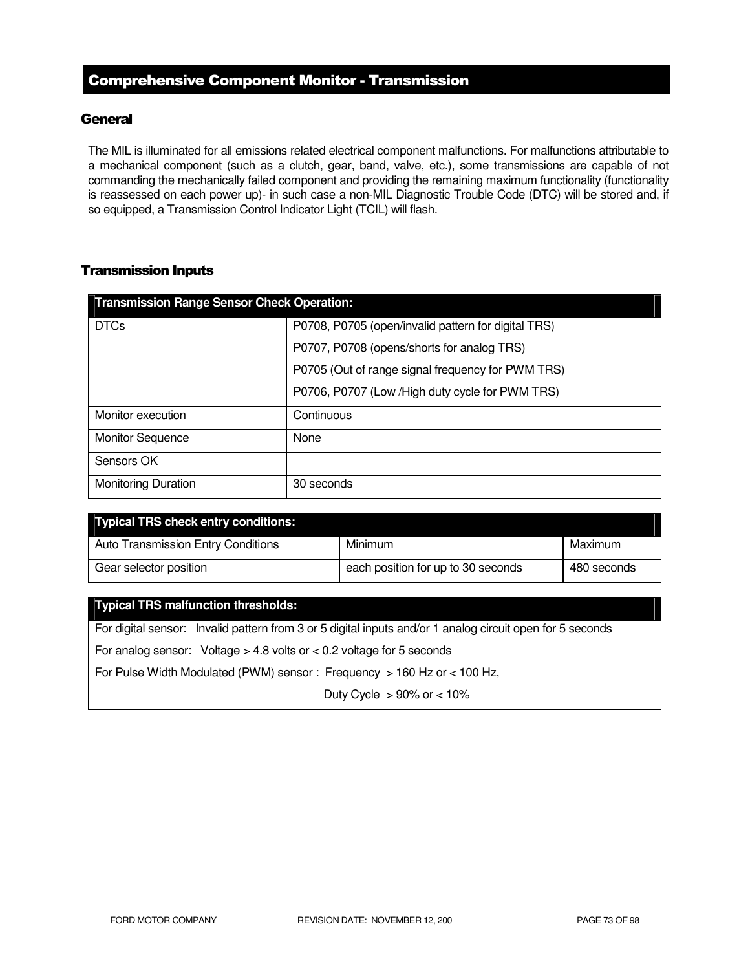## Comprehensive Component Monitor - Transmission

### **General**

The MIL is illuminated for all emissions related electrical component malfunctions. For malfunctions attributable to a mechanical component (such as a clutch, gear, band, valve, etc.), some transmissions are capable of not commanding the mechanically failed component and providing the remaining maximum functionality (functionality is reassessed on each power up)- in such case a non-MIL Diagnostic Trouble Code (DTC) will be stored and, if so equipped, a Transmission Control Indicator Light (TCIL) will flash.

### Transmission Inputs

| <b>Transmission Range Sensor Check Operation:</b> |                                                     |  |
|---------------------------------------------------|-----------------------------------------------------|--|
| <b>DTCs</b>                                       | P0708, P0705 (open/invalid pattern for digital TRS) |  |
|                                                   | P0707, P0708 (opens/shorts for analog TRS)          |  |
|                                                   | P0705 (Out of range signal frequency for PWM TRS)   |  |
|                                                   | P0706, P0707 (Low / High duty cycle for PWM TRS)    |  |
| Monitor execution                                 | Continuous                                          |  |
| <b>Monitor Sequence</b>                           | None                                                |  |
| Sensors OK                                        |                                                     |  |
| <b>Monitoring Duration</b>                        | 30 seconds                                          |  |

| <b>Typical TRS check entry conditions:</b> |                                    |             |
|--------------------------------------------|------------------------------------|-------------|
| <b>Auto Transmission Entry Conditions</b>  | Minimum                            | Maximum     |
| Gear selector position                     | each position for up to 30 seconds | 480 seconds |

#### **Typical TRS malfunction thresholds:**

For digital sensor: Invalid pattern from 3 or 5 digital inputs and/or 1 analog circuit open for 5 seconds For analog sensor: Voltage > 4.8 volts or < 0.2 voltage for 5 seconds

For Pulse Width Modulated (PWM) sensor : Frequency > 160 Hz or < 100 Hz,

Duty Cycle  $> 90\%$  or  $< 10\%$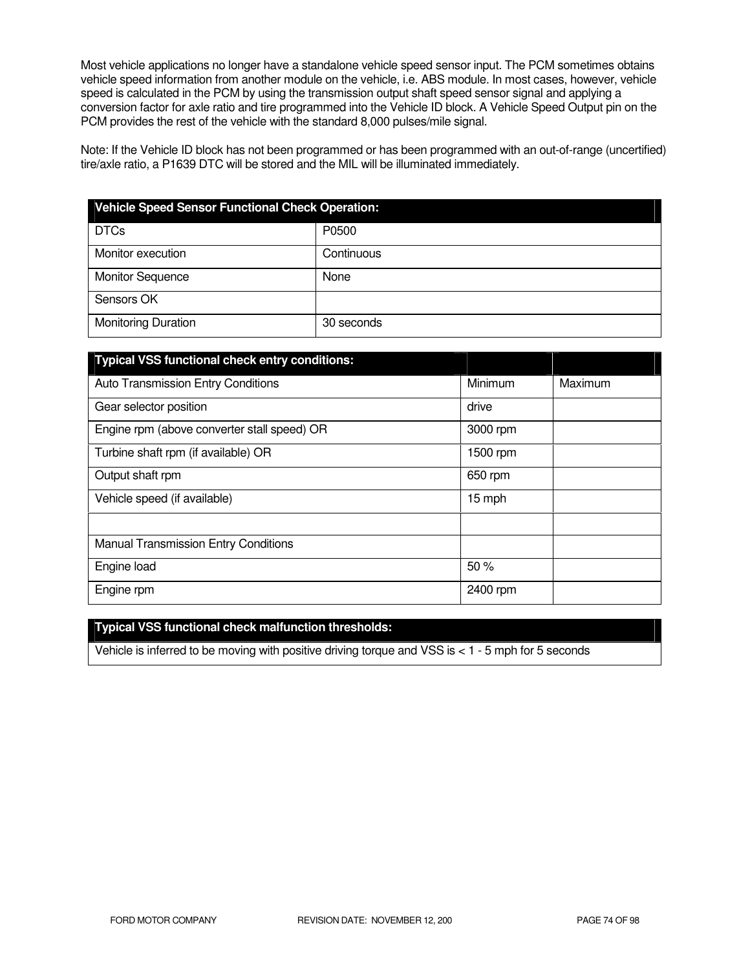Most vehicle applications no longer have a standalone vehicle speed sensor input. The PCM sometimes obtains vehicle speed information from another module on the vehicle, i.e. ABS module. In most cases, however, vehicle speed is calculated in the PCM by using the transmission output shaft speed sensor signal and applying a conversion factor for axle ratio and tire programmed into the Vehicle ID block. A Vehicle Speed Output pin on the PCM provides the rest of the vehicle with the standard 8,000 pulses/mile signal.

Note: If the Vehicle ID block has not been programmed or has been programmed with an out-of-range (uncertified) tire/axle ratio, a P1639 DTC will be stored and the MIL will be illuminated immediately.

| <b>Vehicle Speed Sensor Functional Check Operation:</b> |            |  |
|---------------------------------------------------------|------------|--|
| <b>DTCs</b>                                             | P0500      |  |
| Monitor execution                                       | Continuous |  |
| <b>Monitor Sequence</b>                                 | None       |  |
| Sensors OK                                              |            |  |
| <b>Monitoring Duration</b>                              | 30 seconds |  |

| <b>Typical VSS functional check entry conditions:</b> |          |         |
|-------------------------------------------------------|----------|---------|
| <b>Auto Transmission Entry Conditions</b>             | Minimum  | Maximum |
| Gear selector position                                | drive    |         |
| Engine rpm (above converter stall speed) OR           | 3000 rpm |         |
| Turbine shaft rpm (if available) OR                   | 1500 rpm |         |
| Output shaft rpm                                      | 650 rpm  |         |
| Vehicle speed (if available)                          | 15 mph   |         |
|                                                       |          |         |
| <b>Manual Transmission Entry Conditions</b>           |          |         |
| Engine load                                           | 50%      |         |
| Engine rpm                                            | 2400 rpm |         |

### **Typical VSS functional check malfunction thresholds:**

Vehicle is inferred to be moving with positive driving torque and VSS is < 1 - 5 mph for 5 seconds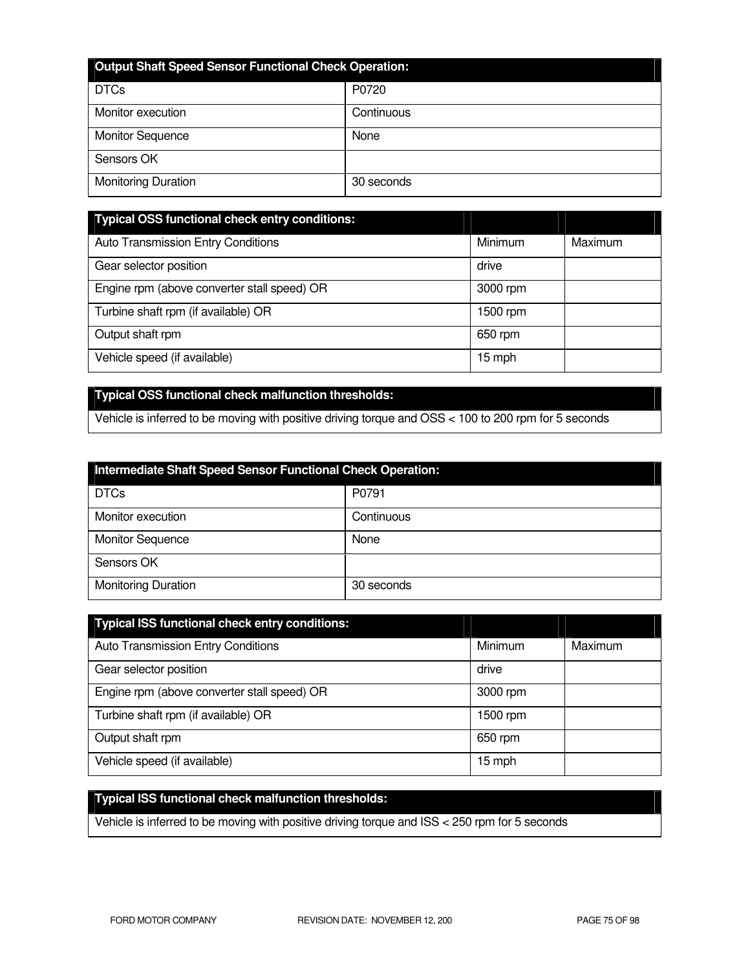| <b>Output Shaft Speed Sensor Functional Check Operation:</b> |            |  |
|--------------------------------------------------------------|------------|--|
| <b>DTCs</b>                                                  | P0720      |  |
| Monitor execution                                            | Continuous |  |
| <b>Monitor Sequence</b>                                      | None       |  |
| Sensors OK                                                   |            |  |
| <b>Monitoring Duration</b>                                   | 30 seconds |  |

| <b>Typical OSS functional check entry conditions:</b> |          |         |
|-------------------------------------------------------|----------|---------|
| <b>Auto Transmission Entry Conditions</b>             | Minimum  | Maximum |
| Gear selector position                                | drive    |         |
| Engine rpm (above converter stall speed) OR           | 3000 rpm |         |
| Turbine shaft rpm (if available) OR                   | 1500 rpm |         |
| Output shaft rpm                                      | 650 rpm  |         |
| Vehicle speed (if available)                          | 15 mph   |         |

## **Typical OSS functional check malfunction thresholds:**

Vehicle is inferred to be moving with positive driving torque and OSS < 100 to 200 rpm for 5 seconds

| Intermediate Shaft Speed Sensor Functional Check Operation: |            |  |
|-------------------------------------------------------------|------------|--|
| <b>DTCs</b>                                                 | P0791      |  |
| Monitor execution                                           | Continuous |  |
| <b>Monitor Sequence</b>                                     | None       |  |
| Sensors OK                                                  |            |  |
| <b>Monitoring Duration</b>                                  | 30 seconds |  |

| <b>Typical ISS functional check entry conditions:</b> |                |         |
|-------------------------------------------------------|----------------|---------|
| <b>Auto Transmission Entry Conditions</b>             | <b>Minimum</b> | Maximum |
| Gear selector position                                | drive          |         |
| Engine rpm (above converter stall speed) OR           | 3000 rpm       |         |
| Turbine shaft rpm (if available) OR                   | 1500 rpm       |         |
| Output shaft rpm                                      | 650 rpm        |         |
| Vehicle speed (if available)                          | 15 mph         |         |

# **Typical ISS functional check malfunction thresholds:**

Vehicle is inferred to be moving with positive driving torque and ISS < 250 rpm for 5 seconds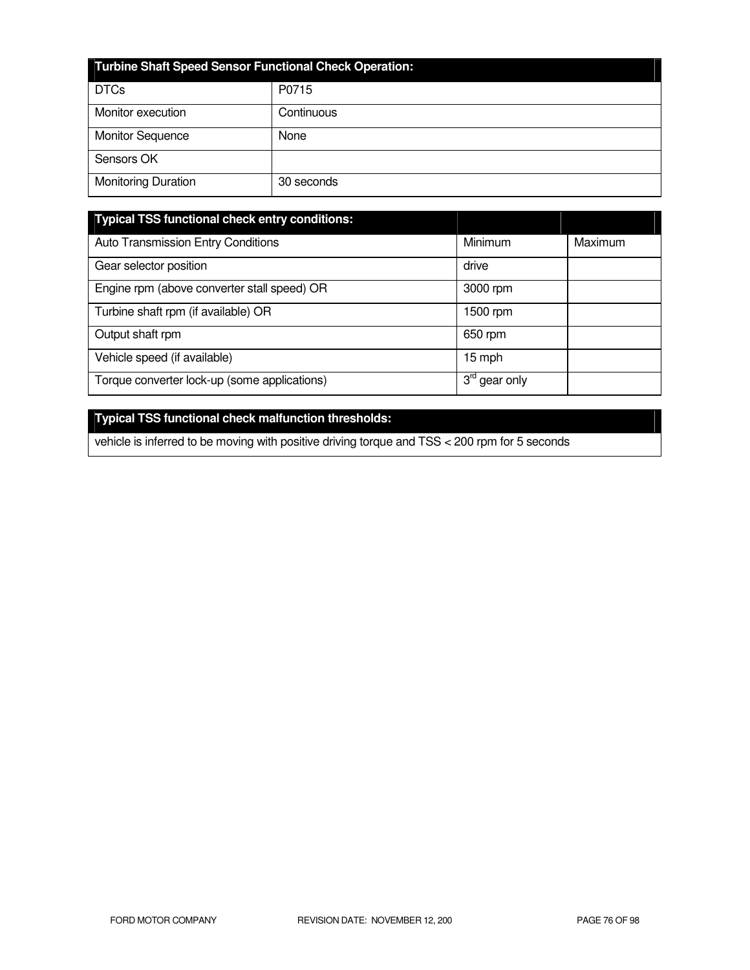| <b>Turbine Shaft Speed Sensor Functional Check Operation:</b> |            |  |
|---------------------------------------------------------------|------------|--|
| <b>DTCs</b>                                                   | P0715      |  |
| Monitor execution                                             | Continuous |  |
| <b>Monitor Sequence</b>                                       | None       |  |
| Sensors OK                                                    |            |  |
| <b>Monitoring Duration</b>                                    | 30 seconds |  |

| <b>Typical TSS functional check entry conditions:</b> |                                           |         |
|-------------------------------------------------------|-------------------------------------------|---------|
| Auto Transmission Entry Conditions                    | Minimum                                   | Maximum |
| Gear selector position                                | drive                                     |         |
| Engine rpm (above converter stall speed) OR           | 3000 rpm                                  |         |
| Turbine shaft rpm (if available) OR                   | 1500 rpm                                  |         |
| Output shaft rpm                                      | 650 rpm                                   |         |
| Vehicle speed (if available)                          | 15 mph                                    |         |
| Torque converter lock-up (some applications)          | $3^{\text{ra}}$<br><sup>'</sup> gear only |         |

# **Typical TSS functional check malfunction thresholds:**

vehicle is inferred to be moving with positive driving torque and TSS < 200 rpm for 5 seconds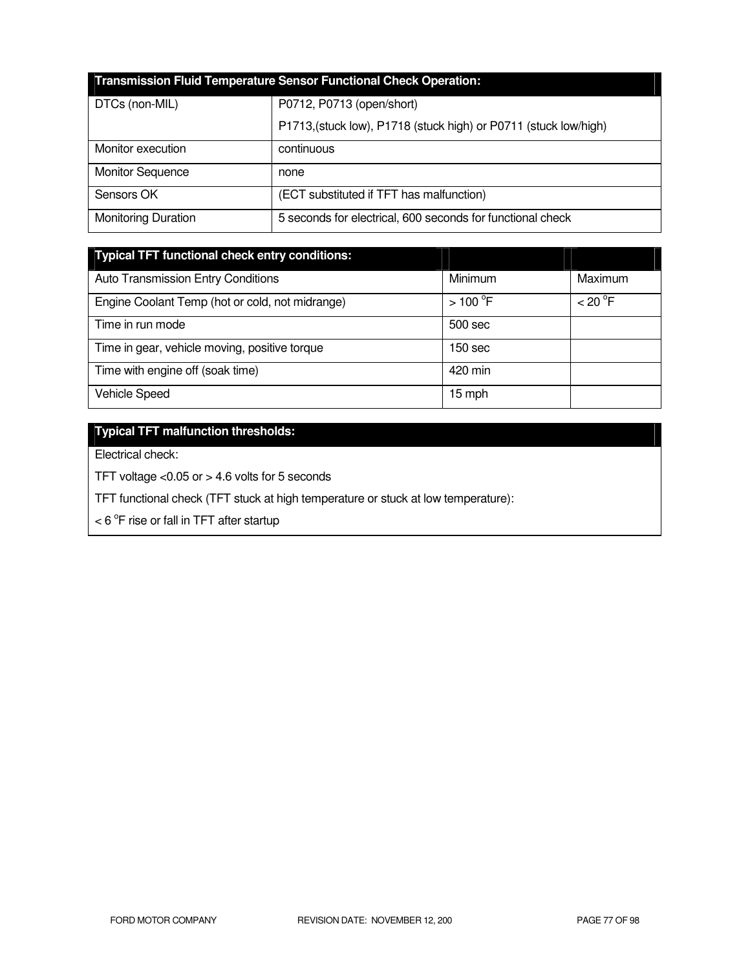| <b>Transmission Fluid Temperature Sensor Functional Check Operation:</b> |                                                                  |  |  |
|--------------------------------------------------------------------------|------------------------------------------------------------------|--|--|
| DTCs (non-MIL)                                                           | P0712, P0713 (open/short)                                        |  |  |
|                                                                          | P1713, (stuck low), P1718 (stuck high) or P0711 (stuck low/high) |  |  |
| Monitor execution                                                        | continuous                                                       |  |  |
| <b>Monitor Sequence</b>                                                  | none                                                             |  |  |
| Sensors OK                                                               | (ECT substituted if TFT has malfunction)                         |  |  |
| <b>Monitoring Duration</b>                                               | 5 seconds for electrical, 600 seconds for functional check       |  |  |

| <b>Typical TFT functional check entry conditions:</b> |           |         |
|-------------------------------------------------------|-----------|---------|
| <b>Auto Transmission Entry Conditions</b>             | Minimum   | Maximum |
| Engine Coolant Temp (hot or cold, not midrange)       | $>100$ °F | < 20 °F |
| Time in run mode                                      | 500 sec   |         |
| Time in gear, vehicle moving, positive torque         | 150 sec   |         |
| Time with engine off (soak time)                      | 420 min   |         |
| <b>Vehicle Speed</b>                                  | 15 mph    |         |

# **Typical TFT malfunction thresholds:**

Electrical check:

TFT voltage <0.05 or > 4.6 volts for 5 seconds

TFT functional check (TFT stuck at high temperature or stuck at low temperature):

 $<$  6  $\mathrm{^{\circ}F}$  rise or fall in TFT after startup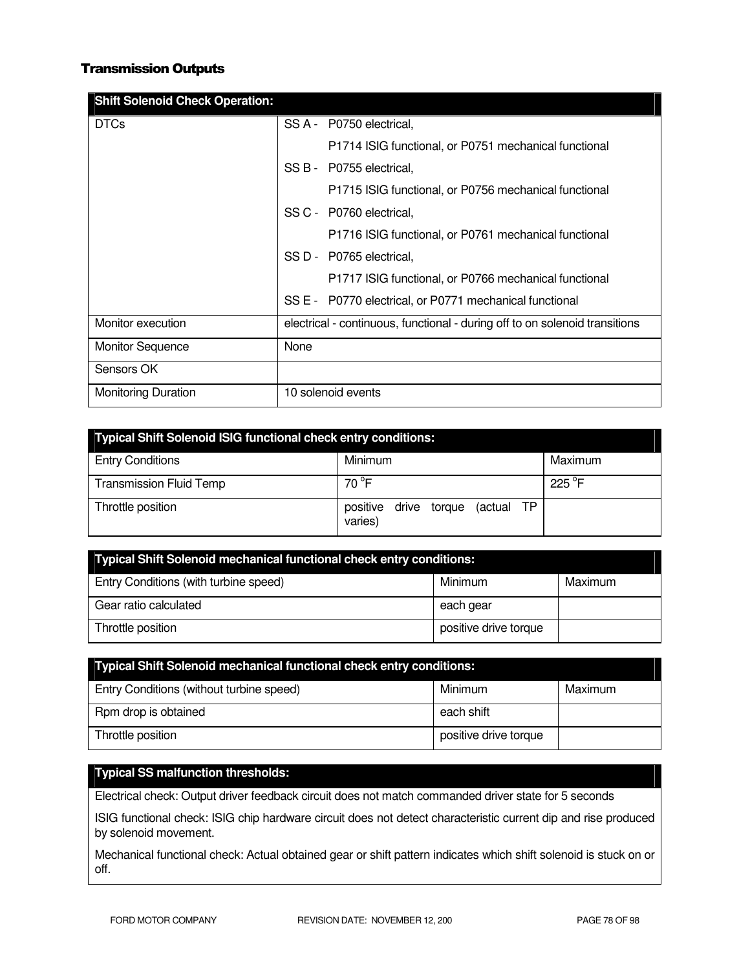### Transmission Outputs

| <b>Shift Solenoid Check Operation:</b> |                                                                             |
|----------------------------------------|-----------------------------------------------------------------------------|
| <b>DTCs</b>                            | SS A - P0750 electrical,                                                    |
|                                        | P1714 ISIG functional, or P0751 mechanical functional                       |
|                                        | SS B - P0755 electrical,                                                    |
|                                        | P1715 ISIG functional, or P0756 mechanical functional                       |
|                                        | SS C - P0760 electrical.                                                    |
|                                        | P1716 ISIG functional, or P0761 mechanical functional                       |
|                                        | SS D - P0765 electrical,                                                    |
|                                        | P1717 ISIG functional, or P0766 mechanical functional                       |
|                                        | SS E - P0770 electrical, or P0771 mechanical functional                     |
| Monitor execution                      | electrical - continuous, functional - during off to on solenoid transitions |
| <b>Monitor Sequence</b>                | None                                                                        |
| Sensors OK                             |                                                                             |
| <b>Monitoring Duration</b>             | 10 solenoid events                                                          |

| <b>Typical Shift Solenoid ISIG functional check entry conditions:</b> |                                                   |         |  |
|-----------------------------------------------------------------------|---------------------------------------------------|---------|--|
| <b>Entry Conditions</b>                                               | Minimum                                           | Maximum |  |
| <b>Transmission Fluid Temp</b>                                        | 70 °F                                             | 225 °F  |  |
| Throttle position                                                     | (actual TP<br>positive<br>drive torque<br>varies) |         |  |

| Typical Shift Solenoid mechanical functional check entry conditions: |                       |         |  |
|----------------------------------------------------------------------|-----------------------|---------|--|
| Entry Conditions (with turbine speed)                                | Minimum               | Maximum |  |
| Gear ratio calculated                                                | each gear             |         |  |
| Throttle position                                                    | positive drive torque |         |  |

| <b>Typical Shift Solenoid mechanical functional check entry conditions:</b> |                       |         |  |
|-----------------------------------------------------------------------------|-----------------------|---------|--|
| Entry Conditions (without turbine speed)                                    | Minimum               | Maximum |  |
| Rpm drop is obtained                                                        | each shift            |         |  |
| Throttle position                                                           | positive drive torque |         |  |

## **Typical SS malfunction thresholds:**

Electrical check: Output driver feedback circuit does not match commanded driver state for 5 seconds

ISIG functional check: ISIG chip hardware circuit does not detect characteristic current dip and rise produced by solenoid movement.

Mechanical functional check: Actual obtained gear or shift pattern indicates which shift solenoid is stuck on or off.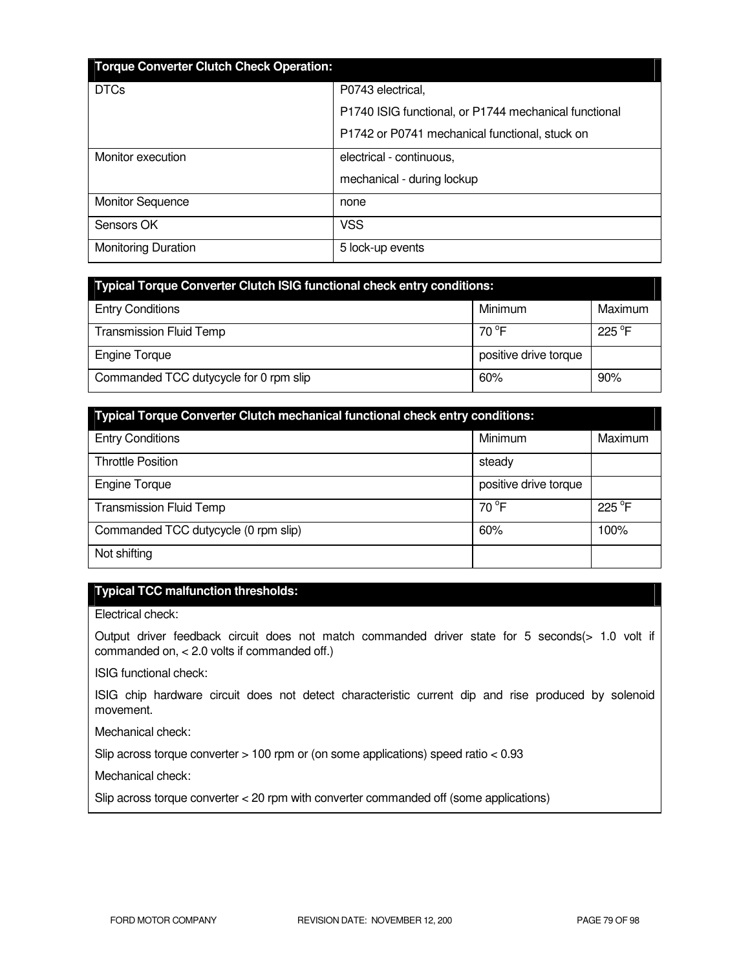| <b>Torque Converter Clutch Check Operation:</b> |                                                       |  |
|-------------------------------------------------|-------------------------------------------------------|--|
| <b>DTCs</b>                                     | P0743 electrical,                                     |  |
|                                                 | P1740 ISIG functional, or P1744 mechanical functional |  |
|                                                 | P1742 or P0741 mechanical functional, stuck on        |  |
| Monitor execution                               | electrical - continuous,                              |  |
|                                                 | mechanical - during lockup                            |  |
| <b>Monitor Sequence</b>                         | none                                                  |  |
| Sensors OK                                      | <b>VSS</b>                                            |  |
| <b>Monitoring Duration</b>                      | 5 lock-up events                                      |  |

| <b>Typical Torque Converter Clutch ISIG functional check entry conditions:</b> |                       |                 |  |
|--------------------------------------------------------------------------------|-----------------------|-----------------|--|
| <b>Entry Conditions</b>                                                        | Minimum               | Maximum         |  |
| <b>Transmission Fluid Temp</b>                                                 | 70 $\degree$ F        | $225^{\circ}$ F |  |
| <b>Engine Torque</b>                                                           | positive drive torque |                 |  |
| Commanded TCC dutycycle for 0 rpm slip                                         | 60%                   | 90%             |  |

| <b>Typical Torque Converter Clutch mechanical functional check entry conditions:</b> |                       |         |  |
|--------------------------------------------------------------------------------------|-----------------------|---------|--|
| <b>Entry Conditions</b>                                                              | Minimum               | Maximum |  |
| <b>Throttle Position</b>                                                             | steady                |         |  |
| <b>Engine Torque</b>                                                                 | positive drive torque |         |  |
| <b>Transmission Fluid Temp</b>                                                       | $70^{\circ}$ F        | 225 °F  |  |
| Commanded TCC dutycycle (0 rpm slip)                                                 | 60%                   | 100%    |  |
| Not shifting                                                                         |                       |         |  |

## **Typical TCC malfunction thresholds:**

Electrical check:

Output driver feedback circuit does not match commanded driver state for 5 seconds(> 1.0 volt if commanded on, < 2.0 volts if commanded off.)

ISIG functional check:

ISIG chip hardware circuit does not detect characteristic current dip and rise produced by solenoid movement.

Mechanical check:

Slip across torque converter > 100 rpm or (on some applications) speed ratio < 0.93

Mechanical check:

Slip across torque converter < 20 rpm with converter commanded off (some applications)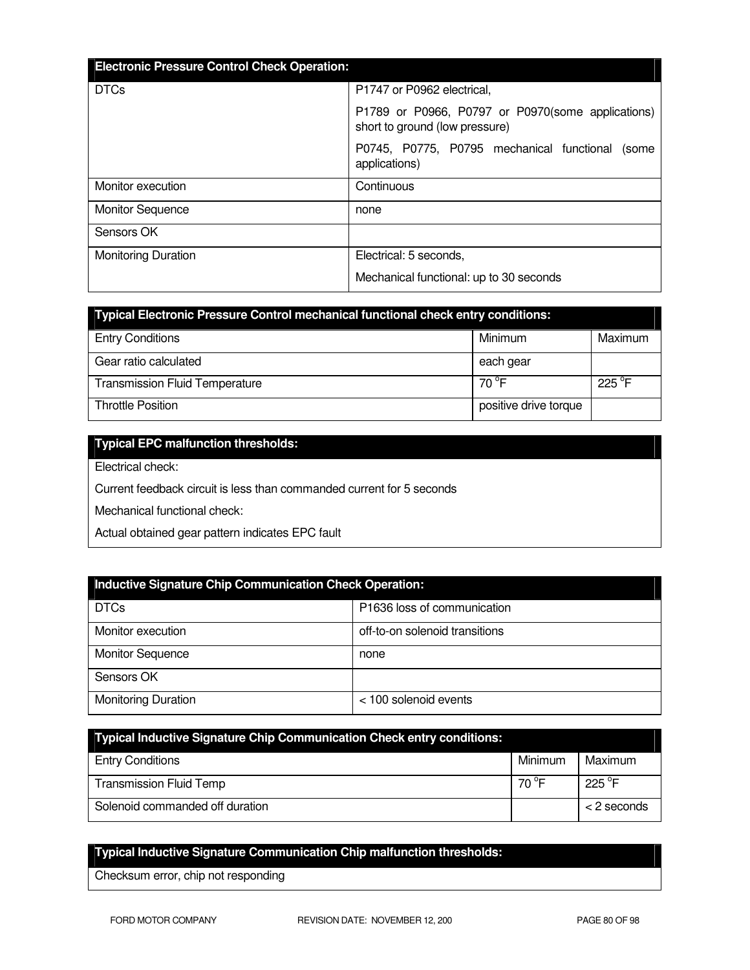| <b>Electronic Pressure Control Check Operation:</b> |                                                                                     |
|-----------------------------------------------------|-------------------------------------------------------------------------------------|
|                                                     |                                                                                     |
| <b>DTCs</b>                                         | P1747 or P0962 electrical.                                                          |
|                                                     | P1789 or P0966, P0797 or P0970(some applications)<br>short to ground (low pressure) |
|                                                     | P0745, P0775, P0795 mechanical functional<br>(some<br>applications)                 |
| Monitor execution                                   | Continuous                                                                          |
| <b>Monitor Sequence</b>                             | none                                                                                |
| Sensors OK                                          |                                                                                     |
| <b>Monitoring Duration</b>                          | Electrical: 5 seconds,                                                              |
|                                                     | Mechanical functional: up to 30 seconds                                             |

| Typical Electronic Pressure Control mechanical functional check entry conditions: |                       |                 |  |
|-----------------------------------------------------------------------------------|-----------------------|-----------------|--|
| <b>Entry Conditions</b>                                                           | Minimum               | Maximum         |  |
| Gear ratio calculated                                                             | each gear             |                 |  |
| <b>Transmission Fluid Temperature</b>                                             | 70 °F                 | $225^{\circ}$ F |  |
| <b>Throttle Position</b>                                                          | positive drive torque |                 |  |

## **Typical EPC malfunction thresholds:**

Electrical check:

Current feedback circuit is less than commanded current for 5 seconds

Mechanical functional check:

Actual obtained gear pattern indicates EPC fault

| Inductive Signature Chip Communication Check Operation: |                                |  |
|---------------------------------------------------------|--------------------------------|--|
| <b>DTCs</b>                                             | P1636 loss of communication    |  |
| Monitor execution                                       | off-to-on solenoid transitions |  |
| <b>Monitor Sequence</b>                                 | none                           |  |
| Sensors OK                                              |                                |  |
| <b>Monitoring Duration</b>                              | < 100 solenoid events          |  |

| <b>Typical Inductive Signature Chip Communication Check entry conditions:</b> |         |                  |
|-------------------------------------------------------------------------------|---------|------------------|
| <b>Entry Conditions</b>                                                       | Minimum | Maximum          |
| <b>Transmission Fluid Temp</b>                                                | 70 °F   | 225 $^{\circ}$ F |
| Solenoid commanded off duration                                               |         | $<$ 2 seconds    |

# **Typical Inductive Signature Communication Chip malfunction thresholds:**

Checksum error, chip not responding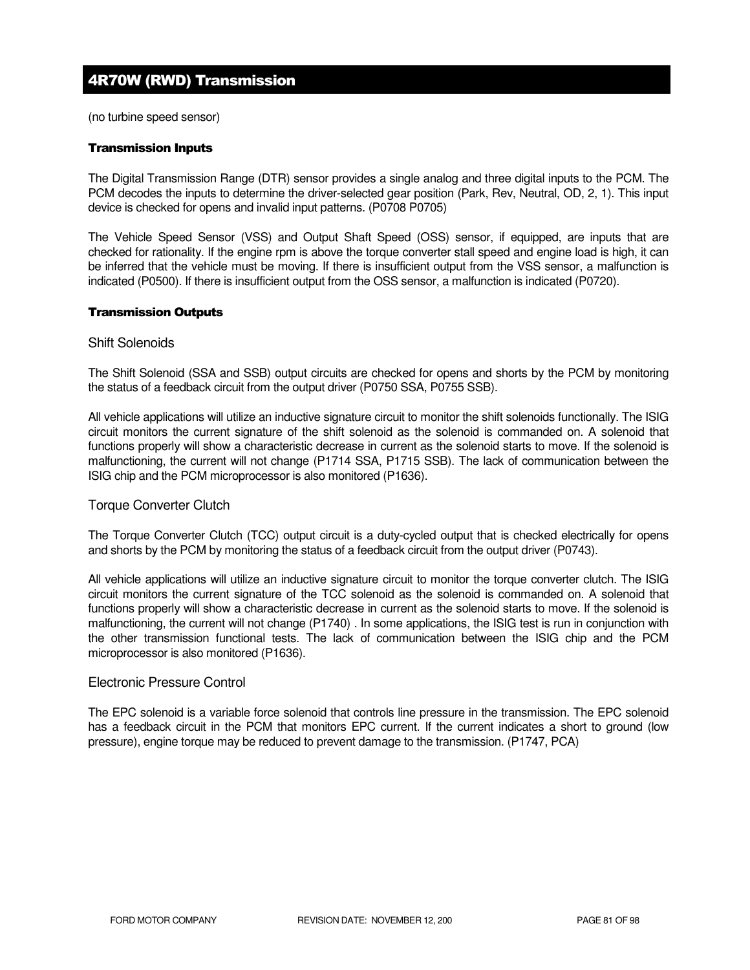# 4R70W (RWD) Transmission

(no turbine speed sensor)

#### Transmission Inputs

The Digital Transmission Range (DTR) sensor provides a single analog and three digital inputs to the PCM. The PCM decodes the inputs to determine the driver-selected gear position (Park, Rev, Neutral, OD, 2, 1). This input device is checked for opens and invalid input patterns. (P0708 P0705)

The Vehicle Speed Sensor (VSS) and Output Shaft Speed (OSS) sensor, if equipped, are inputs that are checked for rationality. If the engine rpm is above the torque converter stall speed and engine load is high, it can be inferred that the vehicle must be moving. If there is insufficient output from the VSS sensor, a malfunction is indicated (P0500). If there is insufficient output from the OSS sensor, a malfunction is indicated (P0720).

#### Transmission Outputs

#### Shift Solenoids

The Shift Solenoid (SSA and SSB) output circuits are checked for opens and shorts by the PCM by monitoring the status of a feedback circuit from the output driver (P0750 SSA, P0755 SSB).

All vehicle applications will utilize an inductive signature circuit to monitor the shift solenoids functionally. The ISIG circuit monitors the current signature of the shift solenoid as the solenoid is commanded on. A solenoid that functions properly will show a characteristic decrease in current as the solenoid starts to move. If the solenoid is malfunctioning, the current will not change (P1714 SSA, P1715 SSB). The lack of communication between the ISIG chip and the PCM microprocessor is also monitored (P1636).

#### Torque Converter Clutch

The Torque Converter Clutch (TCC) output circuit is a duty-cycled output that is checked electrically for opens and shorts by the PCM by monitoring the status of a feedback circuit from the output driver (P0743).

All vehicle applications will utilize an inductive signature circuit to monitor the torque converter clutch. The ISIG circuit monitors the current signature of the TCC solenoid as the solenoid is commanded on. A solenoid that functions properly will show a characteristic decrease in current as the solenoid starts to move. If the solenoid is malfunctioning, the current will not change (P1740) . In some applications, the ISIG test is run in conjunction with the other transmission functional tests. The lack of communication between the ISIG chip and the PCM microprocessor is also monitored (P1636).

#### Electronic Pressure Control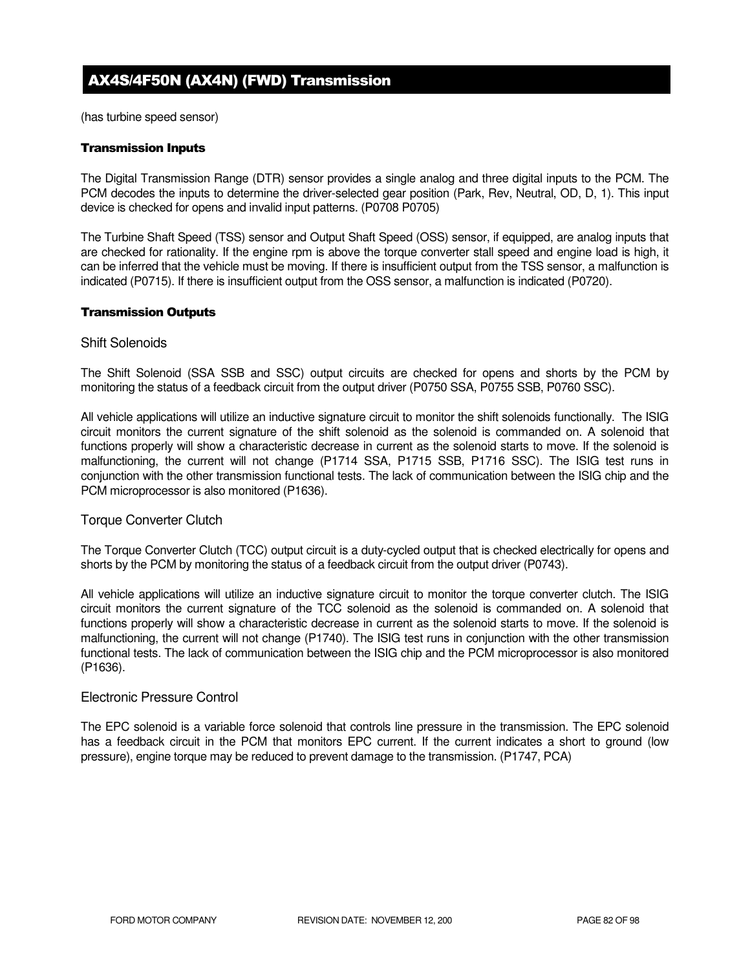# AX4S/4F50N (AX4N) (FWD) Transmission

(has turbine speed sensor)

#### Transmission Inputs

The Digital Transmission Range (DTR) sensor provides a single analog and three digital inputs to the PCM. The PCM decodes the inputs to determine the driver-selected gear position (Park, Rev, Neutral, OD, D, 1). This input device is checked for opens and invalid input patterns. (P0708 P0705)

The Turbine Shaft Speed (TSS) sensor and Output Shaft Speed (OSS) sensor, if equipped, are analog inputs that are checked for rationality. If the engine rpm is above the torque converter stall speed and engine load is high, it can be inferred that the vehicle must be moving. If there is insufficient output from the TSS sensor, a malfunction is indicated (P0715). If there is insufficient output from the OSS sensor, a malfunction is indicated (P0720).

#### Transmission Outputs

#### Shift Solenoids

The Shift Solenoid (SSA SSB and SSC) output circuits are checked for opens and shorts by the PCM by monitoring the status of a feedback circuit from the output driver (P0750 SSA, P0755 SSB, P0760 SSC).

All vehicle applications will utilize an inductive signature circuit to monitor the shift solenoids functionally. The ISIG circuit monitors the current signature of the shift solenoid as the solenoid is commanded on. A solenoid that functions properly will show a characteristic decrease in current as the solenoid starts to move. If the solenoid is malfunctioning, the current will not change (P1714 SSA, P1715 SSB, P1716 SSC). The ISIG test runs in conjunction with the other transmission functional tests. The lack of communication between the ISIG chip and the PCM microprocessor is also monitored (P1636).

#### Torque Converter Clutch

The Torque Converter Clutch (TCC) output circuit is a duty-cycled output that is checked electrically for opens and shorts by the PCM by monitoring the status of a feedback circuit from the output driver (P0743).

All vehicle applications will utilize an inductive signature circuit to monitor the torque converter clutch. The ISIG circuit monitors the current signature of the TCC solenoid as the solenoid is commanded on. A solenoid that functions properly will show a characteristic decrease in current as the solenoid starts to move. If the solenoid is malfunctioning, the current will not change (P1740). The ISIG test runs in conjunction with the other transmission functional tests. The lack of communication between the ISIG chip and the PCM microprocessor is also monitored (P1636).

#### Electronic Pressure Control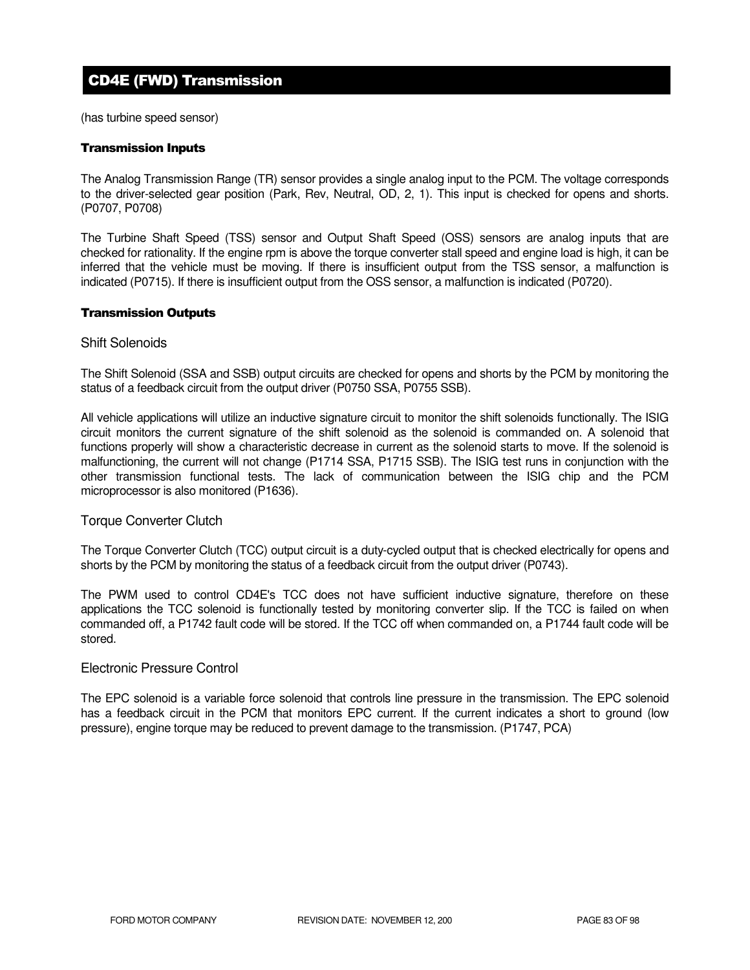# CD4E (FWD) Transmission

(has turbine speed sensor)

#### Transmission Inputs

The Analog Transmission Range (TR) sensor provides a single analog input to the PCM. The voltage corresponds to the driver-selected gear position (Park, Rev, Neutral, OD, 2, 1). This input is checked for opens and shorts. (P0707, P0708)

The Turbine Shaft Speed (TSS) sensor and Output Shaft Speed (OSS) sensors are analog inputs that are checked for rationality. If the engine rpm is above the torque converter stall speed and engine load is high, it can be inferred that the vehicle must be moving. If there is insufficient output from the TSS sensor, a malfunction is indicated (P0715). If there is insufficient output from the OSS sensor, a malfunction is indicated (P0720).

#### Transmission Outputs

#### Shift Solenoids

The Shift Solenoid (SSA and SSB) output circuits are checked for opens and shorts by the PCM by monitoring the status of a feedback circuit from the output driver (P0750 SSA, P0755 SSB).

All vehicle applications will utilize an inductive signature circuit to monitor the shift solenoids functionally. The ISIG circuit monitors the current signature of the shift solenoid as the solenoid is commanded on. A solenoid that functions properly will show a characteristic decrease in current as the solenoid starts to move. If the solenoid is malfunctioning, the current will not change (P1714 SSA, P1715 SSB). The ISIG test runs in conjunction with the other transmission functional tests. The lack of communication between the ISIG chip and the PCM microprocessor is also monitored (P1636).

#### Torque Converter Clutch

The Torque Converter Clutch (TCC) output circuit is a duty-cycled output that is checked electrically for opens and shorts by the PCM by monitoring the status of a feedback circuit from the output driver (P0743).

The PWM used to control CD4E's TCC does not have sufficient inductive signature, therefore on these applications the TCC solenoid is functionally tested by monitoring converter slip. If the TCC is failed on when commanded off, a P1742 fault code will be stored. If the TCC off when commanded on, a P1744 fault code will be stored.

#### Electronic Pressure Control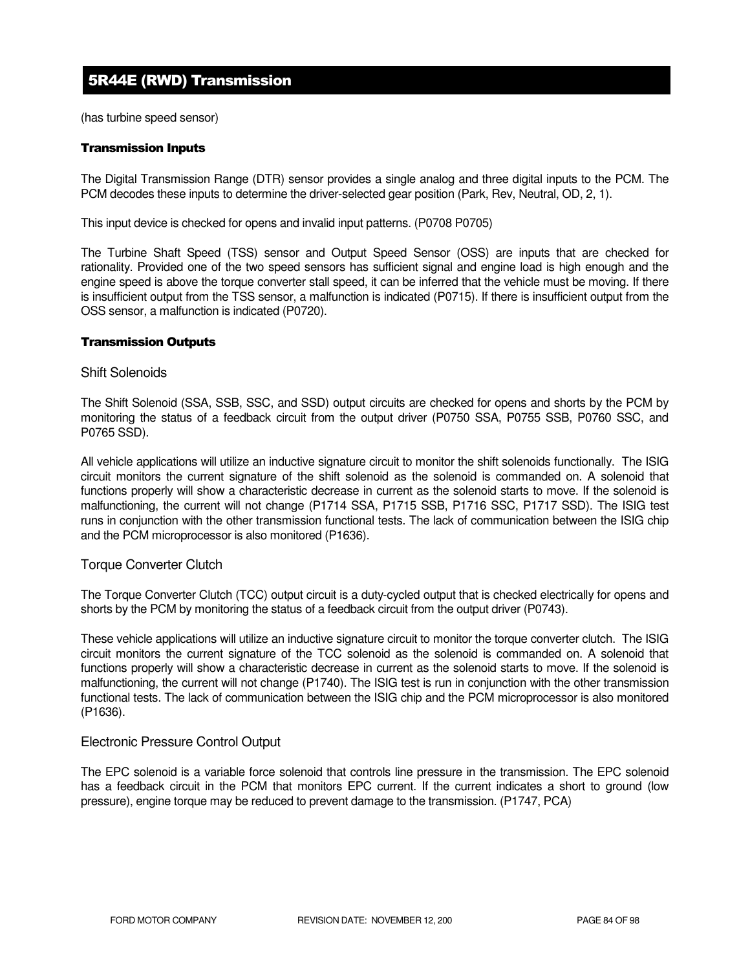# 5R44E (RWD) Transmission

(has turbine speed sensor)

#### Transmission Inputs

The Digital Transmission Range (DTR) sensor provides a single analog and three digital inputs to the PCM. The PCM decodes these inputs to determine the driver-selected gear position (Park, Rev, Neutral, OD, 2, 1).

This input device is checked for opens and invalid input patterns. (P0708 P0705)

The Turbine Shaft Speed (TSS) sensor and Output Speed Sensor (OSS) are inputs that are checked for rationality. Provided one of the two speed sensors has sufficient signal and engine load is high enough and the engine speed is above the torque converter stall speed, it can be inferred that the vehicle must be moving. If there is insufficient output from the TSS sensor, a malfunction is indicated (P0715). If there is insufficient output from the OSS sensor, a malfunction is indicated (P0720).

#### Transmission Outputs

#### Shift Solenoids

The Shift Solenoid (SSA, SSB, SSC, and SSD) output circuits are checked for opens and shorts by the PCM by monitoring the status of a feedback circuit from the output driver (P0750 SSA, P0755 SSB, P0760 SSC, and P0765 SSD).

All vehicle applications will utilize an inductive signature circuit to monitor the shift solenoids functionally. The ISIG circuit monitors the current signature of the shift solenoid as the solenoid is commanded on. A solenoid that functions properly will show a characteristic decrease in current as the solenoid starts to move. If the solenoid is malfunctioning, the current will not change (P1714 SSA, P1715 SSB, P1716 SSC, P1717 SSD). The ISIG test runs in conjunction with the other transmission functional tests. The lack of communication between the ISIG chip and the PCM microprocessor is also monitored (P1636).

#### Torque Converter Clutch

The Torque Converter Clutch (TCC) output circuit is a duty-cycled output that is checked electrically for opens and shorts by the PCM by monitoring the status of a feedback circuit from the output driver (P0743).

These vehicle applications will utilize an inductive signature circuit to monitor the torque converter clutch. The ISIG circuit monitors the current signature of the TCC solenoid as the solenoid is commanded on. A solenoid that functions properly will show a characteristic decrease in current as the solenoid starts to move. If the solenoid is malfunctioning, the current will not change (P1740). The ISIG test is run in conjunction with the other transmission functional tests. The lack of communication between the ISIG chip and the PCM microprocessor is also monitored (P1636).

#### Electronic Pressure Control Output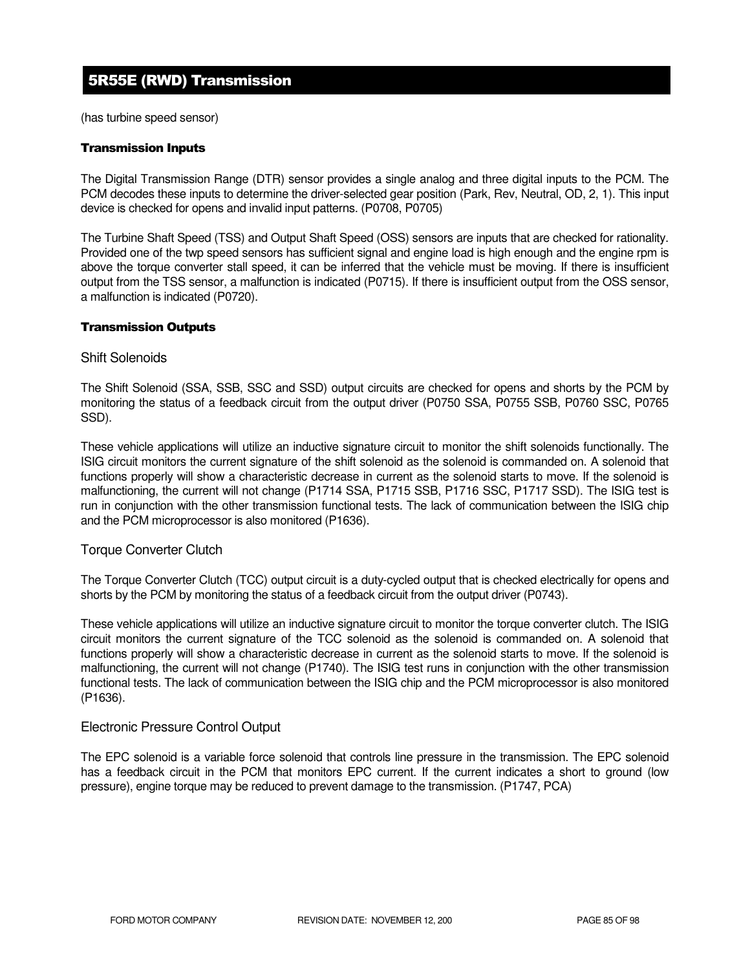# 5R55E (RWD) Transmission

(has turbine speed sensor)

#### Transmission Inputs

The Digital Transmission Range (DTR) sensor provides a single analog and three digital inputs to the PCM. The PCM decodes these inputs to determine the driver-selected gear position (Park, Rev, Neutral, OD, 2, 1). This input device is checked for opens and invalid input patterns. (P0708, P0705)

The Turbine Shaft Speed (TSS) and Output Shaft Speed (OSS) sensors are inputs that are checked for rationality. Provided one of the twp speed sensors has sufficient signal and engine load is high enough and the engine rpm is above the torque converter stall speed, it can be inferred that the vehicle must be moving. If there is insufficient output from the TSS sensor, a malfunction is indicated (P0715). If there is insufficient output from the OSS sensor, a malfunction is indicated (P0720).

#### Transmission Outputs

#### Shift Solenoids

The Shift Solenoid (SSA, SSB, SSC and SSD) output circuits are checked for opens and shorts by the PCM by monitoring the status of a feedback circuit from the output driver (P0750 SSA, P0755 SSB, P0760 SSC, P0765 SSD).

These vehicle applications will utilize an inductive signature circuit to monitor the shift solenoids functionally. The ISIG circuit monitors the current signature of the shift solenoid as the solenoid is commanded on. A solenoid that functions properly will show a characteristic decrease in current as the solenoid starts to move. If the solenoid is malfunctioning, the current will not change (P1714 SSA, P1715 SSB, P1716 SSC, P1717 SSD). The ISIG test is run in conjunction with the other transmission functional tests. The lack of communication between the ISIG chip and the PCM microprocessor is also monitored (P1636).

#### Torque Converter Clutch

The Torque Converter Clutch (TCC) output circuit is a duty-cycled output that is checked electrically for opens and shorts by the PCM by monitoring the status of a feedback circuit from the output driver (P0743).

These vehicle applications will utilize an inductive signature circuit to monitor the torque converter clutch. The ISIG circuit monitors the current signature of the TCC solenoid as the solenoid is commanded on. A solenoid that functions properly will show a characteristic decrease in current as the solenoid starts to move. If the solenoid is malfunctioning, the current will not change (P1740). The ISIG test runs in conjunction with the other transmission functional tests. The lack of communication between the ISIG chip and the PCM microprocessor is also monitored (P1636).

#### Electronic Pressure Control Output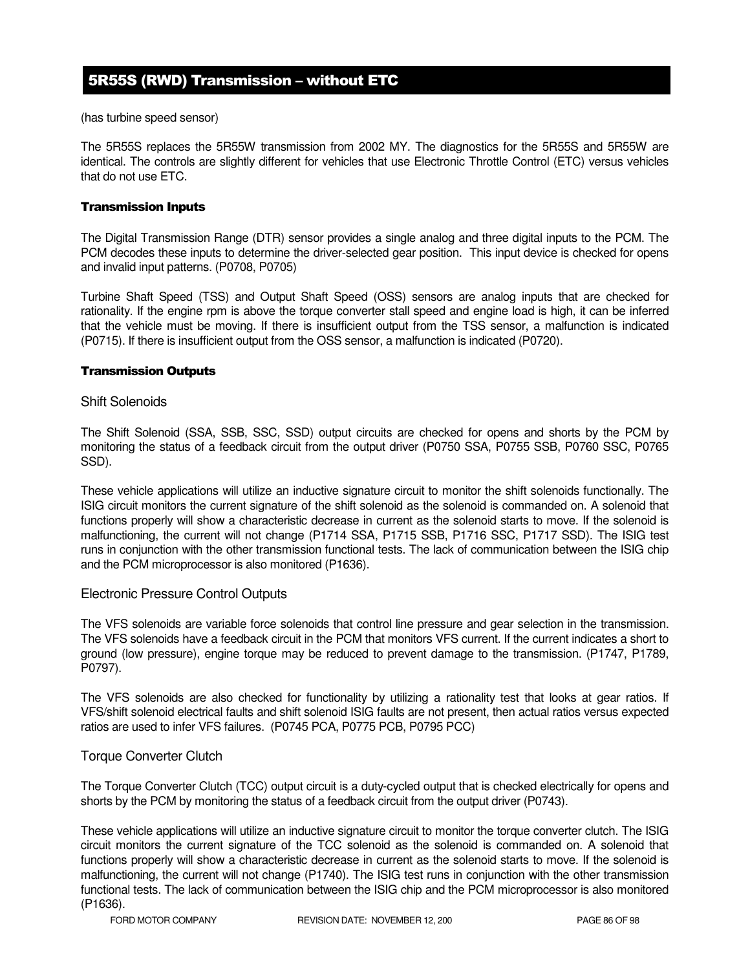## 5R55S (RWD) Transmission – without ETC

(has turbine speed sensor)

The 5R55S replaces the 5R55W transmission from 2002 MY. The diagnostics for the 5R55S and 5R55W are identical. The controls are slightly different for vehicles that use Electronic Throttle Control (ETC) versus vehicles that do not use ETC.

#### Transmission Inputs

The Digital Transmission Range (DTR) sensor provides a single analog and three digital inputs to the PCM. The PCM decodes these inputs to determine the driver-selected gear position. This input device is checked for opens and invalid input patterns. (P0708, P0705)

Turbine Shaft Speed (TSS) and Output Shaft Speed (OSS) sensors are analog inputs that are checked for rationality. If the engine rpm is above the torque converter stall speed and engine load is high, it can be inferred that the vehicle must be moving. If there is insufficient output from the TSS sensor, a malfunction is indicated (P0715). If there is insufficient output from the OSS sensor, a malfunction is indicated (P0720).

#### Transmission Outputs

#### Shift Solenoids

The Shift Solenoid (SSA, SSB, SSC, SSD) output circuits are checked for opens and shorts by the PCM by monitoring the status of a feedback circuit from the output driver (P0750 SSA, P0755 SSB, P0760 SSC, P0765 SSD).

These vehicle applications will utilize an inductive signature circuit to monitor the shift solenoids functionally. The ISIG circuit monitors the current signature of the shift solenoid as the solenoid is commanded on. A solenoid that functions properly will show a characteristic decrease in current as the solenoid starts to move. If the solenoid is malfunctioning, the current will not change (P1714 SSA, P1715 SSB, P1716 SSC, P1717 SSD). The ISIG test runs in conjunction with the other transmission functional tests. The lack of communication between the ISIG chip and the PCM microprocessor is also monitored (P1636).

#### Electronic Pressure Control Outputs

The VFS solenoids are variable force solenoids that control line pressure and gear selection in the transmission. The VFS solenoids have a feedback circuit in the PCM that monitors VFS current. If the current indicates a short to ground (low pressure), engine torque may be reduced to prevent damage to the transmission. (P1747, P1789, P0797).

The VFS solenoids are also checked for functionality by utilizing a rationality test that looks at gear ratios. If VFS/shift solenoid electrical faults and shift solenoid ISIG faults are not present, then actual ratios versus expected ratios are used to infer VFS failures. (P0745 PCA, P0775 PCB, P0795 PCC)

#### Torque Converter Clutch

The Torque Converter Clutch (TCC) output circuit is a duty-cycled output that is checked electrically for opens and shorts by the PCM by monitoring the status of a feedback circuit from the output driver (P0743).

These vehicle applications will utilize an inductive signature circuit to monitor the torque converter clutch. The ISIG circuit monitors the current signature of the TCC solenoid as the solenoid is commanded on. A solenoid that functions properly will show a characteristic decrease in current as the solenoid starts to move. If the solenoid is malfunctioning, the current will not change (P1740). The ISIG test runs in conjunction with the other transmission functional tests. The lack of communication between the ISIG chip and the PCM microprocessor is also monitored (P1636).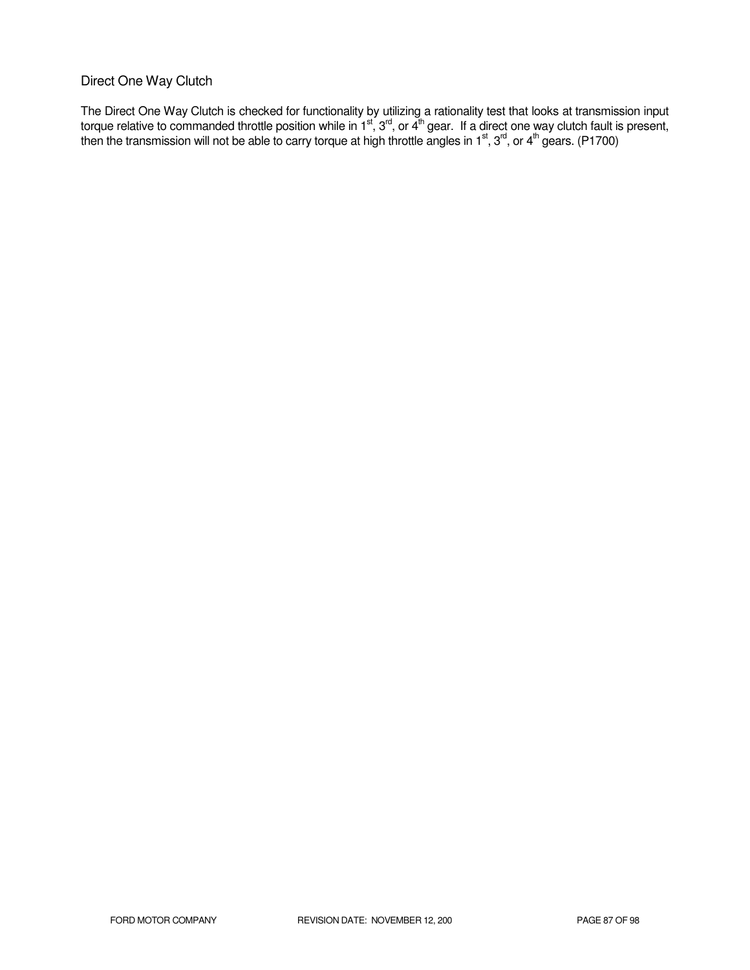### Direct One Way Clutch

The Direct One Way Clutch is checked for functionality by utilizing a rationality test that looks at transmission input torque relative to commanded throttle position while in 1<sup>st</sup>, 3<sup>rd</sup>, or 4<sup>th</sup> gear. If a direct one way clutch fault is present, then the transmission will not be able to carry torque at high throttle angles in 1<sup>st</sup>, 3<sup>rd</sup>, or 4<sup>th</sup> gears. (P1700)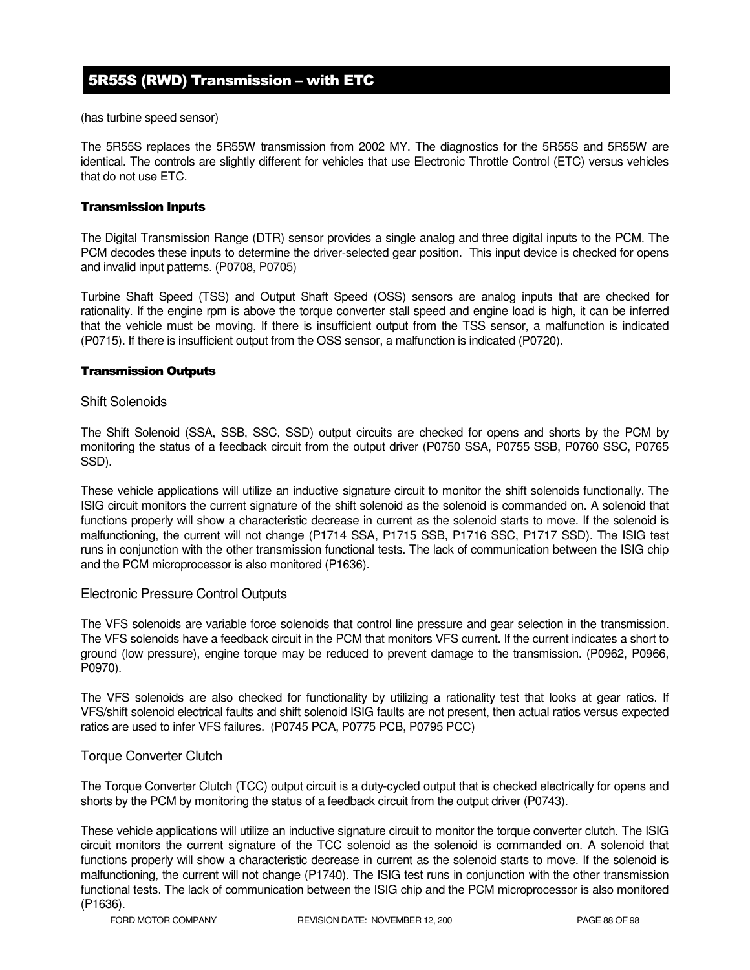# 5R55S (RWD) Transmission – with ETC

(has turbine speed sensor)

The 5R55S replaces the 5R55W transmission from 2002 MY. The diagnostics for the 5R55S and 5R55W are identical. The controls are slightly different for vehicles that use Electronic Throttle Control (ETC) versus vehicles that do not use ETC.

#### Transmission Inputs

The Digital Transmission Range (DTR) sensor provides a single analog and three digital inputs to the PCM. The PCM decodes these inputs to determine the driver-selected gear position. This input device is checked for opens and invalid input patterns. (P0708, P0705)

Turbine Shaft Speed (TSS) and Output Shaft Speed (OSS) sensors are analog inputs that are checked for rationality. If the engine rpm is above the torque converter stall speed and engine load is high, it can be inferred that the vehicle must be moving. If there is insufficient output from the TSS sensor, a malfunction is indicated (P0715). If there is insufficient output from the OSS sensor, a malfunction is indicated (P0720).

#### Transmission Outputs

#### Shift Solenoids

The Shift Solenoid (SSA, SSB, SSC, SSD) output circuits are checked for opens and shorts by the PCM by monitoring the status of a feedback circuit from the output driver (P0750 SSA, P0755 SSB, P0760 SSC, P0765 SSD).

These vehicle applications will utilize an inductive signature circuit to monitor the shift solenoids functionally. The ISIG circuit monitors the current signature of the shift solenoid as the solenoid is commanded on. A solenoid that functions properly will show a characteristic decrease in current as the solenoid starts to move. If the solenoid is malfunctioning, the current will not change (P1714 SSA, P1715 SSB, P1716 SSC, P1717 SSD). The ISIG test runs in conjunction with the other transmission functional tests. The lack of communication between the ISIG chip and the PCM microprocessor is also monitored (P1636).

#### Electronic Pressure Control Outputs

The VFS solenoids are variable force solenoids that control line pressure and gear selection in the transmission. The VFS solenoids have a feedback circuit in the PCM that monitors VFS current. If the current indicates a short to ground (low pressure), engine torque may be reduced to prevent damage to the transmission. (P0962, P0966, P0970).

The VFS solenoids are also checked for functionality by utilizing a rationality test that looks at gear ratios. If VFS/shift solenoid electrical faults and shift solenoid ISIG faults are not present, then actual ratios versus expected ratios are used to infer VFS failures. (P0745 PCA, P0775 PCB, P0795 PCC)

#### Torque Converter Clutch

The Torque Converter Clutch (TCC) output circuit is a duty-cycled output that is checked electrically for opens and shorts by the PCM by monitoring the status of a feedback circuit from the output driver (P0743).

These vehicle applications will utilize an inductive signature circuit to monitor the torque converter clutch. The ISIG circuit monitors the current signature of the TCC solenoid as the solenoid is commanded on. A solenoid that functions properly will show a characteristic decrease in current as the solenoid starts to move. If the solenoid is malfunctioning, the current will not change (P1740). The ISIG test runs in conjunction with the other transmission functional tests. The lack of communication between the ISIG chip and the PCM microprocessor is also monitored (P1636).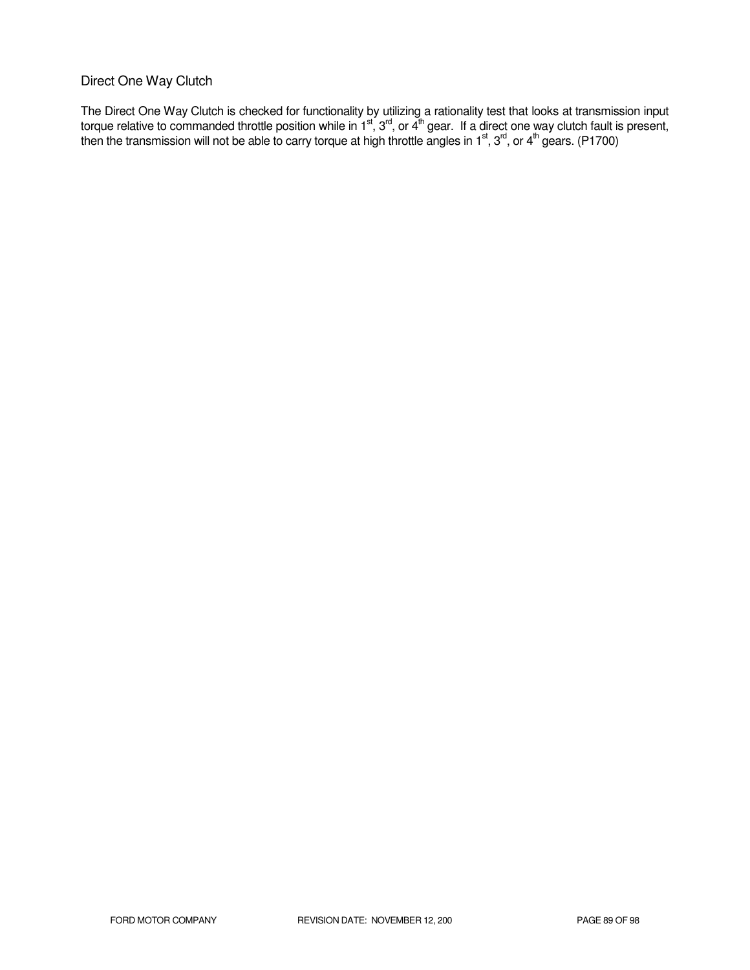### Direct One Way Clutch

The Direct One Way Clutch is checked for functionality by utilizing a rationality test that looks at transmission input torque relative to commanded throttle position while in 1<sup>st</sup>, 3<sup>rd</sup>, or 4<sup>th</sup> gear. If a direct one way clutch fault is present, then the transmission will not be able to carry torque at high throttle angles in 1<sup>st</sup>, 3<sup>rd</sup>, or 4<sup>th</sup> gears. (P1700)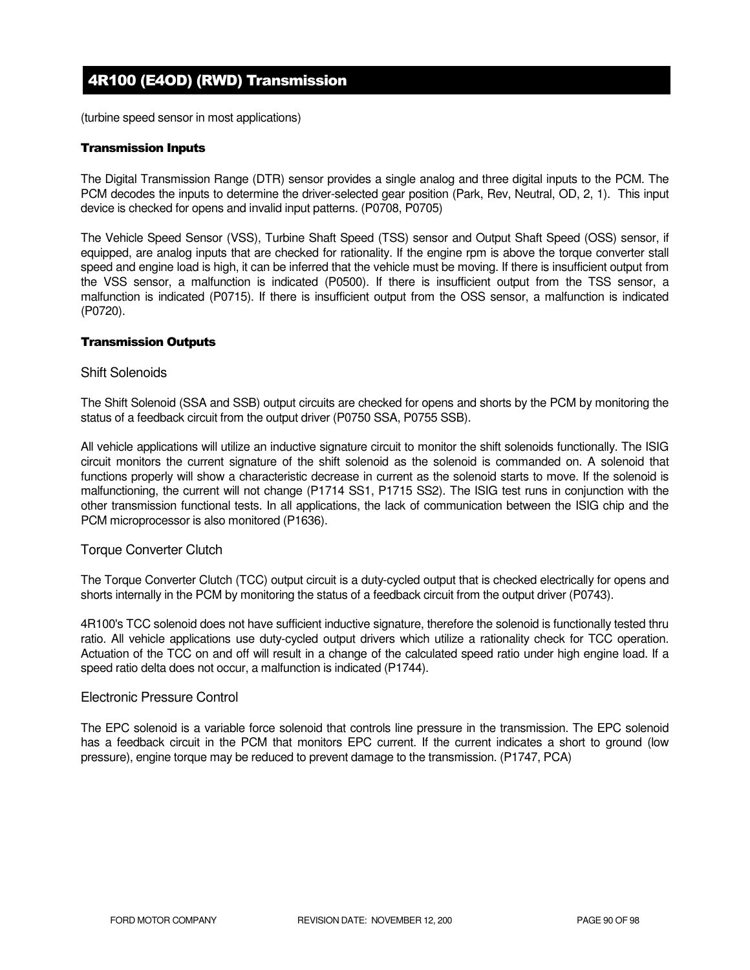# 4R100 (E4OD) (RWD) Transmission

(turbine speed sensor in most applications)

#### Transmission Inputs

The Digital Transmission Range (DTR) sensor provides a single analog and three digital inputs to the PCM. The PCM decodes the inputs to determine the driver-selected gear position (Park, Rev, Neutral, OD, 2, 1). This input device is checked for opens and invalid input patterns. (P0708, P0705)

The Vehicle Speed Sensor (VSS), Turbine Shaft Speed (TSS) sensor and Output Shaft Speed (OSS) sensor, if equipped, are analog inputs that are checked for rationality. If the engine rpm is above the torque converter stall speed and engine load is high, it can be inferred that the vehicle must be moving. If there is insufficient output from the VSS sensor, a malfunction is indicated (P0500). If there is insufficient output from the TSS sensor, a malfunction is indicated (P0715). If there is insufficient output from the OSS sensor, a malfunction is indicated (P0720).

#### Transmission Outputs

#### Shift Solenoids

The Shift Solenoid (SSA and SSB) output circuits are checked for opens and shorts by the PCM by monitoring the status of a feedback circuit from the output driver (P0750 SSA, P0755 SSB).

All vehicle applications will utilize an inductive signature circuit to monitor the shift solenoids functionally. The ISIG circuit monitors the current signature of the shift solenoid as the solenoid is commanded on. A solenoid that functions properly will show a characteristic decrease in current as the solenoid starts to move. If the solenoid is malfunctioning, the current will not change (P1714 SS1, P1715 SS2). The ISIG test runs in conjunction with the other transmission functional tests. In all applications, the lack of communication between the ISIG chip and the PCM microprocessor is also monitored (P1636).

#### Torque Converter Clutch

The Torque Converter Clutch (TCC) output circuit is a duty-cycled output that is checked electrically for opens and shorts internally in the PCM by monitoring the status of a feedback circuit from the output driver (P0743).

4R100's TCC solenoid does not have sufficient inductive signature, therefore the solenoid is functionally tested thru ratio. All vehicle applications use duty-cycled output drivers which utilize a rationality check for TCC operation. Actuation of the TCC on and off will result in a change of the calculated speed ratio under high engine load. If a speed ratio delta does not occur, a malfunction is indicated (P1744).

#### Electronic Pressure Control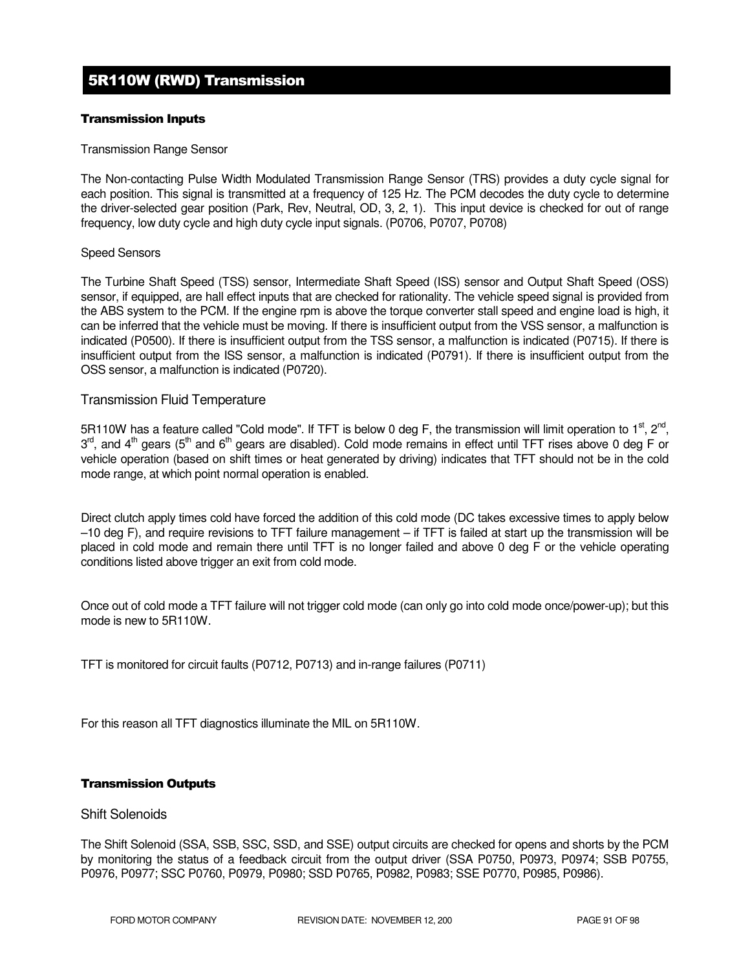# 5R110W (RWD) Transmission

#### Transmission Inputs

#### Transmission Range Sensor

The Non-contacting Pulse Width Modulated Transmission Range Sensor (TRS) provides a duty cycle signal for each position. This signal is transmitted at a frequency of 125 Hz. The PCM decodes the duty cycle to determine the driver-selected gear position (Park, Rev, Neutral, OD, 3, 2, 1). This input device is checked for out of range frequency, low duty cycle and high duty cycle input signals. (P0706, P0707, P0708)

#### Speed Sensors

The Turbine Shaft Speed (TSS) sensor, Intermediate Shaft Speed (ISS) sensor and Output Shaft Speed (OSS) sensor, if equipped, are hall effect inputs that are checked for rationality. The vehicle speed signal is provided from the ABS system to the PCM. If the engine rpm is above the torque converter stall speed and engine load is high, it can be inferred that the vehicle must be moving. If there is insufficient output from the VSS sensor, a malfunction is indicated (P0500). If there is insufficient output from the TSS sensor, a malfunction is indicated (P0715). If there is insufficient output from the ISS sensor, a malfunction is indicated (P0791). If there is insufficient output from the OSS sensor, a malfunction is indicated (P0720).

### Transmission Fluid Temperature

5R110W has a feature called "Cold mode". If TFT is below 0 deg F, the transmission will limit operation to 1<sup>st</sup>, 2<sup>nd</sup>,  $3^{\text{rd}}$ , and 4<sup>th</sup> gears (5<sup>th</sup> and 6<sup>th</sup> gears are disabled). Cold mode remains in effect until TFT rises above 0 deg F or vehicle operation (based on shift times or heat generated by driving) indicates that TFT should not be in the cold mode range, at which point normal operation is enabled.

Direct clutch apply times cold have forced the addition of this cold mode (DC takes excessive times to apply below –10 deg F), and require revisions to TFT failure management – if TFT is failed at start up the transmission will be placed in cold mode and remain there until TFT is no longer failed and above 0 deg F or the vehicle operating conditions listed above trigger an exit from cold mode.

Once out of cold mode a TFT failure will not trigger cold mode (can only go into cold mode once/power-up); but this mode is new to 5R110W.

TFT is monitored for circuit faults (P0712, P0713) and in-range failures (P0711)

For this reason all TFT diagnostics illuminate the MIL on 5R110W.

#### Transmission Outputs

#### Shift Solenoids

The Shift Solenoid (SSA, SSB, SSC, SSD, and SSE) output circuits are checked for opens and shorts by the PCM by monitoring the status of a feedback circuit from the output driver (SSA P0750, P0973, P0974; SSB P0755, P0976, P0977; SSC P0760, P0979, P0980; SSD P0765, P0982, P0983; SSE P0770, P0985, P0986).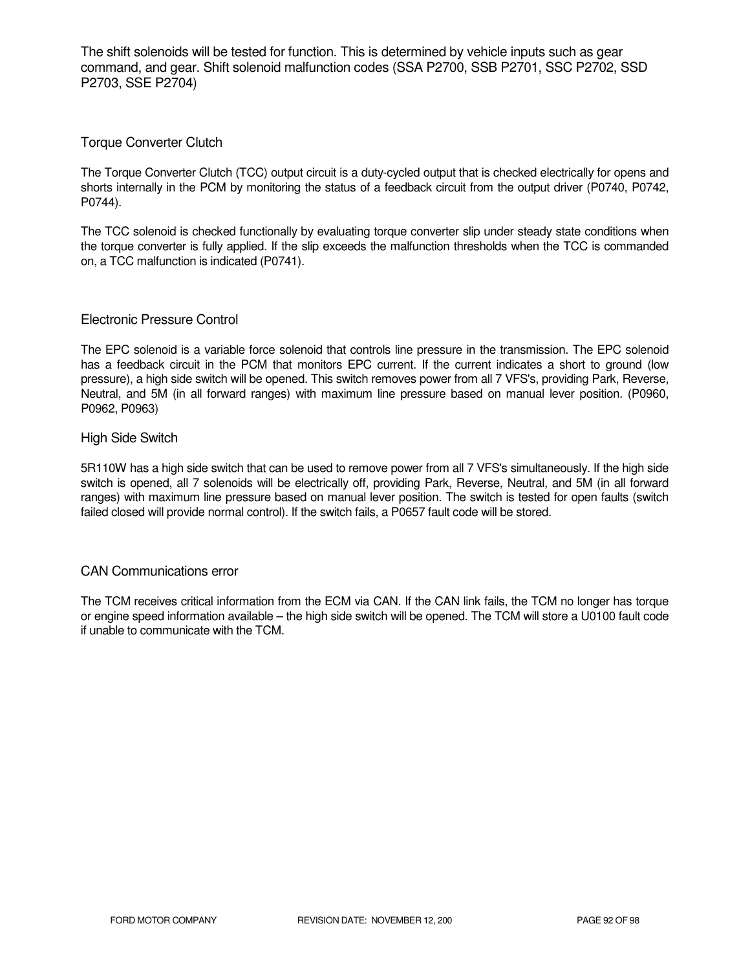The shift solenoids will be tested for function. This is determined by vehicle inputs such as gear command, and gear. Shift solenoid malfunction codes (SSA P2700, SSB P2701, SSC P2702, SSD P2703, SSE P2704)

### Torque Converter Clutch

The Torque Converter Clutch (TCC) output circuit is a duty-cycled output that is checked electrically for opens and shorts internally in the PCM by monitoring the status of a feedback circuit from the output driver (P0740, P0742, P0744).

The TCC solenoid is checked functionally by evaluating torque converter slip under steady state conditions when the torque converter is fully applied. If the slip exceeds the malfunction thresholds when the TCC is commanded on, a TCC malfunction is indicated (P0741).

#### Electronic Pressure Control

The EPC solenoid is a variable force solenoid that controls line pressure in the transmission. The EPC solenoid has a feedback circuit in the PCM that monitors EPC current. If the current indicates a short to ground (low pressure), a high side switch will be opened. This switch removes power from all 7 VFS's, providing Park, Reverse, Neutral, and 5M (in all forward ranges) with maximum line pressure based on manual lever position. (P0960, P0962, P0963)

#### High Side Switch

5R110W has a high side switch that can be used to remove power from all 7 VFS's simultaneously. If the high side switch is opened, all 7 solenoids will be electrically off, providing Park, Reverse, Neutral, and 5M (in all forward ranges) with maximum line pressure based on manual lever position. The switch is tested for open faults (switch failed closed will provide normal control). If the switch fails, a P0657 fault code will be stored.

#### CAN Communications error

The TCM receives critical information from the ECM via CAN. If the CAN link fails, the TCM no longer has torque or engine speed information available – the high side switch will be opened. The TCM will store a U0100 fault code if unable to communicate with the TCM.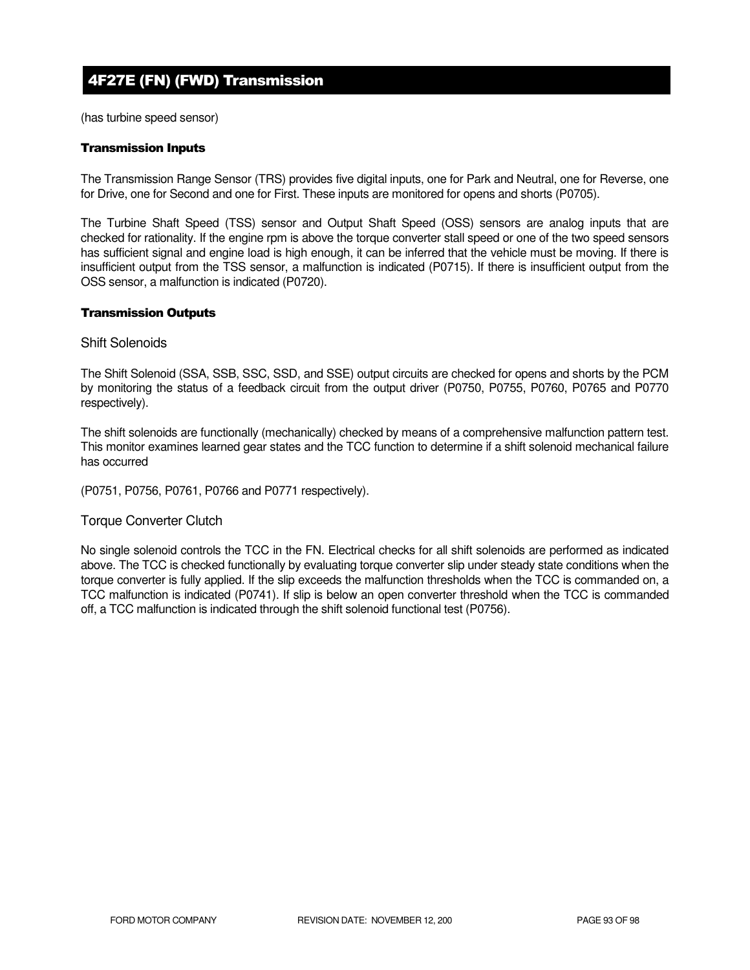# 4F27E (FN) (FWD) Transmission

(has turbine speed sensor)

#### Transmission Inputs

The Transmission Range Sensor (TRS) provides five digital inputs, one for Park and Neutral, one for Reverse, one for Drive, one for Second and one for First. These inputs are monitored for opens and shorts (P0705).

The Turbine Shaft Speed (TSS) sensor and Output Shaft Speed (OSS) sensors are analog inputs that are checked for rationality. If the engine rpm is above the torque converter stall speed or one of the two speed sensors has sufficient signal and engine load is high enough, it can be inferred that the vehicle must be moving. If there is insufficient output from the TSS sensor, a malfunction is indicated (P0715). If there is insufficient output from the OSS sensor, a malfunction is indicated (P0720).

#### Transmission Outputs

#### Shift Solenoids

The Shift Solenoid (SSA, SSB, SSC, SSD, and SSE) output circuits are checked for opens and shorts by the PCM by monitoring the status of a feedback circuit from the output driver (P0750, P0755, P0760, P0765 and P0770 respectively).

The shift solenoids are functionally (mechanically) checked by means of a comprehensive malfunction pattern test. This monitor examines learned gear states and the TCC function to determine if a shift solenoid mechanical failure has occurred

(P0751, P0756, P0761, P0766 and P0771 respectively).

#### Torque Converter Clutch

No single solenoid controls the TCC in the FN. Electrical checks for all shift solenoids are performed as indicated above. The TCC is checked functionally by evaluating torque converter slip under steady state conditions when the torque converter is fully applied. If the slip exceeds the malfunction thresholds when the TCC is commanded on, a TCC malfunction is indicated (P0741). If slip is below an open converter threshold when the TCC is commanded off, a TCC malfunction is indicated through the shift solenoid functional test (P0756).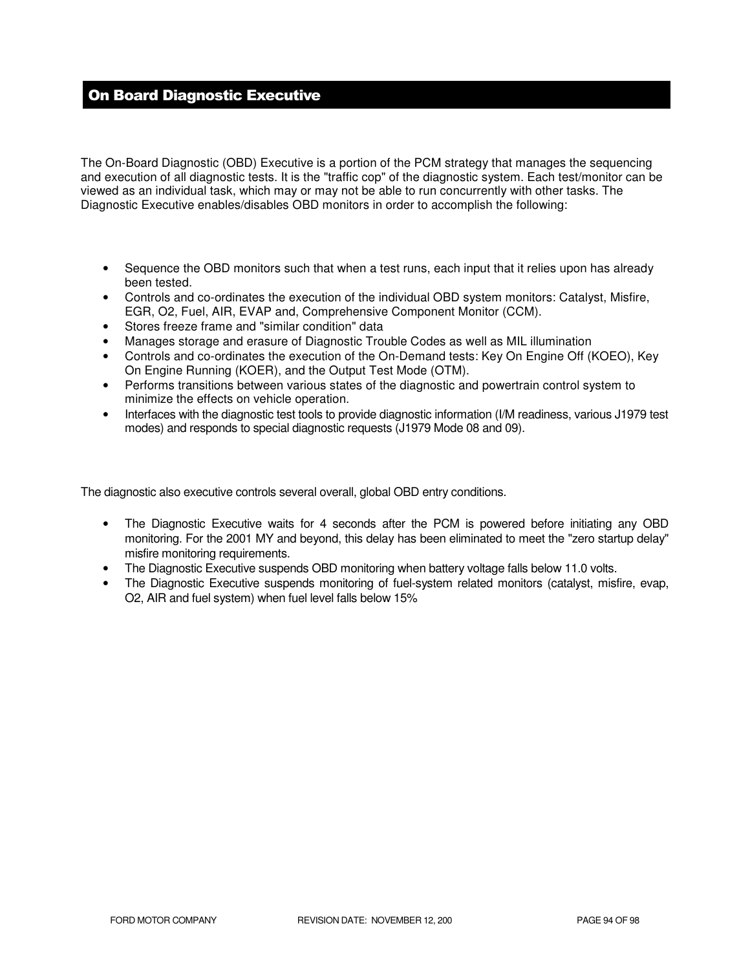# On Board Diagnostic Executive

The On-Board Diagnostic (OBD) Executive is a portion of the PCM strategy that manages the sequencing and execution of all diagnostic tests. It is the "traffic cop" of the diagnostic system. Each test/monitor can be viewed as an individual task, which may or may not be able to run concurrently with other tasks. The Diagnostic Executive enables/disables OBD monitors in order to accomplish the following:

- Sequence the OBD monitors such that when a test runs, each input that it relies upon has already been tested.
- Controls and co-ordinates the execution of the individual OBD system monitors: Catalyst, Misfire, EGR, O2, Fuel, AIR, EVAP and, Comprehensive Component Monitor (CCM).
- Stores freeze frame and "similar condition" data
- Manages storage and erasure of Diagnostic Trouble Codes as well as MIL illumination
- Controls and co-ordinates the execution of the On-Demand tests: Key On Engine Off (KOEO), Key On Engine Running (KOER), and the Output Test Mode (OTM).
- Performs transitions between various states of the diagnostic and powertrain control system to minimize the effects on vehicle operation.
- Interfaces with the diagnostic test tools to provide diagnostic information (I/M readiness, various J1979 test modes) and responds to special diagnostic requests (J1979 Mode 08 and 09).

The diagnostic also executive controls several overall, global OBD entry conditions.

- The Diagnostic Executive waits for 4 seconds after the PCM is powered before initiating any OBD monitoring. For the 2001 MY and beyond, this delay has been eliminated to meet the "zero startup delay" misfire monitoring requirements.
- The Diagnostic Executive suspends OBD monitoring when battery voltage falls below 11.0 volts.
- The Diagnostic Executive suspends monitoring of fuel-system related monitors (catalyst, misfire, evap, O2, AIR and fuel system) when fuel level falls below 15%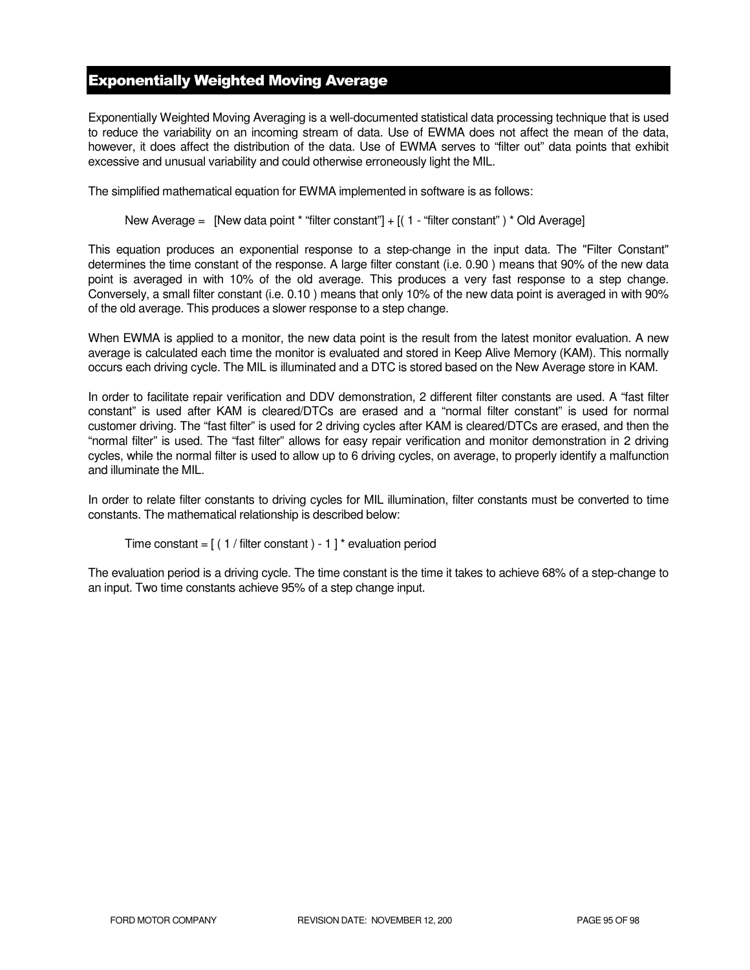## Exponentially Weighted Moving Average

Exponentially Weighted Moving Averaging is a well-documented statistical data processing technique that is used to reduce the variability on an incoming stream of data. Use of EWMA does not affect the mean of the data, however, it does affect the distribution of the data. Use of EWMA serves to "filter out" data points that exhibit excessive and unusual variability and could otherwise erroneously light the MIL.

The simplified mathematical equation for EWMA implemented in software is as follows:

New Average = [New data point \* "filter constant"] + [( 1 - "filter constant") \* Old Average]

This equation produces an exponential response to a step-change in the input data. The "Filter Constant" determines the time constant of the response. A large filter constant (i.e. 0.90 ) means that 90% of the new data point is averaged in with 10% of the old average. This produces a very fast response to a step change. Conversely, a small filter constant (i.e. 0.10 ) means that only 10% of the new data point is averaged in with 90% of the old average. This produces a slower response to a step change.

When EWMA is applied to a monitor, the new data point is the result from the latest monitor evaluation. A new average is calculated each time the monitor is evaluated and stored in Keep Alive Memory (KAM). This normally occurs each driving cycle. The MIL is illuminated and a DTC is stored based on the New Average store in KAM.

In order to facilitate repair verification and DDV demonstration, 2 different filter constants are used. A "fast filter constant" is used after KAM is cleared/DTCs are erased and a "normal filter constant" is used for normal customer driving. The "fast filter" is used for 2 driving cycles after KAM is cleared/DTCs are erased, and then the "normal filter" is used. The "fast filter" allows for easy repair verification and monitor demonstration in 2 driving cycles, while the normal filter is used to allow up to 6 driving cycles, on average, to properly identify a malfunction and illuminate the MIL.

In order to relate filter constants to driving cycles for MIL illumination, filter constants must be converted to time constants. The mathematical relationship is described below:

```
Time constant = [(1 / \text{filter constant}) - 1]^* evaluation period
```
The evaluation period is a driving cycle. The time constant is the time it takes to achieve 68% of a step-change to an input. Two time constants achieve 95% of a step change input.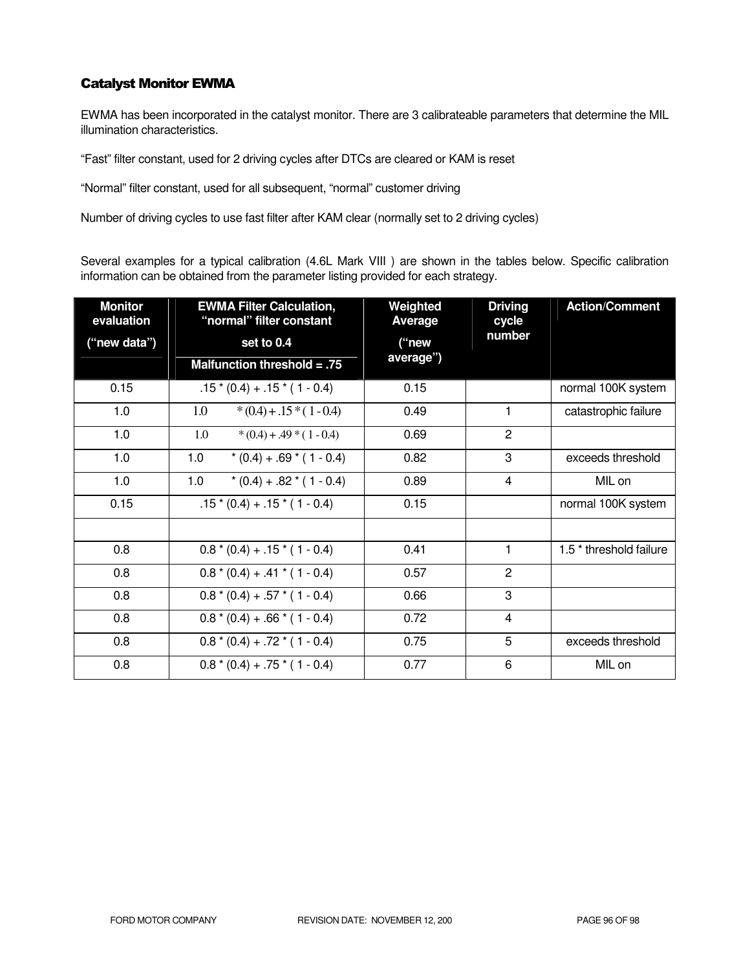### Catalyst Monitor EWMA

EWMA has been incorporated in the catalyst monitor. There are 3 calibrateable parameters that determine the MIL illumination characteristics.

"Fast" filter constant, used for 2 driving cycles after DTCs are cleared or KAM is reset

"Normal" filter constant, used for all subsequent, "normal" customer driving

Number of driving cycles to use fast filter after KAM clear (normally set to 2 driving cycles)

Several examples for a typical calibration (4.6L Mark VIII ) are shown in the tables below. Specific calibration information can be obtained from the parameter listing provided for each strategy.

| <b>Monitor</b><br>evaluation | <b>EWMA Filter Calculation,</b><br>"normal" filter constant | Weighted<br><b>Average</b> | <b>Driving</b><br>cycle | <b>Action/Comment</b>              |
|------------------------------|-------------------------------------------------------------|----------------------------|-------------------------|------------------------------------|
| ("new data")                 | set to 0.4                                                  | ("new                      | number                  |                                    |
|                              | Malfunction threshold = $.75$                               | average")                  |                         |                                    |
| 0.15                         | $.15*(0.4) + .15*(1 - 0.4)$                                 | 0.15                       |                         | normal 100K system                 |
| 1.0                          | $*(0.4) + .15*(1 - 0.4)$<br>1.0                             | 0.49                       | 1                       | catastrophic failure               |
| 1.0                          | $*(0.4) + .49 * (1 - 0.4)$<br>1.0                           | 0.69                       | 2                       |                                    |
| 1.0                          | 1.0<br>$*(0.4) + .69 * (1 - 0.4)$                           | 0.82                       | 3                       | exceeds threshold                  |
| 1.0                          | 1.0<br>$*(0.4) + .82 * (1 - 0.4)$                           | 0.89                       | $\overline{4}$          | MIL on                             |
| 0.15                         | $.15*(0.4) + .15*(1 - 0.4)$                                 | 0.15                       |                         | normal 100K system                 |
|                              |                                                             |                            |                         |                                    |
| 0.8                          | $0.8*(0.4) + .15*(1 - 0.4)$                                 | 0.41                       | 1                       | 1.5 <sup>*</sup> threshold failure |
| 0.8                          | $0.8*(0.4) + .41*(1 - 0.4)$                                 | 0.57                       | $\overline{2}$          |                                    |
| 0.8                          | $0.8*(0.4) + .57*(1 - 0.4)$                                 | 0.66                       | 3                       |                                    |
| 0.8                          | $0.8*(0.4) + .66*(1 - 0.4)$                                 | 0.72                       | $\overline{4}$          |                                    |
| 0.8                          | $0.8*(0.4) + .72*(1 - 0.4)$                                 | 0.75                       | 5                       | exceeds threshold                  |
| 0.8                          | $0.8*(0.4) + .75*(1 - 0.4)$                                 | 0.77                       | 6                       | MIL on                             |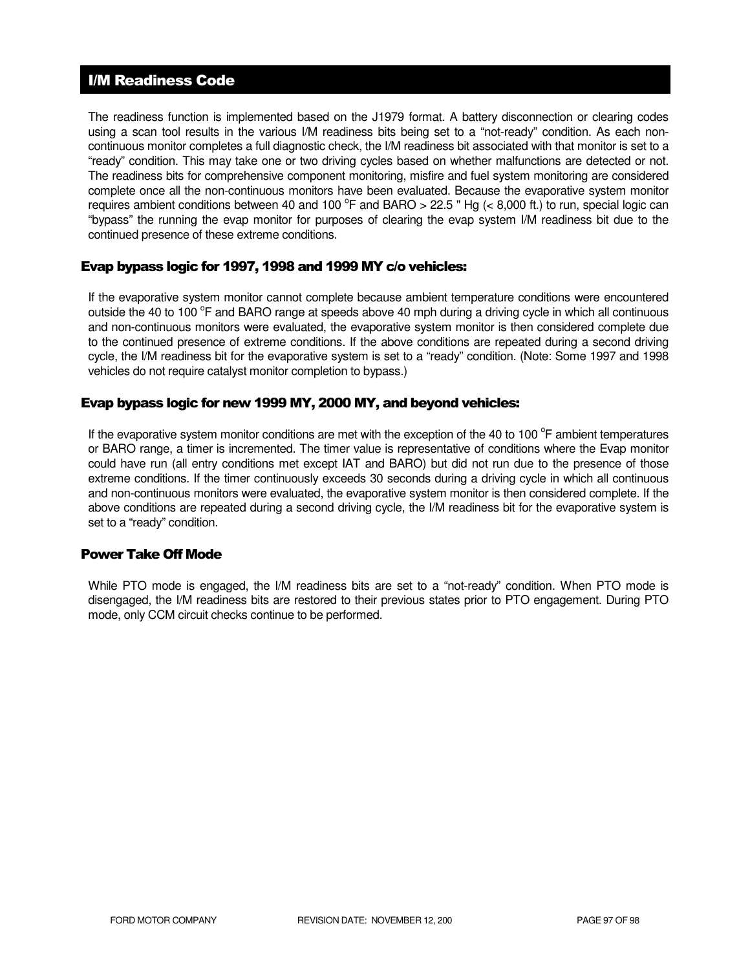### I/M Readiness Code

The readiness function is implemented based on the J1979 format. A battery disconnection or clearing codes using a scan tool results in the various I/M readiness bits being set to a "not-ready" condition. As each noncontinuous monitor completes a full diagnostic check, the I/M readiness bit associated with that monitor is set to a "ready" condition. This may take one or two driving cycles based on whether malfunctions are detected or not. The readiness bits for comprehensive component monitoring, misfire and fuel system monitoring are considered complete once all the non-continuous monitors have been evaluated. Because the evaporative system monitor requires ambient conditions between 40 and 100  $^{\circ}$ F and BARO > 22.5 " Hg (< 8,000 ft.) to run, special logic can "bypass" the running the evap monitor for purposes of clearing the evap system I/M readiness bit due to the continued presence of these extreme conditions.

### Evap bypass logic for 1997, 1998 and 1999 MY c/o vehicles:

If the evaporative system monitor cannot complete because ambient temperature conditions were encountered outside the 40 to 100 °F and BARO range at speeds above 40 mph during a driving cycle in which all continuous and non-continuous monitors were evaluated, the evaporative system monitor is then considered complete due to the continued presence of extreme conditions. If the above conditions are repeated during a second driving cycle, the I/M readiness bit for the evaporative system is set to a "ready" condition. (Note: Some 1997 and 1998 vehicles do not require catalyst monitor completion to bypass.)

### Evap bypass logic for new 1999 MY, 2000 MY, and beyond vehicles:

If the evaporative system monitor conditions are met with the exception of the 40 to 100 $^{\circ}$ F ambient temperatures or BARO range, a timer is incremented. The timer value is representative of conditions where the Evap monitor could have run (all entry conditions met except IAT and BARO) but did not run due to the presence of those extreme conditions. If the timer continuously exceeds 30 seconds during a driving cycle in which all continuous and non-continuous monitors were evaluated, the evaporative system monitor is then considered complete. If the above conditions are repeated during a second driving cycle, the I/M readiness bit for the evaporative system is set to a "ready" condition.

### Power Take Off Mode

While PTO mode is engaged, the I/M readiness bits are set to a "not-ready" condition. When PTO mode is disengaged, the I/M readiness bits are restored to their previous states prior to PTO engagement. During PTO mode, only CCM circuit checks continue to be performed.